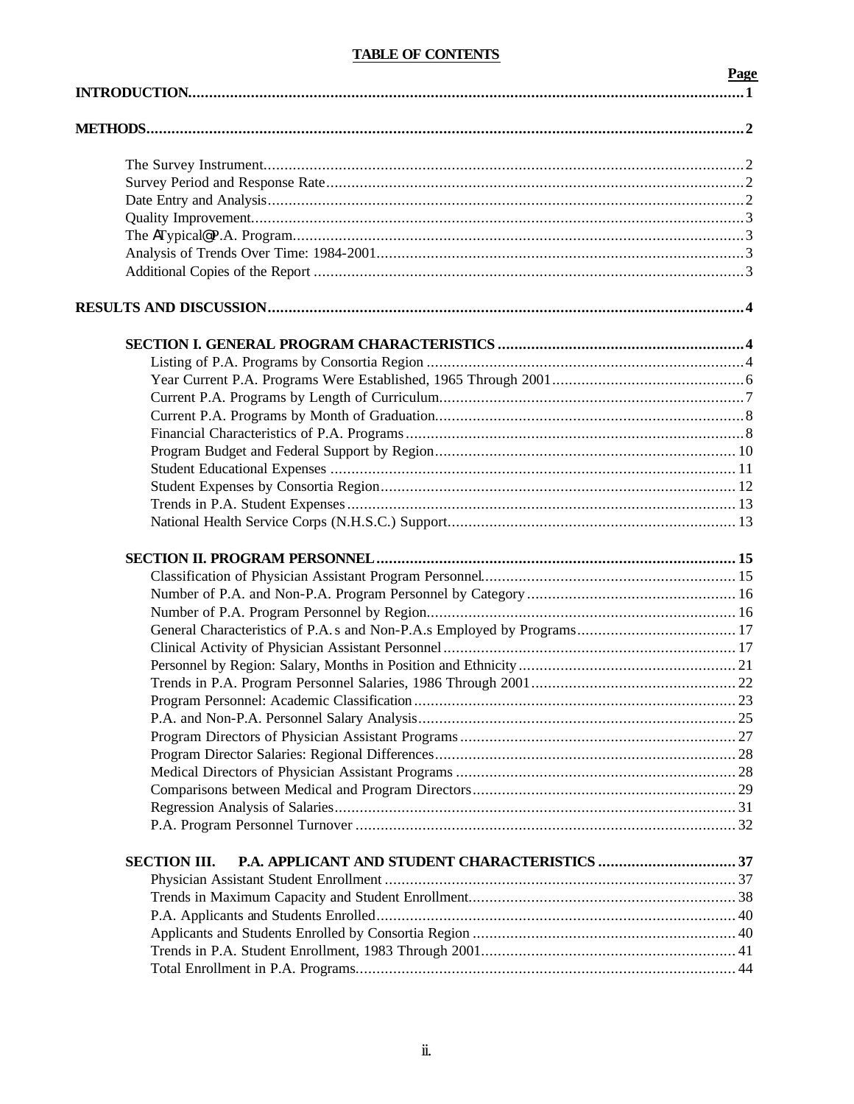# **TABLE OF CONTENTS**

|                     | Page |
|---------------------|------|
|                     |      |
|                     |      |
|                     |      |
|                     |      |
|                     |      |
|                     |      |
|                     |      |
|                     |      |
|                     |      |
|                     |      |
|                     |      |
|                     |      |
|                     |      |
|                     |      |
|                     |      |
|                     |      |
|                     |      |
|                     |      |
|                     |      |
|                     |      |
|                     |      |
|                     |      |
|                     |      |
|                     |      |
|                     |      |
|                     |      |
|                     |      |
|                     |      |
|                     |      |
|                     |      |
|                     |      |
|                     |      |
|                     |      |
|                     |      |
|                     |      |
|                     |      |
|                     |      |
|                     |      |
| <b>SECTION III.</b> |      |
|                     |      |
|                     |      |
|                     |      |
|                     |      |
|                     |      |
|                     |      |
|                     |      |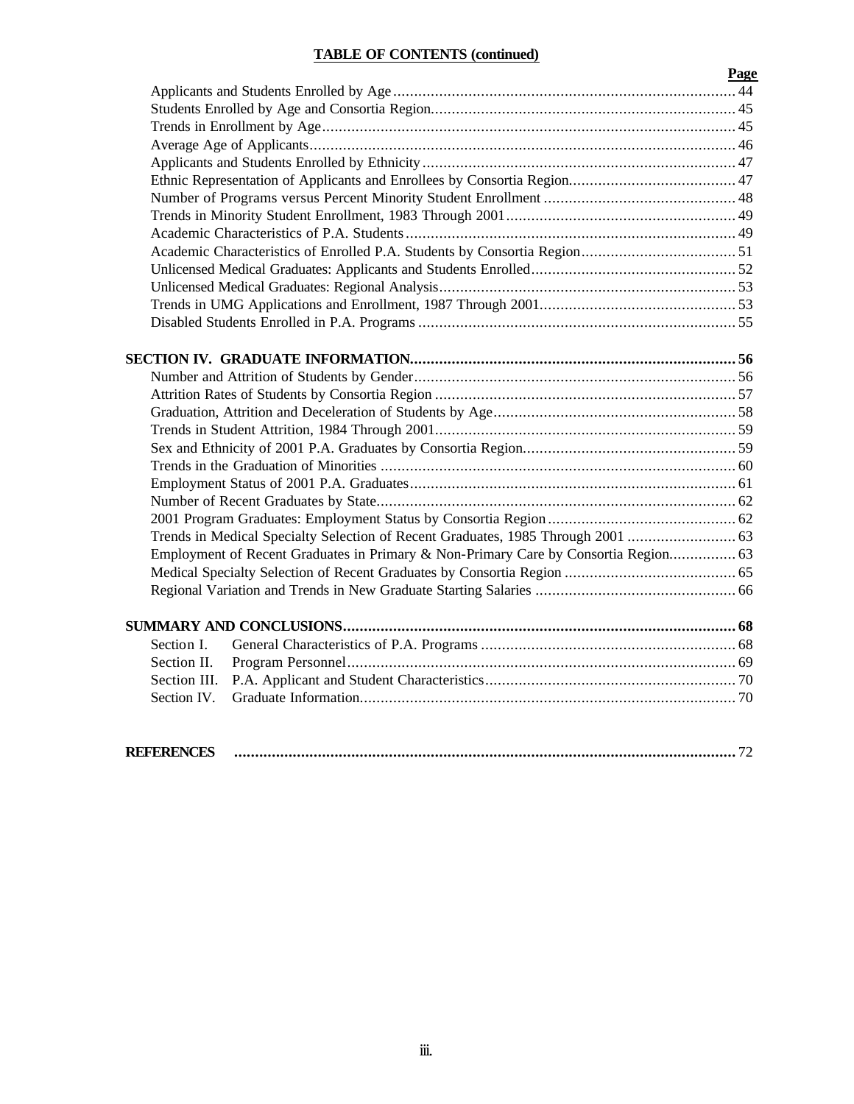# **TABLE OF CONTENTS (continued)**

| Page                                                                                |  |
|-------------------------------------------------------------------------------------|--|
|                                                                                     |  |
|                                                                                     |  |
|                                                                                     |  |
|                                                                                     |  |
|                                                                                     |  |
|                                                                                     |  |
|                                                                                     |  |
|                                                                                     |  |
|                                                                                     |  |
|                                                                                     |  |
|                                                                                     |  |
|                                                                                     |  |
|                                                                                     |  |
|                                                                                     |  |
|                                                                                     |  |
|                                                                                     |  |
|                                                                                     |  |
|                                                                                     |  |
|                                                                                     |  |
|                                                                                     |  |
|                                                                                     |  |
|                                                                                     |  |
|                                                                                     |  |
|                                                                                     |  |
|                                                                                     |  |
| Employment of Recent Graduates in Primary & Non-Primary Care by Consortia Region 63 |  |
|                                                                                     |  |
|                                                                                     |  |
|                                                                                     |  |
| Section I.                                                                          |  |
| Section II.                                                                         |  |
| Section III.                                                                        |  |
| Section IV.                                                                         |  |
|                                                                                     |  |

| $\sim$ . The correspondence of the correspondence of the correspondence of the correspondence of the correspondence of the correspondence of $\sim$ |
|-----------------------------------------------------------------------------------------------------------------------------------------------------|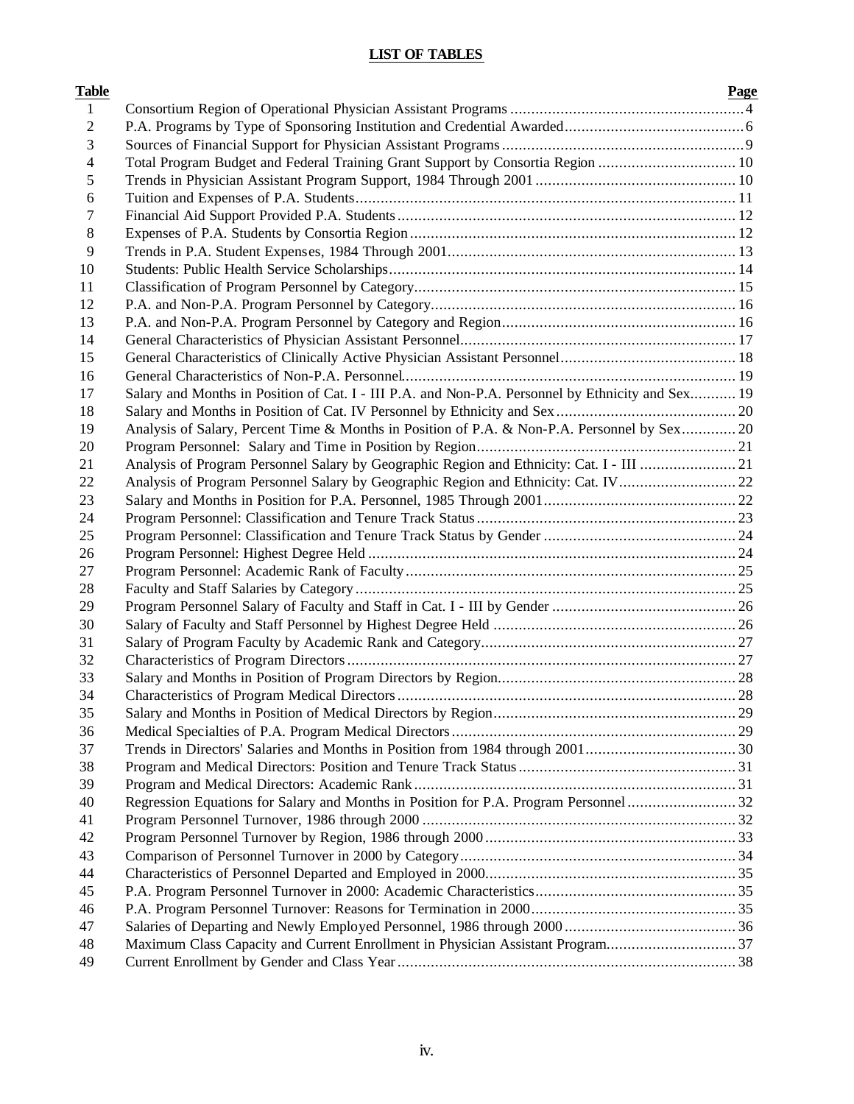# **LIST OF TABLES**

| Table          |                                                                                                   | Page |
|----------------|---------------------------------------------------------------------------------------------------|------|
| 1              |                                                                                                   |      |
| $\overline{2}$ |                                                                                                   |      |
| 3              |                                                                                                   |      |
| 4              | Total Program Budget and Federal Training Grant Support by Consortia Region  10                   |      |
| 5              |                                                                                                   |      |
| 6              |                                                                                                   |      |
| 7              |                                                                                                   |      |
| 8              |                                                                                                   |      |
| 9              |                                                                                                   |      |
| 10             |                                                                                                   |      |
| 11             |                                                                                                   |      |
| 12             |                                                                                                   |      |
| 13             |                                                                                                   |      |
| 14             |                                                                                                   |      |
| 15             |                                                                                                   |      |
| 16             |                                                                                                   |      |
| 17             | Salary and Months in Position of Cat. I - III P.A. and Non-P.A. Personnel by Ethnicity and Sex 19 |      |
| 18             |                                                                                                   |      |
| 19             | Analysis of Salary, Percent Time & Months in Position of P.A. & Non-P.A. Personnel by Sex 20      |      |
| 20             |                                                                                                   |      |
| 21             | Analysis of Program Personnel Salary by Geographic Region and Ethnicity: Cat. I - III 21          |      |
| 22             | Analysis of Program Personnel Salary by Geographic Region and Ethnicity: Cat. IV 22               |      |
| 23             |                                                                                                   |      |
| 24             |                                                                                                   |      |
| 25             |                                                                                                   |      |
| 26             |                                                                                                   |      |
| 27             |                                                                                                   |      |
| 28             |                                                                                                   |      |
| 29             |                                                                                                   |      |
| 30             |                                                                                                   |      |
| 31             |                                                                                                   |      |
| 32             |                                                                                                   |      |
| 33             |                                                                                                   |      |
| 34             |                                                                                                   |      |
| 35             |                                                                                                   |      |
| 36             |                                                                                                   |      |
| 37             |                                                                                                   |      |
| 38             |                                                                                                   |      |
| 39             |                                                                                                   |      |
| 40             | Regression Equations for Salary and Months in Position for P.A. Program Personnel  32             |      |
| 41             |                                                                                                   |      |
| 42             |                                                                                                   |      |
| 43             |                                                                                                   |      |
| 44             |                                                                                                   |      |
| 45             |                                                                                                   |      |
| 46             |                                                                                                   |      |
| 47             |                                                                                                   |      |
| 48             | Maximum Class Capacity and Current Enrollment in Physician Assistant Program37                    |      |
| 49             |                                                                                                   |      |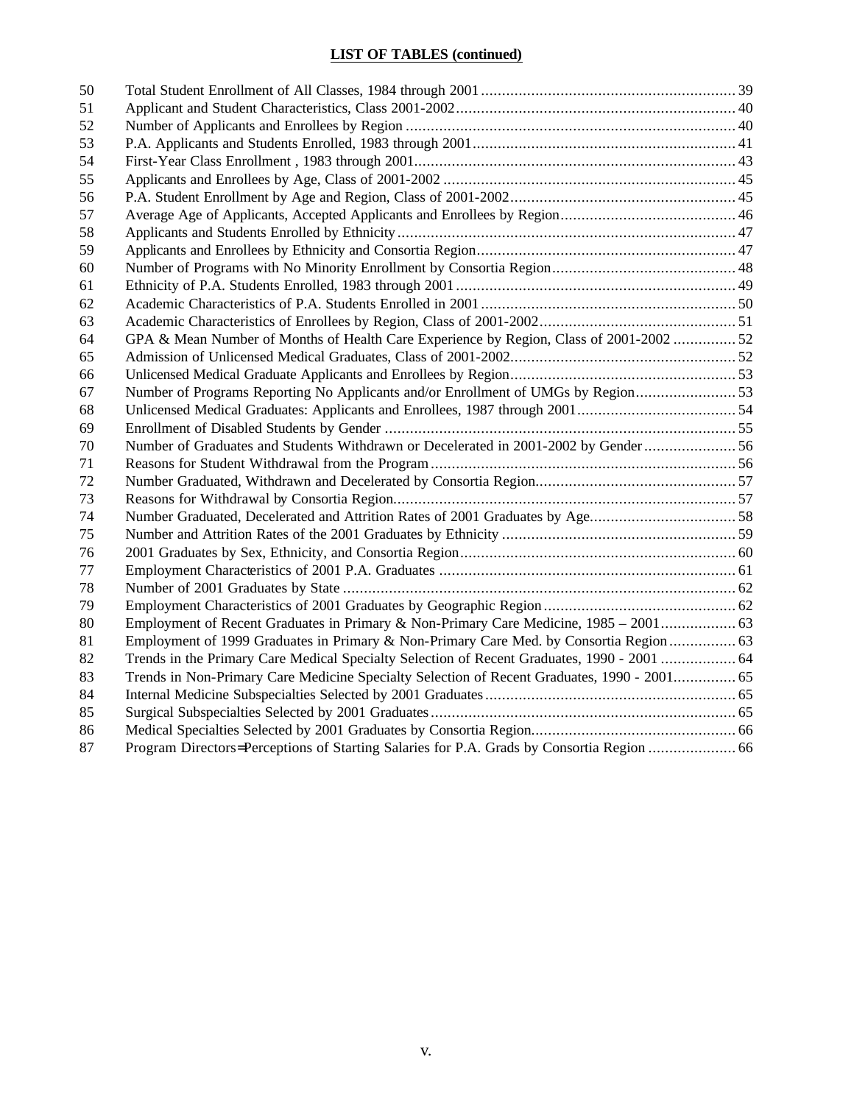# **LIST OF TABLES (continued)**

| 50 |                                                                                             |  |
|----|---------------------------------------------------------------------------------------------|--|
| 51 |                                                                                             |  |
| 52 |                                                                                             |  |
| 53 |                                                                                             |  |
| 54 |                                                                                             |  |
| 55 |                                                                                             |  |
| 56 |                                                                                             |  |
| 57 |                                                                                             |  |
| 58 |                                                                                             |  |
| 59 |                                                                                             |  |
| 60 |                                                                                             |  |
| 61 |                                                                                             |  |
| 62 |                                                                                             |  |
| 63 |                                                                                             |  |
| 64 | GPA & Mean Number of Months of Health Care Experience by Region, Class of 2001-2002  52     |  |
| 65 |                                                                                             |  |
| 66 |                                                                                             |  |
| 67 | Number of Programs Reporting No Applicants and/or Enrollment of UMGs by Region              |  |
| 68 |                                                                                             |  |
| 69 |                                                                                             |  |
| 70 | Number of Graduates and Students Withdrawn or Decelerated in 2001-2002 by Gender 56         |  |
| 71 |                                                                                             |  |
| 72 |                                                                                             |  |
| 73 |                                                                                             |  |
| 74 | Number Graduated, Decelerated and Attrition Rates of 2001 Graduates by Age58                |  |
| 75 |                                                                                             |  |
| 76 |                                                                                             |  |
| 77 |                                                                                             |  |
| 78 |                                                                                             |  |
| 79 |                                                                                             |  |
| 80 |                                                                                             |  |
| 81 | Employment of 1999 Graduates in Primary & Non-Primary Care Med. by Consortia Region  63     |  |
| 82 | Trends in the Primary Care Medical Specialty Selection of Recent Graduates, 1990 - 2001  64 |  |
| 83 | Trends in Non-Primary Care Medicine Specialty Selection of Recent Graduates, 1990 - 2001 65 |  |
| 84 |                                                                                             |  |
| 85 |                                                                                             |  |
| 86 |                                                                                             |  |
| 87 |                                                                                             |  |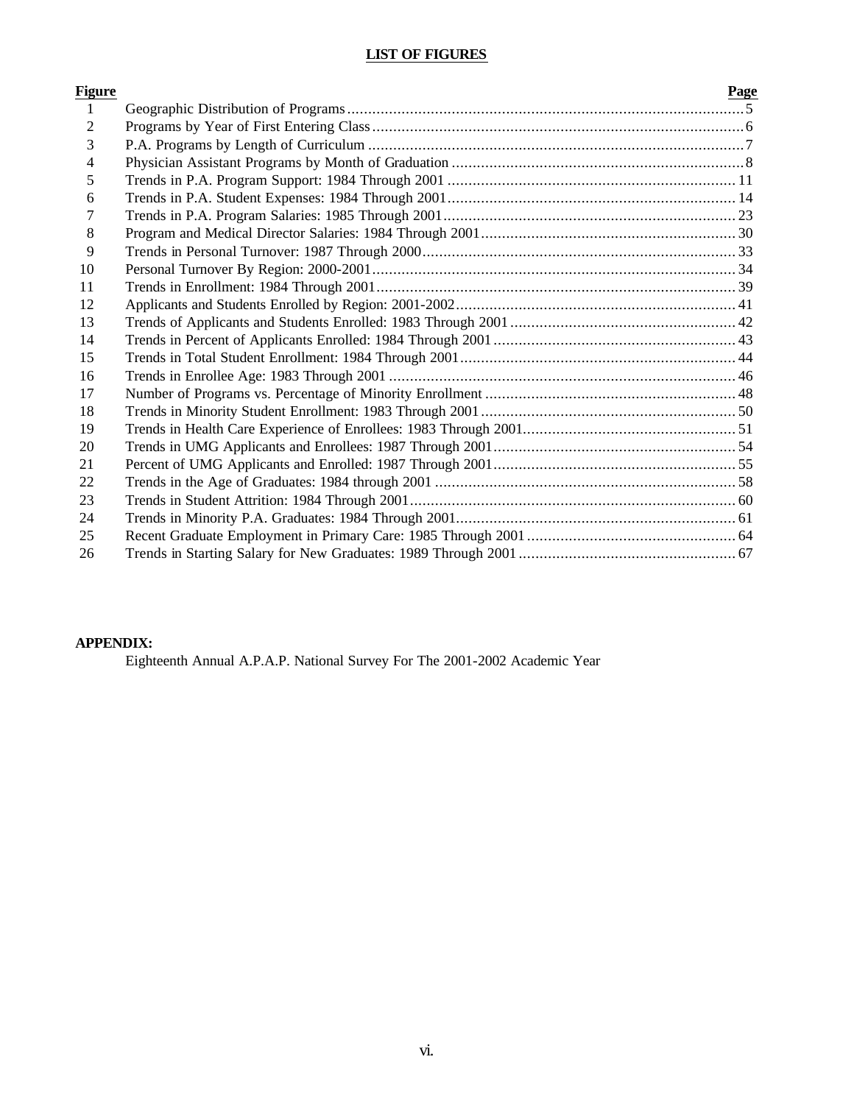# **LIST OF FIGURES**

| <u>Figure</u>  | Page |
|----------------|------|
| $\mathbf{1}$   |      |
| $\overline{2}$ |      |
| 3              |      |
| 4              |      |
| 5              |      |
| 6              |      |
| 7              |      |
| 8              |      |
| 9              |      |
| 10             |      |
| 11             |      |
| 12             |      |
| 13             |      |
| 14             |      |
| 15             |      |
| 16             |      |
| 17             |      |
| 18             |      |
| 19             |      |
| 20             |      |
| 21             |      |
| 22             |      |
| 23             |      |
| 24             |      |
| 25             |      |
| 26             |      |

# **APPENDIX:**

Eighteenth Annual A.P.A.P. National Survey For The 2001-2002 Academic Year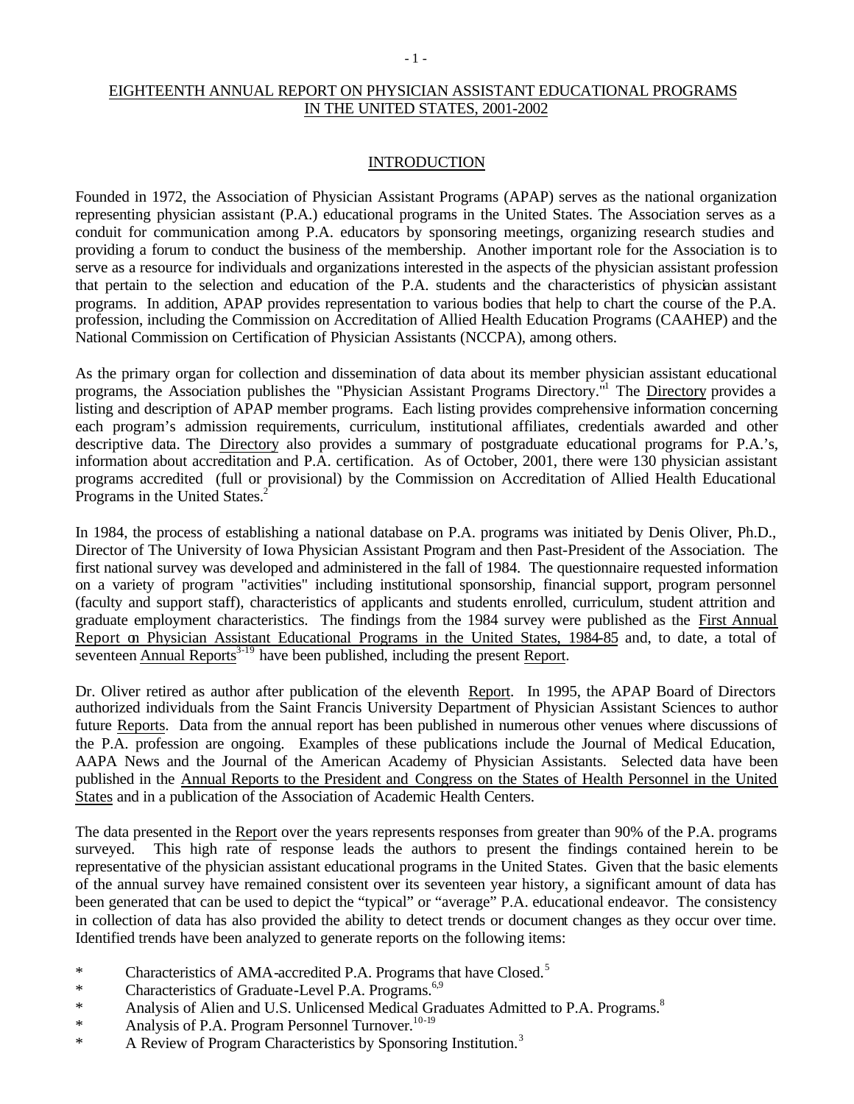## EIGHTEENTH ANNUAL REPORT ON PHYSICIAN ASSISTANT EDUCATIONAL PROGRAMS IN THE UNITED STATES, 2001-2002

#### INTRODUCTION

Founded in 1972, the Association of Physician Assistant Programs (APAP) serves as the national organization representing physician assistant (P.A.) educational programs in the United States. The Association serves as a conduit for communication among P.A. educators by sponsoring meetings, organizing research studies and providing a forum to conduct the business of the membership. Another important role for the Association is to serve as a resource for individuals and organizations interested in the aspects of the physician assistant profession that pertain to the selection and education of the P.A. students and the characteristics of physician assistant programs. In addition, APAP provides representation to various bodies that help to chart the course of the P.A. profession, including the Commission on Accreditation of Allied Health Education Programs (CAAHEP) and the National Commission on Certification of Physician Assistants (NCCPA), among others.

As the primary organ for collection and dissemination of data about its member physician assistant educational programs, the Association publishes the "Physician Assistant Programs Directory."<sup>1</sup> The Directory provides a listing and description of APAP member programs. Each listing provides comprehensive information concerning each program's admission requirements, curriculum, institutional affiliates, credentials awarded and other descriptive data. The Directory also provides a summary of postgraduate educational programs for P.A.'s, information about accreditation and P.A. certification. As of October, 2001, there were 130 physician assistant programs accredited (full or provisional) by the Commission on Accreditation of Allied Health Educational Programs in the United States.<sup>2</sup>

In 1984, the process of establishing a national database on P.A. programs was initiated by Denis Oliver, Ph.D., Director of The University of Iowa Physician Assistant Program and then Past-President of the Association. The first national survey was developed and administered in the fall of 1984. The questionnaire requested information on a variety of program "activities" including institutional sponsorship, financial support, program personnel (faculty and support staff), characteristics of applicants and students enrolled, curriculum, student attrition and graduate employment characteristics. The findings from the 1984 survey were published as the First Annual Report on Physician Assistant Educational Programs in the United States, 1984-85 and, to date, a total of seventeen Annual Reports $3-19$  have been published, including the present Report.

Dr. Oliver retired as author after publication of the eleventh Report. In 1995, the APAP Board of Directors authorized individuals from the Saint Francis University Department of Physician Assistant Sciences to author future Reports. Data from the annual report has been published in numerous other venues where discussions of the P.A. profession are ongoing. Examples of these publications include the Journal of Medical Education, AAPA News and the Journal of the American Academy of Physician Assistants. Selected data have been published in the Annual Reports to the President and Congress on the States of Health Personnel in the United States and in a publication of the Association of Academic Health Centers.

The data presented in the Report over the years represents responses from greater than 90% of the P.A. programs surveyed. This high rate of response leads the authors to present the findings contained herein to be representative of the physician assistant educational programs in the United States. Given that the basic elements of the annual survey have remained consistent over its seventeen year history, a significant amount of data has been generated that can be used to depict the "typical" or "average" P.A. educational endeavor. The consistency in collection of data has also provided the ability to detect trends or document changes as they occur over time. Identified trends have been analyzed to generate reports on the following items:

- \* Characteristics of AMA-accredited P.A. Programs that have Closed.<sup>5</sup>
- \* Characteristics of Graduate-Level P.A. Programs. $6,9$
- \* Analysis of Alien and U.S. Unlicensed Medical Graduates Admitted to P.A. Programs.<sup>8</sup>
- \* Analysis of P.A. Program Personnel Turnover.<sup>10-19</sup>
- \* A Review of Program Characteristics by Sponsoring Institution.<sup>3</sup>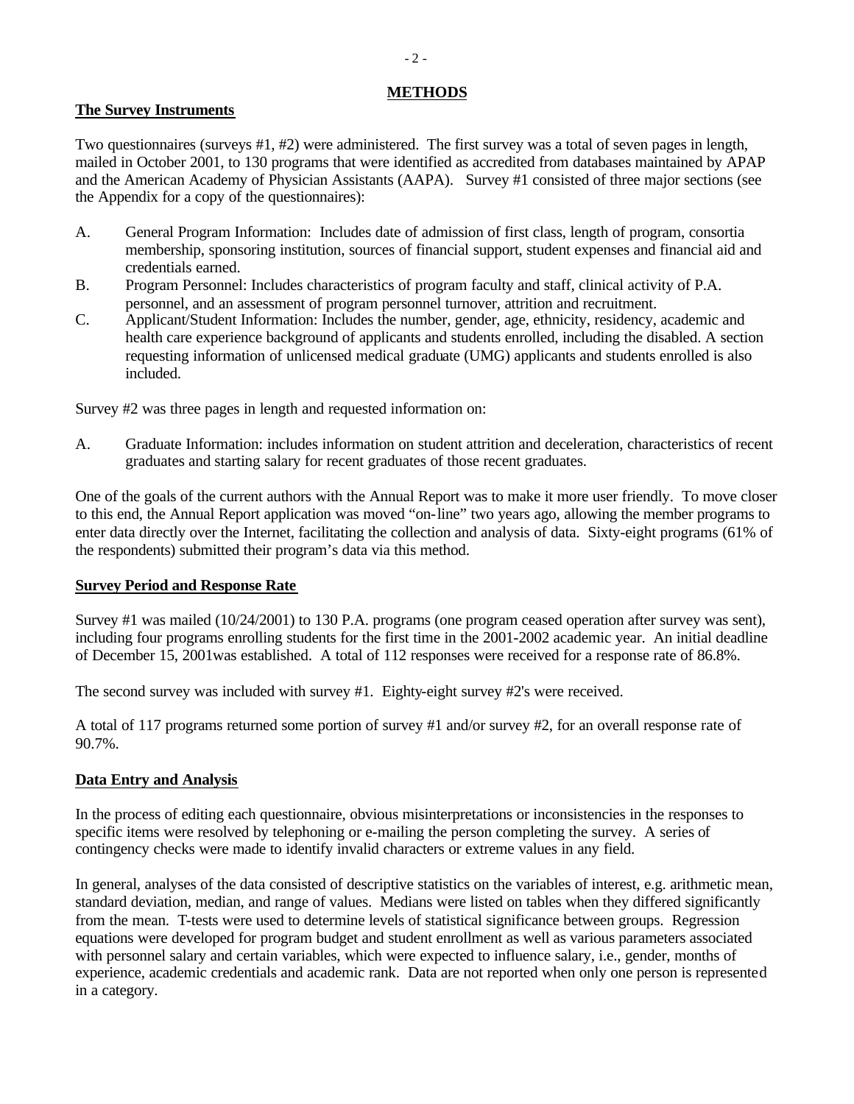### **METHODS**

### **The Survey Instruments**

Two questionnaires (surveys #1, #2) were administered. The first survey was a total of seven pages in length, mailed in October 2001, to 130 programs that were identified as accredited from databases maintained by APAP and the American Academy of Physician Assistants (AAPA). Survey #1 consisted of three major sections (see the Appendix for a copy of the questionnaires):

- A. General Program Information: Includes date of admission of first class, length of program, consortia membership, sponsoring institution, sources of financial support, student expenses and financial aid and credentials earned.
- B. Program Personnel: Includes characteristics of program faculty and staff, clinical activity of P.A. personnel, and an assessment of program personnel turnover, attrition and recruitment.
- C. Applicant/Student Information: Includes the number, gender, age, ethnicity, residency, academic and health care experience background of applicants and students enrolled, including the disabled. A section requesting information of unlicensed medical graduate (UMG) applicants and students enrolled is also included.

Survey #2 was three pages in length and requested information on:

A. Graduate Information: includes information on student attrition and deceleration, characteristics of recent graduates and starting salary for recent graduates of those recent graduates.

One of the goals of the current authors with the Annual Report was to make it more user friendly. To move closer to this end, the Annual Report application was moved "on-line" two years ago, allowing the member programs to enter data directly over the Internet, facilitating the collection and analysis of data. Sixty-eight programs (61% of the respondents) submitted their program's data via this method.

### **Survey Period and Response Rate**

Survey #1 was mailed (10/24/2001) to 130 P.A. programs (one program ceased operation after survey was sent), including four programs enrolling students for the first time in the 2001-2002 academic year. An initial deadline of December 15, 2001was established. A total of 112 responses were received for a response rate of 86.8%.

The second survey was included with survey #1. Eighty-eight survey #2's were received.

A total of 117 programs returned some portion of survey #1 and/or survey #2, for an overall response rate of 90.7%.

## **Data Entry and Analysis**

In the process of editing each questionnaire, obvious misinterpretations or inconsistencies in the responses to specific items were resolved by telephoning or e-mailing the person completing the survey. A series of contingency checks were made to identify invalid characters or extreme values in any field.

In general, analyses of the data consisted of descriptive statistics on the variables of interest, e.g. arithmetic mean, standard deviation, median, and range of values. Medians were listed on tables when they differed significantly from the mean. T-tests were used to determine levels of statistical significance between groups. Regression equations were developed for program budget and student enrollment as well as various parameters associated with personnel salary and certain variables, which were expected to influence salary, i.e., gender, months of experience, academic credentials and academic rank. Data are not reported when only one person is represented in a category.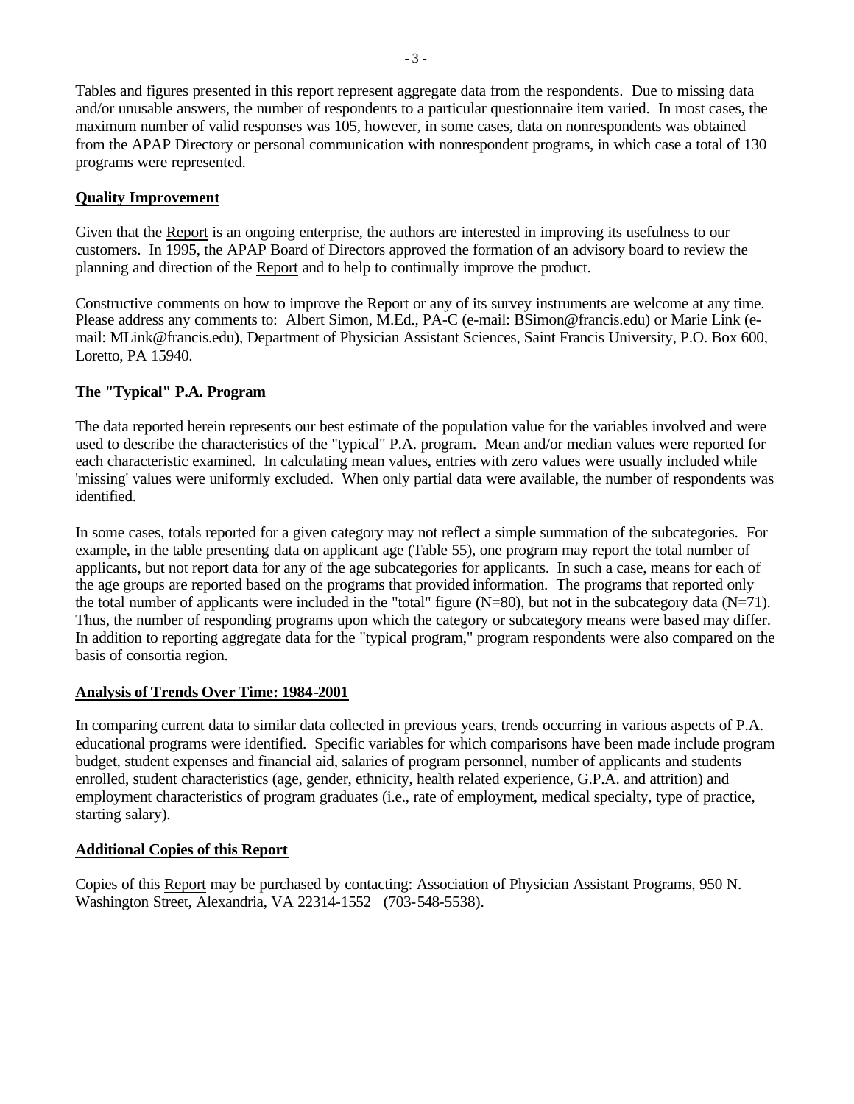Tables and figures presented in this report represent aggregate data from the respondents. Due to missing data and/or unusable answers, the number of respondents to a particular questionnaire item varied. In most cases, the maximum number of valid responses was 105, however, in some cases, data on nonrespondents was obtained from the APAP Directory or personal communication with nonrespondent programs, in which case a total of 130 programs were represented.

### **Quality Improvement**

Given that the Report is an ongoing enterprise, the authors are interested in improving its usefulness to our customers. In 1995, the APAP Board of Directors approved the formation of an advisory board to review the planning and direction of the Report and to help to continually improve the product.

Constructive comments on how to improve the Report or any of its survey instruments are welcome at any time. Please address any comments to: Albert Simon, M.Ed., PA-C (e-mail: BSimon@francis.edu) or Marie Link (email: MLink@francis.edu), Department of Physician Assistant Sciences, Saint Francis University, P.O. Box 600, Loretto, PA 15940.

#### **The "Typical" P.A. Program**

The data reported herein represents our best estimate of the population value for the variables involved and were used to describe the characteristics of the "typical" P.A. program. Mean and/or median values were reported for each characteristic examined. In calculating mean values, entries with zero values were usually included while 'missing' values were uniformly excluded. When only partial data were available, the number of respondents was identified.

In some cases, totals reported for a given category may not reflect a simple summation of the subcategories. For example, in the table presenting data on applicant age (Table 55), one program may report the total number of applicants, but not report data for any of the age subcategories for applicants. In such a case, means for each of the age groups are reported based on the programs that provided information. The programs that reported only the total number of applicants were included in the "total" figure  $(N=80)$ , but not in the subcategory data  $(N=71)$ . Thus, the number of responding programs upon which the category or subcategory means were based may differ. In addition to reporting aggregate data for the "typical program," program respondents were also compared on the basis of consortia region.

### **Analysis of Trends Over Time: 1984-2001**

In comparing current data to similar data collected in previous years, trends occurring in various aspects of P.A. educational programs were identified. Specific variables for which comparisons have been made include program budget, student expenses and financial aid, salaries of program personnel, number of applicants and students enrolled, student characteristics (age, gender, ethnicity, health related experience, G.P.A. and attrition) and employment characteristics of program graduates (i.e., rate of employment, medical specialty, type of practice, starting salary).

### **Additional Copies of this Report**

Copies of this Report may be purchased by contacting: Association of Physician Assistant Programs, 950 N. Washington Street, Alexandria, VA 22314-1552 (703-548-5538).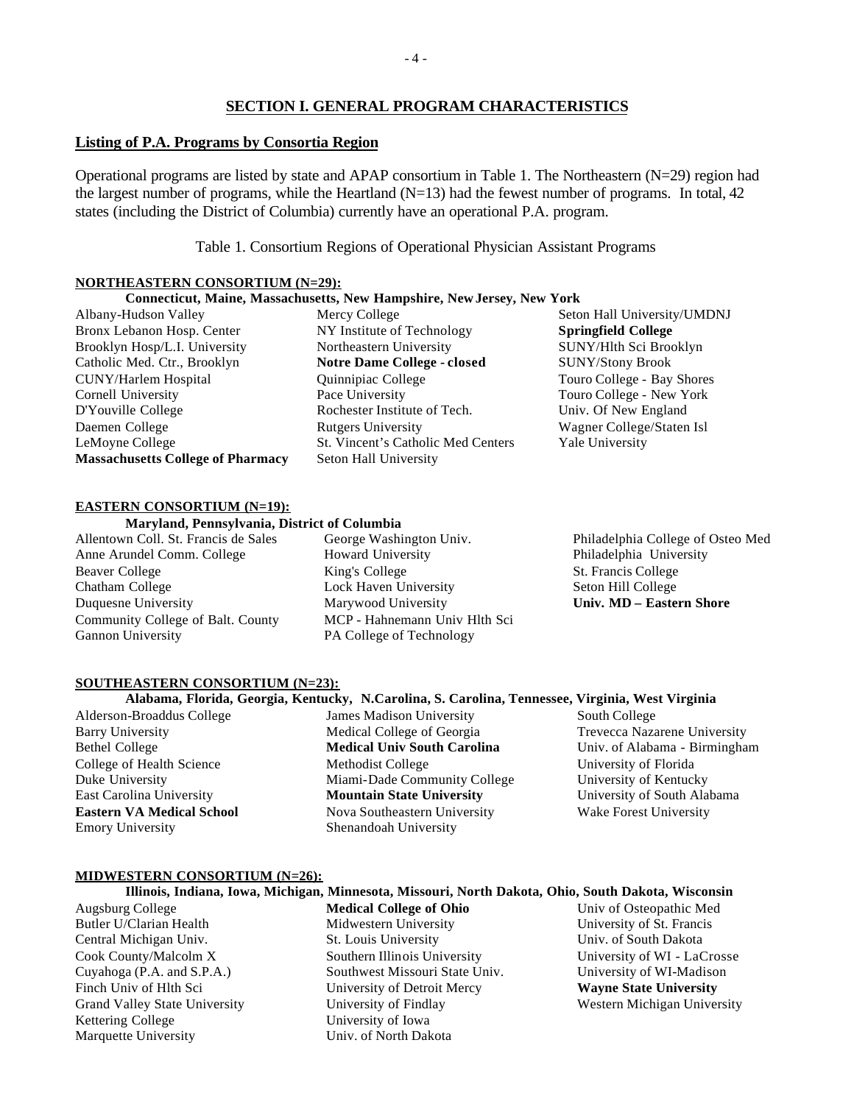### **SECTION I. GENERAL PROGRAM CHARACTERISTICS**

#### **Listing of P.A. Programs by Consortia Region**

Operational programs are listed by state and APAP consortium in Table 1. The Northeastern (N=29) region had the largest number of programs, while the Heartland  $(N=13)$  had the fewest number of programs. In total, 42 states (including the District of Columbia) currently have an operational P.A. program.

Table 1. Consortium Regions of Operational Physician Assistant Programs

#### **NORTHEASTERN CONSORTIUM (N=29):**

#### **Connecticut, Maine, Massachusetts, New Hampshire, New Jersey, New York**

- Albany-Hudson Valley Bronx Lebanon Hosp. Center Brooklyn Hosp/L.I. University Catholic Med. Ctr., Brooklyn CUNY/Harlem Hospital Cornell University D'Youville College Daemen College LeMoyne College **Massachusetts College of Pharmacy**
- Mercy College NY Institute of Technology Northeastern University **Notre Dame College - closed** Quinnipiac College Pace University Rochester Institute of Tech. Rutgers University St. Vincent's Catholic Med Centers Seton Hall University
- Seton Hall University/UMDNJ **Springfield College** SUNY/Hlth Sci Brooklyn SUNY/Stony Brook Touro College - Bay Shores Touro College - New York Univ. Of New England Wagner College/Staten Isl Yale University

#### **EASTERN CONSORTIUM (N=19):**

#### **Maryland, Pennsylvania, District of Columbia**

Allentown Coll. St. Francis de Sales Anne Arundel Comm. College Beaver College Chatham College Duquesne University Community College of Balt. County Gannon University

George Washington Univ. Howard University King's College Lock Haven University Marywood University MCP - Hahnemann Univ Hlth Sci PA College of Technology

Philadelphia College of Osteo Med Philadelphia University St. Francis College Seton Hill College **Univ. MD – Eastern Shore**

#### **SOUTHEASTERN CONSORTIUM (N=23):**

#### **Alabama, Florida, Georgia, Kentucky, N.Carolina, S. Carolina, Tennessee, Virginia, West Virginia**

Alderson-Broaddus College Barry University Bethel College College of Health Science Duke University East Carolina University **Eastern VA Medical School** Emory University

James Madison University Medical College of Georgia **Medical Univ South Carolina** Methodist College Miami-Dade Community College **Mountain State University** Nova Southeastern University Shenandoah University

South College Trevecca Nazarene University Univ. of Alabama - Birmingham University of Florida University of Kentucky University of South Alabama Wake Forest University

#### **MIDWESTERN CONSORTIUM (N=26):**

|                  | -Illinois, Indiana, Iowa, Michigan, Minnesota, Missouri, North Dakota, Ohio, South Dakota, Wisconsin |                         |
|------------------|------------------------------------------------------------------------------------------------------|-------------------------|
| Augsburg College | Medical College of Ohio                                                                              | Univ of Osteonathic Med |

**Illinois, Indiana, Iowa, Michigan, Minnesota, Missouri, North Dakota, Ohio, South Dakota, Wisconsin**

- 1gsburg College Butler U/Clarian Health Central Michigan Univ. Cook County/Malcolm X Cuyahoga (P.A. and S.P.A.) Finch Univ of Hlth Sci Grand Valley State University Kettering College Marquette University
- **Medical College of Ohio** Midwestern University St. Louis University Southern Illinois University Southwest Missouri State Univ. University of Detroit Mercy University of Findlay University of Iowa Univ. of North Dakota
- Univ of Osteopathic Med University of St. Francis Univ. of South Dakota University of WI - LaCrosse University of WI-Madison **Wayne State University** Western Michigan University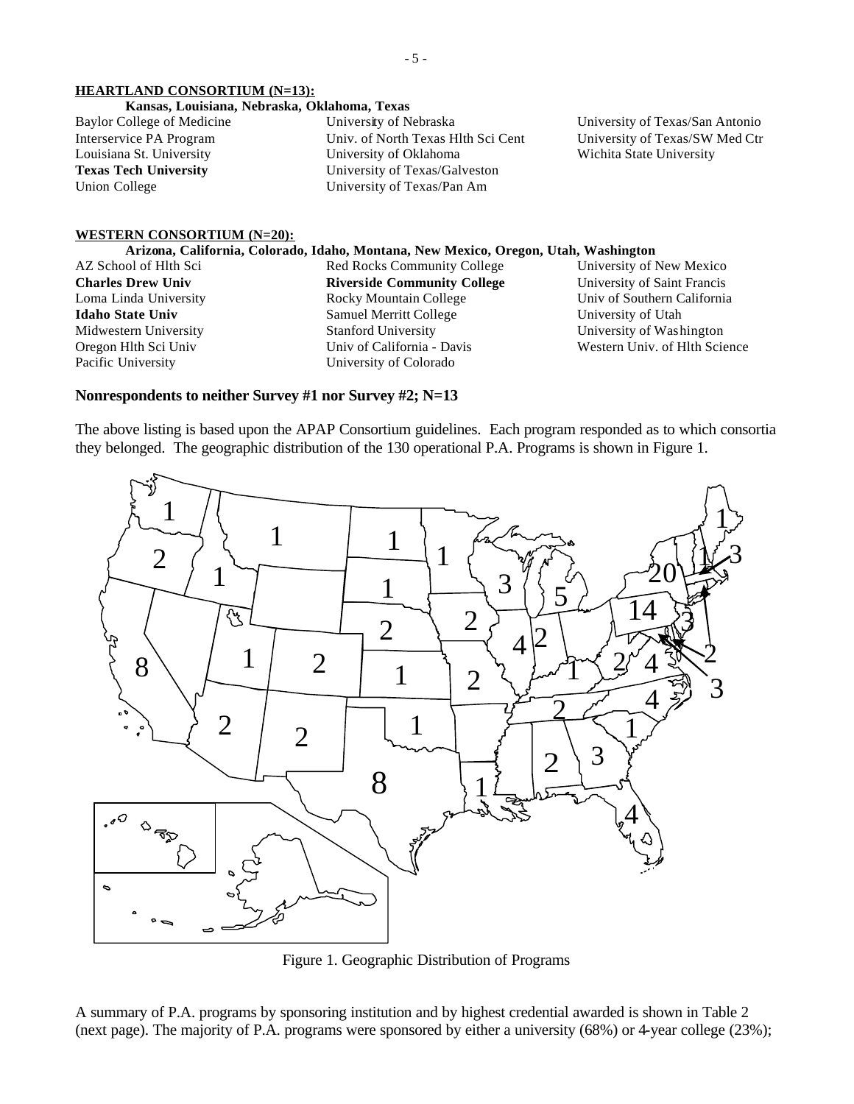#### **HEARTLAND CONSORTIUM (N=13):**

#### **Kansas, Louisiana, Nebraska, Oklahoma, Texas**

Baylor College of Medicine Interservice PA Program Louisiana St. University **Texas Tech University** Union College

University of Nebraska Univ. of North Texas Hlth Sci Cent University of Oklahoma University of Texas/Galveston University of Texas/Pan Am

University of Texas/San Antonio University of Texas/SW Med Ctr Wichita State University

#### **WESTERN CONSORTIUM (N=20):**

#### **Arizona, California, Colorado, Idaho, Montana, New Mexico, Oregon, Utah, Washington**

AZ School of Hlth Sci **Charles Drew Univ** Loma Linda University **Idaho State Univ** Midwestern University Oregon Hlth Sci Univ Pacific University

Red Rocks Community College **Riverside Community College** Rocky Mountain College Samuel Merritt College Stanford University Univ of California - Davis University of Colorado

University of New Mexico University of Saint Francis Univ of Southern California University of Utah University of Washington Western Univ. of Hlth Science

#### **Nonrespondents to neither Survey #1 nor Survey #2; N=13**

The above listing is based upon the APAP Consortium guidelines. Each program responded as to which consortia they belonged. The geographic distribution of the 130 operational P.A. Programs is shown in Figure 1.



Figure 1. Geographic Distribution of Programs

A summary of P.A. programs by sponsoring institution and by highest credential awarded is shown in Table 2 (next page). The majority of P.A. programs were sponsored by either a university (68%) or 4-year college (23%);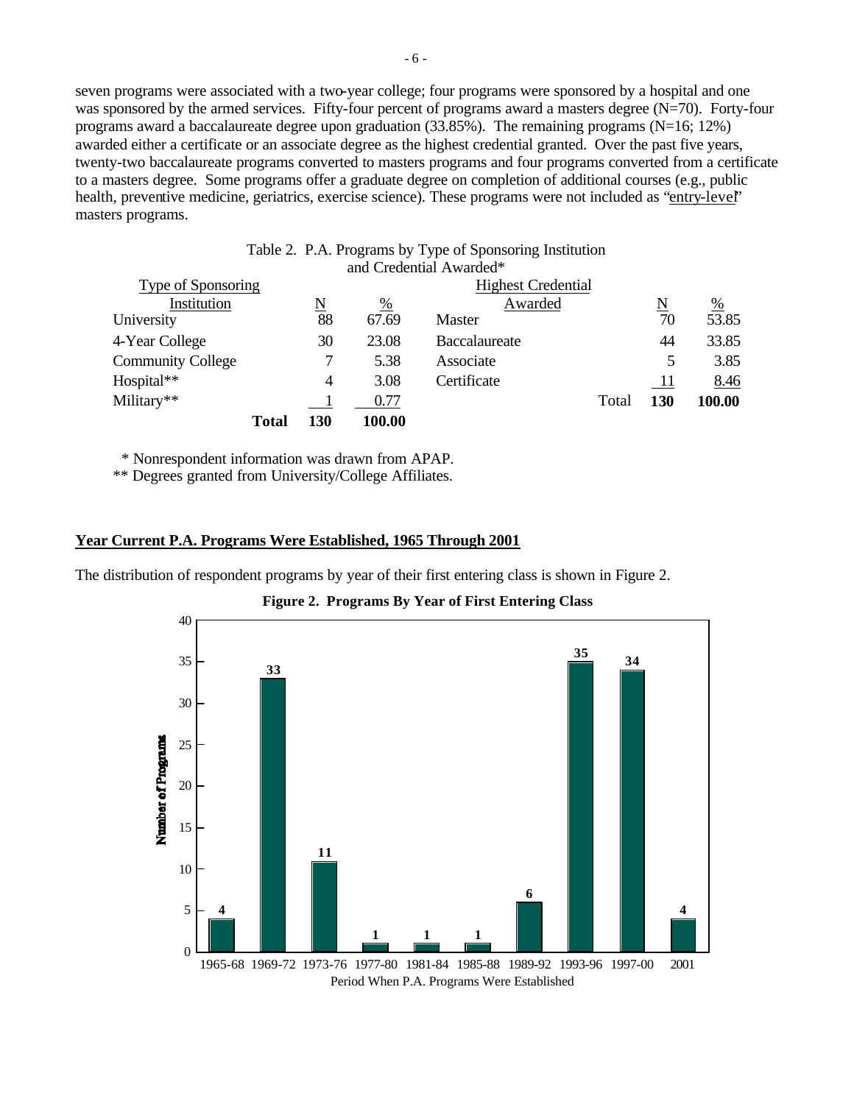seven programs were associated with a two-year college; four programs were sponsored by a hospital and one was sponsored by the armed services. Fifty-four percent of programs award a masters degree  $(N=70)$ . Forty-four programs award a baccalaureate degree upon graduation (33.85%). The remaining programs (N=16; 12%) awarded either a certificate or an associate degree as the highest credential granted. Over the past five years, twenty-two baccalaureate programs converted to masters programs and four programs converted from a certificate to a masters degree. Some programs offer a graduate degree on completion of additional courses (e.g., public health, preventive medicine, geriatrics, exercise science). These programs were not included as "entry-level" masters programs.

|                          |       |                        |                 | Table 2. P.A. Programs by Type of Sponsoring Institution |                     |                    |
|--------------------------|-------|------------------------|-----------------|----------------------------------------------------------|---------------------|--------------------|
|                          |       |                        |                 | and Credential Awarded*                                  |                     |                    |
| Type of Sponsoring       |       |                        |                 | <b>Highest Credential</b>                                |                     |                    |
| Institution              |       | $\underline{\text{N}}$ | $\frac{\%}{\%}$ | Awarded                                                  | $\underline{\rm N}$ | $\frac{\%}{53.85}$ |
| University               |       | 88                     | 67.69           | <b>Master</b>                                            | 70                  |                    |
| 4-Year College           |       | 30                     | 23.08           | <b>Baccalaureate</b>                                     | 44                  | 33.85              |
| <b>Community College</b> |       |                        | 5.38            | Associate                                                | 5                   | 3.85               |
| Hospital**               |       | 4                      | 3.08            | Certificate                                              | $\overline{11}$     | 8.46               |
| Military**               |       |                        | 0.77            | Total                                                    | 130                 | 100.00             |
|                          | Total | 130                    | 100.00          |                                                          |                     |                    |

\* Nonrespondent information was drawn from APAP.

\*\* Degrees granted from University/College Affiliates.

#### **Year Current P.A. Programs Were Established, 1965 Through 2001**

The distribution of respondent programs by year of their first entering class is shown in Figure 2.



**Figure 2. Programs By Year of First Entering Class**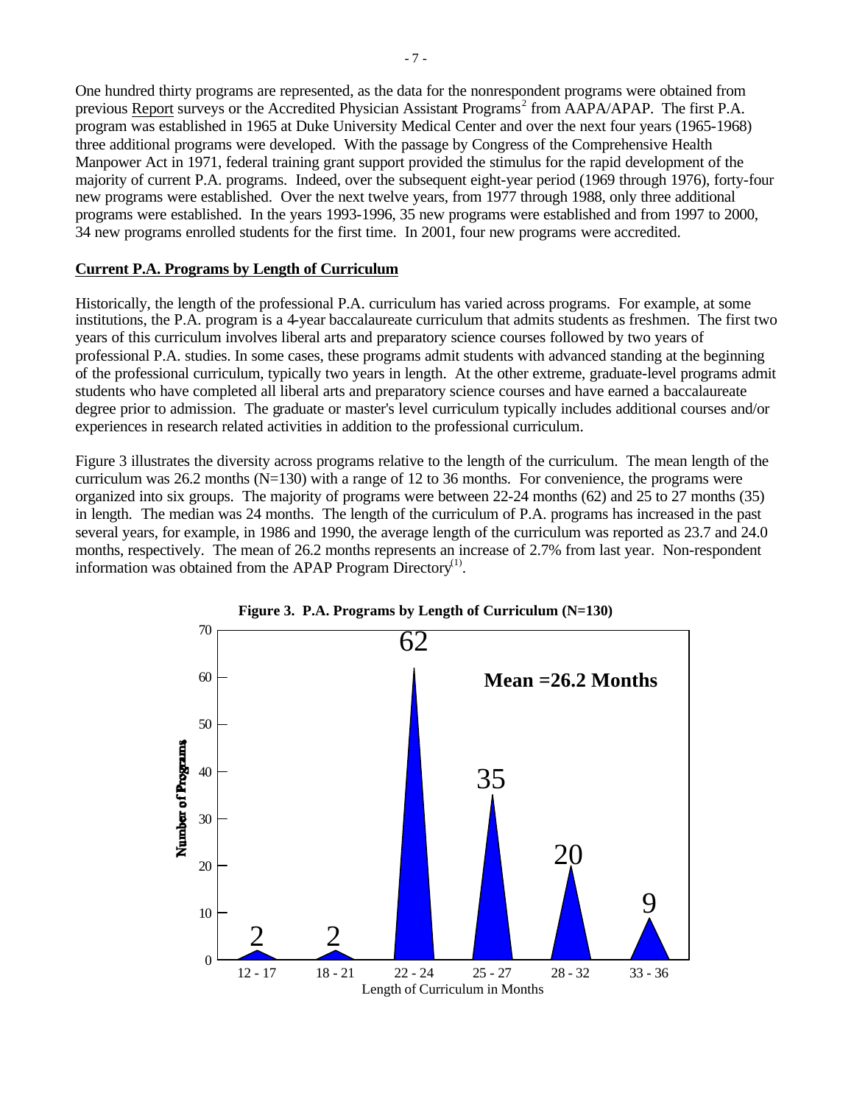One hundred thirty programs are represented, as the data for the nonrespondent programs were obtained from previous Report surveys or the Accredited Physician Assistant Programs<sup>2</sup> from AAPA/APAP. The first P.A. program was established in 1965 at Duke University Medical Center and over the next four years (1965-1968) three additional programs were developed. With the passage by Congress of the Comprehensive Health Manpower Act in 1971, federal training grant support provided the stimulus for the rapid development of the majority of current P.A. programs. Indeed, over the subsequent eight-year period (1969 through 1976), forty-four new programs were established. Over the next twelve years, from 1977 through 1988, only three additional programs were established. In the years 1993-1996, 35 new programs were established and from 1997 to 2000, 34 new programs enrolled students for the first time. In 2001, four new programs were accredited.

#### **Current P.A. Programs by Length of Curriculum**

Historically, the length of the professional P.A. curriculum has varied across programs. For example, at some institutions, the P.A. program is a 4-year baccalaureate curriculum that admits students as freshmen. The first two years of this curriculum involves liberal arts and preparatory science courses followed by two years of professional P.A. studies. In some cases, these programs admit students with advanced standing at the beginning of the professional curriculum, typically two years in length. At the other extreme, graduate-level programs admit students who have completed all liberal arts and preparatory science courses and have earned a baccalaureate degree prior to admission. The graduate or master's level curriculum typically includes additional courses and/or experiences in research related activities in addition to the professional curriculum.

Figure 3 illustrates the diversity across programs relative to the length of the curriculum. The mean length of the curriculum was 26.2 months  $(N=130)$  with a range of 12 to 36 months. For convenience, the programs were organized into six groups. The majority of programs were between 22-24 months (62) and 25 to 27 months (35) in length. The median was 24 months. The length of the curriculum of P.A. programs has increased in the past several years, for example, in 1986 and 1990, the average length of the curriculum was reported as 23.7 and 24.0 months, respectively. The mean of 26.2 months represents an increase of 2.7% from last year. Non-respondent information was obtained from the APAP Program Directory<sup>(1)</sup>.



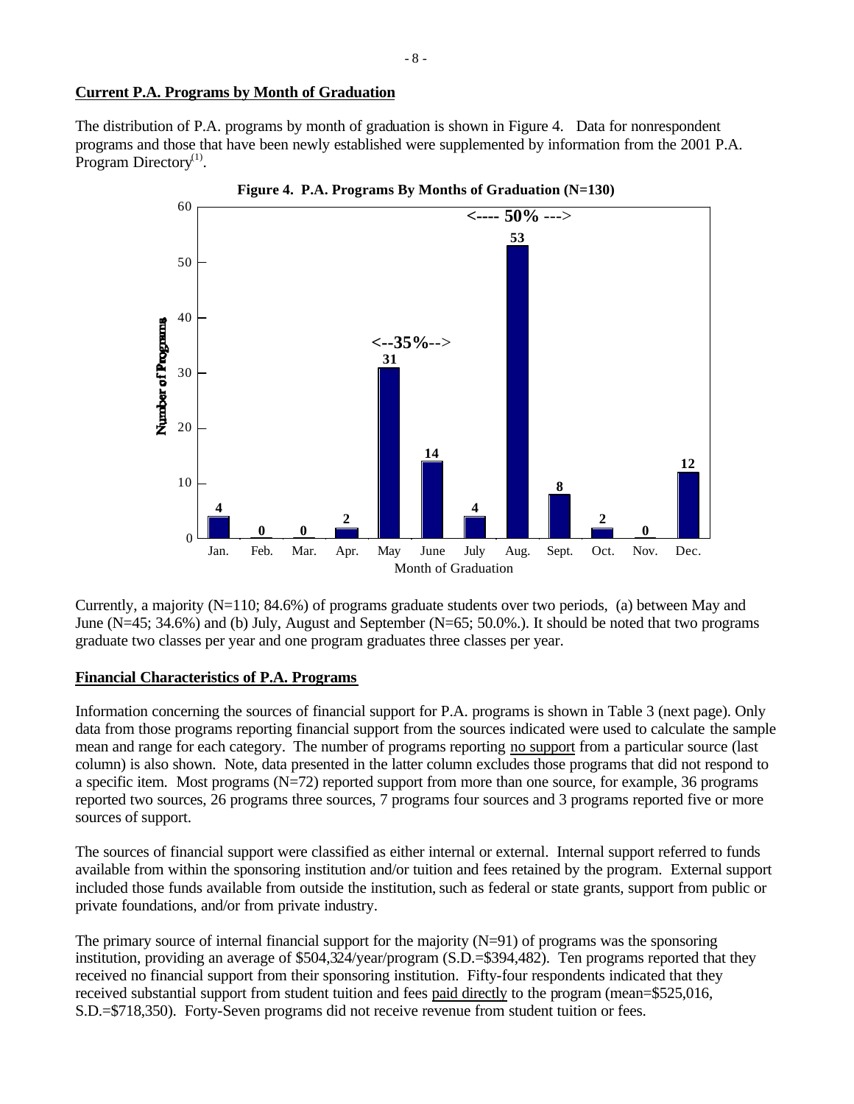### **Current P.A. Programs by Month of Graduation**

The distribution of P.A. programs by month of graduation is shown in Figure 4. Data for nonrespondent programs and those that have been newly established were supplemented by information from the 2001 P.A. Program Directory $^{(1)}$ .



Currently, a majority  $(N=110; 84.6%)$  of programs graduate students over two periods, (a) between May and June (N=45; 34.6%) and (b) July, August and September (N=65; 50.0%.). It should be noted that two programs graduate two classes per year and one program graduates three classes per year.

#### **Financial Characteristics of P.A. Programs**

Information concerning the sources of financial support for P.A. programs is shown in Table 3 (next page). Only data from those programs reporting financial support from the sources indicated were used to calculate the sample mean and range for each category. The number of programs reporting no support from a particular source (last column) is also shown. Note, data presented in the latter column excludes those programs that did not respond to a specific item. Most programs (N=72) reported support from more than one source, for example, 36 programs reported two sources, 26 programs three sources, 7 programs four sources and 3 programs reported five or more sources of support.

The sources of financial support were classified as either internal or external. Internal support referred to funds available from within the sponsoring institution and/or tuition and fees retained by the program. External support included those funds available from outside the institution, such as federal or state grants, support from public or private foundations, and/or from private industry.

The primary source of internal financial support for the majority  $(N=91)$  of programs was the sponsoring institution, providing an average of \$504,324/year/program (S.D.=\$394,482). Ten programs reported that they received no financial support from their sponsoring institution. Fifty-four respondents indicated that they received substantial support from student tuition and fees paid directly to the program (mean=\$525,016, S.D.=\$718,350). Forty-Seven programs did not receive revenue from student tuition or fees.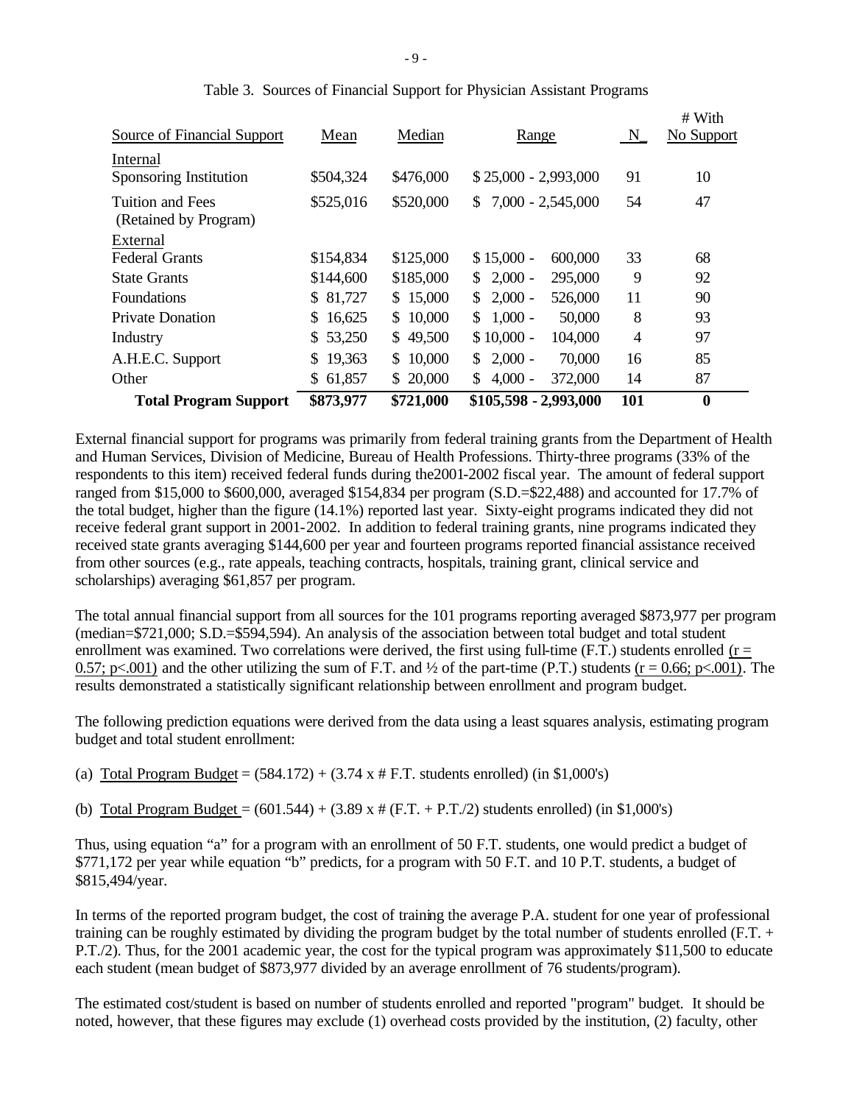| <b>Total Program Support</b>              | \$873,977    | \$721,000 | \$105,598 - 2,993,000                 | 101            | $\bf{0}$             |
|-------------------------------------------|--------------|-----------|---------------------------------------|----------------|----------------------|
| Other                                     | \$61,857     | \$20,000  | 372,000<br>$4,000 -$<br>\$.           | 14             | 87                   |
| A.H.E.C. Support                          | 19,363<br>S. | \$10,000  | $2,000 -$<br>70,000<br>$\mathbb{S}^-$ | 16             | 85                   |
| Industry                                  | \$53,250     | \$49,500  | $$10,000 -$<br>104,000                | $\overline{4}$ | 97                   |
| <b>Private Donation</b>                   | \$16,625     | \$10,000  | $1,000 -$<br>50,000<br>S.             | 8              | 93                   |
| Foundations                               | \$ 81,727    | \$15,000  | $2,000 -$<br>526,000<br>\$            | 11             | 90                   |
| <b>State Grants</b>                       | \$144,600    | \$185,000 | $2,000 -$<br>295,000<br>\$            | 9              | 92                   |
| External<br><b>Federal Grants</b>         | \$154,834    | \$125,000 | $$15,000 -$<br>600,000                | 33             | 68                   |
| Tuition and Fees<br>(Retained by Program) | \$525,016    | \$520,000 | $7,000 - 2,545,000$<br>S.             | 54             | 47                   |
| Internal<br>Sponsoring Institution        | \$504,324    | \$476,000 | $$25,000 - 2,993,000$                 | 91             | 10                   |
| Source of Financial Support               | Mean         | Median    | Range                                 | $N_{-}$        | # With<br>No Support |

|  |  | Table 3. Sources of Financial Support for Physician Assistant Programs |  |
|--|--|------------------------------------------------------------------------|--|
|  |  |                                                                        |  |

External financial support for programs was primarily from federal training grants from the Department of Health and Human Services, Division of Medicine, Bureau of Health Professions. Thirty-three programs (33% of the respondents to this item) received federal funds during the2001-2002 fiscal year. The amount of federal support ranged from \$15,000 to \$600,000, averaged \$154,834 per program (S.D.=\$22,488) and accounted for 17.7% of the total budget, higher than the figure (14.1%) reported last year. Sixty-eight programs indicated they did not receive federal grant support in 2001-2002. In addition to federal training grants, nine programs indicated they received state grants averaging \$144,600 per year and fourteen programs reported financial assistance received from other sources (e.g., rate appeals, teaching contracts, hospitals, training grant, clinical service and scholarships) averaging \$61,857 per program.

The total annual financial support from all sources for the 101 programs reporting averaged \$873,977 per program (median=\$721,000; S.D.=\$594,594). An analysis of the association between total budget and total student enrollment was examined. Two correlations were derived, the first using full-time (F.T.) students enrolled ( $r =$ 0.57; p<.001) and the other utilizing the sum of F.T. and  $\frac{1}{2}$  of the part-time (P.T.) students (r = 0.66; p<.001). The results demonstrated a statistically significant relationship between enrollment and program budget.

The following prediction equations were derived from the data using a least squares analysis, estimating program budget and total student enrollment:

(a) Total Program Budget =  $(584.172) + (3.74 \times # F.T.$  students enrolled) (in \$1,000's)

(b) Total Program Budget =  $(601.544) + (3.89 \text{ x } \# (\text{F.T.} + \text{P.T.}/2)$  students enrolled) (in \$1,000's)

Thus, using equation "a" for a program with an enrollment of 50 F.T. students, one would predict a budget of \$771,172 per year while equation "b" predicts, for a program with 50 F.T. and 10 P.T. students, a budget of \$815,494/year.

In terms of the reported program budget, the cost of training the average P.A. student for one year of professional training can be roughly estimated by dividing the program budget by the total number of students enrolled (F.T. + P.T./2). Thus, for the 2001 academic year, the cost for the typical program was approximately \$11,500 to educate each student (mean budget of \$873,977 divided by an average enrollment of 76 students/program).

The estimated cost/student is based on number of students enrolled and reported "program" budget. It should be noted, however, that these figures may exclude (1) overhead costs provided by the institution, (2) faculty, other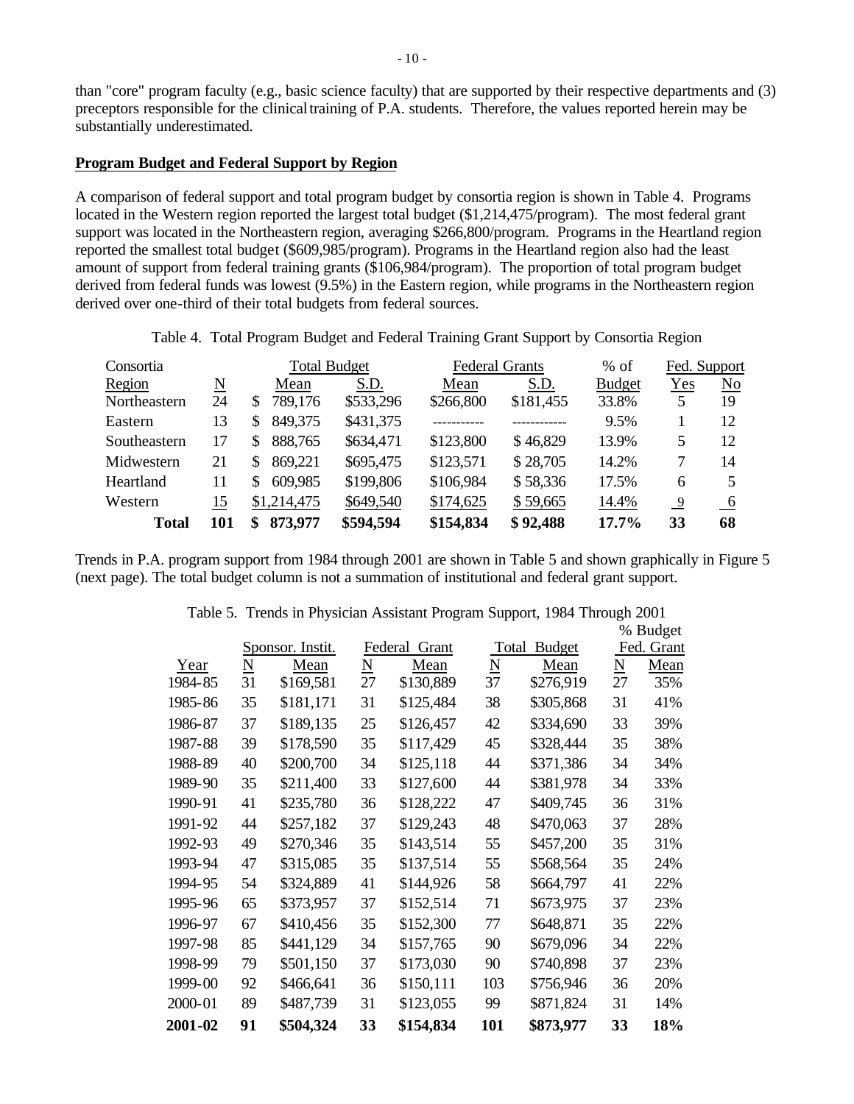than "core" program faculty (e.g., basic science faculty) that are supported by their respective departments and (3) preceptors responsible for the clinical training of P.A. students. Therefore, the values reported herein may be substantially underestimated.

#### **Program Budget and Federal Support by Region**

A comparison of federal support and total program budget by consortia region is shown in Table 4. Programs located in the Western region reported the largest total budget (\$1,214,475/program). The most federal grant support was located in the Northeastern region, averaging \$266,800/program. Programs in the Heartland region reported the smallest total budget (\$609,985/program). Programs in the Heartland region also had the least amount of support from federal training grants (\$106,984/program). The proportion of total program budget derived from federal funds was lowest (9.5%) in the Eastern region, while programs in the Northeastern region derived over one-third of their total budgets from federal sources.

Table 4. Total Program Budget and Federal Training Grant Support by Consortia Region

| Consortia    |     |              | <b>Total Budget</b> |           | <b>Federal Grants</b> | $%$ of        | Fed. Support   |     |
|--------------|-----|--------------|---------------------|-----------|-----------------------|---------------|----------------|-----|
| Region       | N   | Mean         | S.D.                | Mean      | S.D.                  | <b>Budget</b> | Yes            | No  |
| Northeastern | 24  | 789,176<br>S | \$533,296           | \$266,800 | \$181,455             | 33.8%         | 5              | 19  |
| Eastern      | 13  | 849,375      | \$431,375           |           |                       | 9.5%          |                | 12  |
| Southeastern | 17  | 888,765      | \$634,471           | \$123,800 | \$46,829              | 13.9%         | 5              | 12  |
| Midwestern   | 21  | 869,221      | \$695,475           | \$123,571 | \$28,705              | 14.2%         | 7              | 14  |
| Heartland    | 11  | 609,985      | \$199,806           | \$106,984 | \$58,336              | 17.5%         | 6              | 5   |
| Western      | 15  | \$1,214,475  | \$649,540           | \$174,625 | \$59,665              | 14.4%         | $\overline{9}$ | - 6 |
| Total        | 101 | 873,977<br>S | \$594,594           | \$154,834 | \$92,488              | $17.7\%$      | 33             | 68  |

Trends in P.A. program support from 1984 through 2001 are shown in Table 5 and shown graphically in Figure 5 (next page). The total budget column is not a summation of institutional and federal grant support.

|         |                          |                  |    |                  | % Budget               |           |    |            |
|---------|--------------------------|------------------|----|------------------|------------------------|-----------|----|------------|
|         |                          | Sponsor. Instit. |    | Federal<br>Grant | <b>Budget</b><br>Total |           |    | Fed. Grant |
| Year    | $\underline{\mathbf{N}}$ | Mean             | N  | Mean             | N                      | Mean      | N  | Mean       |
| 1984-85 | 31                       | \$169,581        | 27 | \$130,889        | 37                     | \$276,919 | 27 | 35%        |
| 1985-86 | 35                       | \$181,171        | 31 | \$125,484        | 38                     | \$305,868 | 31 | 41%        |
| 1986-87 | 37                       | \$189,135        | 25 | \$126,457        | 42                     | \$334,690 | 33 | 39%        |
| 1987-88 | 39                       | \$178,590        | 35 | \$117,429        | 45                     | \$328,444 | 35 | 38%        |
| 1988-89 | 40                       | \$200,700        | 34 | \$125,118        | 44                     | \$371,386 | 34 | 34%        |
| 1989-90 | 35                       | \$211,400        | 33 | \$127,600        | 44                     | \$381,978 | 34 | 33%        |
| 1990-91 | 41                       | \$235,780        | 36 | \$128,222        | 47                     | \$409,745 | 36 | 31%        |
| 1991-92 | 44                       | \$257,182        | 37 | \$129,243        | 48                     | \$470,063 | 37 | 28%        |
| 1992-93 | 49                       | \$270,346        | 35 | \$143,514        | 55                     | \$457,200 | 35 | 31%        |
| 1993-94 | 47                       | \$315,085        | 35 | \$137,514        | 55                     | \$568,564 | 35 | 24%        |
| 1994-95 | 54                       | \$324,889        | 41 | \$144,926        | 58                     | \$664,797 | 41 | 22%        |
| 1995-96 | 65                       | \$373,957        | 37 | \$152,514        | 71                     | \$673,975 | 37 | 23%        |
| 1996-97 | 67                       | \$410,456        | 35 | \$152,300        | 77                     | \$648,871 | 35 | 22%        |
| 1997-98 | 85                       | \$441,129        | 34 | \$157,765        | 90                     | \$679,096 | 34 | 22%        |
| 1998-99 | 79                       | \$501,150        | 37 | \$173,030        | 90                     | \$740,898 | 37 | 23%        |
| 1999-00 | 92                       | \$466,641        | 36 | \$150,111        | 103                    | \$756,946 | 36 | 20%        |
| 2000-01 | 89                       | \$487,739        | 31 | \$123,055        | 99                     | \$871,824 | 31 | 14%        |
| 2001-02 | 91                       | \$504,324        | 33 | \$154,834        | 101                    | \$873,977 | 33 | 18%        |

Table 5. Trends in Physician Assistant Program Support, 1984 Through 2001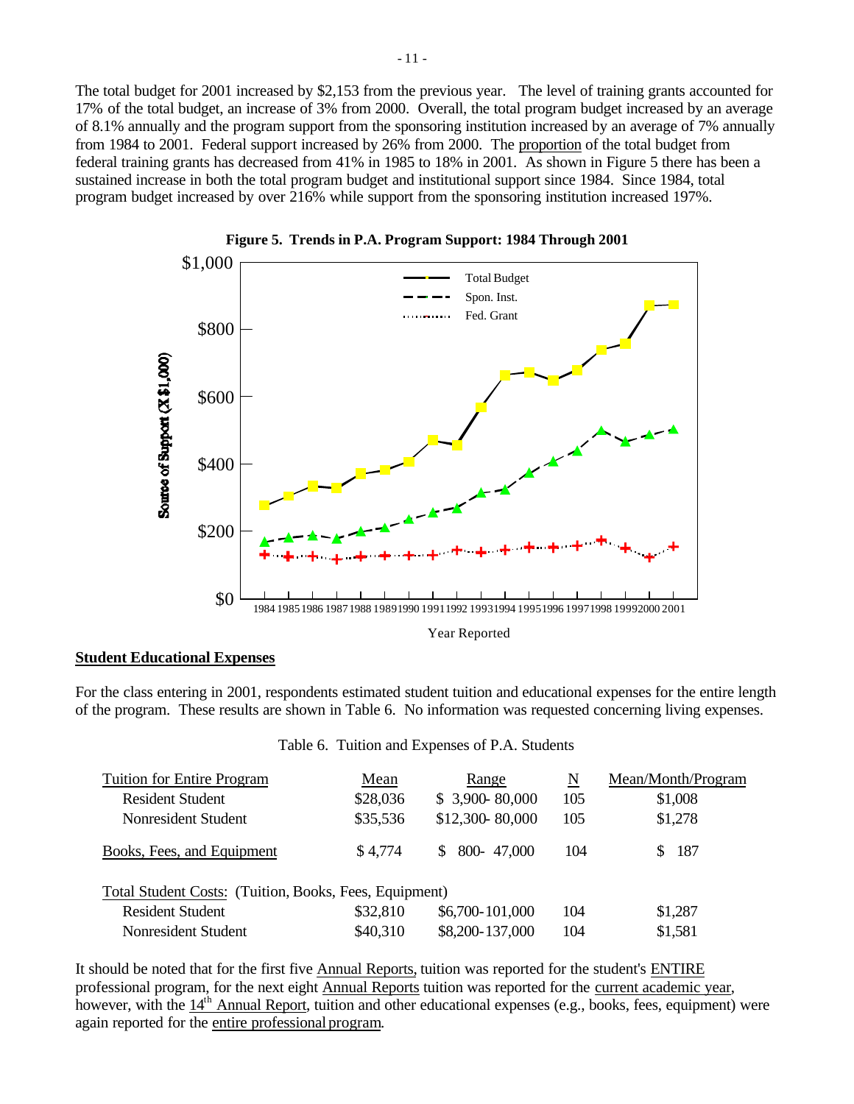The total budget for 2001 increased by \$2,153 from the previous year. The level of training grants accounted for 17% of the total budget, an increase of 3% from 2000. Overall, the total program budget increased by an average of 8.1% annually and the program support from the sponsoring institution increased by an average of 7% annually from 1984 to 2001. Federal support increased by 26% from 2000. The proportion of the total budget from federal training grants has decreased from 41% in 1985 to 18% in 2001. As shown in Figure 5 there has been a sustained increase in both the total program budget and institutional support since 1984. Since 1984, total program budget increased by over 216% while support from the sponsoring institution increased 197%.





#### **Student Educational Expenses**

For the class entering in 2001, respondents estimated student tuition and educational expenses for the entire length of the program. These results are shown in Table 6. No information was requested concerning living expenses.

| Table 6. Tuition and Expenses of P.A. Students |  |  |  |  |  |
|------------------------------------------------|--|--|--|--|--|
|------------------------------------------------|--|--|--|--|--|

| <b>Tuition for Entire Program</b>                      | Mean     | Range            | N   | Mean/Month/Program |
|--------------------------------------------------------|----------|------------------|-----|--------------------|
| <b>Resident Student</b>                                | \$28,036 | \$3,900~80,000   | 105 | \$1,008            |
| Nonresident Student                                    | \$35,536 | \$12,300-80,000  | 105 | \$1,278            |
| Books, Fees, and Equipment                             | \$4,774  | 800-47,000<br>S. | 104 | 187                |
| Total Student Costs: (Tuition, Books, Fees, Equipment) |          |                  |     |                    |
| <b>Resident Student</b>                                | \$32,810 | \$6,700-101,000  | 104 | \$1,287            |
| Nonresident Student                                    | \$40,310 | \$8,200-137,000  | 104 | \$1,581            |

It should be noted that for the first five Annual Reports, tuition was reported for the student's ENTIRE professional program, for the next eight Annual Reports tuition was reported for the current academic year, however, with the 14<sup>th</sup> Annual Report, tuition and other educational expenses (e.g., books, fees, equipment) were again reported for the entire professional program.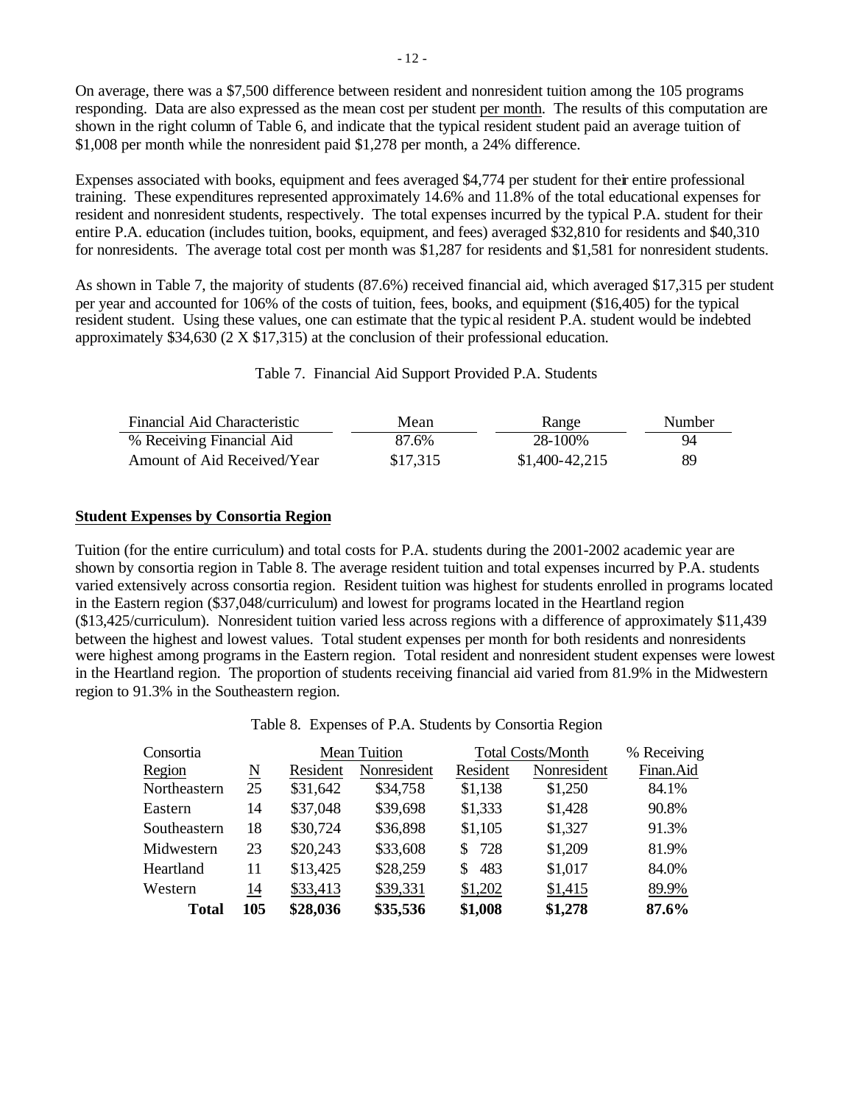On average, there was a \$7,500 difference between resident and nonresident tuition among the 105 programs responding. Data are also expressed as the mean cost per student per month. The results of this computation are shown in the right column of Table 6, and indicate that the typical resident student paid an average tuition of \$1,008 per month while the nonresident paid \$1,278 per month, a 24% difference.

Expenses associated with books, equipment and fees averaged \$4,774 per student for their entire professional training. These expenditures represented approximately 14.6% and 11.8% of the total educational expenses for resident and nonresident students, respectively. The total expenses incurred by the typical P.A. student for their entire P.A. education (includes tuition, books, equipment, and fees) averaged \$32,810 for residents and \$40,310 for nonresidents. The average total cost per month was \$1,287 for residents and \$1,581 for nonresident students.

As shown in Table 7, the majority of students (87.6%) received financial aid, which averaged \$17,315 per student per year and accounted for 106% of the costs of tuition, fees, books, and equipment (\$16,405) for the typical resident student. Using these values, one can estimate that the typic al resident P.A. student would be indebted approximately \$34,630 (2 X \$17,315) at the conclusion of their professional education.

Table 7. Financial Aid Support Provided P.A. Students

| Financial Aid Characteristic | Mean     | Range           | Number |
|------------------------------|----------|-----------------|--------|
| % Receiving Financial Aid    | 87.6%    | 28-100%         | 94     |
| Amount of Aid Received/Year  | \$17,315 | $$1,400-42,215$ | 89     |

#### **Student Expenses by Consortia Region**

Tuition (for the entire curriculum) and total costs for P.A. students during the 2001-2002 academic year are shown by consortia region in Table 8. The average resident tuition and total expenses incurred by P.A. students varied extensively across consortia region. Resident tuition was highest for students enrolled in programs located in the Eastern region (\$37,048/curriculum) and lowest for programs located in the Heartland region (\$13,425/curriculum). Nonresident tuition varied less across regions with a difference of approximately \$11,439 between the highest and lowest values. Total student expenses per month for both residents and nonresidents were highest among programs in the Eastern region. Total resident and nonresident student expenses were lowest in the Heartland region. The proportion of students receiving financial aid varied from 81.9% in the Midwestern region to 91.3% in the Southeastern region.

Table 8. Expenses of P.A. Students by Consortia Region

| Consortia    |                        | <b>Mean Tuition</b> |             | <b>Total Costs/Month</b> | % Receiving |           |
|--------------|------------------------|---------------------|-------------|--------------------------|-------------|-----------|
| Region       | $\underline{\text{N}}$ | Resident            | Nonresident | Resident                 | Nonresident | Finan.Aid |
| Northeastern | 25                     | \$31,642            | \$34,758    | \$1,138                  | \$1,250     | 84.1%     |
| Eastern      | 14                     | \$37,048            | \$39,698    | \$1,333                  | \$1,428     | 90.8%     |
| Southeastern | 18                     | \$30,724            | \$36,898    | \$1,105                  | \$1,327     | 91.3%     |
| Midwestern   | 23                     | \$20,243            | \$33,608    | 728<br>S.                | \$1,209     | 81.9%     |
| Heartland    | 11                     | \$13,425            | \$28,259    | 483<br>S.                | \$1,017     | 84.0%     |
| Western      | 14                     | \$33,413            | \$39,331    | \$1,202                  | \$1,415     | 89.9%     |
| <b>Total</b> | 105                    | \$28,036            | \$35,536    | \$1,008                  | \$1,278     | 87.6%     |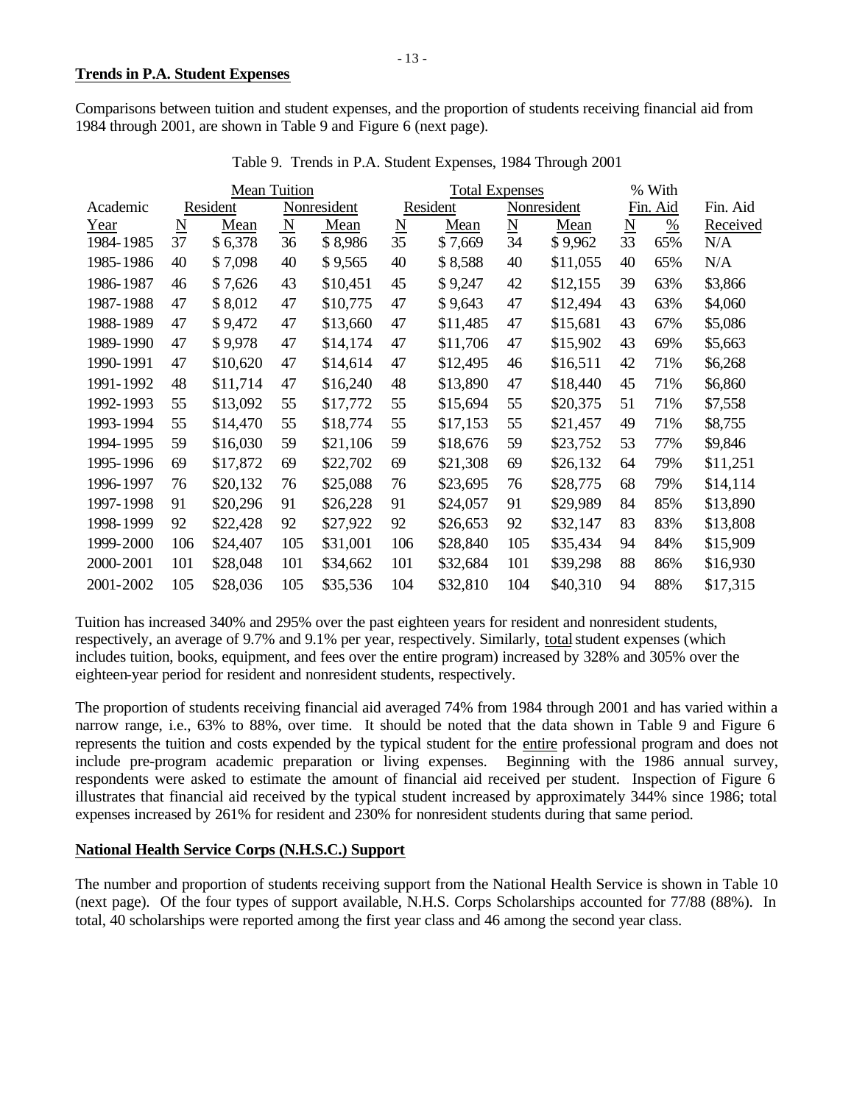Comparisons between tuition and student expenses, and the proportion of students receiving financial aid from 1984 through 2001, are shown in Table 9 and Figure 6 (next page).

| <b>Mean Tuition</b> |                     |          |                         |             | <b>Total Expenses</b> |          |                          |             | % With                   |          |          |
|---------------------|---------------------|----------|-------------------------|-------------|-----------------------|----------|--------------------------|-------------|--------------------------|----------|----------|
| Academic            |                     | Resident |                         | Nonresident |                       | Resident |                          | Nonresident |                          | Fin. Aid | Fin. Aid |
| Year                | $\underline{\rm N}$ | Mean     | $\overline{\mathbf{N}}$ | Mean        | $\underline{\rm N}$   | Mean     | $\underline{\mathbf{N}}$ | Mean        | $\underline{\mathbf{N}}$ | %        | Received |
| 1984-1985           | 37                  | \$6,378  | 36                      | \$8,986     | 35                    | \$7,669  | 34                       | \$9,962     | 33                       | 65%      | N/A      |
| 1985-1986           | 40                  | \$7,098  | 40                      | \$9,565     | 40                    | \$8,588  | 40                       | \$11,055    | 40                       | 65%      | N/A      |
| 1986-1987           | 46                  | \$7,626  | 43                      | \$10,451    | 45                    | \$9,247  | 42                       | \$12,155    | 39                       | 63%      | \$3,866  |
| 1987-1988           | 47                  | \$8,012  | 47                      | \$10,775    | 47                    | \$9,643  | 47                       | \$12,494    | 43                       | 63%      | \$4,060  |
| 1988-1989           | 47                  | \$9,472  | 47                      | \$13,660    | 47                    | \$11,485 | 47                       | \$15,681    | 43                       | 67%      | \$5,086  |
| 1989-1990           | 47                  | \$9,978  | 47                      | \$14,174    | 47                    | \$11,706 | 47                       | \$15,902    | 43                       | 69%      | \$5,663  |
| 1990-1991           | 47                  | \$10,620 | 47                      | \$14,614    | 47                    | \$12,495 | 46                       | \$16,511    | 42                       | 71%      | \$6,268  |
| 1991-1992           | 48                  | \$11,714 | 47                      | \$16,240    | 48                    | \$13,890 | 47                       | \$18,440    | 45                       | 71%      | \$6,860  |
| 1992-1993           | 55                  | \$13,092 | 55                      | \$17,772    | 55                    | \$15,694 | 55                       | \$20,375    | 51                       | 71%      | \$7,558  |
| 1993-1994           | 55                  | \$14,470 | 55                      | \$18,774    | 55                    | \$17,153 | 55                       | \$21,457    | 49                       | 71%      | \$8,755  |
| 1994-1995           | 59                  | \$16,030 | 59                      | \$21,106    | 59                    | \$18,676 | 59                       | \$23,752    | 53                       | 77%      | \$9,846  |
| 1995-1996           | 69                  | \$17,872 | 69                      | \$22,702    | 69                    | \$21,308 | 69                       | \$26,132    | 64                       | 79%      | \$11,251 |
| 1996-1997           | 76                  | \$20,132 | 76                      | \$25,088    | 76                    | \$23,695 | 76                       | \$28,775    | 68                       | 79%      | \$14,114 |
| 1997-1998           | 91                  | \$20,296 | 91                      | \$26,228    | 91                    | \$24,057 | 91                       | \$29,989    | 84                       | 85%      | \$13,890 |
| 1998-1999           | 92                  | \$22,428 | 92                      | \$27,922    | 92                    | \$26,653 | 92                       | \$32,147    | 83                       | 83%      | \$13,808 |
| 1999-2000           | 106                 | \$24,407 | 105                     | \$31,001    | 106                   | \$28,840 | 105                      | \$35,434    | 94                       | 84%      | \$15,909 |
| 2000-2001           | 101                 | \$28,048 | 101                     | \$34,662    | 101                   | \$32,684 | 101                      | \$39,298    | 88                       | 86%      | \$16,930 |
| 2001-2002           | 105                 | \$28,036 | 105                     | \$35,536    | 104                   | \$32,810 | 104                      | \$40,310    | 94                       | 88%      | \$17,315 |

Table 9. Trends in P.A. Student Expenses, 1984 Through 2001

Tuition has increased 340% and 295% over the past eighteen years for resident and nonresident students, respectively, an average of 9.7% and 9.1% per year, respectively. Similarly, total student expenses (which includes tuition, books, equipment, and fees over the entire program) increased by 328% and 305% over the eighteen-year period for resident and nonresident students, respectively.

The proportion of students receiving financial aid averaged 74% from 1984 through 2001 and has varied within a narrow range, i.e., 63% to 88%, over time. It should be noted that the data shown in Table 9 and Figure 6 represents the tuition and costs expended by the typical student for the entire professional program and does not include pre-program academic preparation or living expenses. Beginning with the 1986 annual survey, respondents were asked to estimate the amount of financial aid received per student. Inspection of Figure 6 illustrates that financial aid received by the typical student increased by approximately 344% since 1986; total expenses increased by 261% for resident and 230% for nonresident students during that same period.

### **National Health Service Corps (N.H.S.C.) Support**

The number and proportion of students receiving support from the National Health Service is shown in Table 10 (next page). Of the four types of support available, N.H.S. Corps Scholarships accounted for 77/88 (88%). In total, 40 scholarships were reported among the first year class and 46 among the second year class.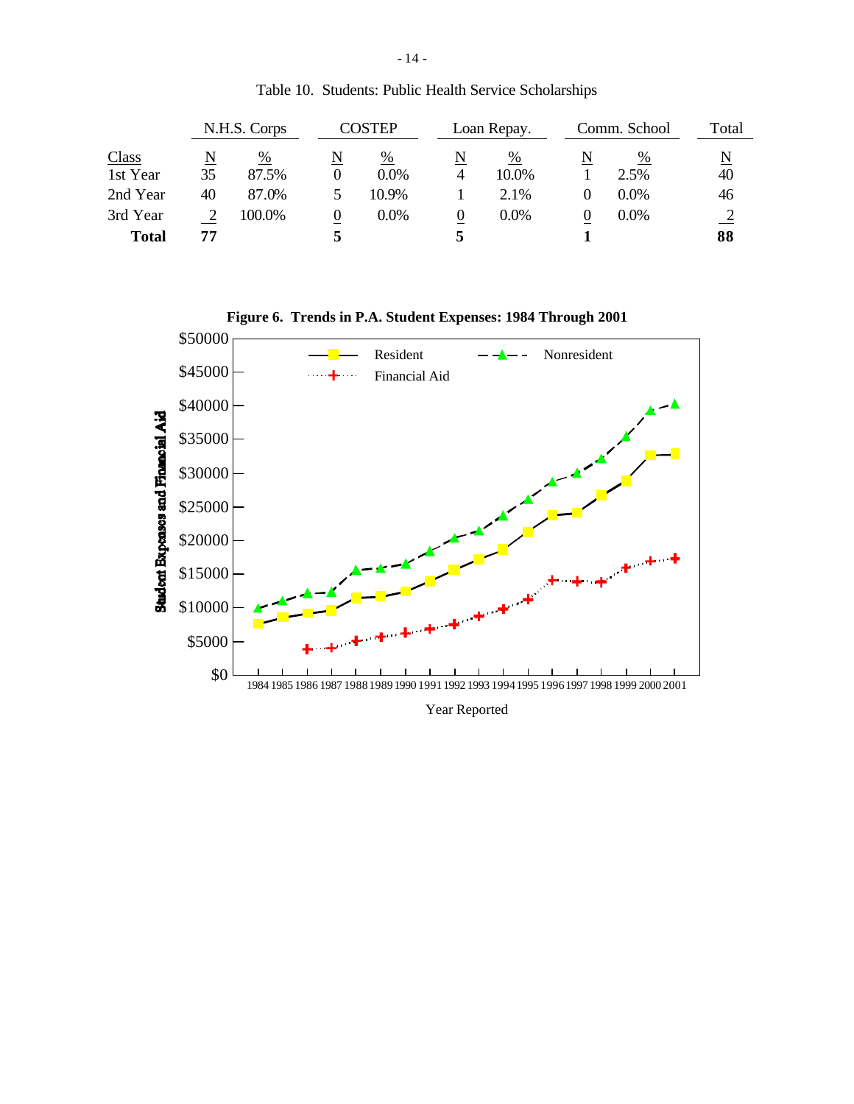|              |              | N.H.S. Corps |   | COSTEP  |   | Loan Repay. |   | Comm. School | Total |
|--------------|--------------|--------------|---|---------|---|-------------|---|--------------|-------|
| <b>Class</b> | $\mathbb{N}$ | %            | N | %       | N | %           | N | %            | N     |
| 1st Year     | 35           | 87.5%        |   | $0.0\%$ | 4 | 10.0%       |   | 2.5%         | 40    |
| 2nd Year     | 40           | 87.0%        |   | 10.9%   |   | 2.1%        |   | $0.0\%$      | 46    |
| 3rd Year     |              | 100.0%       | U | $0.0\%$ |   | $0.0\%$     | O | $0.0\%$      |       |
| <b>Total</b> | 77           |              |   |         |   |             |   |              | 88    |

Table 10. Students: Public Health Service Scholarships

**Figure 6. Trends in P.A. Student Expenses: 1984 Through 2001**



Year Reported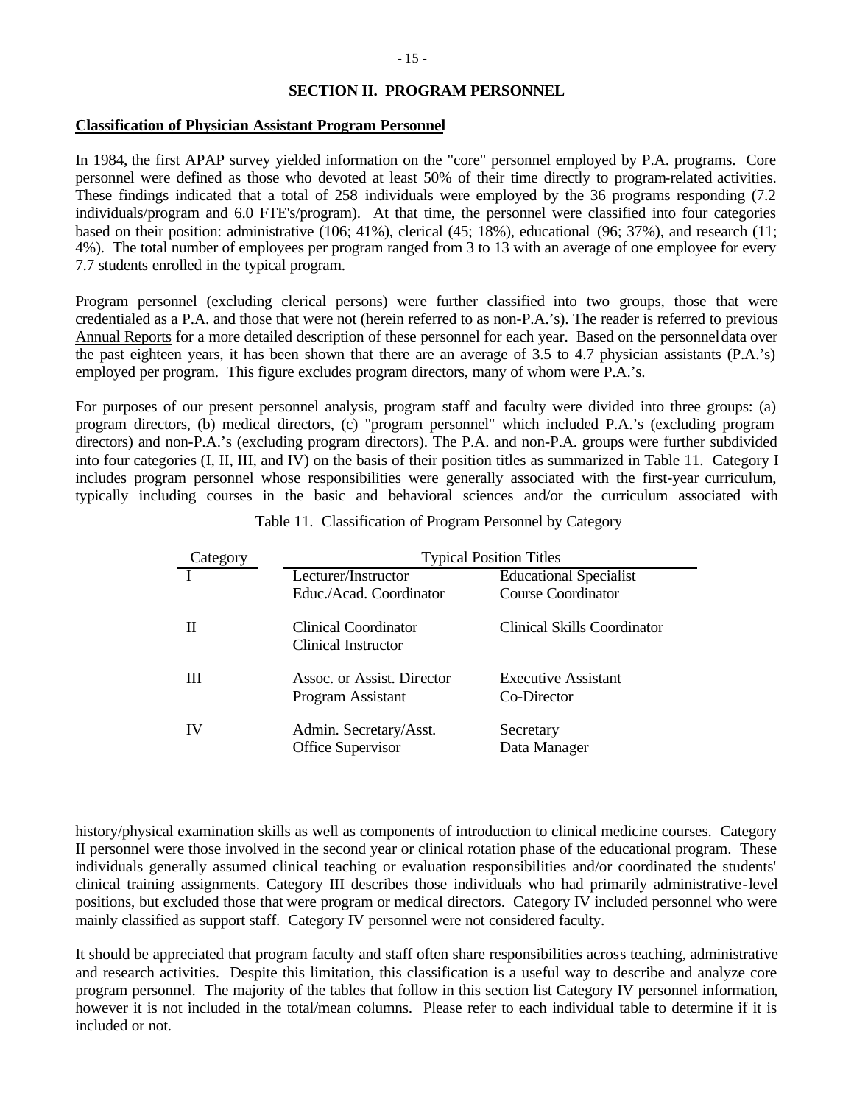### **SECTION II. PROGRAM PERSONNEL**

#### **Classification of Physician Assistant Program Personnel**

In 1984, the first APAP survey yielded information on the "core" personnel employed by P.A. programs. Core personnel were defined as those who devoted at least 50% of their time directly to program-related activities. These findings indicated that a total of 258 individuals were employed by the 36 programs responding (7.2 individuals/program and 6.0 FTE's/program). At that time, the personnel were classified into four categories based on their position: administrative (106; 41%), clerical (45; 18%), educational (96; 37%), and research (11; 4%). The total number of employees per program ranged from 3 to 13 with an average of one employee for every 7.7 students enrolled in the typical program.

Program personnel (excluding clerical persons) were further classified into two groups, those that were credentialed as a P.A. and those that were not (herein referred to as non-P.A.'s). The reader is referred to previous Annual Reports for a more detailed description of these personnel for each year. Based on the personnel data over the past eighteen years, it has been shown that there are an average of 3.5 to 4.7 physician assistants (P.A.'s) employed per program. This figure excludes program directors, many of whom were P.A.'s.

For purposes of our present personnel analysis, program staff and faculty were divided into three groups: (a) program directors, (b) medical directors, (c) "program personnel" which included P.A.'s (excluding program directors) and non-P.A.'s (excluding program directors). The P.A. and non-P.A. groups were further subdivided into four categories (I, II, III, and IV) on the basis of their position titles as summarized in Table 11. Category I includes program personnel whose responsibilities were generally associated with the first-year curriculum, typically including courses in the basic and behavioral sciences and/or the curriculum associated with

| Category | <b>Typical Position Titles</b>                     |                                    |  |  |  |  |
|----------|----------------------------------------------------|------------------------------------|--|--|--|--|
|          | Lecturer/Instructor                                | <b>Educational Specialist</b>      |  |  |  |  |
|          | Educ./Acad. Coordinator                            | <b>Course Coordinator</b>          |  |  |  |  |
|          | Clinical Coordinator<br>Clinical Instructor        | <b>Clinical Skills Coordinator</b> |  |  |  |  |
| Ш        | Assoc. or Assist. Director<br>Program Assistant    | Executive Assistant<br>Co-Director |  |  |  |  |
| IV       | Admin. Secretary/Asst.<br><b>Office Supervisor</b> | Secretary<br>Data Manager          |  |  |  |  |

Table 11. Classification of Program Personnel by Category

history/physical examination skills as well as components of introduction to clinical medicine courses. Category II personnel were those involved in the second year or clinical rotation phase of the educational program. These individuals generally assumed clinical teaching or evaluation responsibilities and/or coordinated the students' clinical training assignments. Category III describes those individuals who had primarily administrative-level positions, but excluded those that were program or medical directors. Category IV included personnel who were mainly classified as support staff. Category IV personnel were not considered faculty.

It should be appreciated that program faculty and staff often share responsibilities across teaching, administrative and research activities. Despite this limitation, this classification is a useful way to describe and analyze core program personnel. The majority of the tables that follow in this section list Category IV personnel information, however it is not included in the total/mean columns. Please refer to each individual table to determine if it is included or not.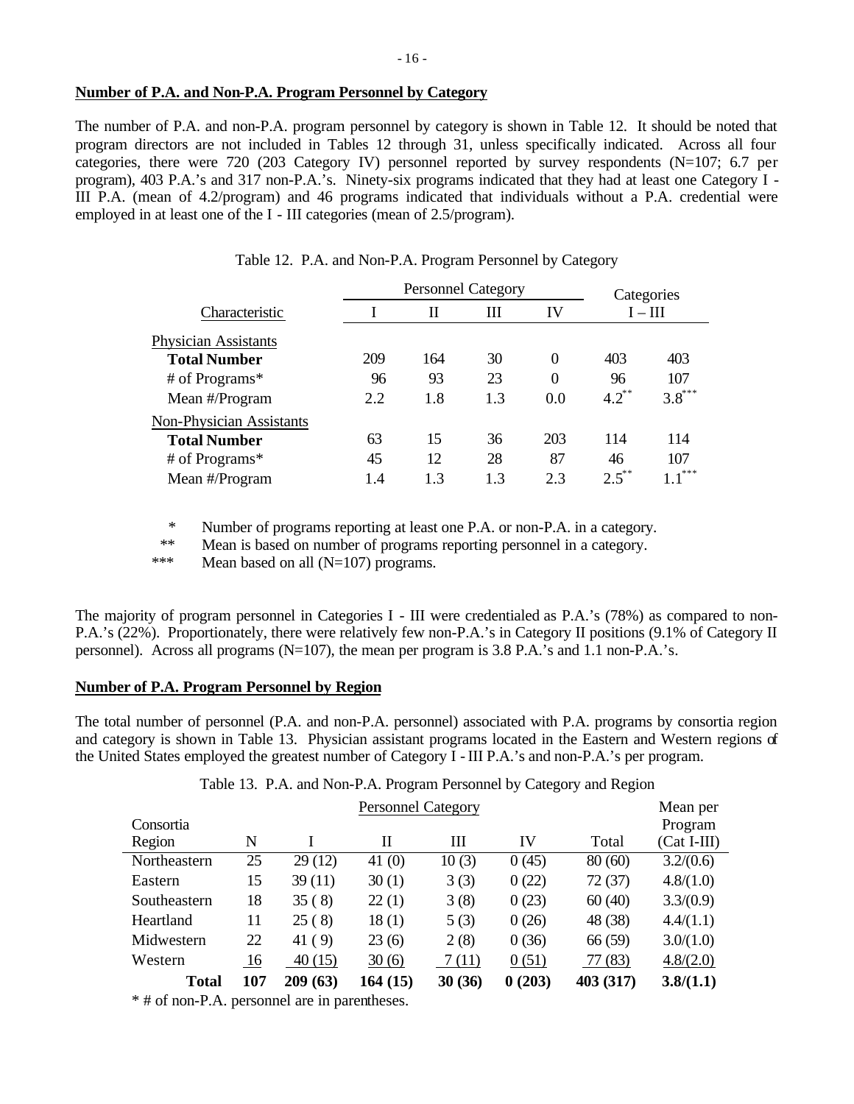#### **Number of P.A. and Non-P.A. Program Personnel by Category**

The number of P.A. and non-P.A. program personnel by category is shown in Table 12. It should be noted that program directors are not included in Tables 12 through 31, unless specifically indicated. Across all four categories, there were 720 (203 Category IV) personnel reported by survey respondents (N=107; 6.7 per program), 403 P.A.'s and 317 non-P.A.'s. Ninety-six programs indicated that they had at least one Category I - III P.A. (mean of 4.2/program) and 46 programs indicated that individuals without a P.A. credential were employed in at least one of the I - III categories (mean of 2.5/program).

|                                 |     | <b>Personnel Category</b> | Categories |                  |            |           |
|---------------------------------|-----|---------------------------|------------|------------------|------------|-----------|
| Characteristic                  |     | П                         | Ш          | IV               |            | $I - III$ |
| <b>Physician Assistants</b>     |     |                           |            |                  |            |           |
| <b>Total Number</b>             | 209 | 164                       | 30         | $\theta$         | 403        | 403       |
| # of Programs*                  | 96  | 93                        | 23         | $\boldsymbol{0}$ | 96         | 107       |
| Mean #/Program                  | 2.2 | 1.8                       | 1.3        | 0.0              | $4.2^{**}$ | $3.8***$  |
| <b>Non-Physician Assistants</b> |     |                           |            |                  |            |           |
| <b>Total Number</b>             | 63  | 15                        | 36         | 203              | 114        | 114       |
| # of Programs*                  | 45  | 12                        | 28         | 87               | 46         | 107       |
| Mean #/Program                  | 1.4 | 13                        | 13         | 2.3              | $2.5***$   | ***       |

|  |  | Table 12. P.A. and Non-P.A. Program Personnel by Category |  |  |
|--|--|-----------------------------------------------------------|--|--|
|  |  |                                                           |  |  |

\* Number of programs reporting at least one P.A. or non-P.A. in a category.

\*\* Mean is based on number of programs reporting personnel in a category.

\*\*\* Mean based on all (N=107) programs.

The majority of program personnel in Categories I - III were credentialed as P.A.'s (78%) as compared to non-P.A.'s (22%). Proportionately, there were relatively few non-P.A.'s in Category II positions (9.1% of Category II personnel). Across all programs (N=107), the mean per program is 3.8 P.A.'s and 1.1 non-P.A.'s.

### **Number of P.A. Program Personnel by Region**

The total number of personnel (P.A. and non-P.A. personnel) associated with P.A. programs by consortia region and category is shown in Table 13. Physician assistant programs located in the Eastern and Western regions of the United States employed the greatest number of Category I - III P.A.'s and non-P.A.'s per program.

Table 13. P.A. and Non-P.A. Program Personnel by Category and Region

|              |     | Mean per |          |        |        |           |               |
|--------------|-----|----------|----------|--------|--------|-----------|---------------|
| Consortia    |     |          |          |        |        |           | Program       |
| Region       | N   |          | П        | Ш      | IV     | Total     | $(Cat I-III)$ |
| Northeastern | 25  | 29(12)   | 41 $(0)$ | 10(3)  | 0(45)  | 80(60)    | 3.2/(0.6)     |
| Eastern      | 15  | 39(11)   | 30(1)    | 3(3)   | 0(22)  | 72(37)    | 4.8/(1.0)     |
| Southeastern | 18  | 35(8)    | 22(1)    | 3(8)   | 0(23)  | 60(40)    | 3.3/(0.9)     |
| Heartland    | 11  | 25(8)    | 18(1)    | 5(3)   | 0(26)  | 48 (38)   | 4.4/(1.1)     |
| Midwestern   | 22  | 41(9)    | 23(6)    | 2(8)   | 0(36)  | 66 (59)   | 3.0/(1.0)     |
| Western      | 16  | 40(15)   | 30(6)    | 7(11)  | 0(51)  | 77 (83)   | 4.8/(2.0)     |
| Total        | 107 | 209(63)  | 164 (15) | 30(36) | 0(203) | 403 (317) | 3.8/(1.1)     |

\* # of non-P.A. personnel are in parentheses.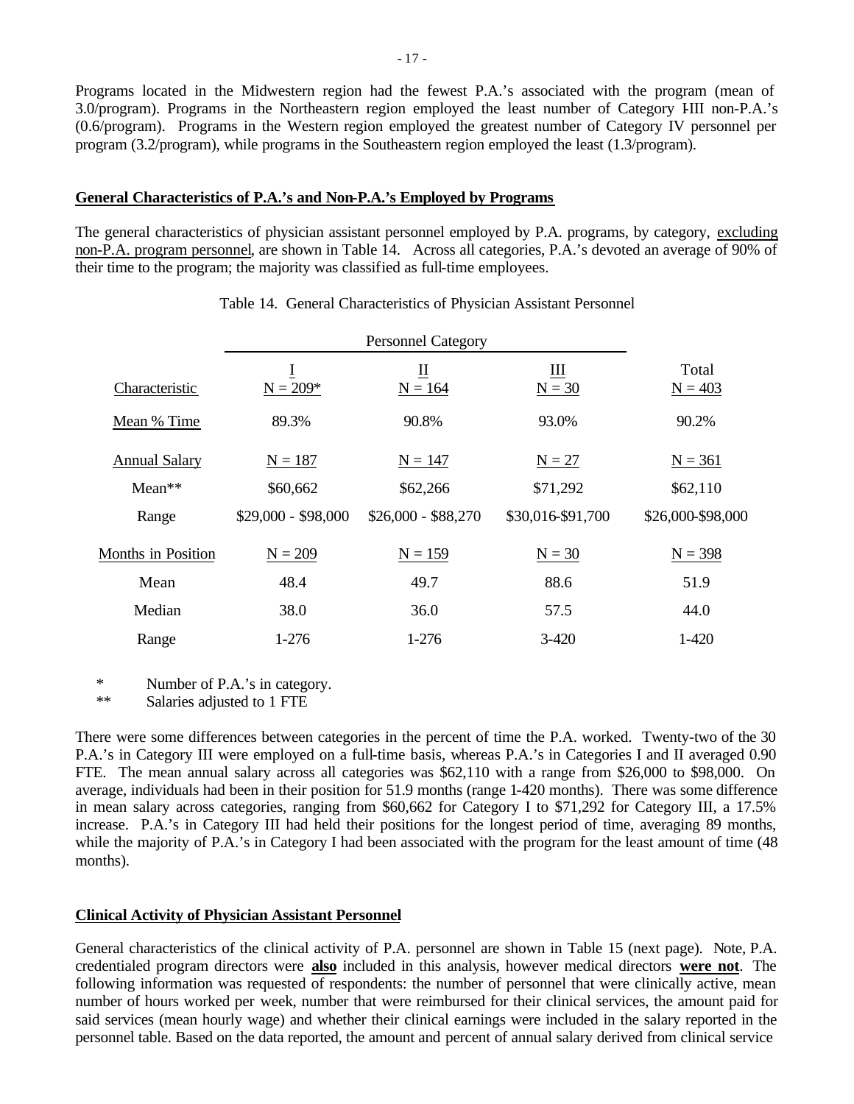Programs located in the Midwestern region had the fewest P.A.'s associated with the program (mean of 3.0/program). Programs in the Northeastern region employed the least number of Category IIII non-P.A.'s (0.6/program). Programs in the Western region employed the greatest number of Category IV personnel per program (3.2/program), while programs in the Southeastern region employed the least (1.3/program).

#### **General Characteristics of P.A.'s and Non-P.A.'s Employed by Programs**

The general characteristics of physician assistant personnel employed by P.A. programs, by category, excluding non-P.A. program personnel, are shown in Table 14. Across all categories, P.A.'s devoted an average of 90% of their time to the program; the majority was classified as full-time employees.

| Characteristic       | $N = 209*$          | П<br>$N = 164$      | Ш<br>$N = 30$     | Total<br>$N = 403$ |
|----------------------|---------------------|---------------------|-------------------|--------------------|
| Mean % Time          | 89.3%               | 90.8%               | 93.0%             | 90.2%              |
| <b>Annual Salary</b> | $N = 187$           | $N = 147$           | $N = 27$          | $N = 361$          |
| $Mean**$             | \$60,662            | \$62,266            | \$71,292          | \$62,110           |
| Range                | $$29,000 - $98,000$ | $$26,000 - $88,270$ | \$30,016-\$91,700 | \$26,000-\$98,000  |
| Months in Position   | $N = 209$           | $N = 159$           | $N = 30$          | $N = 398$          |
| Mean                 | 48.4                | 49.7                | 88.6              | 51.9               |
| Median               | 38.0                | 36.0                | 57.5              | 44.0               |
| Range                | $1-276$             | 1-276               | $3 - 420$         | $1-420$            |

#### Table 14. General Characteristics of Physician Assistant Personnel

\* Number of P.A.'s in category.

\*\* Salaries adjusted to 1 FTE

There were some differences between categories in the percent of time the P.A. worked. Twenty-two of the 30 P.A.'s in Category III were employed on a full-time basis, whereas P.A.'s in Categories I and II averaged 0.90 FTE. The mean annual salary across all categories was \$62,110 with a range from \$26,000 to \$98,000. On average, individuals had been in their position for 51.9 months (range 1-420 months). There was some difference in mean salary across categories, ranging from \$60,662 for Category I to \$71,292 for Category III, a 17.5% increase. P.A.'s in Category III had held their positions for the longest period of time, averaging 89 months, while the majority of P.A.'s in Category I had been associated with the program for the least amount of time (48 months).

### **Clinical Activity of Physician Assistant Personnel**

General characteristics of the clinical activity of P.A. personnel are shown in Table 15 (next page). Note, P.A. credentialed program directors were **also** included in this analysis, however medical directors **were not**. The following information was requested of respondents: the number of personnel that were clinically active, mean number of hours worked per week, number that were reimbursed for their clinical services, the amount paid for said services (mean hourly wage) and whether their clinical earnings were included in the salary reported in the personnel table. Based on the data reported, the amount and percent of annual salary derived from clinical service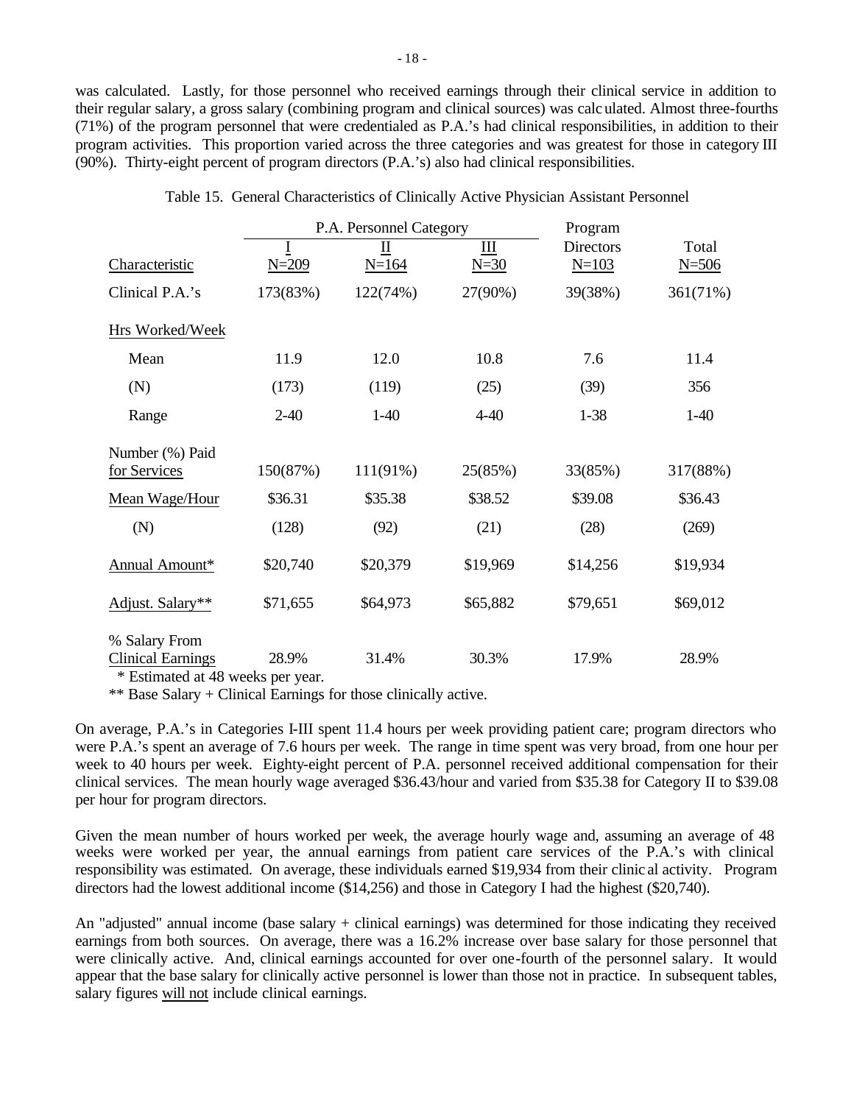was calculated. Lastly, for those personnel who received earnings through their clinical service in addition to their regular salary, a gross salary (combining program and clinical sources) was calculated. Almost three-fourths (71%) of the program personnel that were credentialed as P.A.'s had clinical responsibilities, in addition to their program activities. This proportion varied across the three categories and was greatest for those in category III (90%). Thirty-eight percent of program directors (P.A.'s) also had clinical responsibilities.

|                                                                                 |                | P.A. Personnel Category | Program       |                               |                    |
|---------------------------------------------------------------------------------|----------------|-------------------------|---------------|-------------------------------|--------------------|
| Characteristic                                                                  | I<br>$N = 209$ | П<br>$N = 164$          | III<br>$N=30$ | <b>Directors</b><br>$N = 103$ | Total<br>$N = 506$ |
| Clinical P.A.'s                                                                 | 173(83%)       | 122(74%)                | 27(90%)       | 39(38%)                       | 361(71%)           |
| Hrs Worked/Week                                                                 |                |                         |               |                               |                    |
| Mean                                                                            | 11.9           | 12.0                    | 10.8          | 7.6                           | 11.4               |
| (N)                                                                             | (173)          | (119)                   | (25)          | (39)                          | 356                |
| Range                                                                           | $2 - 40$       | $1-40$                  | $4 - 40$      | $1 - 38$                      | $1-40$             |
| Number (%) Paid<br>for Services                                                 | 150(87%)       | 111(91%)                | 25(85%)       | 33(85%)                       | 317(88%)           |
| Mean Wage/Hour                                                                  | \$36.31        | \$35.38                 | \$38.52       | \$39.08                       | \$36.43            |
| (N)                                                                             | (128)          | (92)                    | (21)          | (28)                          | (269)              |
| Annual Amount*                                                                  | \$20,740       | \$20,379                | \$19,969      | \$14,256                      | \$19,934           |
| Adjust. Salary**                                                                | \$71,655       | \$64,973                | \$65,882      | \$79,651                      | \$69,012           |
| % Salary From<br><b>Clinical Earnings</b><br>$\sim$ T $\sim$ $\sim$ 1 $\sim$ 40 | 28.9%          | 31.4%                   | 30.3%         | 17.9%                         | 28.9%              |

| Table 15. General Characteristics of Clinically Active Physician Assistant Personnel |  |
|--------------------------------------------------------------------------------------|--|
|--------------------------------------------------------------------------------------|--|

\* Estimated at 48 weeks per year.

\*\* Base Salary + Clinical Earnings for those clinically active.

On average, P.A.'s in Categories I-III spent 11.4 hours per week providing patient care; program directors who were P.A.'s spent an average of 7.6 hours per week. The range in time spent was very broad, from one hour per week to 40 hours per week. Eighty-eight percent of P.A. personnel received additional compensation for their clinical services. The mean hourly wage averaged \$36.43/hour and varied from \$35.38 for Category II to \$39.08 per hour for program directors.

Given the mean number of hours worked per week, the average hourly wage and, assuming an average of 48 weeks were worked per year, the annual earnings from patient care services of the P.A.'s with clinical responsibility was estimated. On average, these individuals earned \$19,934 from their clinic al activity. Program directors had the lowest additional income (\$14,256) and those in Category I had the highest (\$20,740).

An "adjusted" annual income (base salary + clinical earnings) was determined for those indicating they received earnings from both sources. On average, there was a 16.2% increase over base salary for those personnel that were clinically active. And, clinical earnings accounted for over one-fourth of the personnel salary. It would appear that the base salary for clinically active personnel is lower than those not in practice. In subsequent tables, salary figures will not include clinical earnings.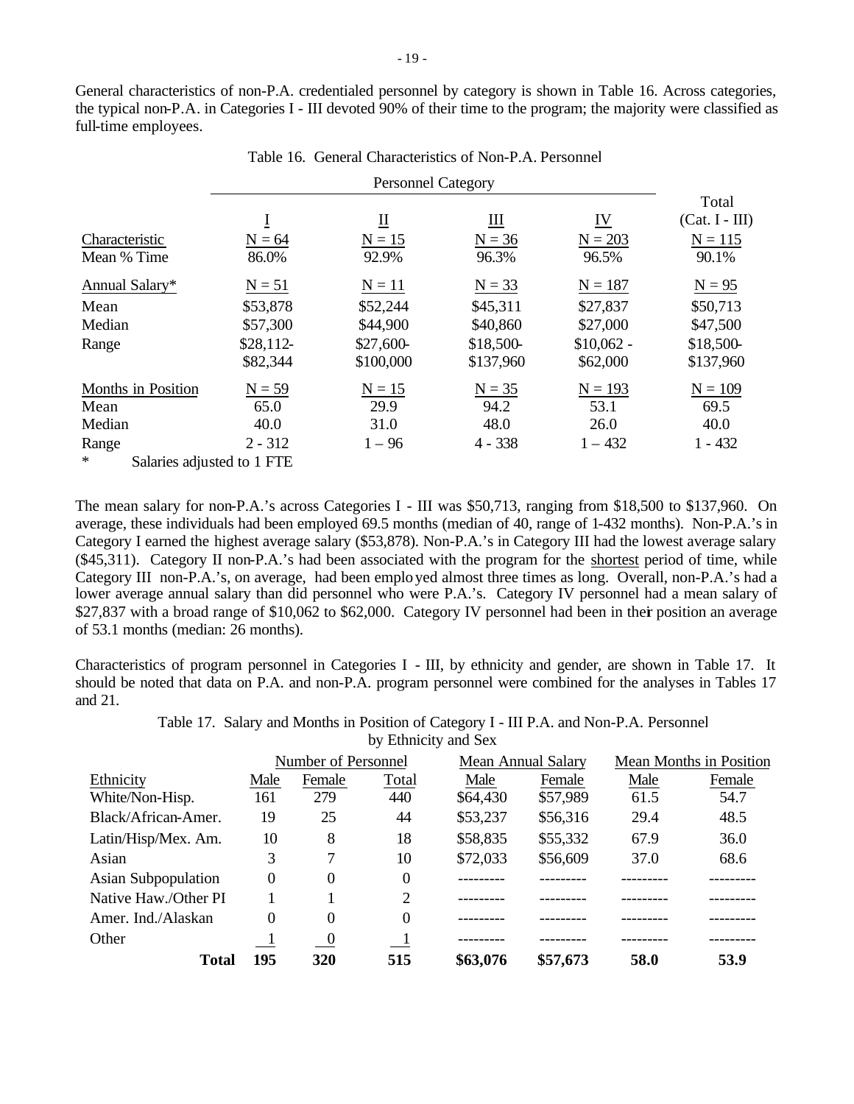General characteristics of non-P.A. credentialed personnel by category is shown in Table 16. Across categories, the typical non-P.A. in Categories I - III devoted 90% of their time to the program; the majority were classified as full-time employees.

Table 16. General Characteristics of Non-P.A. Personnel

|                                      |            |                  |                            |             | Total            |
|--------------------------------------|------------|------------------|----------------------------|-------------|------------------|
|                                      | $\bf{I}$   | $\overline{\Pi}$ | $\mathbf{\underline{III}}$ | <u>IV</u>   | $(Cat. I - III)$ |
| Characteristic                       | $N = 64$   | $N = 15$         | $N = 36$                   | $N = 203$   | $N = 115$        |
| Mean % Time                          | 86.0%      | 92.9%            | 96.3%                      | 96.5%       | 90.1%            |
| Annual Salary*                       | $N = 51$   | $N = 11$         | $N = 33$                   | $N = 187$   | $N = 95$         |
| Mean                                 | \$53,878   | \$52,244         | \$45,311                   | \$27,837    | \$50,713         |
| Median                               | \$57,300   | \$44,900         | \$40,860                   | \$27,000    | \$47,500         |
| Range                                | $$28,112-$ | \$27,600-        | \$18,500-                  | $$10,062 -$ | \$18,500-        |
|                                      | \$82,344   | \$100,000        | \$137,960                  | \$62,000    | \$137,960        |
| Months in Position                   | $N = 59$   | $N = 15$         | $N = 35$                   | $N = 193$   | $N = 109$        |
| Mean                                 | 65.0       | 29.9             | 94.2                       | 53.1        | 69.5             |
| Median                               | 40.0       | 31.0             | 48.0                       | 26.0        | 40.0             |
| Range                                | $2 - 312$  | $1 - 96$         | $4 - 338$                  | $1 - 432$   | $1 - 432$        |
| $\ast$<br>Salaries adjusted to 1 FTE |            |                  |                            |             |                  |

The mean salary for non-P.A.'s across Categories I - III was \$50,713, ranging from \$18,500 to \$137,960. On average, these individuals had been employed 69.5 months (median of 40, range of 1-432 months). Non-P.A.'s in Category I earned the highest average salary (\$53,878). Non-P.A.'s in Category III had the lowest average salary (\$45,311). Category II non-P.A.'s had been associated with the program for the shortest period of time, while Category III non-P.A.'s, on average, had been emplo yed almost three times as long. Overall, non-P.A.'s had a lower average annual salary than did personnel who were P.A.'s. Category IV personnel had a mean salary of \$27,837 with a broad range of \$10,062 to \$62,000. Category IV personnel had been in their position an average of 53.1 months (median: 26 months).

Characteristics of program personnel in Categories I - III, by ethnicity and gender, are shown in Table 17. It should be noted that data on P.A. and non-P.A. program personnel were combined for the analyses in Tables 17 and 21.

> Table 17. Salary and Months in Position of Category I - III P.A. and Non-P.A. Personnel by Ethnicity and Sex

|                      |          | Number of Personnel |                             |          | <b>Mean Annual Salary</b> | <b>Mean Months in Position</b> |        |
|----------------------|----------|---------------------|-----------------------------|----------|---------------------------|--------------------------------|--------|
| Ethnicity            | Male     | Female              | Total                       | Male     | Female                    | Male                           | Female |
| White/Non-Hisp.      | 161      | 279                 | 440                         | \$64,430 | \$57,989                  | 61.5                           | 54.7   |
| Black/African-Amer.  | 19       | 25                  | 44                          | \$53,237 | \$56,316                  | 29.4                           | 48.5   |
| Latin/Hisp/Mex. Am.  | 10       | 8                   | 18                          | \$58,835 | \$55,332                  | 67.9                           | 36.0   |
| Asian                | 3        | 7                   | 10                          | \$72,033 | \$56,609                  | 37.0                           | 68.6   |
| Asian Subpopulation  | $\theta$ | $\theta$            | $\Omega$                    |          |                           |                                |        |
| Native Haw./Other PI |          |                     | $\mathcal{D}_{\mathcal{L}}$ |          |                           |                                |        |
| Amer. Ind./Alaskan   | 0        | $\theta$            | $\Omega$                    |          |                           |                                |        |
| Other                |          | $\overline{0}$      |                             |          |                           |                                |        |
| Total                | 195      | 320                 | 515                         | \$63,076 | \$57,673                  | 58.0                           | 53.9   |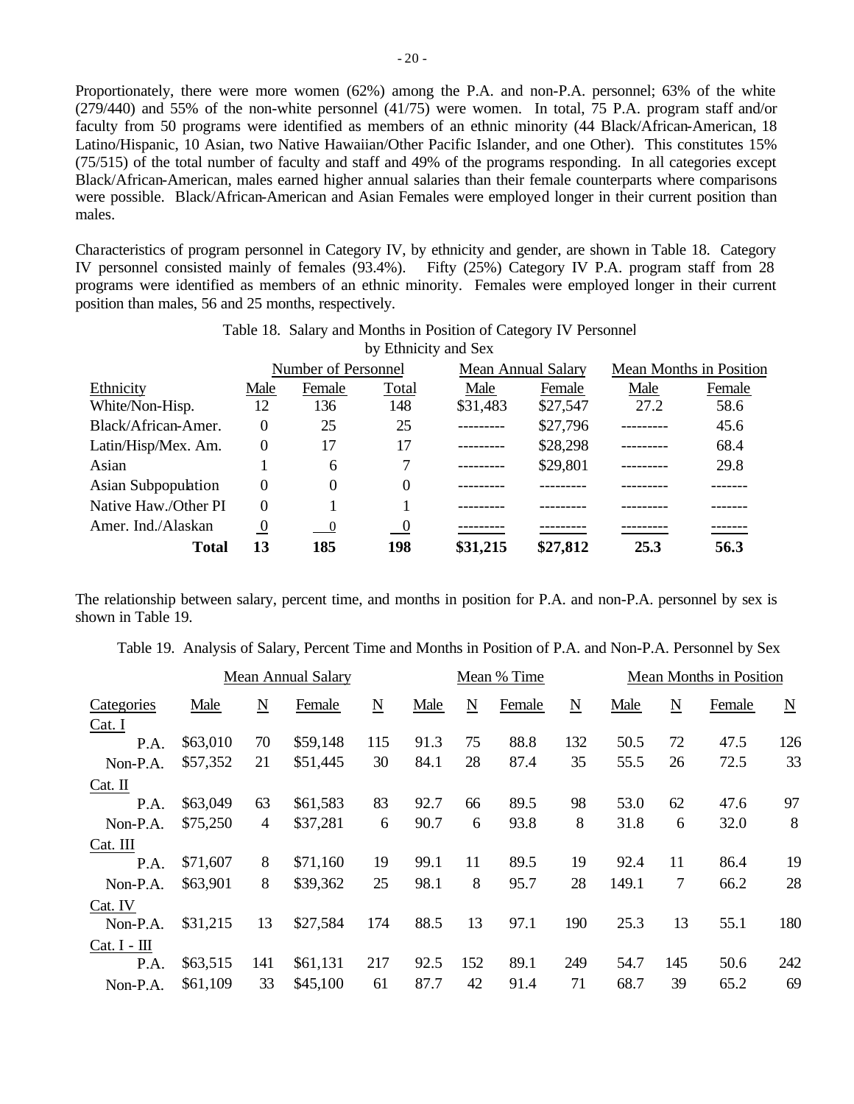Proportionately, there were more women (62%) among the P.A. and non-P.A. personnel; 63% of the white (279/440) and 55% of the non-white personnel (41/75) were women. In total, 75 P.A. program staff and/or faculty from 50 programs were identified as members of an ethnic minority (44 Black/African-American, 18 Latino/Hispanic, 10 Asian, two Native Hawaiian/Other Pacific Islander, and one Other). This constitutes 15% (75/515) of the total number of faculty and staff and 49% of the programs responding. In all categories except Black/African-American, males earned higher annual salaries than their female counterparts where comparisons were possible. Black/African-American and Asian Females were employed longer in their current position than males.

Characteristics of program personnel in Category IV, by ethnicity and gender, are shown in Table 18. Category IV personnel consisted mainly of females (93.4%). Fifty (25%) Category IV P.A. program staff from 28 programs were identified as members of an ethnic minority. Females were employed longer in their current position than males, 56 and 25 months, respectively.

Table 18. Salary and Months in Position of Category IV Personnel

|                      |                |                            | by Ethnicity and Sex     |          |                           |                         |        |  |
|----------------------|----------------|----------------------------|--------------------------|----------|---------------------------|-------------------------|--------|--|
|                      |                | Number of Personnel        |                          |          | <b>Mean Annual Salary</b> | Mean Months in Position |        |  |
| Ethnicity            | Male           | Female                     | Total                    | Male     | Female                    | Male                    | Female |  |
| White/Non-Hisp.      | 12             | 136                        | 148                      | \$31,483 | \$27,547                  | 27.2                    | 58.6   |  |
| Black/African-Amer.  | $\Omega$       | 25                         | 25                       |          | \$27,796                  |                         | 45.6   |  |
| Latin/Hisp/Mex. Am.  | $\Omega$       | 17                         | 17                       |          | \$28,298                  |                         | 68.4   |  |
| Asian                |                | 6                          |                          |          | \$29,801                  |                         | 29.8   |  |
| Asian Subpopulation  | $\Omega$       | $\Omega$                   | 0                        |          |                           |                         |        |  |
| Native Haw./Other PI | $\Omega$       |                            |                          |          |                           |                         |        |  |
| Amer. Ind./Alaskan   | $\overline{0}$ | $\overline{\phantom{0}}^0$ | $\overline{\phantom{0}}$ |          |                           |                         |        |  |
| <b>Total</b>         | 13             | 185                        | 198                      | \$31,215 | \$27,812                  | 25.3                    | 56.3   |  |

The relationship between salary, percent time, and months in position for P.A. and non-P.A. personnel by sex is shown in Table 19.

Table 19. Analysis of Salary, Percent Time and Months in Position of P.A. and Non-P.A. Personnel by Sex

|                |          |                     | Mean Annual Salary |                          | Mean % Time |     |        |             |       | Mean Months in Position |        |                          |  |
|----------------|----------|---------------------|--------------------|--------------------------|-------------|-----|--------|-------------|-------|-------------------------|--------|--------------------------|--|
| Categories     | Male     | $\underline{\rm N}$ | Female             | $\underline{\mathbf{N}}$ | Male        | N   | Female | $\mathbf N$ | Male  | $\mathbf N$             | Female | $\underline{\mathbf{N}}$ |  |
| Cat. I         |          |                     |                    |                          |             |     |        |             |       |                         |        |                          |  |
| P.A.           | \$63,010 | 70                  | \$59,148           | 115                      | 91.3        | 75  | 88.8   | 132         | 50.5  | 72                      | 47.5   | 126                      |  |
| Non-P.A.       | \$57,352 | 21                  | \$51,445           | 30                       | 84.1        | 28  | 87.4   | 35          | 55.5  | 26                      | 72.5   | 33                       |  |
| Cat. II        |          |                     |                    |                          |             |     |        |             |       |                         |        |                          |  |
| P.A.           | \$63,049 | 63                  | \$61,583           | 83                       | 92.7        | 66  | 89.5   | 98          | 53.0  | 62                      | 47.6   | 97                       |  |
| Non-P.A.       | \$75,250 | 4                   | \$37,281           | 6                        | 90.7        | 6   | 93.8   | 8           | 31.8  | 6                       | 32.0   | 8                        |  |
| Cat. III       |          |                     |                    |                          |             |     |        |             |       |                         |        |                          |  |
| P.A.           | \$71,607 | 8                   | \$71,160           | 19                       | 99.1        | 11  | 89.5   | 19          | 92.4  | 11                      | 86.4   | 19                       |  |
| Non-P.A.       | \$63,901 | 8                   | \$39,362           | 25                       | 98.1        | 8   | 95.7   | 28          | 149.1 | 7                       | 66.2   | 28                       |  |
| Cat. IV        |          |                     |                    |                          |             |     |        |             |       |                         |        |                          |  |
| Non-P.A.       | \$31,215 | 13                  | \$27,584           | 174                      | 88.5        | 13  | 97.1   | 190         | 25.3  | 13                      | 55.1   | 180                      |  |
| $Cat. I - III$ |          |                     |                    |                          |             |     |        |             |       |                         |        |                          |  |
| P.A.           | \$63,515 | 141                 | \$61,131           | 217                      | 92.5        | 152 | 89.1   | 249         | 54.7  | 145                     | 50.6   | 242                      |  |
| Non-P.A.       | \$61,109 | 33                  | \$45,100           | 61                       | 87.7        | 42  | 91.4   | 71          | 68.7  | 39                      | 65.2   | 69                       |  |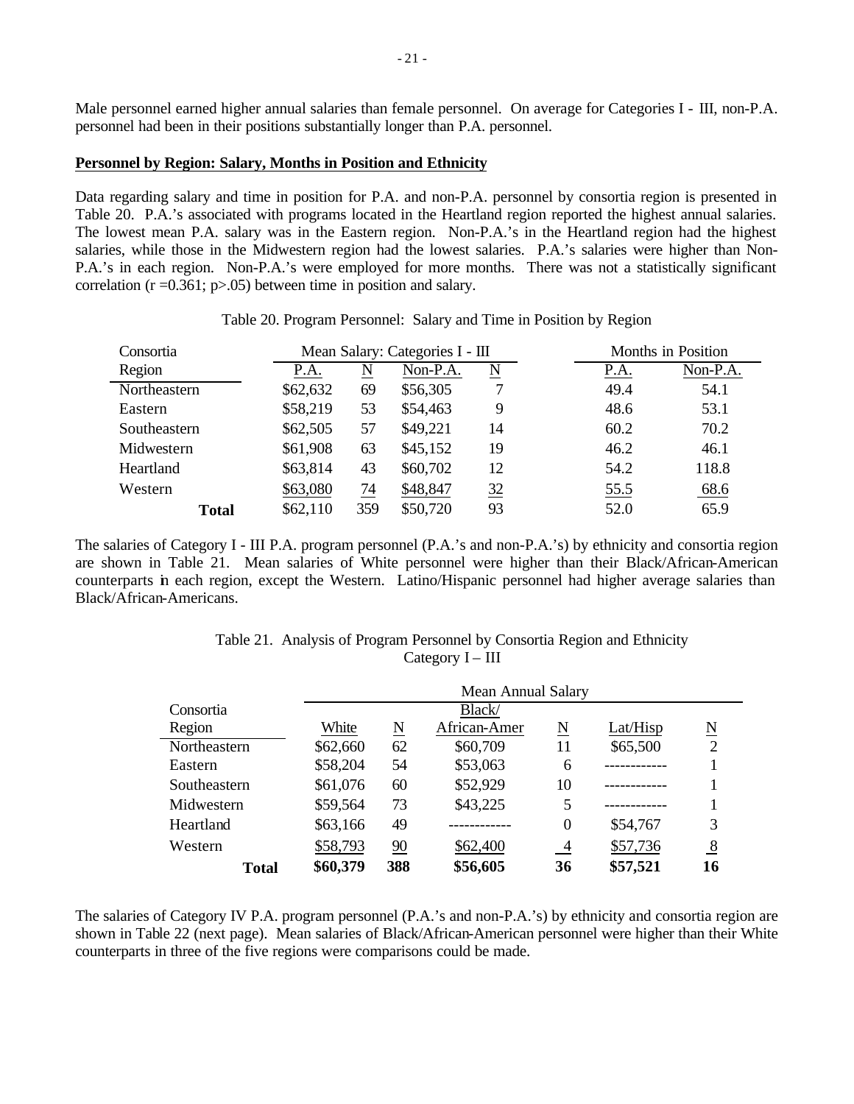Male personnel earned higher annual salaries than female personnel. On average for Categories I - III, non-P.A. personnel had been in their positions substantially longer than P.A. personnel.

#### **Personnel by Region: Salary, Months in Position and Ethnicity**

Data regarding salary and time in position for P.A. and non-P.A. personnel by consortia region is presented in Table 20. P.A.'s associated with programs located in the Heartland region reported the highest annual salaries. The lowest mean P.A. salary was in the Eastern region. Non-P.A.'s in the Heartland region had the highest salaries, while those in the Midwestern region had the lowest salaries. P.A.'s salaries were higher than Non-P.A.'s in each region. Non-P.A.'s were employed for more months. There was not a statistically significant correlation ( $r = 0.361$ ;  $p > 0.05$ ) between time in position and salary.

| Consortia    |          |     | Mean Salary: Categories I - III | Months in Position     |                  |
|--------------|----------|-----|---------------------------------|------------------------|------------------|
| Region       | P.A.     | N   | Non-P.A.                        | $\underline{\text{N}}$ | Non-P.A.<br>P.A. |
| Northeastern | \$62,632 | 69  | \$56,305                        |                        | 49.4<br>54.1     |
| Eastern      | \$58,219 | 53  | \$54,463                        | 9                      | 48.6<br>53.1     |
| Southeastern | \$62,505 | 57  | \$49,221                        | 14                     | 70.2<br>60.2     |
| Midwestern   | \$61,908 | 63  | \$45,152                        | 19                     | 46.2<br>46.1     |
| Heartland    | \$63,814 | 43  | \$60,702                        | 12                     | 54.2<br>118.8    |
| Western      | \$63,080 | 74  | \$48,847                        | 32                     | 55.5<br>68.6     |
| <b>Total</b> | \$62,110 | 359 | \$50,720                        | 93                     | 65.9<br>52.0     |

Table 20. Program Personnel: Salary and Time in Position by Region

The salaries of Category I - III P.A. program personnel (P.A.'s and non-P.A.'s) by ethnicity and consortia region are shown in Table 21. Mean salaries of White personnel were higher than their Black/African-American counterparts in each region, except the Western. Latino/Hispanic personnel had higher average salaries than Black/African-Americans.

| Table 21. Analysis of Program Personnel by Consortia Region and Ethnicity |
|---------------------------------------------------------------------------|
| Category $I - III$                                                        |

|              | Mean Annual Salary |     |              |                  |          |                        |  |  |  |
|--------------|--------------------|-----|--------------|------------------|----------|------------------------|--|--|--|
| Consortia    | Black/             |     |              |                  |          |                        |  |  |  |
| Region       | White              | N   | African-Amer | N                | Lat/Hisp | $\underline{\text{N}}$ |  |  |  |
| Northeastern | \$62,660           | 62  | \$60,709     | 11               | \$65,500 | $\overline{2}$         |  |  |  |
| Eastern      | \$58,204           | 54  | \$53,063     | 6                |          |                        |  |  |  |
| Southeastern | \$61,076           | 60  | \$52,929     | 10               |          |                        |  |  |  |
| Midwestern   | \$59,564           | 73  | \$43,225     | 5                |          |                        |  |  |  |
| Heartland    | \$63,166           | 49  |              | $\boldsymbol{0}$ | \$54,767 | 3                      |  |  |  |
| Western      | \$58,793           | 90  | \$62,400     | $\frac{4}{1}$    | \$57,736 | $\frac{8}{2}$          |  |  |  |
| <b>Total</b> | \$60,379           | 388 | \$56,605     | 36               | \$57,521 | 16                     |  |  |  |

The salaries of Category IV P.A. program personnel (P.A.'s and non-P.A.'s) by ethnicity and consortia region are shown in Table 22 (next page). Mean salaries of Black/African-American personnel were higher than their White counterparts in three of the five regions were comparisons could be made.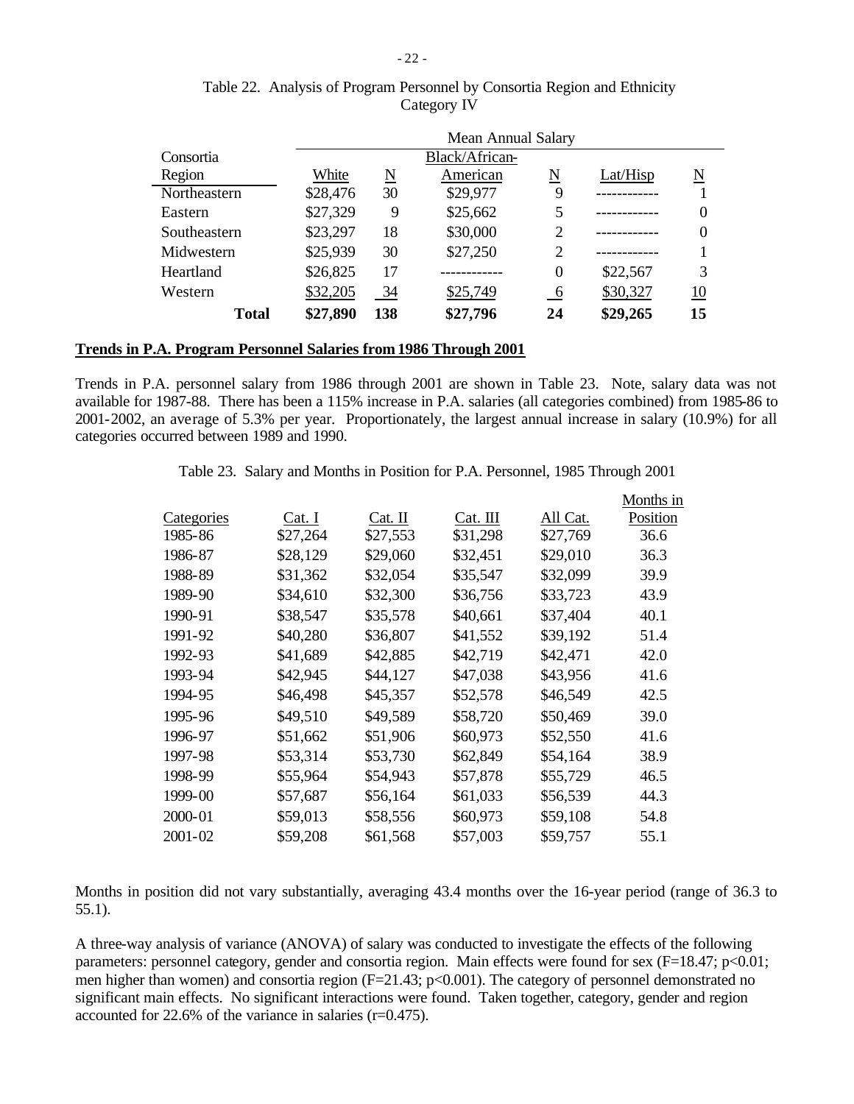|              | Mean Annual Salary |     |                |                |          |                  |  |  |
|--------------|--------------------|-----|----------------|----------------|----------|------------------|--|--|
| Consortia    |                    |     | Black/African- |                |          |                  |  |  |
| Region       | White              | N   | American       | N              | Lat/Hisp | N                |  |  |
| Northeastern | \$28,476           | 30  | \$29,977       | 9              |          |                  |  |  |
| Eastern      | \$27,329           | 9   | \$25,662       | 5              |          |                  |  |  |
| Southeastern | \$23,297           | 18  | \$30,000       | 2              |          |                  |  |  |
| Midwestern   | \$25,939           | 30  | \$27,250       | $\overline{2}$ |          |                  |  |  |
| Heartland    | \$26,825           | 17  |                | $\overline{0}$ | \$22,567 | 3                |  |  |
| Western      | \$32,205           | 34  | \$25,749       | 6              | \$30,327 | $\underline{10}$ |  |  |
| <b>Total</b> | \$27,890           | 138 | \$27,796       | 24             | \$29,265 | 15               |  |  |

## Table 22. Analysis of Program Personnel by Consortia Region and Ethnicity Category IV

### **Trends in P.A. Program Personnel Salaries from 1986 Through 2001**

Trends in P.A. personnel salary from 1986 through 2001 are shown in Table 23. Note, salary data was not available for 1987-88. There has been a 115% increase in P.A. salaries (all categories combined) from 1985-86 to 2001-2002, an average of 5.3% per year. Proportionately, the largest annual increase in salary (10.9%) for all categories occurred between 1989 and 1990.

|  | Table 23. Salary and Months in Position for P.A. Personnel, 1985 Through 2001 |  |  |  |  |  |  |  |
|--|-------------------------------------------------------------------------------|--|--|--|--|--|--|--|
|--|-------------------------------------------------------------------------------|--|--|--|--|--|--|--|

|            |          |          |          |          | Months in |
|------------|----------|----------|----------|----------|-----------|
| Categories | Cat. I   | Cat. II  | Cat. III | All Cat. | Position  |
| 1985-86    | \$27,264 | \$27,553 | \$31,298 | \$27,769 | 36.6      |
| 1986-87    | \$28,129 | \$29,060 | \$32,451 | \$29,010 | 36.3      |
| 1988-89    | \$31,362 | \$32,054 | \$35,547 | \$32,099 | 39.9      |
| 1989-90    | \$34,610 | \$32,300 | \$36,756 | \$33,723 | 43.9      |
| 1990-91    | \$38,547 | \$35,578 | \$40,661 | \$37,404 | 40.1      |
| 1991-92    | \$40,280 | \$36,807 | \$41,552 | \$39,192 | 51.4      |
| 1992-93    | \$41,689 | \$42,885 | \$42,719 | \$42,471 | 42.0      |
| 1993-94    | \$42,945 | \$44,127 | \$47,038 | \$43,956 | 41.6      |
| 1994-95    | \$46,498 | \$45,357 | \$52,578 | \$46,549 | 42.5      |
| 1995-96    | \$49,510 | \$49,589 | \$58,720 | \$50,469 | 39.0      |
| 1996-97    | \$51,662 | \$51,906 | \$60,973 | \$52,550 | 41.6      |
| 1997-98    | \$53,314 | \$53,730 | \$62,849 | \$54,164 | 38.9      |
| 1998-99    | \$55,964 | \$54,943 | \$57,878 | \$55,729 | 46.5      |
| 1999-00    | \$57,687 | \$56,164 | \$61,033 | \$56,539 | 44.3      |
| 2000-01    | \$59,013 | \$58,556 | \$60,973 | \$59,108 | 54.8      |
| 2001-02    | \$59,208 | \$61,568 | \$57,003 | \$59,757 | 55.1      |

Months in position did not vary substantially, averaging 43.4 months over the 16-year period (range of 36.3 to 55.1).

A three-way analysis of variance (ANOVA) of salary was conducted to investigate the effects of the following parameters: personnel category, gender and consortia region. Main effects were found for sex (F=18.47; p<0.01; men higher than women) and consortia region (F=21.43; p<0.001). The category of personnel demonstrated no significant main effects. No significant interactions were found. Taken together, category, gender and region accounted for 22.6% of the variance in salaries (r=0.475).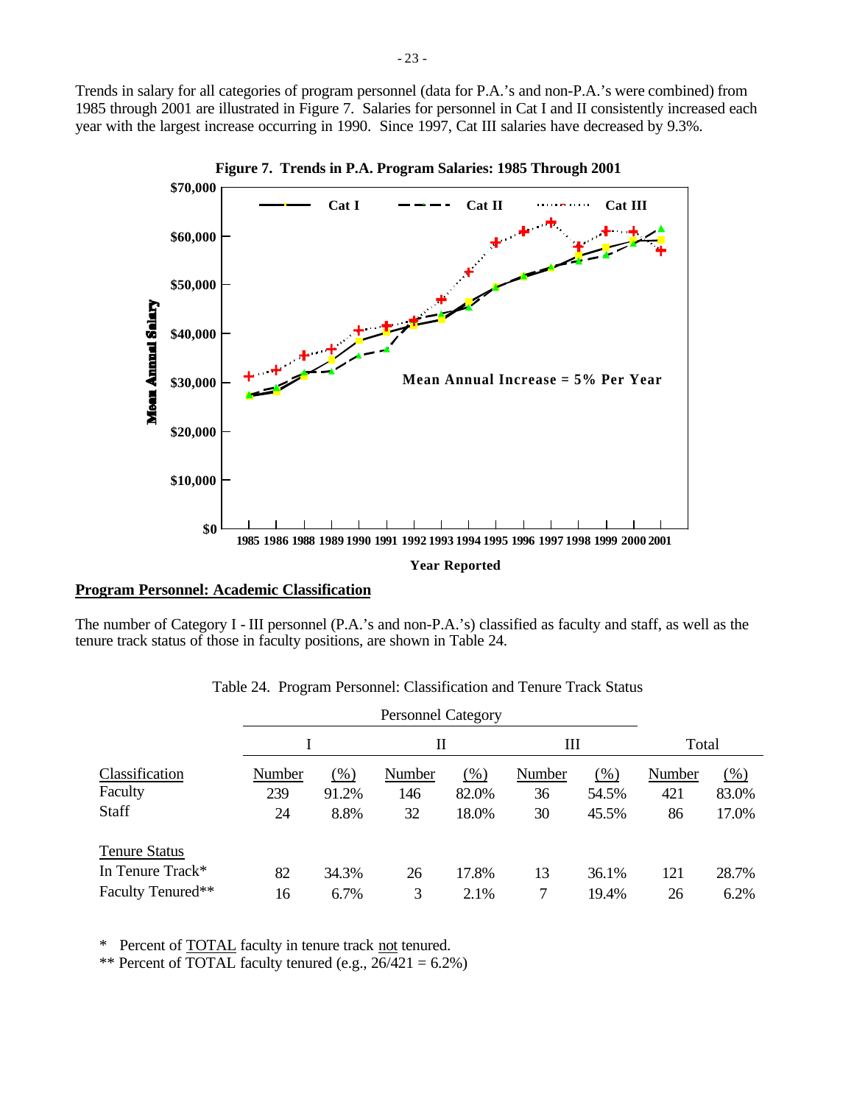Trends in salary for all categories of program personnel (data for P.A.'s and non-P.A.'s were combined) from 1985 through 2001 are illustrated in Figure 7. Salaries for personnel in Cat I and II consistently increased each year with the largest increase occurring in 1990. Since 1997, Cat III salaries have decreased by 9.3%.



**Figure 7. Trends in P.A. Program Salaries: 1985 Through 2001**

### **Program Personnel: Academic Classification**

The number of Category I - III personnel (P.A.'s and non-P.A.'s) classified as faculty and staff, as well as the tenure track status of those in faculty positions, are shown in Table 24.

|                      |        | <b>Personnel Category</b> |        |       |        |       |        |        |  |
|----------------------|--------|---------------------------|--------|-------|--------|-------|--------|--------|--|
|                      |        |                           | П      |       | Ш      |       | Total  |        |  |
| Classification       | Number | $(\%)$                    | Number | (% )  | Number | (%)   | Number | $(\%)$ |  |
| Faculty              | 239    | 91.2%                     | 146    | 82.0% | 36     | 54.5% | 421    | 83.0%  |  |
| Staff                | 24     | 8.8%                      | 32     | 18.0% | 30     | 45.5% | 86     | 17.0%  |  |
| <b>Tenure Status</b> |        |                           |        |       |        |       |        |        |  |
| In Tenure Track*     | 82     | 34.3%                     | 26     | 17.8% | 13     | 36.1% | 121    | 28.7%  |  |
| Faculty Tenured**    | 16     | 6.7%                      | 3      | 2.1%  |        | 19.4% | 26     | 6.2%   |  |

Table 24. Program Personnel: Classification and Tenure Track Status

\* Percent of TOTAL faculty in tenure track not tenured.

\*\* Percent of TOTAL faculty tenured (e.g.,  $26/421 = 6.2\%$ )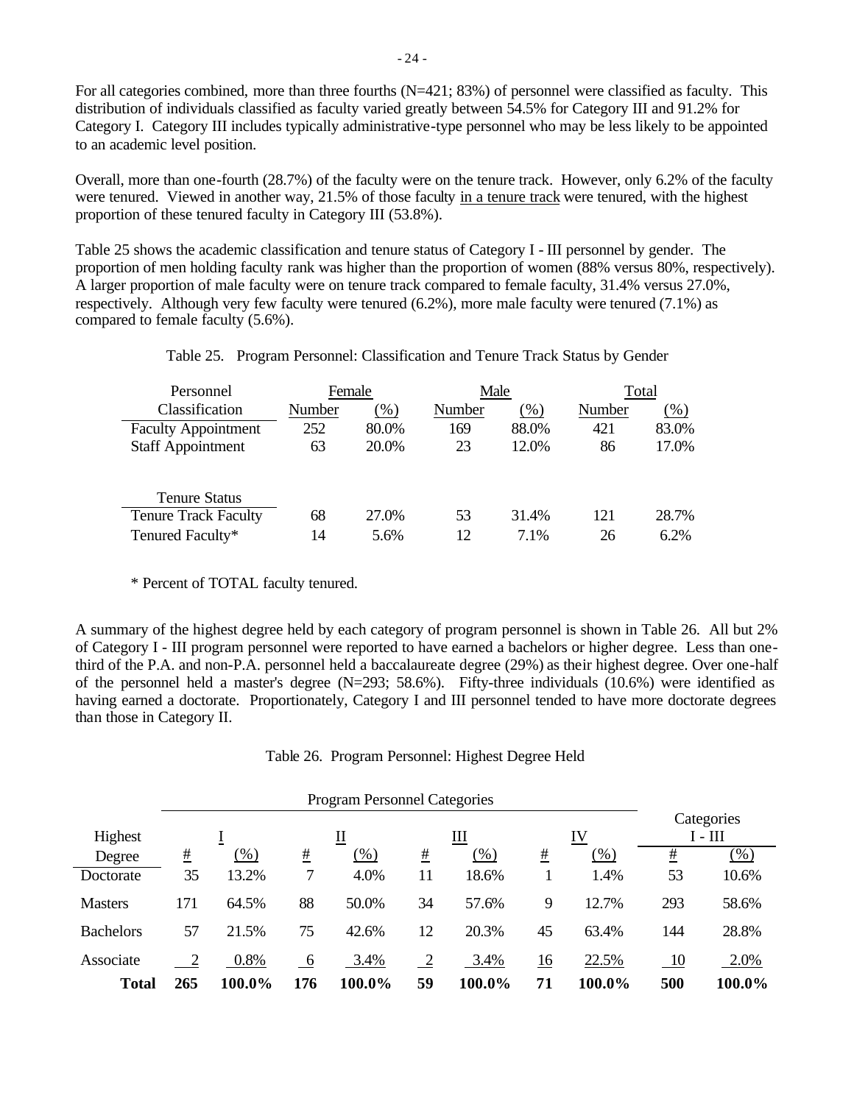For all categories combined, more than three fourths  $(N=421; 83%)$  of personnel were classified as faculty. This distribution of individuals classified as faculty varied greatly between 54.5% for Category III and 91.2% for Category I. Category III includes typically administrative-type personnel who may be less likely to be appointed to an academic level position.

Overall, more than one-fourth (28.7%) of the faculty were on the tenure track. However, only 6.2% of the faculty were tenured. Viewed in another way, 21.5% of those faculty in a tenure track were tenured, with the highest proportion of these tenured faculty in Category III (53.8%).

Table 25 shows the academic classification and tenure status of Category I - III personnel by gender. The proportion of men holding faculty rank was higher than the proportion of women (88% versus 80%, respectively). A larger proportion of male faculty were on tenure track compared to female faculty, 31.4% versus 27.0%, respectively. Although very few faculty were tenured (6.2%), more male faculty were tenured (7.1%) as compared to female faculty (5.6%).

| Personnel     | Female           | Male             | Total             |
|---------------|------------------|------------------|-------------------|
| ۰ ~<br>$\sim$ | <b>AT</b><br>(0) | <b>NT</b><br>(0) | ъ т<br>$\sqrt{2}$ |

Table 25. Program Personnel: Classification and Tenure Track Status by Gender

| Classification              | Number | $\left(\%\right)$ | Number | (%)   | Number | $(\% )$ |
|-----------------------------|--------|-------------------|--------|-------|--------|---------|
| <b>Faculty Appointment</b>  | 252    | 80.0%             | 169    | 88.0% | 421    | 83.0%   |
| <b>Staff Appointment</b>    | 63     | 20.0%             | 23     | 12.0% | 86     | 17.0%   |
|                             |        |                   |        |       |        |         |
| <b>Tenure Status</b>        |        |                   |        |       |        |         |
| <b>Tenure Track Faculty</b> | 68     | 27.0%             | 53     | 31.4% | 121    | 28.7%   |
| Tenured Faculty*            | 14     | 5.6%              | 12     | 7.1%  | 26     | 6.2%    |

\* Percent of TOTAL faculty tenured.

A summary of the highest degree held by each category of program personnel is shown in Table 26. All but 2% of Category I - III program personnel were reported to have earned a bachelors or higher degree. Less than onethird of the P.A. and non-P.A. personnel held a baccalaureate degree (29%) as their highest degree. Over one-half of the personnel held a master's degree (N=293; 58.6%). Fifty-three individuals (10.6%) were identified as having earned a doctorate. Proportionately, Category I and III personnel tended to have more doctorate degrees than those in Category II.

Table 26. Program Personnel: Highest Degree Held

|                  | <b>Program Personnel Categories</b> |         |     |        |    |        |                  |        |                         |        |  |
|------------------|-------------------------------------|---------|-----|--------|----|--------|------------------|--------|-------------------------|--------|--|
| Highest          | Ш<br>IV<br>∐<br>Ŧ                   |         |     |        |    |        |                  |        | Categories<br>$I - III$ |        |  |
| Degree           | #                                   | $(\% )$ | #   | (% )   | #  | $(\%)$ | #                | (%)    | #                       | $(\%)$ |  |
| Doctorate        | 35                                  | 13.2%   |     | 4.0%   | 11 | 18.6%  |                  | 1.4%   | 53                      | 10.6%  |  |
| <b>Masters</b>   | 171                                 | 64.5%   | 88  | 50.0%  | 34 | 57.6%  | 9                | 12.7%  | 293                     | 58.6%  |  |
| <b>Bachelors</b> | 57                                  | 21.5%   | 75  | 42.6%  | 12 | 20.3%  | 45               | 63.4%  | 144                     | 28.8%  |  |
| Associate        |                                     | 0.8%    | -6  | 3.4%   |    | 3.4%   | $\underline{16}$ | 22.5%  | 10                      | 2.0%   |  |
| <b>Total</b>     | 265                                 | 100.0%  | 176 | 100.0% | 59 | 100.0% | 71               | 100.0% | 500                     | 100.0% |  |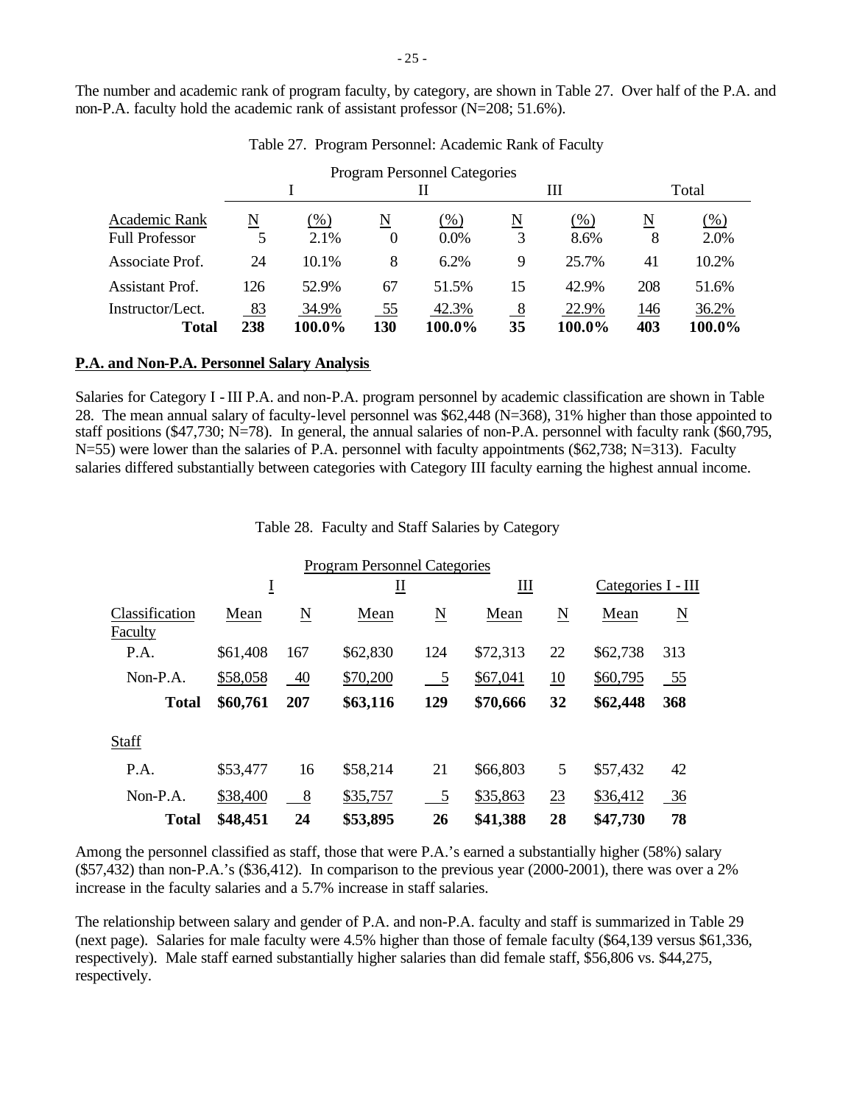The number and academic rank of program faculty, by category, are shown in Table 27. Over half of the P.A. and non-P.A. faculty hold the academic rank of assistant professor (N=208; 51.6%).

|                                  |           |                 |                          | <b>Program Personnel Categories</b> |                          |                 |            |                 |
|----------------------------------|-----------|-----------------|--------------------------|-------------------------------------|--------------------------|-----------------|------------|-----------------|
|                                  |           |                 |                          | Н                                   |                          | Ш               |            | Total           |
| Academic Rank                    | N         | $(\%)$          | $\underline{\mathbf{N}}$ | $(\%)$                              | $\underline{\mathbf{N}}$ | $(\%)$          | N          | $(\% )$         |
| <b>Full Professor</b>            | 5         | 2.1%            | $\theta$                 | 0.0%                                | 3                        | 8.6%            | 8          | 2.0%            |
| Associate Prof.                  | 24        | $10.1\%$        | 8                        | 6.2%                                | 9                        | 25.7%           | 41         | 10.2%           |
| Assistant Prof.                  | 126       | 52.9%           | 67                       | 51.5%                               | 15                       | 42.9%           | 208        | 51.6%           |
| Instructor/Lect.<br><b>Total</b> | 83<br>238 | 34.9%<br>100.0% | $\frac{55}{5}$<br>130    | 42.3%<br>100.0%                     | 8<br>35                  | 22.9%<br>100.0% | 146<br>403 | 36.2%<br>100.0% |

Table 27. Program Personnel: Academic Rank of Faculty

#### **P.A. and Non-P.A. Personnel Salary Analysis**

Salaries for Category I - III P.A. and non-P.A. program personnel by academic classification are shown in Table 28. The mean annual salary of faculty-level personnel was \$62,448 (N=368), 31% higher than those appointed to staff positions (\$47,730; N=78). In general, the annual salaries of non-P.A. personnel with faculty rank (\$60,795, N=55) were lower than the salaries of P.A. personnel with faculty appointments (\$62,738; N=313). Faculty salaries differed substantially between categories with Category III faculty earning the highest annual income.

Table 28. Faculty and Staff Salaries by Category

|                           |          |                | <b>Program Personnel Categories</b> |               |          |    |                    |           |
|---------------------------|----------|----------------|-------------------------------------|---------------|----------|----|--------------------|-----------|
|                           | Ī        |                | ∐                                   |               | Ш        |    | Categories I - III |           |
| Classification<br>Faculty | Mean     | N              | Mean                                | N             | Mean     | N  | Mean               | N         |
| P.A.                      | \$61,408 | 167            | \$62,830                            | 124           | \$72,313 | 22 | \$62,738           | 313       |
| $Non-P.A.$                | \$58,058 | 40             | \$70,200                            | $\frac{5}{2}$ | \$67,041 | 10 | \$60,795           | <u>55</u> |
| <b>Total</b>              | \$60,761 | 207            | \$63,116                            | 129           | \$70,666 | 32 | \$62,448           | 368       |
| Staff                     |          |                |                                     |               |          |    |                    |           |
| P.A.                      | \$53,477 | 16             | \$58,214                            | 21            | \$66,803 | 5  | \$57,432           | 42        |
| Non-P.A.                  | \$38,400 | 8 <sup>8</sup> | \$35,757                            | 5             | \$35,863 | 23 | \$36,412           | 36        |
| <b>Total</b>              | \$48,451 | 24             | \$53,895                            | 26            | \$41,388 | 28 | \$47,730           | 78        |

Among the personnel classified as staff, those that were P.A.'s earned a substantially higher (58%) salary (\$57,432) than non-P.A.'s (\$36,412). In comparison to the previous year (2000-2001), there was over a 2% increase in the faculty salaries and a 5.7% increase in staff salaries.

The relationship between salary and gender of P.A. and non-P.A. faculty and staff is summarized in Table 29 (next page). Salaries for male faculty were 4.5% higher than those of female faculty (\$64,139 versus \$61,336, respectively). Male staff earned substantially higher salaries than did female staff, \$56,806 vs. \$44,275, respectively.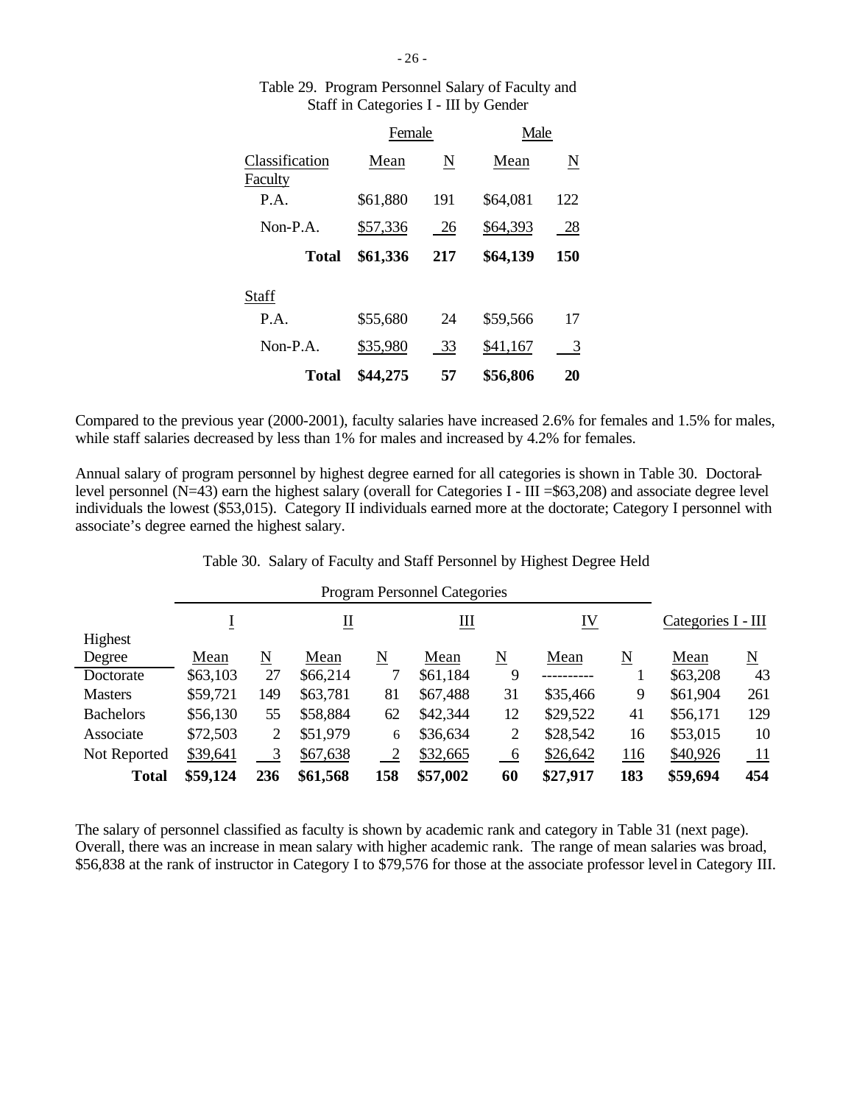|                           | Female   |     | Male     |     |
|---------------------------|----------|-----|----------|-----|
| Classification<br>Faculty | Mean     | N   | Mean     | N   |
| P.A.                      | \$61,880 | 191 | \$64,081 | 122 |
| $Non-P.A.$                | \$57,336 | 26  | \$64,393 | 28  |
| Total                     | \$61,336 | 217 | \$64,139 | 150 |
| Staff                     |          |     |          |     |
| P.A.                      | \$55,680 | 24  | \$59,566 | 17  |
| $Non-P.A.$                | \$35,980 | 33  | \$41,167 | 3   |
| Total                     | \$44,275 | 57  | \$56,806 | 20  |

## Table 29. Program Personnel Salary of Faculty and Staff in Categories I - III by Gender

Compared to the previous year (2000-2001), faculty salaries have increased 2.6% for females and 1.5% for males, while staff salaries decreased by less than 1% for males and increased by 4.2% for females.

Annual salary of program personnel by highest degree earned for all categories is shown in Table 30. Doctorallevel personnel  $(N=43)$  earn the highest salary (overall for Categories I - III = \$63,208) and associate degree level individuals the lowest (\$53,015). Category II individuals earned more at the doctorate; Category I personnel with associate's degree earned the highest salary.

| Table 30. Salary of Faculty and Staff Personnel by Highest Degree Held |  |  |  |  |  |  |  |  |  |
|------------------------------------------------------------------------|--|--|--|--|--|--|--|--|--|
|------------------------------------------------------------------------|--|--|--|--|--|--|--|--|--|

|                  |          | <b>Program Personnel Categories</b> |                           |              |          |                 |          |     |                    |     |  |
|------------------|----------|-------------------------------------|---------------------------|--------------|----------|-----------------|----------|-----|--------------------|-----|--|
|                  |          |                                     | $\underline{\mathrm{II}}$ |              | IV<br>Ш  |                 |          |     | Categories I - III |     |  |
| Highest          |          |                                     |                           |              |          |                 |          |     |                    |     |  |
| Degree           | Mean     | $\underline{\rm N}$                 | Mean                      | N            | Mean     | N               | Mean     | N   | Mean               | N   |  |
| Doctorate        | \$63,103 | 27                                  | \$66,214                  |              | \$61,184 | 9               |          |     | \$63,208           | 43  |  |
| <b>Masters</b>   | \$59,721 | 149                                 | \$63,781                  | 81           | \$67,488 | 31              | \$35,466 | 9   | \$61,904           | 261 |  |
| <b>Bachelors</b> | \$56,130 | 55                                  | \$58,884                  | 62           | \$42,344 | 12              | \$29,522 | 41  | \$56,171           | 129 |  |
| Associate        | \$72,503 | 2                                   | \$51,979                  | 6            | \$36,634 | 2               | \$28,542 | 16  | \$53,015           | 10  |  |
| Not Reported     | \$39,641 | 3                                   | \$67,638                  | <sup>2</sup> | \$32,665 | $\underline{6}$ | \$26,642 | 116 | \$40,926           | 11  |  |
| <b>Total</b>     | \$59,124 | 236                                 | \$61,568                  | <b>58</b>    | \$57,002 | 60              | \$27,917 | 183 | \$59,694           | 454 |  |

The salary of personnel classified as faculty is shown by academic rank and category in Table 31 (next page). Overall, there was an increase in mean salary with higher academic rank. The range of mean salaries was broad, \$56,838 at the rank of instructor in Category I to \$79,576 for those at the associate professor level in Category III.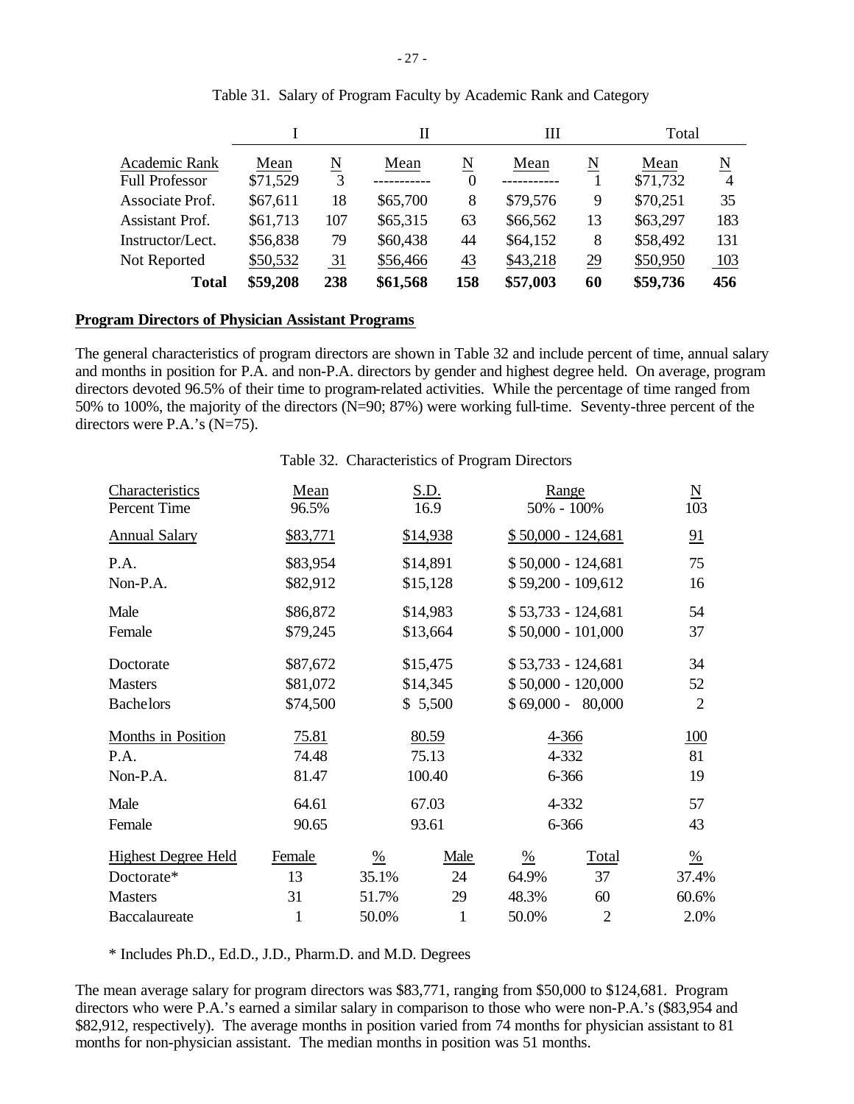|                                        |                  |                 | Н        |                | Ш        |    | Total            |        |
|----------------------------------------|------------------|-----------------|----------|----------------|----------|----|------------------|--------|
| Academic Rank<br><b>Full Professor</b> | Mean<br>\$71,529 | N<br>3          | Mean     | N<br>$\theta$  | Mean     | N  | Mean<br>\$71,732 | N<br>4 |
| Associate Prof.                        | \$67,611         | 18              | \$65,700 | 8              | \$79,576 | 9  | \$70,251         | 35     |
| <b>Assistant Prof.</b>                 | \$61,713         | 107             | \$65,315 | 63             | \$66,562 | 13 | \$63,297         | 183    |
| Instructor/Lect.                       | \$56,838         | 79              | \$60,438 | 44             | \$64,152 | 8  | \$58,492         | 131    |
| Not Reported                           | \$50,532         | $\overline{31}$ | \$56,466 | $\frac{43}{5}$ | \$43,218 | 29 | \$50,950         | 103    |
| <b>Total</b>                           | \$59,208         | 238             | \$61,568 | 158            | \$57,003 | 60 | \$59,736         | 456    |

### Table 31. Salary of Program Faculty by Academic Rank and Category

#### **Program Directors of Physician Assistant Programs**

The general characteristics of program directors are shown in Table 32 and include percent of time, annual salary and months in position for P.A. and non-P.A. directors by gender and highest degree held. On average, program directors devoted 96.5% of their time to program-related activities. While the percentage of time ranged from 50% to 100%, the majority of the directors (N=90; 87%) were working full-time. Seventy-three percent of the directors were P.A.'s (N=75).

#### Table 32. Characteristics of Program Directors

| Characteristics<br>Percent Time | Mean<br>96.5% |               |              | S.D.<br>Range<br>50% - 100%<br>16.9 |                     |                |  |
|---------------------------------|---------------|---------------|--------------|-------------------------------------|---------------------|----------------|--|
| <b>Annual Salary</b>            | \$83,771      |               | \$14,938     |                                     | $$50,000 - 124,681$ | 91             |  |
| P.A.                            | \$83,954      |               | \$14,891     |                                     | $$50,000 - 124,681$ | 75             |  |
| Non-P.A.                        | \$82,912      |               | \$15,128     |                                     | \$59,200 - 109,612  | 16             |  |
| Male                            | \$86,872      |               | \$14,983     |                                     | $$53,733 - 124,681$ | 54             |  |
| Female                          | \$79,245      |               | \$13,664     |                                     | $$50,000 - 101,000$ | 37             |  |
| Doctorate                       | \$87,672      |               | \$15,475     |                                     | $$53,733 - 124,681$ | 34             |  |
| <b>Masters</b>                  | \$81,072      |               | \$14,345     |                                     | $$50,000 - 120,000$ | 52             |  |
| <b>Bachelors</b>                | \$74,500      |               | \$5,500      |                                     | $$69,000 - 80,000$  | $\overline{2}$ |  |
| Months in Position              | 75.81         |               | 80.59        |                                     | 4-366               | 100            |  |
| P.A.                            | 74.48         |               | 75.13        |                                     | 4-332               | 81             |  |
| Non-P.A.                        | 81.47         |               | 100.40       |                                     | 6-366               | 19             |  |
| Male                            | 64.61         |               | 67.03        |                                     | 4-332               | 57             |  |
| Female                          | 90.65         |               | 93.61        |                                     | 6-366               | 43             |  |
| <b>Highest Degree Held</b>      | Female        | $\frac{0}{6}$ | Male         | $\frac{0}{0}$                       | Total               | $\frac{0}{6}$  |  |
| Doctorate*                      | 13            | 35.1%         | 24           | 64.9%                               | 37                  | 37.4%          |  |
| <b>Masters</b>                  | 31            | 51.7%         | 29           | 48.3%                               | 60                  | 60.6%          |  |
| Baccalaureate                   | $\mathbf{1}$  | 50.0%         | $\mathbf{1}$ | 50.0%                               | $\overline{2}$      | 2.0%           |  |

\* Includes Ph.D., Ed.D., J.D., Pharm.D. and M.D. Degrees

The mean average salary for program directors was \$83,771, ranging from \$50,000 to \$124,681. Program directors who were P.A.'s earned a similar salary in comparison to those who were non-P.A.'s (\$83,954 and \$82,912, respectively). The average months in position varied from 74 months for physician assistant to 81 months for non-physician assistant. The median months in position was 51 months.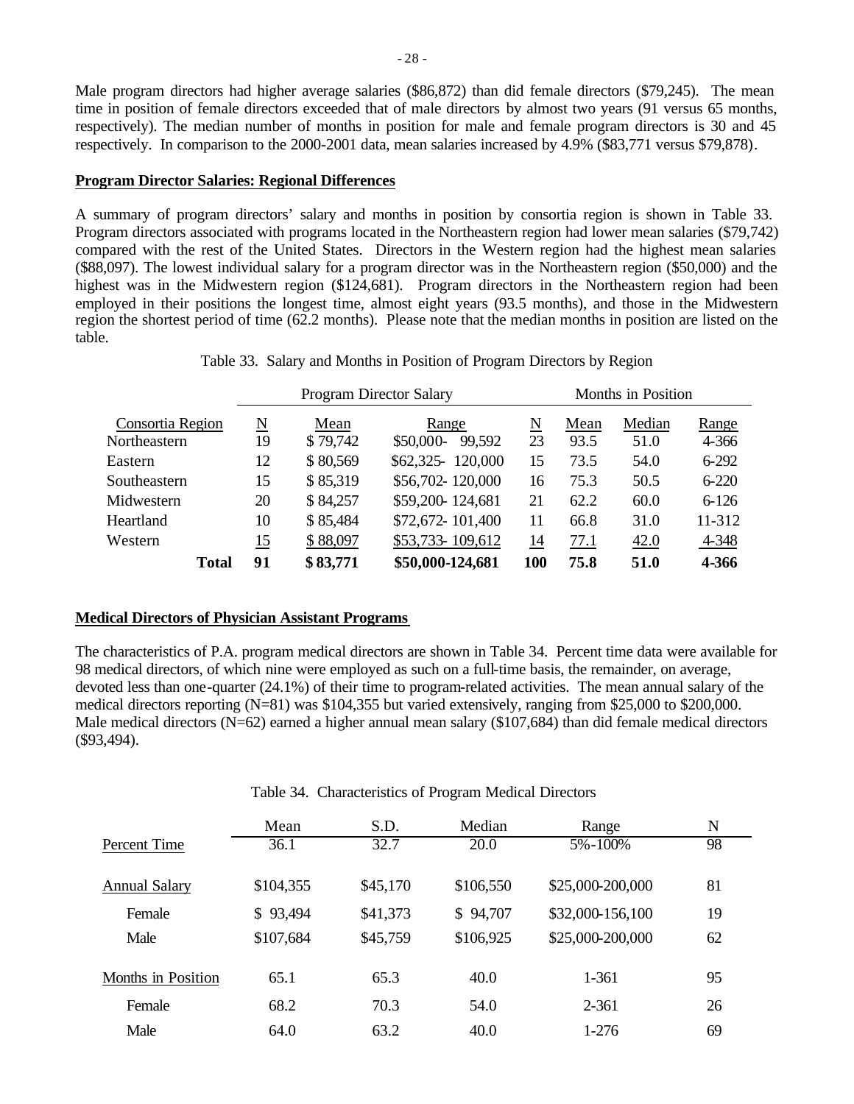Male program directors had higher average salaries (\$86,872) than did female directors (\$79,245). The mean time in position of female directors exceeded that of male directors by almost two years (91 versus 65 months, respectively). The median number of months in position for male and female program directors is 30 and 45 respectively. In comparison to the 2000-2001 data, mean salaries increased by 4.9% (\$83,771 versus \$79,878).

#### **Program Director Salaries: Regional Differences**

A summary of program directors' salary and months in position by consortia region is shown in Table 33. Program directors associated with programs located in the Northeastern region had lower mean salaries (\$79,742) compared with the rest of the United States. Directors in the Western region had the highest mean salaries (\$88,097). The lowest individual salary for a program director was in the Northeastern region (\$50,000) and the highest was in the Midwestern region (\$124,681). Program directors in the Northeastern region had been employed in their positions the longest time, almost eight years (93.5 months), and those in the Midwestern region the shortest period of time (62.2 months). Please note that the median months in position are listed on the table.

| Table 33. Salary and Months in Position of Program Directors by Region |  |  |  |  |  |
|------------------------------------------------------------------------|--|--|--|--|--|
|                                                                        |  |  |  |  |  |

|                  |                        |          | <b>Program Director Salary</b> |            | Months in Position |        |           |  |  |  |
|------------------|------------------------|----------|--------------------------------|------------|--------------------|--------|-----------|--|--|--|
| Consortia Region | $\underline{\text{N}}$ | Mean     | Range                          | N          | Mean               | Median | Range     |  |  |  |
| Northeastern     | 19                     | \$79,742 | \$50,000-<br>99,592            | 23         | 93.5               | 51.0   | 4-366     |  |  |  |
| Eastern          | 12                     | \$80,569 | \$62,325-120,000               | 15         | 73.5               | 54.0   | $6 - 292$ |  |  |  |
| Southeastern     | 15                     | \$85,319 | \$56,702-120,000               | 16         | 75.3               | 50.5   | $6 - 220$ |  |  |  |
| Midwestern       | 20                     | \$84,257 | \$59,200-124,681               | 21         | 62.2               | 60.0   | $6 - 126$ |  |  |  |
| Heartland        | 10                     | \$85,484 | \$72,672-101,400               | 11         | 66.8               | 31.0   | 11-312    |  |  |  |
| Western          | <u> 15</u>             | \$88,097 | \$53,733-109,612               | <u> 14</u> | 77.1               | 42.0   | 4-348     |  |  |  |
| <b>Total</b>     | 91                     | \$83,771 | \$50,000-124,681               | 100        | 75.8               | 51.0   | 4-366     |  |  |  |

#### **Medical Directors of Physician Assistant Programs**

The characteristics of P.A. program medical directors are shown in Table 34. Percent time data were available for 98 medical directors, of which nine were employed as such on a full-time basis, the remainder, on average, devoted less than one-quarter (24.1%) of their time to program-related activities. The mean annual salary of the medical directors reporting (N=81) was \$104,355 but varied extensively, ranging from \$25,000 to \$200,000. Male medical directors (N=62) earned a higher annual mean salary (\$107,684) than did female medical directors (\$93,494).

|                           | Mean      | S.D.     | Median    | Range            | N  |  |
|---------------------------|-----------|----------|-----------|------------------|----|--|
| Percent Time              | 36.1      | 32.7     | 20.0      | 5%-100%          | 98 |  |
| Annual Salary             | \$104,355 | \$45,170 | \$106,550 | \$25,000-200,000 | 81 |  |
| Female                    | \$93,494  | \$41,373 | \$94,707  | \$32,000-156,100 | 19 |  |
| Male                      | \$107,684 | \$45,759 | \$106,925 | \$25,000-200,000 | 62 |  |
| <b>Months in Position</b> | 65.1      | 65.3     | 40.0      | 1-361            | 95 |  |
| Female                    | 68.2      | 70.3     | 54.0      | $2 - 361$        | 26 |  |
| Male                      | 64.0      | 63.2     | 40.0      | $1-276$          | 69 |  |

Table 34. Characteristics of Program Medical Directors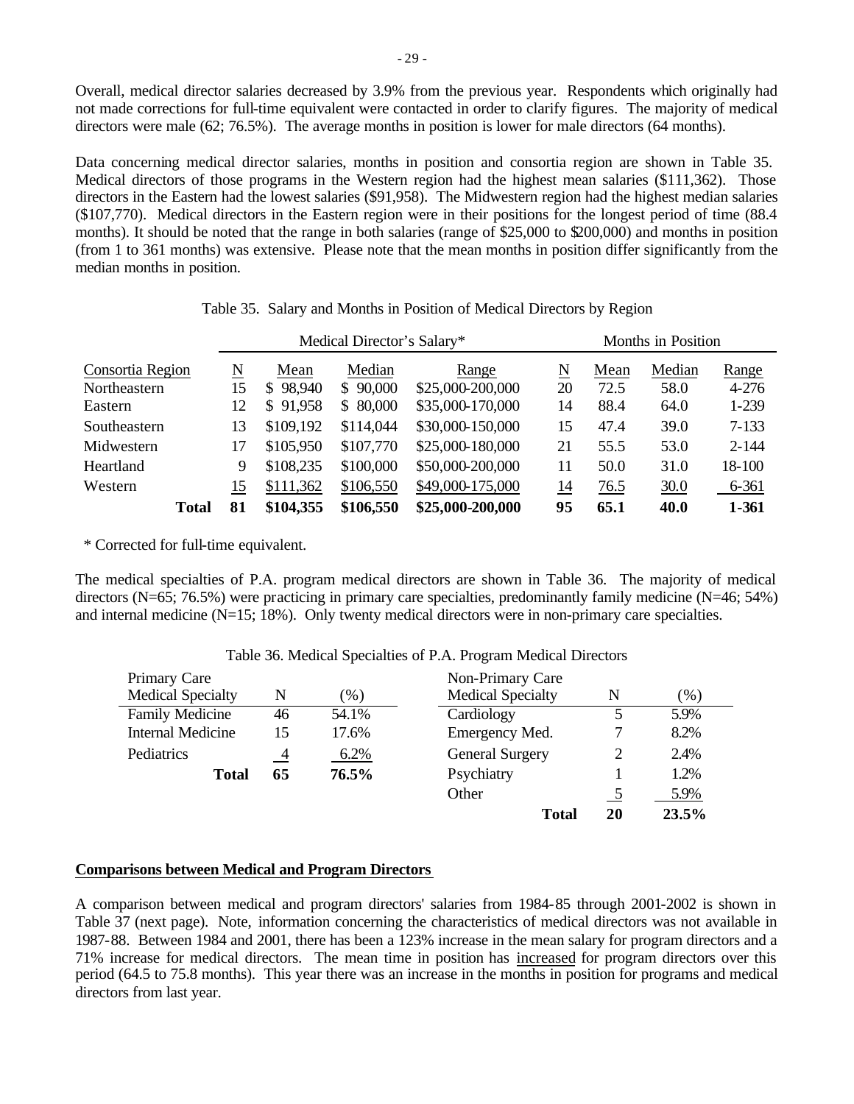Overall, medical director salaries decreased by 3.9% from the previous year. Respondents which originally had not made corrections for full-time equivalent were contacted in order to clarify figures. The majority of medical directors were male (62; 76.5%). The average months in position is lower for male directors (64 months).

Data concerning medical director salaries, months in position and consortia region are shown in Table 35. Medical directors of those programs in the Western region had the highest mean salaries (\$111,362). Those directors in the Eastern had the lowest salaries (\$91,958). The Midwestern region had the highest median salaries (\$107,770). Medical directors in the Eastern region were in their positions for the longest period of time (88.4 months). It should be noted that the range in both salaries (range of \$25,000 to \$200,000) and months in position (from 1 to 361 months) was extensive. Please note that the mean months in position differ significantly from the median months in position.

|                  |  |    |                        | Medical Director's Salary* |                  | Months in Position |      |        |           |
|------------------|--|----|------------------------|----------------------------|------------------|--------------------|------|--------|-----------|
| Consortia Region |  | N  | Mean                   | Median                     | Range            | N                  | Mean | Median | Range     |
| Northeastern     |  | 15 | 98,940<br><sup>S</sup> | \$90,000                   | \$25,000-200,000 | 20                 | 72.5 | 58.0   | $4 - 276$ |
| Eastern          |  | 12 | \$91,958               | \$80,000                   | \$35,000-170,000 | 14                 | 88.4 | 64.0   | 1-239     |
| Southeastern     |  | 13 | \$109,192              | \$114,044                  | \$30,000-150,000 | 15                 | 47.4 | 39.0   | $7 - 133$ |
| Midwestern       |  | 17 | \$105,950              | \$107,770                  | \$25,000-180,000 | 21                 | 55.5 | 53.0   | $2 - 144$ |
| Heartland        |  | 9  | \$108,235              | \$100,000                  | \$50,000-200,000 | 11                 | 50.0 | 31.0   | 18-100    |
| Western          |  | 15 | \$111,362              | \$106,550                  | \$49,000-175,000 | 14                 | 76.5 | 30.0   | 6-361     |
| Total            |  | 81 | \$104,355              | \$106,550                  | \$25,000-200,000 | 95                 | 65.1 | 40.0   | 1-361     |

Table 35. Salary and Months in Position of Medical Directors by Region

\* Corrected for full-time equivalent.

The medical specialties of P.A. program medical directors are shown in Table 36. The majority of medical directors (N=65; 76.5%) were practicing in primary care specialties, predominantly family medicine (N=46; 54%) and internal medicine (N=15; 18%). Only twenty medical directors were in non-primary care specialties.

| Primary Care             |    |        | Non-Primary Care         |    |        |
|--------------------------|----|--------|--------------------------|----|--------|
| <b>Medical Specialty</b> | N  | $(\%)$ | <b>Medical Specialty</b> | N  | $(\%)$ |
| <b>Family Medicine</b>   | 46 | 54.1%  | Cardiology               |    | 5.9%   |
| <b>Internal Medicine</b> | 15 | 17.6%  | Emergency Med.           |    | 8.2%   |
| Pediatrics               | 4  | 6.2%   | <b>General Surgery</b>   | 2  | 2.4%   |
| <b>Total</b>             | 65 | 76.5%  | Psychiatry               |    | 1.2%   |
|                          |    |        | Other                    |    | 5.9%   |
|                          |    |        | Total                    | 20 | 23.5%  |

## Table 36. Medical Specialties of P.A. Program Medical Directors

### **Comparisons between Medical and Program Directors**

A comparison between medical and program directors' salaries from 1984-85 through 2001-2002 is shown in Table 37 (next page). Note, information concerning the characteristics of medical directors was not available in 1987-88. Between 1984 and 2001, there has been a 123% increase in the mean salary for program directors and a 71% increase for medical directors. The mean time in position has increased for program directors over this period (64.5 to 75.8 months). This year there was an increase in the months in position for programs and medical directors from last year.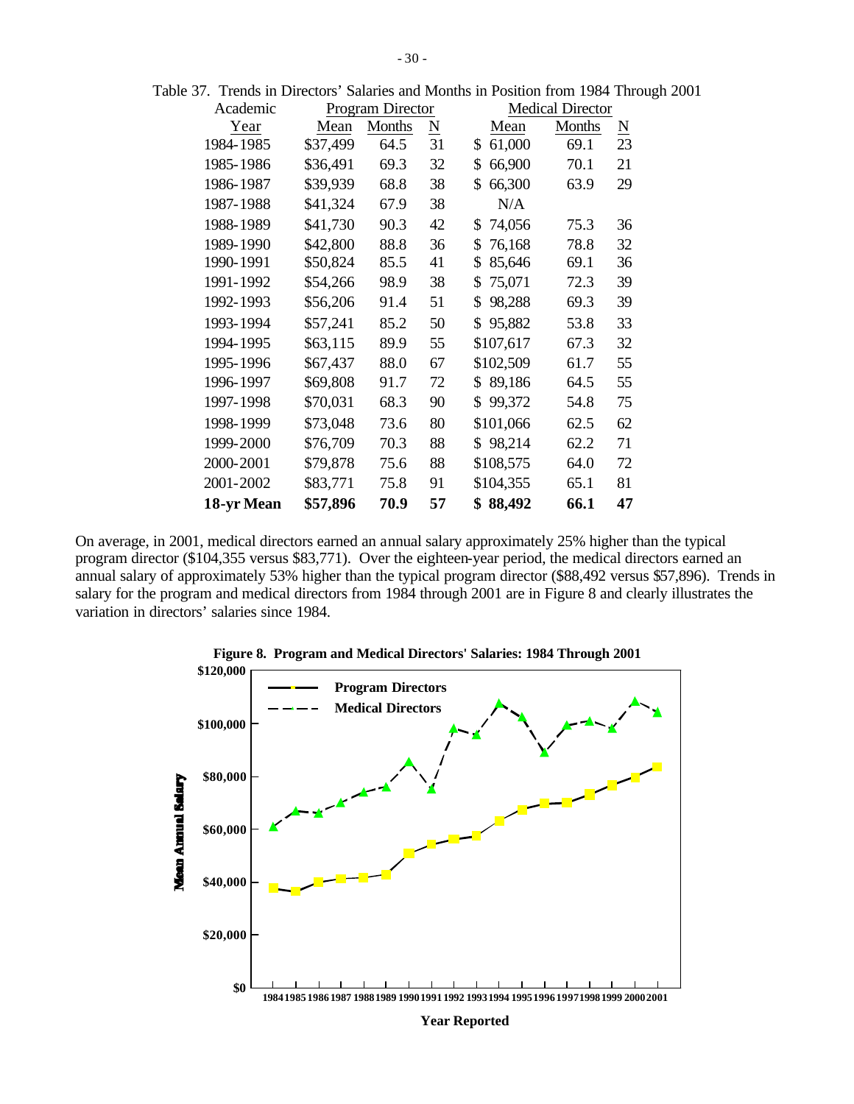| Academic   |          | <b>Program Director</b> |                          |              | <b>Medical Director</b> |                        |
|------------|----------|-------------------------|--------------------------|--------------|-------------------------|------------------------|
| Year       | Mean     | <b>Months</b>           | $\underline{\mathrm{N}}$ | Mean         | <b>Months</b>           | $\underline{\text{N}}$ |
| 1984-1985  | \$37,499 | 64.5                    | 31                       | 61,000<br>\$ | 69.1                    | 23                     |
| 1985-1986  | \$36,491 | 69.3                    | 32                       | \$<br>66,900 | 70.1                    | 21                     |
| 1986-1987  | \$39,939 | 68.8                    | 38                       | \$<br>66,300 | 63.9                    | 29                     |
| 1987-1988  | \$41,324 | 67.9                    | 38                       | N/A          |                         |                        |
| 1988-1989  | \$41,730 | 90.3                    | 42                       | 74,056<br>\$ | 75.3                    | 36                     |
| 1989-1990  | \$42,800 | 88.8                    | 36                       | 76,168<br>\$ | 78.8                    | 32                     |
| 1990-1991  | \$50,824 | 85.5                    | 41                       | \$<br>85,646 | 69.1                    | 36                     |
| 1991-1992  | \$54,266 | 98.9                    | 38                       | 75,071<br>\$ | 72.3                    | 39                     |
| 1992-1993  | \$56,206 | 91.4                    | 51                       | 98,288<br>\$ | 69.3                    | 39                     |
| 1993-1994  | \$57,241 | 85.2                    | 50                       | \$<br>95,882 | 53.8                    | 33                     |
| 1994-1995  | \$63,115 | 89.9                    | 55                       | \$107,617    | 67.3                    | 32                     |
| 1995-1996  | \$67,437 | 88.0                    | 67                       | \$102,509    | 61.7                    | 55                     |
| 1996-1997  | \$69,808 | 91.7                    | 72                       | 89,186<br>S  | 64.5                    | 55                     |
| 1997-1998  | \$70,031 | 68.3                    | 90                       | 99,372<br>\$ | 54.8                    | 75                     |
| 1998-1999  | \$73,048 | 73.6                    | 80                       | \$101,066    | 62.5                    | 62                     |
| 1999-2000  | \$76,709 | 70.3                    | 88                       | \$98,214     | 62.2                    | 71                     |
| 2000-2001  | \$79,878 | 75.6                    | 88                       | \$108,575    | 64.0                    | 72                     |
| 2001-2002  | \$83,771 | 75.8                    | 91                       | \$104,355    | 65.1                    | 81                     |
| 18-yr Mean | \$57,896 | 70.9                    | 57                       | 88,492       | 66.1                    | 47                     |

Table 37. Trends in Directors' Salaries and Months in Position from 1984 Through 2001

On average, in 2001, medical directors earned an annual salary approximately 25% higher than the typical program director (\$104,355 versus \$83,771). Over the eighteen-year period, the medical directors earned an annual salary of approximately 53% higher than the typical program director (\$88,492 versus \$57,896). Trends in salary for the program and medical directors from 1984 through 2001 are in Figure 8 and clearly illustrates the variation in directors' salaries since 1984.



**Year Reported**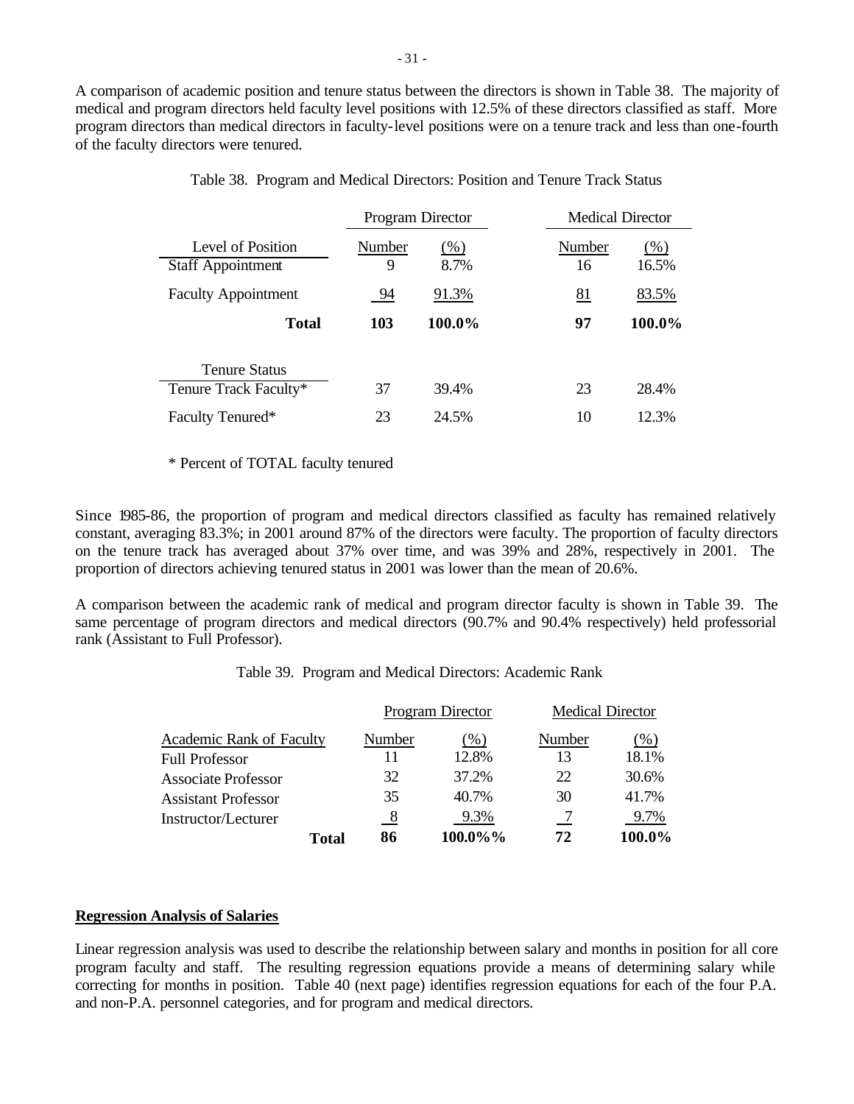A comparison of academic position and tenure status between the directors is shown in Table 38. The majority of medical and program directors held faculty level positions with 12.5% of these directors classified as staff. More program directors than medical directors in faculty-level positions were on a tenure track and less than one-fourth of the faculty directors were tenured.

|                                               | Program Director |                | <b>Medical Director</b> |                 |
|-----------------------------------------------|------------------|----------------|-------------------------|-----------------|
| Level of Position<br><b>Staff Appointment</b> | Number<br>9      | $(\%)$<br>8.7% | Number<br>16            | $(\%)$<br>16.5% |
| <b>Faculty Appointment</b>                    | 94               | 91.3%          | 81                      | 83.5%           |
| <b>Total</b>                                  | 103              | 100.0%         | 97                      | 100.0%          |
| <b>Tenure Status</b>                          |                  |                |                         |                 |
| Tenure Track Faculty*                         | 37               | 39.4%          | 23                      | 28.4%           |
| Faculty Tenured*                              | 23               | 24.5%          | 10                      | 12.3%           |

Table 38. Program and Medical Directors: Position and Tenure Track Status

#### \* Percent of TOTAL faculty tenured

Since 1985-86, the proportion of program and medical directors classified as faculty has remained relatively constant, averaging 83.3%; in 2001 around 87% of the directors were faculty. The proportion of faculty directors on the tenure track has averaged about 37% over time, and was 39% and 28%, respectively in 2001. The proportion of directors achieving tenured status in 2001 was lower than the mean of 20.6%.

A comparison between the academic rank of medical and program director faculty is shown in Table 39. The same percentage of program directors and medical directors (90.7% and 90.4% respectively) held professorial rank (Assistant to Full Professor).

|  | Table 39. Program and Medical Directors: Academic Rank |  |  |  |  |
|--|--------------------------------------------------------|--|--|--|--|
|--|--------------------------------------------------------|--|--|--|--|

|                                 |          | Program Director | <b>Medical Director</b> |        |
|---------------------------------|----------|------------------|-------------------------|--------|
| <b>Academic Rank of Faculty</b> | Number   | $($ %)           | Number                  | (%)    |
| <b>Full Professor</b>           |          | 12.8%            | 13                      | 18.1%  |
| <b>Associate Professor</b>      | 32       | 37.2%            | 22                      | 30.6%  |
| <b>Assistant Professor</b>      | 35       | 40.7%            | 30                      | 41.7%  |
| Instructor/Lecturer             | <u>8</u> | 9.3%             |                         | 9.7%   |
| Total                           | 86       | 100.0%%          | 72                      | 100.0% |

### **Regression Analysis of Salaries**

Linear regression analysis was used to describe the relationship between salary and months in position for all core program faculty and staff. The resulting regression equations provide a means of determining salary while correcting for months in position. Table 40 (next page) identifies regression equations for each of the four P.A. and non-P.A. personnel categories, and for program and medical directors.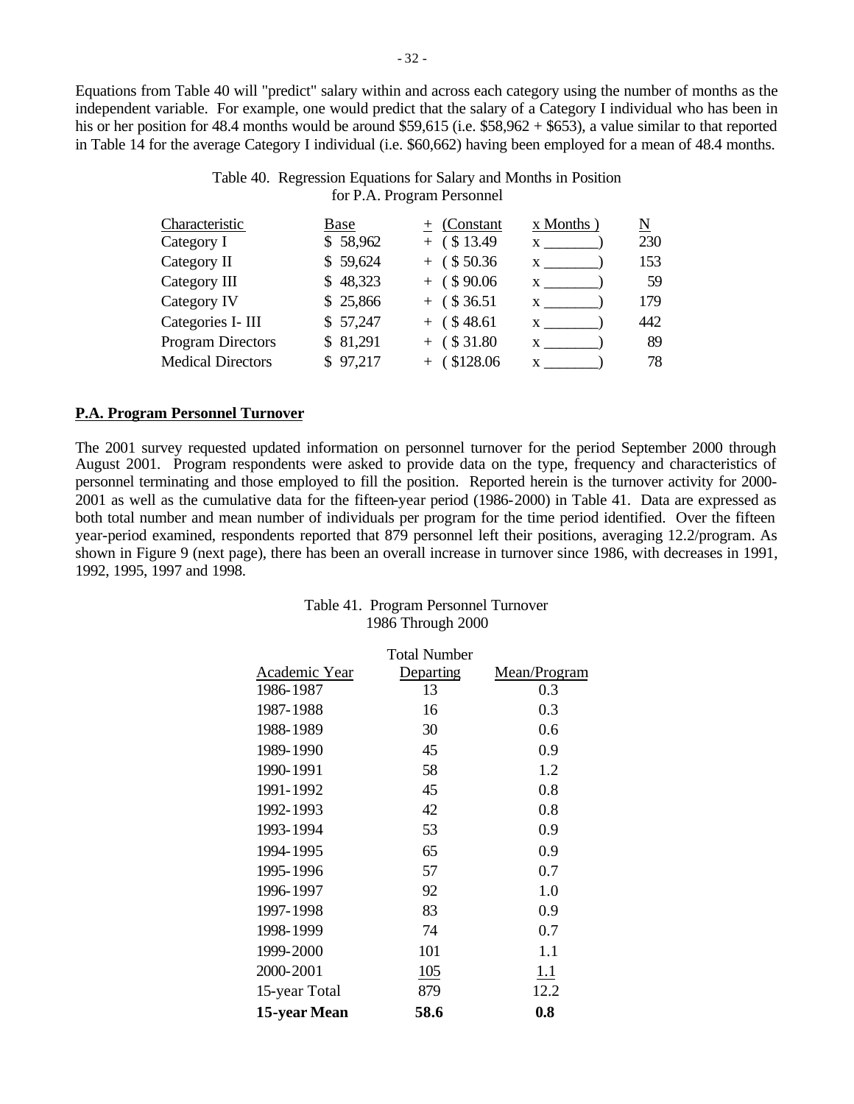Equations from Table 40 will "predict" salary within and across each category using the number of months as the independent variable. For example, one would predict that the salary of a Category I individual who has been in his or her position for 48.4 months would be around \$59,615 (i.e. \$58,962 + \$653), a value similar to that reported in Table 14 for the average Category I individual (i.e. \$60,662) having been employed for a mean of 48.4 months.

# Table 40. Regression Equations for Salary and Months in Position for P.A. Program Personnel

| Characteristic           | Base     | + (Constant    | x Months)    | N   |
|--------------------------|----------|----------------|--------------|-----|
| Category I               | \$58,962 | $+$ (\$13.49)  | $\mathbf{x}$ | 230 |
| Category II              | \$59,624 | $+$ (\$50.36)  | X —          | 153 |
| Category III             | \$48,323 | $+$ (\$90.06)  |              | 59  |
| Category IV              | \$25,866 | $+$ (\$36.51)  | X.           | 179 |
| Categories I- III        | \$57,247 | $+$ (\$48.61)  | X            | 442 |
| <b>Program Directors</b> | \$81,291 | $+$ (\$31.80)  |              | 89  |
| <b>Medical Directors</b> | \$97,217 | $+$ (\$128.06) | X            | 78  |
|                          |          |                |              |     |

## **P.A. Program Personnel Turnover**

The 2001 survey requested updated information on personnel turnover for the period September 2000 through August 2001. Program respondents were asked to provide data on the type, frequency and characteristics of personnel terminating and those employed to fill the position. Reported herein is the turnover activity for 2000- 2001 as well as the cumulative data for the fifteen-year period (1986-2000) in Table 41. Data are expressed as both total number and mean number of individuals per program for the time period identified. Over the fifteen year-period examined, respondents reported that 879 personnel left their positions, averaging 12.2/program. As shown in Figure 9 (next page), there has been an overall increase in turnover since 1986, with decreases in 1991, 1992, 1995, 1997 and 1998.

| Table 41. Program Personnel Turnover |
|--------------------------------------|
| 1986 Through 2000                    |

|               | <b>Total Number</b> |              |
|---------------|---------------------|--------------|
| Academic Year | Departing           | Mean/Program |
| 1986-1987     | 13                  | 0.3          |
| 1987-1988     | 16                  | 0.3          |
| 1988-1989     | 30                  | 0.6          |
| 1989-1990     | 45                  | 0.9          |
| 1990-1991     | 58                  | 1.2          |
| 1991-1992     | 45                  | 0.8          |
| 1992-1993     | 42                  | 0.8          |
| 1993-1994     | 53                  | 0.9          |
| 1994-1995     | 65                  | 0.9          |
| 1995-1996     | 57                  | 0.7          |
| 1996-1997     | 92                  | 1.0          |
| 1997-1998     | 83                  | 0.9          |
| 1998-1999     | 74                  | 0.7          |
| 1999-2000     | 101                 | 1.1          |
| 2000-2001     | 105                 | 1.1          |
| 15-year Total | 879                 | 12.2         |
| 15-year Mean  | 58.6                | 0.8          |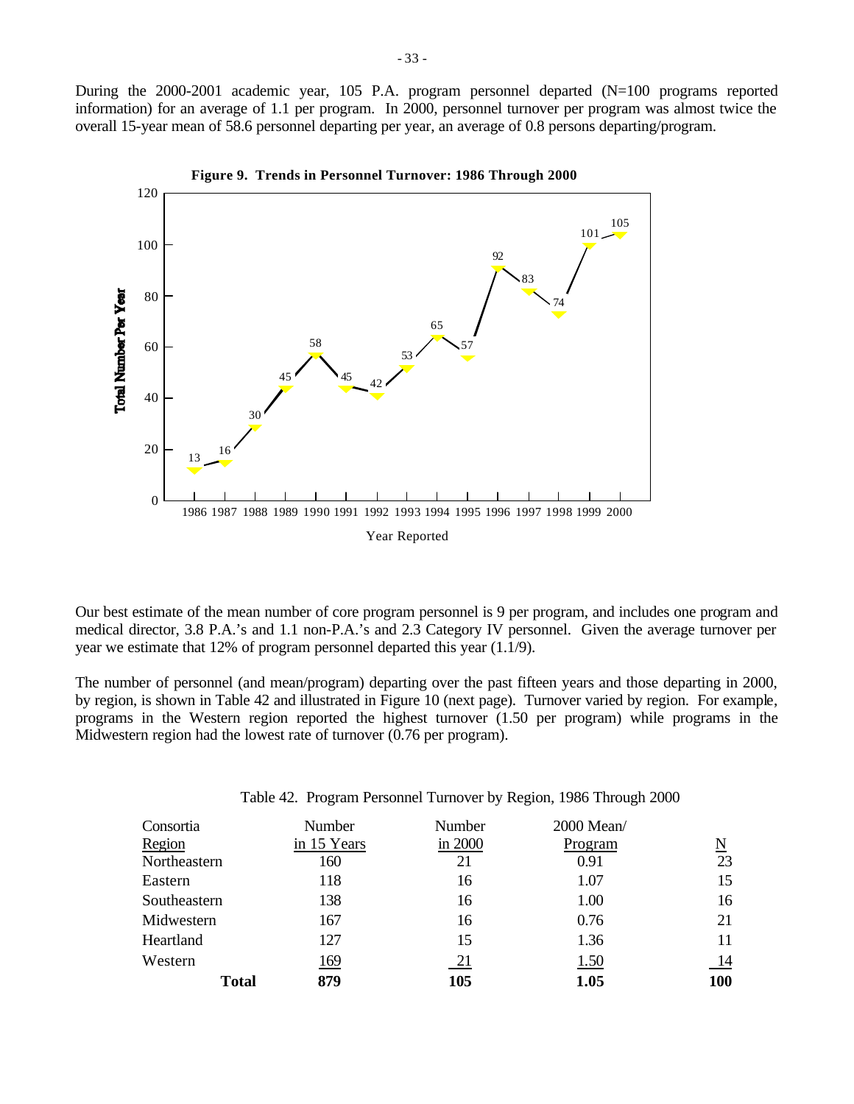During the 2000-2001 academic year, 105 P.A. program personnel departed (N=100 programs reported information) for an average of 1.1 per program. In 2000, personnel turnover per program was almost twice the overall 15-year mean of 58.6 personnel departing per year, an average of 0.8 persons departing/program.



**Figure 9. Trends in Personnel Turnover: 1986 Through 2000**

Our best estimate of the mean number of core program personnel is 9 per program, and includes one program and medical director, 3.8 P.A.'s and 1.1 non-P.A.'s and 2.3 Category IV personnel. Given the average turnover per year we estimate that 12% of program personnel departed this year (1.1/9).

The number of personnel (and mean/program) departing over the past fifteen years and those departing in 2000, by region, is shown in Table 42 and illustrated in Figure 10 (next page). Turnover varied by region. For example, programs in the Western region reported the highest turnover (1.50 per program) while programs in the Midwestern region had the lowest rate of turnover (0.76 per program).

| Table 42. Program Personnel Turnover by Region, 1986 Through 2000 |  |  |  |  |
|-------------------------------------------------------------------|--|--|--|--|
|                                                                   |  |  |  |  |

| Consortia      | Number      | Number           | 2000 Mean/ |          |
|----------------|-------------|------------------|------------|----------|
| Region         | in 15 Years | in 2000          | Program    | <u>N</u> |
| Northeastern   | 160         | 21               | 0.91       | 23       |
| Eastern<br>118 |             | 16               | 1.07       | 15       |
| Southeastern   | 138         | 16               | 1.00       | 16       |
| Midwestern     | 167         | 16               | 0.76       | 21       |
| Heartland      | 127         | 15               | 1.36       | 11       |
| Western        | 169         | $\underline{21}$ | 1.50       | 14       |
| <b>Total</b>   | 879         | 105              | 1.05       | 100      |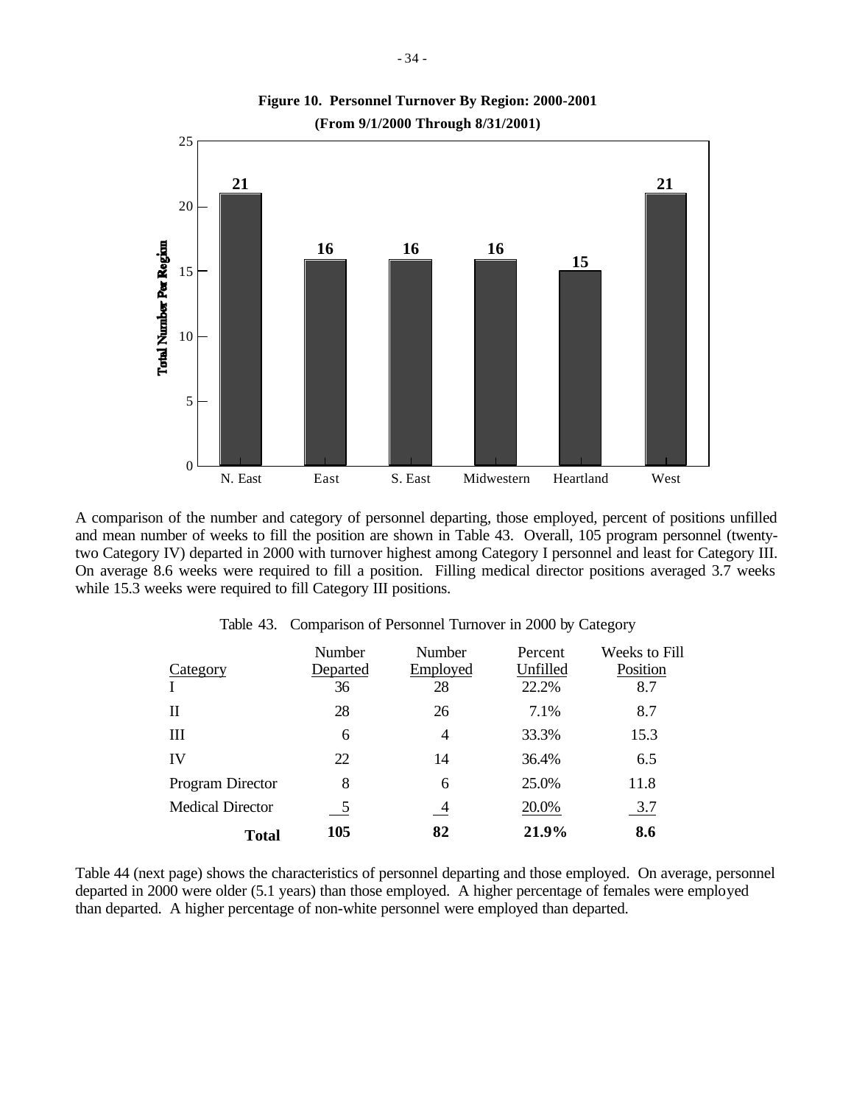

A comparison of the number and category of personnel departing, those employed, percent of positions unfilled and mean number of weeks to fill the position are shown in Table 43. Overall, 105 program personnel (twentytwo Category IV) departed in 2000 with turnover highest among Category I personnel and least for Category III. On average 8.6 weeks were required to fill a position. Filling medical director positions averaged 3.7 weeks while 15.3 weeks were required to fill Category III positions.

|                         | <b>Number</b> | Number   | Percent  | Weeks to Fill |
|-------------------------|---------------|----------|----------|---------------|
| Category                | Departed      | Employed | Unfilled | Position      |
|                         | 36            | 28       | 22.2%    | 8.7           |
| Н                       | 28            | 26       | 7.1%     | 8.7           |
| Ш                       | 6             | 4        | 33.3%    | 15.3          |
| IV                      | 22            | 14       | 36.4%    | 6.5           |
| Program Director        | 8             | 6        | 25.0%    | 11.8          |
| <b>Medical Director</b> | 5             | 4        | 20.0%    | 3.7           |
| Total                   | 105           | 82       | 21.9%    | 8.6           |

Table 43. Comparison of Personnel Turnover in 2000 by Category

Table 44 (next page) shows the characteristics of personnel departing and those employed. On average, personnel departed in 2000 were older (5.1 years) than those employed. A higher percentage of females were employed than departed. A higher percentage of non-white personnel were employed than departed.

**Figure 10. Personnel Turnover By Region: 2000-2001**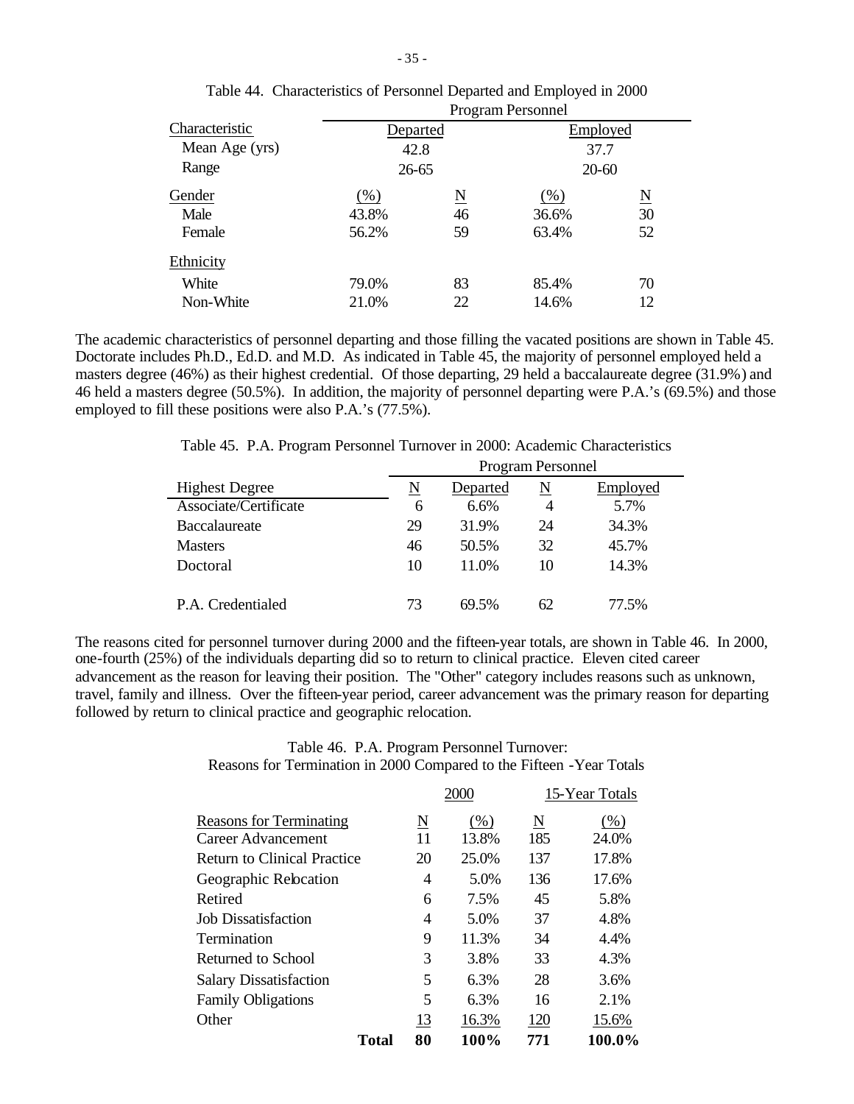|                |          | <b>Program Personnel</b> |          |                     |  |  |
|----------------|----------|--------------------------|----------|---------------------|--|--|
| Characteristic | Departed |                          | Employed |                     |  |  |
| Mean Age (yrs) | 42.8     |                          | 37.7     |                     |  |  |
| Range          |          | $26 - 65$                |          | $20 - 60$           |  |  |
| Gender         | $(\%)$   | $\underline{\rm N}$      | $(\%)$   | $\underline{\rm N}$ |  |  |
| Male           | 43.8%    | 46                       | 36.6%    | 30                  |  |  |
| Female         | 56.2%    | 59                       | 63.4%    | 52                  |  |  |
| Ethnicity      |          |                          |          |                     |  |  |
| White          | 79.0%    | 83                       | 85.4%    | 70                  |  |  |
| Non-White      | 21.0%    | 22                       | 14.6%    | 12                  |  |  |
|                |          |                          |          |                     |  |  |

| Table 44. Characteristics of Personnel Departed and Employed in 2000                                                                                                                                                                                                                                                               |
|------------------------------------------------------------------------------------------------------------------------------------------------------------------------------------------------------------------------------------------------------------------------------------------------------------------------------------|
| $\mathbf{D}$ $\mathbf{D}$ $\mathbf{D}$ $\mathbf{D}$ $\mathbf{D}$ $\mathbf{D}$ $\mathbf{D}$ $\mathbf{D}$ $\mathbf{D}$ $\mathbf{D}$ $\mathbf{D}$ $\mathbf{D}$ $\mathbf{D}$ $\mathbf{D}$ $\mathbf{D}$ $\mathbf{D}$ $\mathbf{D}$ $\mathbf{D}$ $\mathbf{D}$ $\mathbf{D}$ $\mathbf{D}$ $\mathbf{D}$ $\mathbf{D}$ $\mathbf{D}$ $\mathbf{$ |

The academic characteristics of personnel departing and those filling the vacated positions are shown in Table 45. Doctorate includes Ph.D., Ed.D. and M.D. As indicated in Table 45, the majority of personnel employed held a masters degree (46%) as their highest credential. Of those departing, 29 held a baccalaureate degree (31.9%) and 46 held a masters degree (50.5%). In addition, the majority of personnel departing were P.A.'s (69.5%) and those employed to fill these positions were also P.A.'s (77.5%).

Table 45. P.A. Program Personnel Turnover in 2000: Academic Characteristics

|                       | Program Personnel |          |    |          |  |
|-----------------------|-------------------|----------|----|----------|--|
| <b>Highest Degree</b> | N                 | Departed | N  | Employed |  |
| Associate/Certificate | 6                 | 6.6%     | 4  | 5.7%     |  |
| Baccalaureate         | 29                | 31.9%    | 24 | 34.3%    |  |
| <b>Masters</b>        | 46                | 50.5%    | 32 | 45.7%    |  |
| Doctoral              | 10                | 11.0%    | 10 | 14.3%    |  |
| P.A. Credentialed     | 73                | 69.5%    | 62 | 77.5%    |  |

The reasons cited for personnel turnover during 2000 and the fifteen-year totals, are shown in Table 46. In 2000, one-fourth (25%) of the individuals departing did so to return to clinical practice. Eleven cited career advancement as the reason for leaving their position. The "Other" category includes reasons such as unknown, travel, family and illness. Over the fifteen-year period, career advancement was the primary reason for departing followed by return to clinical practice and geographic relocation.

> Table 46. P.A. Program Personnel Turnover: Reasons for Termination in 2000 Compared to the Fifteen -Year Totals

|                                    |          | 2000  |     | 15-Year Totals |
|------------------------------------|----------|-------|-----|----------------|
| <b>Reasons for Terminating</b>     | <u>N</u> | (%)   | N   | $(\%)$         |
| Career Advancement                 | 11       | 13.8% | 185 | 24.0%          |
| <b>Return to Clinical Practice</b> | 20       | 25.0% | 137 | 17.8%          |
| Geographic Relocation              | 4        | 5.0%  | 136 | 17.6%          |
| Retired                            | 6        | 7.5%  | 45  | 5.8%           |
| <b>Job Dissatisfaction</b>         | 4        | 5.0%  | 37  | 4.8%           |
| Termination                        | 9        | 11.3% | 34  | 4.4%           |
| Returned to School                 | 3        | 3.8%  | 33  | 4.3%           |
| <b>Salary Dissatisfaction</b>      | 5        | 6.3%  | 28  | 3.6%           |
| <b>Family Obligations</b>          | 5        | 6.3%  | 16  | 2.1%           |
| Other                              | 13       | 16.3% | 120 | 15.6%          |
| Total                              | 80       | 100%  | 771 | 100.0%         |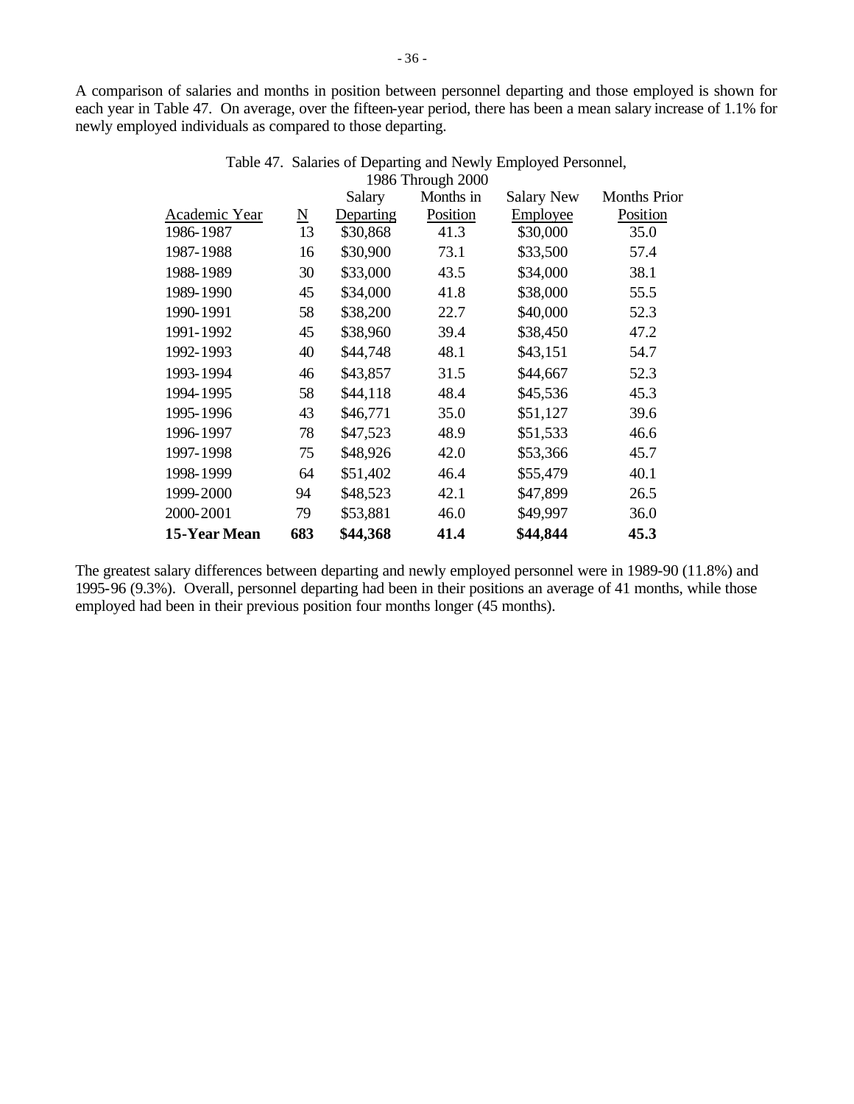A comparison of salaries and months in position between personnel departing and those employed is shown for each year in Table 47. On average, over the fifteen-year period, there has been a mean salary increase of 1.1% for newly employed individuals as compared to those departing.

|               |                     | Salary    | $1700$ THOUGH $2000$<br>Months in | <b>Salary New</b> | <b>Months Prior</b> |
|---------------|---------------------|-----------|-----------------------------------|-------------------|---------------------|
| Academic Year | $\underline{\rm N}$ | Departing | Position                          | Employee          | Position            |
| 1986-1987     | 13                  | \$30,868  | 41.3                              | \$30,000          | 35.0                |
| 1987-1988     | 16                  | \$30,900  | 73.1                              | \$33,500          | 57.4                |
| 1988-1989     | 30                  | \$33,000  | 43.5                              | \$34,000          | 38.1                |
| 1989-1990     | 45                  | \$34,000  | 41.8                              | \$38,000          | 55.5                |
| 1990-1991     | 58                  | \$38,200  | 22.7                              | \$40,000          | 52.3                |
| 1991-1992     | 45                  | \$38,960  | 39.4                              | \$38,450          | 47.2                |
| 1992-1993     | 40                  | \$44,748  | 48.1                              | \$43,151          | 54.7                |
| 1993-1994     | 46                  | \$43,857  | 31.5                              | \$44,667          | 52.3                |
| 1994-1995     | 58                  | \$44,118  | 48.4                              | \$45,536          | 45.3                |
| 1995-1996     | 43                  | \$46,771  | 35.0                              | \$51,127          | 39.6                |
| 1996-1997     | 78                  | \$47,523  | 48.9                              | \$51,533          | 46.6                |
| 1997-1998     | 75                  | \$48,926  | 42.0                              | \$53,366          | 45.7                |
| 1998-1999     | 64                  | \$51,402  | 46.4                              | \$55,479          | 40.1                |
| 1999-2000     | 94                  | \$48,523  | 42.1                              | \$47,899          | 26.5                |
| 2000-2001     | 79                  | \$53,881  | 46.0                              | \$49,997          | 36.0                |
| 15-Year Mean  | 683                 | \$44,368  | 41.4                              | \$44,844          | 45.3                |
|               |                     |           |                                   |                   |                     |

| Table 47. Salaries of Departing and Newly Employed Personnel, |
|---------------------------------------------------------------|
| 1986 Through 2000                                             |

The greatest salary differences between departing and newly employed personnel were in 1989-90 (11.8%) and 1995-96 (9.3%). Overall, personnel departing had been in their positions an average of 41 months, while those employed had been in their previous position four months longer (45 months).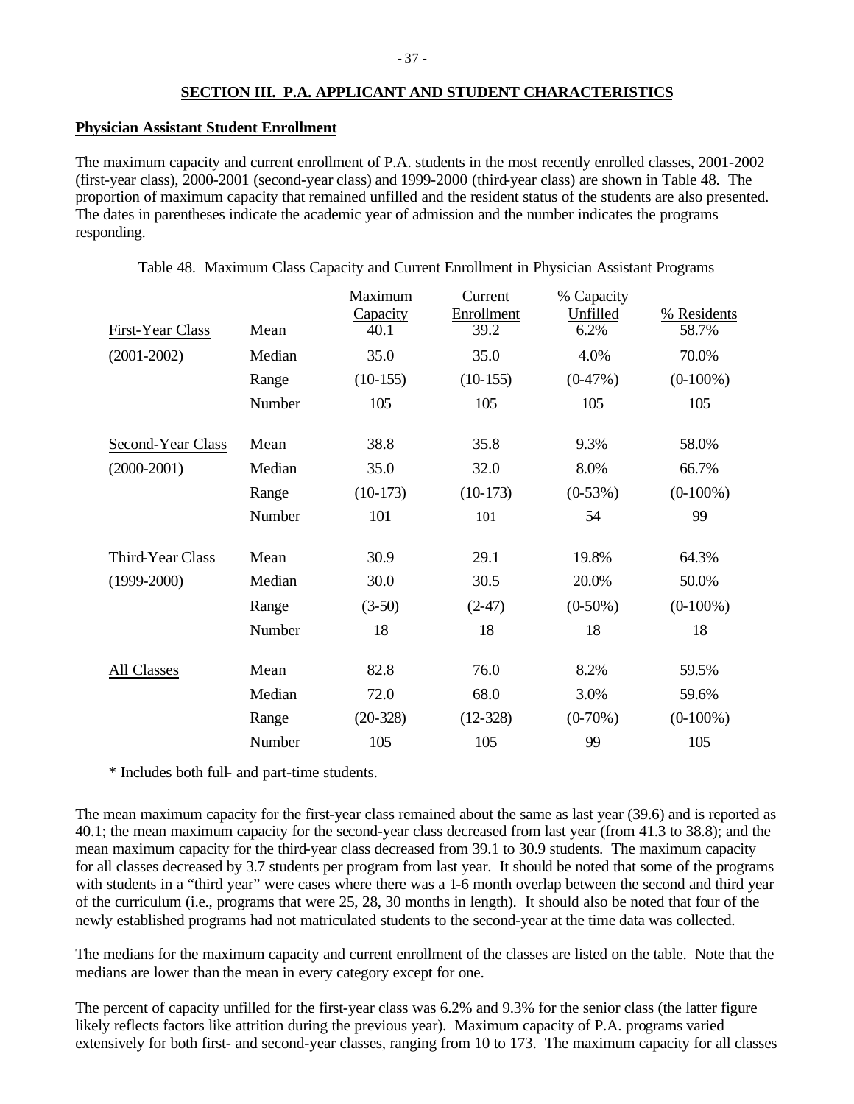# **SECTION III. P.A. APPLICANT AND STUDENT CHARACTERISTICS**

#### **Physician Assistant Student Enrollment**

The maximum capacity and current enrollment of P.A. students in the most recently enrolled classes, 2001-2002 (first-year class), 2000-2001 (second-year class) and 1999-2000 (third-year class) are shown in Table 48. The proportion of maximum capacity that remained unfilled and the resident status of the students are also presented. The dates in parentheses indicate the academic year of admission and the number indicates the programs responding.

| Mean   | Maximum<br>Capacity<br>40.1 | Current<br>Enrollment<br>39.2 | % Capacity<br>Unfilled<br>6.2% | % Residents<br>58.7% |
|--------|-----------------------------|-------------------------------|--------------------------------|----------------------|
| Median | 35.0                        | 35.0                          | 4.0%                           | 70.0%                |
| Range  | $(10-155)$                  | $(10-155)$                    | $(0-47%)$                      | $(0-100\%)$          |
| Number | 105                         | 105                           | 105                            | 105                  |
| Mean   | 38.8                        | 35.8                          | 9.3%                           | 58.0%                |
| Median | 35.0                        | 32.0                          | 8.0%                           | 66.7%                |
| Range  | $(10-173)$                  | $(10-173)$                    | $(0-53%)$                      | $(0-100\%)$          |
| Number | 101                         | 101                           | 54                             | 99                   |
| Mean   | 30.9                        | 29.1                          | 19.8%                          | 64.3%                |
| Median | 30.0                        | 30.5                          | 20.0%                          | 50.0%                |
| Range  | $(3-50)$                    | $(2-47)$                      | $(0-50\%)$                     | $(0-100\%)$          |
| Number | 18                          | 18                            | 18                             | 18                   |
| Mean   | 82.8                        | 76.0                          | 8.2%                           | 59.5%                |
| Median | 72.0                        | 68.0                          | 3.0%                           | 59.6%                |
| Range  | $(20-328)$                  | $(12-328)$                    | $(0-70\%)$                     | $(0-100\%)$          |
| Number | 105                         | 105                           | 99                             | 105                  |
|        |                             |                               |                                |                      |

Table 48. Maximum Class Capacity and Current Enrollment in Physician Assistant Programs

\* Includes both full- and part-time students.

The mean maximum capacity for the first-year class remained about the same as last year (39.6) and is reported as 40.1; the mean maximum capacity for the second-year class decreased from last year (from 41.3 to 38.8); and the mean maximum capacity for the third-year class decreased from 39.1 to 30.9 students. The maximum capacity for all classes decreased by 3.7 students per program from last year. It should be noted that some of the programs with students in a "third year" were cases where there was a 1-6 month overlap between the second and third year of the curriculum (i.e., programs that were 25, 28, 30 months in length). It should also be noted that four of the newly established programs had not matriculated students to the second-year at the time data was collected.

The medians for the maximum capacity and current enrollment of the classes are listed on the table. Note that the medians are lower than the mean in every category except for one.

The percent of capacity unfilled for the first-year class was 6.2% and 9.3% for the senior class (the latter figure likely reflects factors like attrition during the previous year). Maximum capacity of P.A. programs varied extensively for both first- and second-year classes, ranging from 10 to 173. The maximum capacity for all classes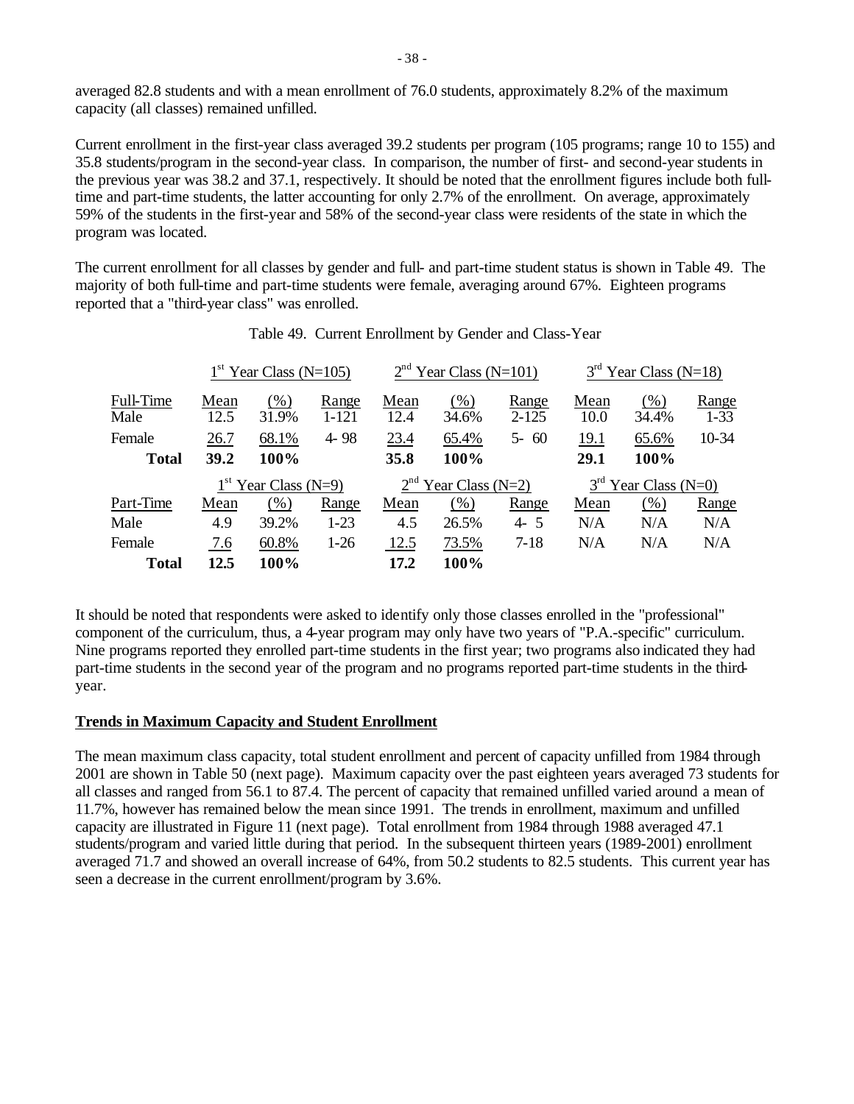averaged 82.8 students and with a mean enrollment of 76.0 students, approximately 8.2% of the maximum capacity (all classes) remained unfilled.

Current enrollment in the first-year class averaged 39.2 students per program (105 programs; range 10 to 155) and 35.8 students/program in the second-year class. In comparison, the number of first- and second-year students in the previous year was 38.2 and 37.1, respectively. It should be noted that the enrollment figures include both fulltime and part-time students, the latter accounting for only 2.7% of the enrollment. On average, approximately 59% of the students in the first-year and 58% of the second-year class were residents of the state in which the program was located.

The current enrollment for all classes by gender and full- and part-time student status is shown in Table 49. The majority of both full-time and part-time students were female, averaging around 67%. Eighteen programs reported that a "third-year class" was enrolled.

|                   |                        | $1st$ Year Class (N=105) |                    |                        | $2nd$ Year Class (N=101) |                    |              | $3rd$ Year Class (N=18) |                   |
|-------------------|------------------------|--------------------------|--------------------|------------------------|--------------------------|--------------------|--------------|-------------------------|-------------------|
| Full-Time<br>Male | Mean<br>12.5           | (%)<br>31.9%             | Range<br>$1 - 121$ | Mean<br>12.4           | $(\%)$<br>34.6%          | Range<br>$2 - 125$ | Mean<br>10.0 | $(\%)$<br>34.4%         | Range<br>$1 - 33$ |
| Female            | 26.7                   | 68.1%                    | $4 - 98$           | 23.4                   | 65.4%                    | $5 - 60$           | 19.1         | 65.6%                   | 10-34             |
| <b>Total</b>      | 39.2                   | 100%                     |                    | 35.8                   | 100%                     |                    | 29.1         | 100%                    |                   |
|                   | $1st$ Year Class (N=9) |                          |                    | $2nd$ Year Class (N=2) |                          |                    |              | $3rd$ Year Class (N=0)  |                   |
| Part-Time         | Mean                   | (% )                     | Range              | Mean                   | (% )                     | Range              | Mean         | $(\%)$                  | Range             |
| Male              | 4.9                    | 39.2%                    | $1-23$             | 4.5                    | 26.5%                    | $4 - 5$            | N/A          | N/A                     | N/A               |
| Female            | 7.6                    | 60.8%                    | $1-26$             | 12.5                   | 73.5%                    | $7 - 18$           | N/A          | N/A                     | N/A               |
| <b>Total</b>      | 12.5                   | 100%                     |                    | 17.2                   | 100%                     |                    |              |                         |                   |

It should be noted that respondents were asked to identify only those classes enrolled in the "professional" component of the curriculum, thus, a 4-year program may only have two years of "P.A.-specific" curriculum. Nine programs reported they enrolled part-time students in the first year; two programs also indicated they had part-time students in the second year of the program and no programs reported part-time students in the thirdyear.

# **Trends in Maximum Capacity and Student Enrollment**

The mean maximum class capacity, total student enrollment and percent of capacity unfilled from 1984 through 2001 are shown in Table 50 (next page). Maximum capacity over the past eighteen years averaged 73 students for all classes and ranged from 56.1 to 87.4. The percent of capacity that remained unfilled varied around a mean of 11.7%, however has remained below the mean since 1991. The trends in enrollment, maximum and unfilled capacity are illustrated in Figure 11 (next page). Total enrollment from 1984 through 1988 averaged 47.1 students/program and varied little during that period. In the subsequent thirteen years (1989-2001) enrollment averaged 71.7 and showed an overall increase of 64%, from 50.2 students to 82.5 students. This current year has seen a decrease in the current enrollment/program by 3.6%.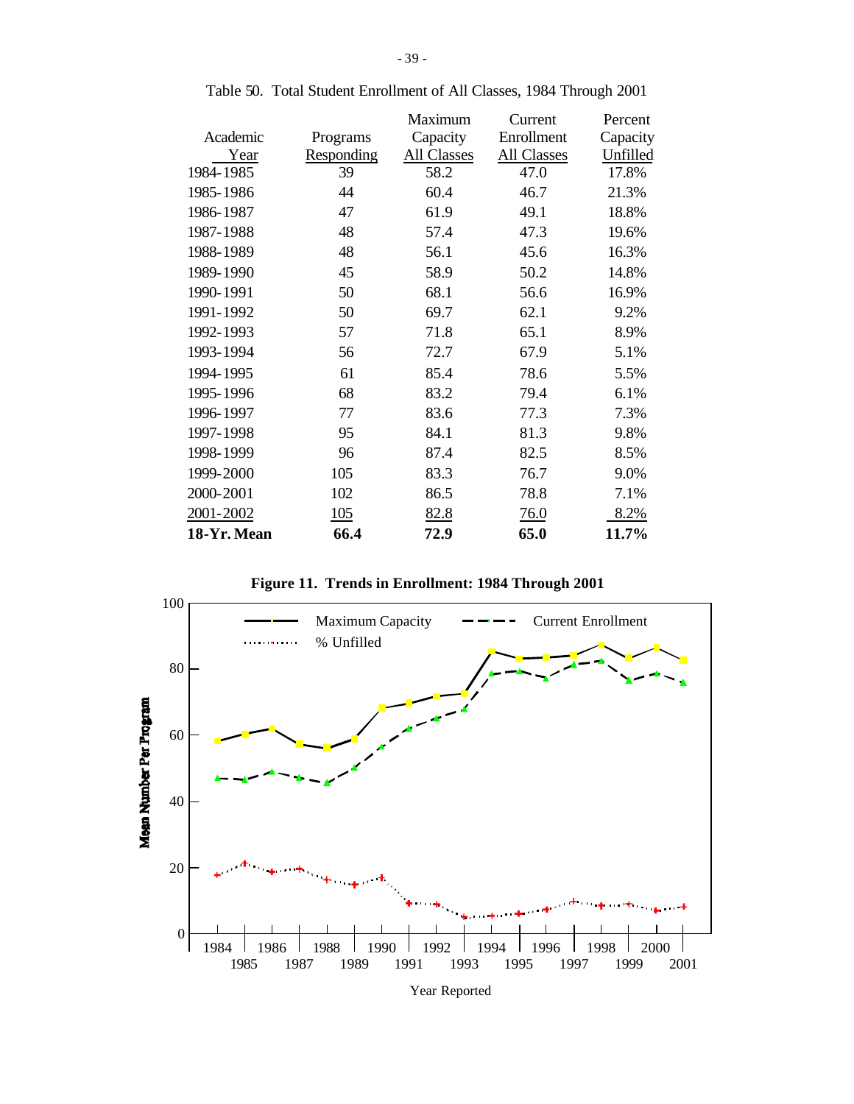|            | Maximum     | Current     | Percent  |
|------------|-------------|-------------|----------|
| Programs   | Capacity    | Enrollment  | Capacity |
| Responding | All Classes | All Classes | Unfilled |
| 39         | 58.2        | 47.0        | 17.8%    |
| 44         | 60.4        | 46.7        | 21.3%    |
| 47         | 61.9        | 49.1        | 18.8%    |
| 48         | 57.4        | 47.3        | 19.6%    |
| 48         | 56.1        | 45.6        | 16.3%    |
| 45         | 58.9        | 50.2        | 14.8%    |
| 50         | 68.1        | 56.6        | 16.9%    |
| 50         | 69.7        | 62.1        | 9.2%     |
| 57         | 71.8        | 65.1        | 8.9%     |
| 56         | 72.7        | 67.9        | 5.1%     |
| 61         | 85.4        | 78.6        | 5.5%     |
| 68         | 83.2        | 79.4        | 6.1%     |
| 77         | 83.6        | 77.3        | 7.3%     |
| 95         | 84.1        | 81.3        | 9.8%     |
| 96         | 87.4        | 82.5        | 8.5%     |
| 105        | 83.3        | 76.7        | 9.0%     |
| 102        | 86.5        | 78.8        | 7.1%     |
| 105        | 82.8        | <u>76.0</u> | 8.2%     |
| 66.4       | 72.9        | 65.0        | 11.7%    |
|            |             |             |          |

Table 50. Total Student Enrollment of All Classes, 1984 Through 2001

**Figure 11. Trends in Enrollment: 1984 Through 2001**



Year Reported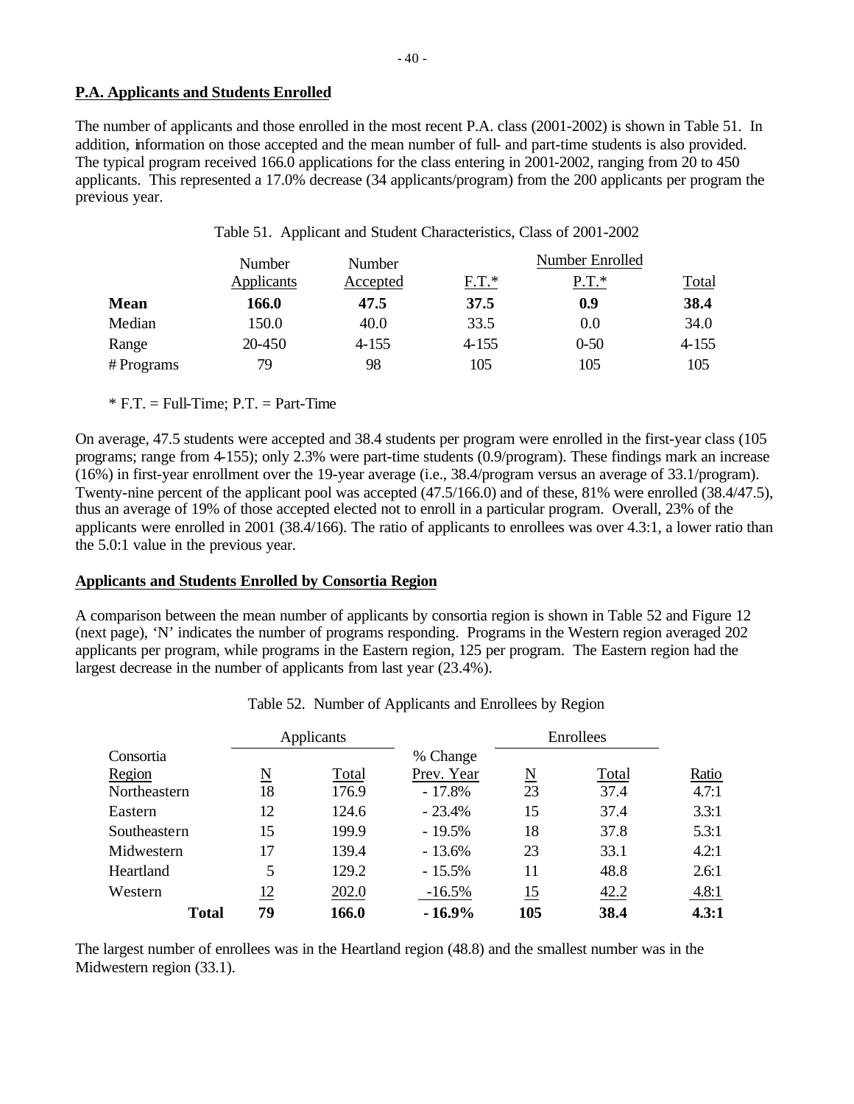# **P.A. Applicants and Students Enrolled**

The number of applicants and those enrolled in the most recent P.A. class (2001-2002) is shown in Table 51. In addition, information on those accepted and the mean number of full- and part-time students is also provided. The typical program received 166.0 applications for the class entering in 2001-2002, ranging from 20 to 450 applicants. This represented a 17.0% decrease (34 applicants/program) from the 200 applicants per program the previous year.

|           | Number     | Number   | Number Enrolled |          |              |  |  |
|-----------|------------|----------|-----------------|----------|--------------|--|--|
|           | Applicants | Accepted | $F.T.*$         | $P.T.*$  | <u>Total</u> |  |  |
| Mean      | 166.0      | 47.5     | 37.5            | 0.9      | 38.4         |  |  |
| Median    | 150.0      | 40.0     | 33.5            | 0.0      | 34.0         |  |  |
| Range     | 20-450     | 4-155    | 4-155           | $0 - 50$ | $4 - 155$    |  |  |
| #Programs | 79         | 98       | 105             | 105      | 105          |  |  |

Table 51. Applicant and Student Characteristics, Class of 2001-2002

 $*$  F.T. = Full-Time; P.T. = Part-Time

On average, 47.5 students were accepted and 38.4 students per program were enrolled in the first-year class (105 programs; range from 4-155); only 2.3% were part-time students (0.9/program). These findings mark an increase (16%) in first-year enrollment over the 19-year average (i.e., 38.4/program versus an average of 33.1/program). Twenty-nine percent of the applicant pool was accepted (47.5/166.0) and of these, 81% were enrolled (38.4/47.5), thus an average of 19% of those accepted elected not to enroll in a particular program. Overall, 23% of the applicants were enrolled in 2001 (38.4/166). The ratio of applicants to enrollees was over 4.3:1, a lower ratio than the 5.0:1 value in the previous year.

#### **Applicants and Students Enrolled by Consortia Region**

A comparison between the mean number of applicants by consortia region is shown in Table 52 and Figure 12 (next page), 'N' indicates the number of programs responding. Programs in the Western region averaged 202 applicants per program, while programs in the Eastern region, 125 per program. The Eastern region had the largest decrease in the number of applicants from last year (23.4%).

|              |                          | Applicants |            |     | Enrollees |       |
|--------------|--------------------------|------------|------------|-----|-----------|-------|
| Consortia    |                          |            | % Change   |     |           |       |
| Region       | $\underline{\mathrm{N}}$ | Total      | Prev. Year | N   | Total     | Ratio |
| Northeastern | 18                       | 176.9      | $-17.8%$   | 23  | 37.4      | 4.7:1 |
| Eastern      | 12                       | 124.6      | $-23.4%$   | 15  | 37.4      | 3.3:1 |
| Southeastern | 15                       | 199.9      | $-19.5%$   | 18  | 37.8      | 5.3:1 |
| Midwestern   | 17                       | 139.4      | $-13.6%$   | 23  | 33.1      | 4.2:1 |
| Heartland    | 5                        | 129.2      | $-15.5%$   | 11  | 48.8      | 2.6:1 |
| Western      | 12                       | 202.0      | $-16.5%$   | 15  | 42.2      | 4.8:1 |
| <b>Total</b> | 79                       | 166.0      | $-16.9%$   | 105 | 38.4      | 4.3:1 |

| Table 52. Number of Applicants and Enrollees by Region |
|--------------------------------------------------------|
|--------------------------------------------------------|

The largest number of enrollees was in the Heartland region (48.8) and the smallest number was in the Midwestern region (33.1).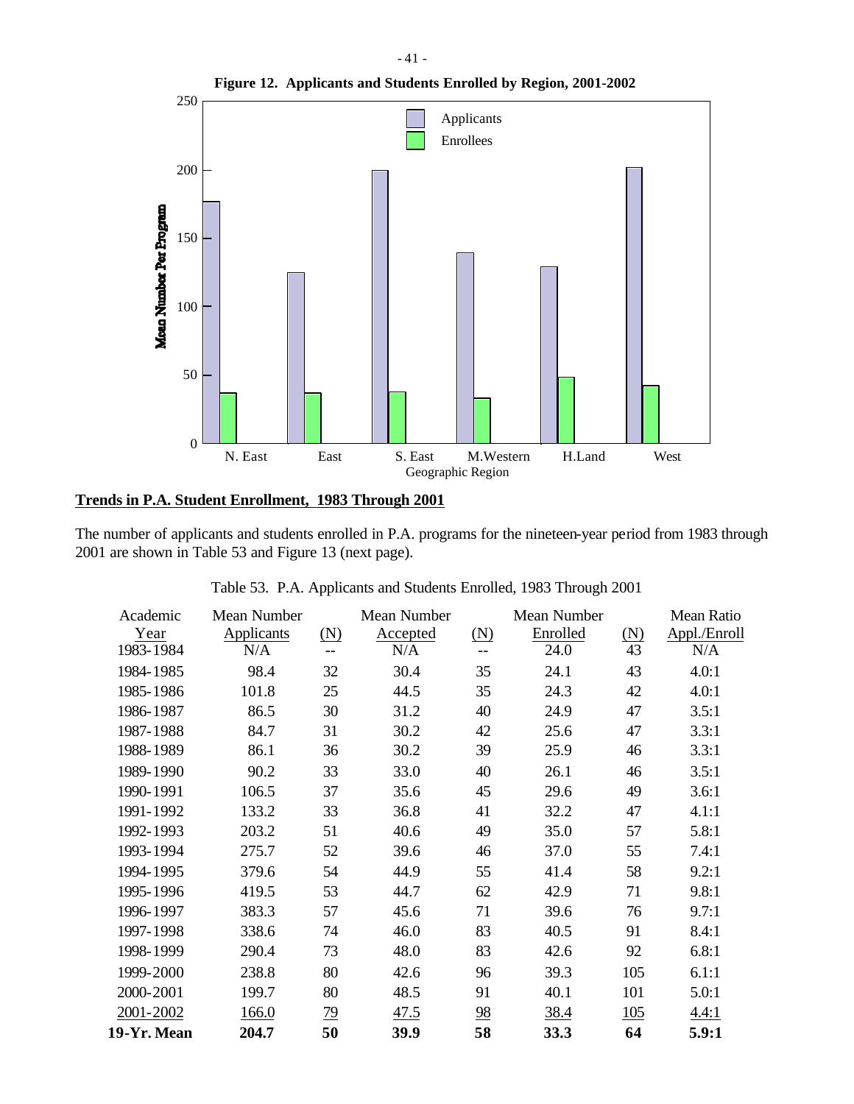

# **Trends in P.A. Student Enrollment, 1983 Through 2001**

The number of applicants and students enrolled in P.A. programs for the nineteen-year period from 1983 through 2001 are shown in Table 53 and Figure 13 (next page).

| Academic    | Mean Number |           | Mean Number |                   | Mean Number |                   | Mean Ratio   |
|-------------|-------------|-----------|-------------|-------------------|-------------|-------------------|--------------|
| Year        | Applicants  | (N)       | Accepted    | $(\underline{N})$ | Enrolled    | $(\underline{N})$ | Appl./Enroll |
| 1983-1984   | N/A         | $-$       | N/A         |                   | 24.0        | 43                | N/A          |
| 1984-1985   | 98.4        | 32        | 30.4        | 35                | 24.1        | 43                | 4.0:1        |
| 1985-1986   | 101.8       | 25        | 44.5        | 35                | 24.3        | 42                | 4.0:1        |
| 1986-1987   | 86.5        | 30        | 31.2        | 40                | 24.9        | 47                | 3.5:1        |
| 1987-1988   | 84.7        | 31        | 30.2        | 42                | 25.6        | 47                | 3.3:1        |
| 1988-1989   | 86.1        | 36        | 30.2        | 39                | 25.9        | 46                | 3.3:1        |
| 1989-1990   | 90.2        | 33        | 33.0        | 40                | 26.1        | 46                | 3.5:1        |
| 1990-1991   | 106.5       | 37        | 35.6        | 45                | 29.6        | 49                | 3.6:1        |
| 1991-1992   | 133.2       | 33        | 36.8        | 41                | 32.2        | 47                | 4.1:1        |
| 1992-1993   | 203.2       | 51        | 40.6        | 49                | 35.0        | 57                | 5.8:1        |
| 1993-1994   | 275.7       | 52        | 39.6        | 46                | 37.0        | 55                | 7.4:1        |
| 1994-1995   | 379.6       | 54        | 44.9        | 55                | 41.4        | 58                | 9.2:1        |
| 1995-1996   | 419.5       | 53        | 44.7        | 62                | 42.9        | 71                | 9.8:1        |
| 1996-1997   | 383.3       | 57        | 45.6        | 71                | 39.6        | 76                | 9.7:1        |
| 1997-1998   | 338.6       | 74        | 46.0        | 83                | 40.5        | 91                | 8.4:1        |
| 1998-1999   | 290.4       | 73        | 48.0        | 83                | 42.6        | 92                | 6.8:1        |
| 1999-2000   | 238.8       | 80        | 42.6        | 96                | 39.3        | 105               | 6.1:1        |
| 2000-2001   | 199.7       | 80        | 48.5        | 91                | 40.1        | 101               | 5.0:1        |
| 2001-2002   | 166.0       | <u>79</u> | 47.5        | $\frac{98}{5}$    | <u>38.4</u> | 105               | 4.4:1        |
| 19-Yr. Mean | 204.7       | 50        | 39.9        | 58                | 33.3        | 64                | 5.9:1        |

Table 53. P.A. Applicants and Students Enrolled, 1983 Through 2001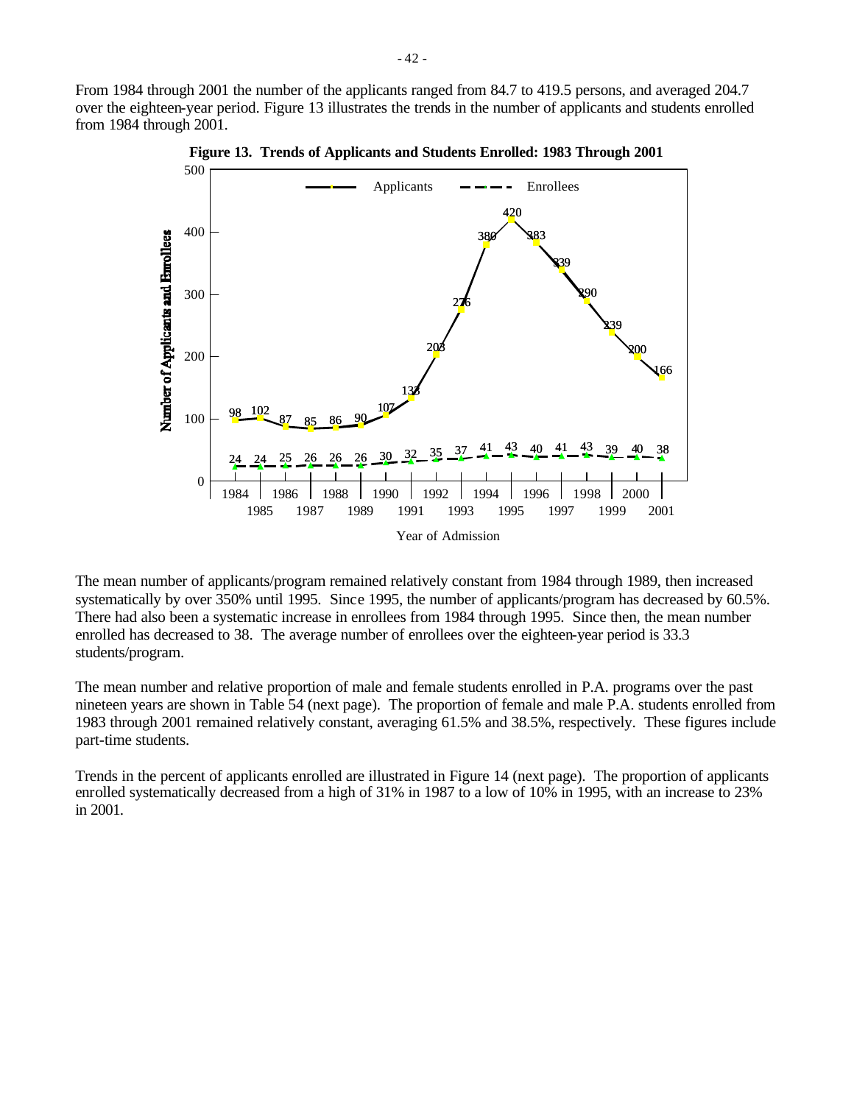From 1984 through 2001 the number of the applicants ranged from 84.7 to 419.5 persons, and averaged 204.7 over the eighteen-year period. Figure 13 illustrates the trends in the number of applicants and students enrolled from 1984 through 2001.



**Figure 13. Trends of Applicants and Students Enrolled: 1983 Through 2001**

The mean number of applicants/program remained relatively constant from 1984 through 1989, then increased systematically by over 350% until 1995. Since 1995, the number of applicants/program has decreased by 60.5%. There had also been a systematic increase in enrollees from 1984 through 1995. Since then, the mean number enrolled has decreased to 38. The average number of enrollees over the eighteen-year period is 33.3 students/program.

The mean number and relative proportion of male and female students enrolled in P.A. programs over the past nineteen years are shown in Table 54 (next page). The proportion of female and male P.A. students enrolled from 1983 through 2001 remained relatively constant, averaging 61.5% and 38.5%, respectively. These figures include part-time students.

Trends in the percent of applicants enrolled are illustrated in Figure 14 (next page). The proportion of applicants enrolled systematically decreased from a high of 31% in 1987 to a low of 10% in 1995, with an increase to 23% in 2001.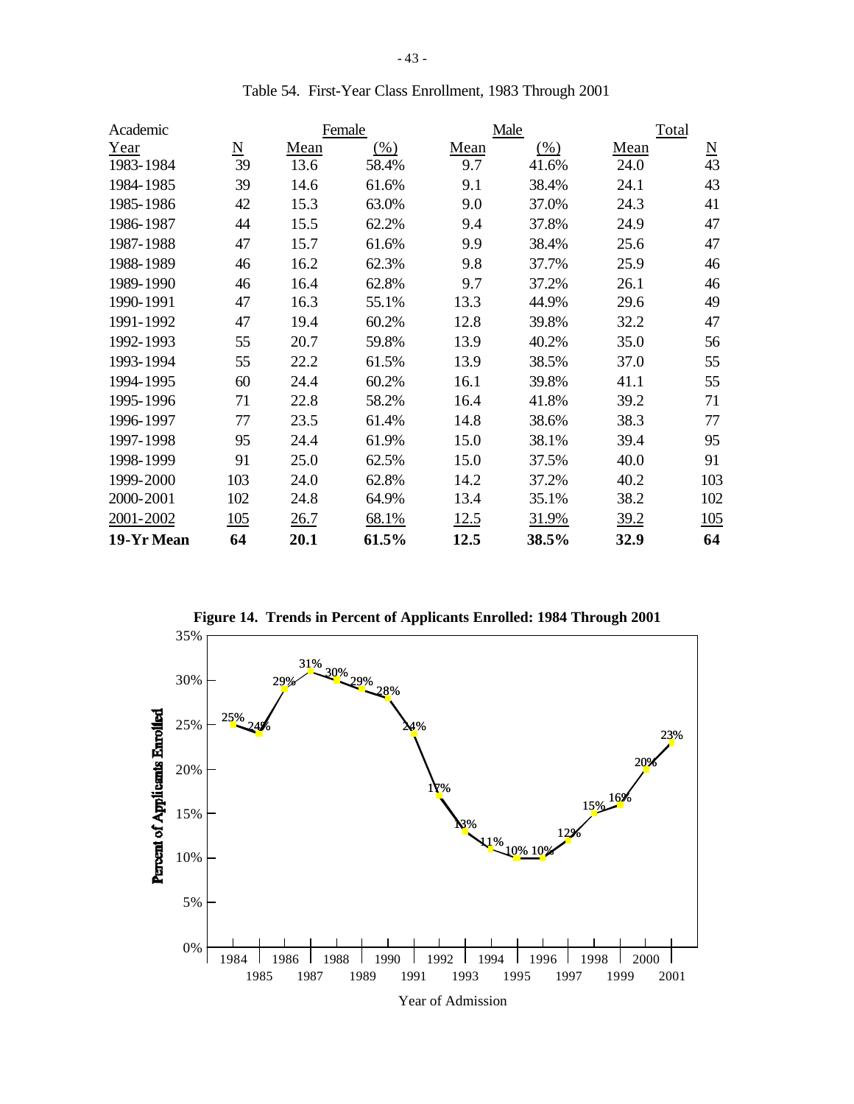| Academic   | Female          |      |        |      | Male   | Total |                          |
|------------|-----------------|------|--------|------|--------|-------|--------------------------|
| Year       | $\underline{N}$ | Mean | $(\%)$ | Mean | $(\%)$ | Mean  | $\underline{\mathrm{N}}$ |
| 1983-1984  | 39              | 13.6 | 58.4%  | 9.7  | 41.6%  | 24.0  | 43                       |
| 1984-1985  | 39              | 14.6 | 61.6%  | 9.1  | 38.4%  | 24.1  | 43                       |
| 1985-1986  | 42              | 15.3 | 63.0%  | 9.0  | 37.0%  | 24.3  | 41                       |
| 1986-1987  | 44              | 15.5 | 62.2%  | 9.4  | 37.8%  | 24.9  | 47                       |
| 1987-1988  | 47              | 15.7 | 61.6%  | 9.9  | 38.4%  | 25.6  | 47                       |
| 1988-1989  | 46              | 16.2 | 62.3%  | 9.8  | 37.7%  | 25.9  | 46                       |
| 1989-1990  | 46              | 16.4 | 62.8%  | 9.7  | 37.2%  | 26.1  | 46                       |
| 1990-1991  | 47              | 16.3 | 55.1%  | 13.3 | 44.9%  | 29.6  | 49                       |
| 1991-1992  | 47              | 19.4 | 60.2%  | 12.8 | 39.8%  | 32.2  | 47                       |
| 1992-1993  | 55              | 20.7 | 59.8%  | 13.9 | 40.2%  | 35.0  | 56                       |
| 1993-1994  | 55              | 22.2 | 61.5%  | 13.9 | 38.5%  | 37.0  | 55                       |
| 1994-1995  | 60              | 24.4 | 60.2%  | 16.1 | 39.8%  | 41.1  | 55                       |
| 1995-1996  | 71              | 22.8 | 58.2%  | 16.4 | 41.8%  | 39.2  | 71                       |
| 1996-1997  | 77              | 23.5 | 61.4%  | 14.8 | 38.6%  | 38.3  | 77                       |
| 1997-1998  | 95              | 24.4 | 61.9%  | 15.0 | 38.1%  | 39.4  | 95                       |
| 1998-1999  | 91              | 25.0 | 62.5%  | 15.0 | 37.5%  | 40.0  | 91                       |
| 1999-2000  | 103             | 24.0 | 62.8%  | 14.2 | 37.2%  | 40.2  | 103                      |
| 2000-2001  | 102             | 24.8 | 64.9%  | 13.4 | 35.1%  | 38.2  | 102                      |
| 2001-2002  | 105             | 26.7 | 68.1%  | 12.5 | 31.9%  | 39.2  | 105                      |
| 19-Yr Mean | 64              | 20.1 | 61.5%  | 12.5 | 38.5%  | 32.9  | 64                       |

Table 54. First-Year Class Enrollment, 1983 Through 2001



Year of Admission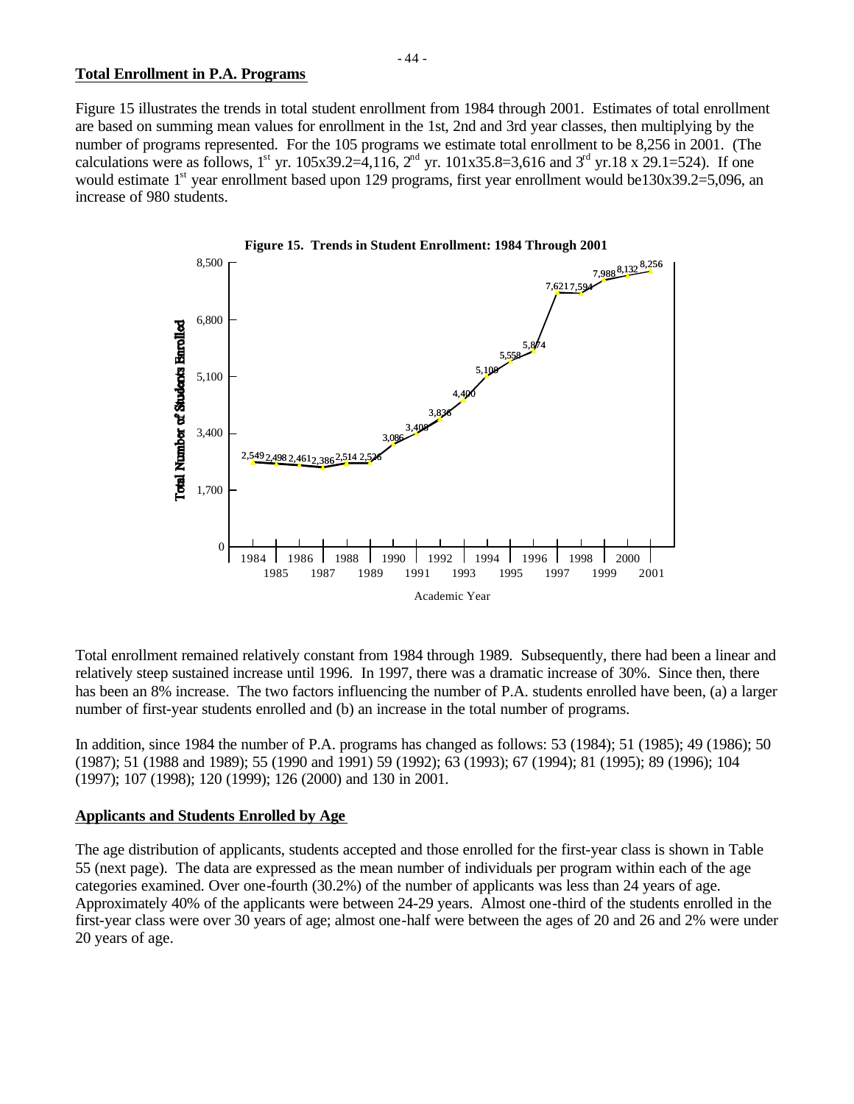#### **Total Enrollment in P.A. Programs**

Figure 15 illustrates the trends in total student enrollment from 1984 through 2001. Estimates of total enrollment are based on summing mean values for enrollment in the 1st, 2nd and 3rd year classes, then multiplying by the number of programs represented. For the 105 programs we estimate total enrollment to be 8,256 in 2001. (The calculations were as follows, 1<sup>st</sup> yr. 105x39.2=4,116, 2<sup>nd</sup> yr. 101x35.8=3,616 and 3<sup>rd</sup> yr.18 x 29.1=524). If one would estimate 1<sup>st</sup> year enrollment based upon 129 programs, first year enrollment would be130x39.2=5,096, an increase of 980 students.



Total enrollment remained relatively constant from 1984 through 1989. Subsequently, there had been a linear and relatively steep sustained increase until 1996. In 1997, there was a dramatic increase of 30%. Since then, there has been an 8% increase. The two factors influencing the number of P.A. students enrolled have been, (a) a larger number of first-year students enrolled and (b) an increase in the total number of programs.

In addition, since 1984 the number of P.A. programs has changed as follows: 53 (1984); 51 (1985); 49 (1986); 50 (1987); 51 (1988 and 1989); 55 (1990 and 1991) 59 (1992); 63 (1993); 67 (1994); 81 (1995); 89 (1996); 104 (1997); 107 (1998); 120 (1999); 126 (2000) and 130 in 2001.

#### **Applicants and Students Enrolled by Age**

The age distribution of applicants, students accepted and those enrolled for the first-year class is shown in Table 55 (next page). The data are expressed as the mean number of individuals per program within each of the age categories examined. Over one-fourth (30.2%) of the number of applicants was less than 24 years of age. Approximately 40% of the applicants were between 24-29 years. Almost one-third of the students enrolled in the first-year class were over 30 years of age; almost one-half were between the ages of 20 and 26 and 2% were under 20 years of age.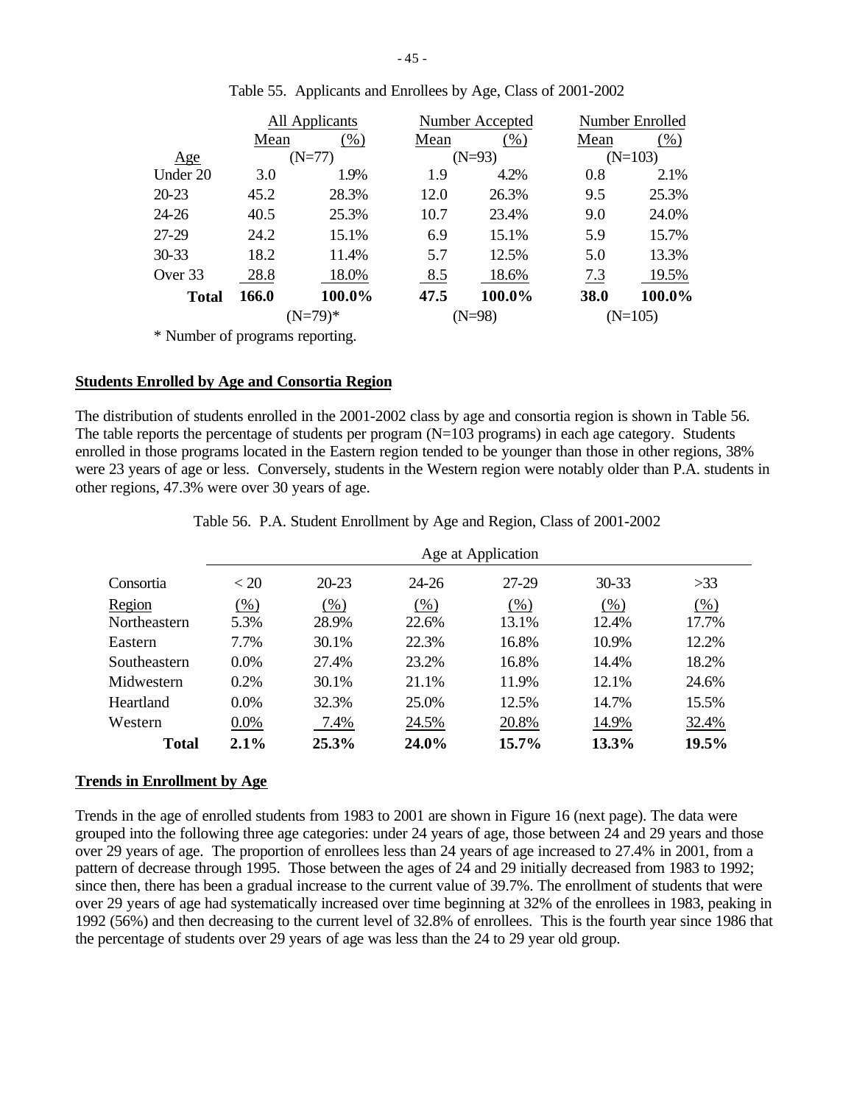|              | All Applicants |          |      | Number Accepted |      | Number Enrolled |  |
|--------------|----------------|----------|------|-----------------|------|-----------------|--|
|              | Mean           | $(\%)$   | Mean | $(\% )$         | Mean | $(\%)$          |  |
| Age          |                | $(N=77)$ |      | $(N=93)$        |      | $(N=103)$       |  |
| Under 20     | 3.0            | 1.9%     | 1.9  | 4.2%            | 0.8  | 2.1%            |  |
| $20 - 23$    | 45.2           | 28.3%    | 12.0 | 26.3%           | 9.5  | 25.3%           |  |
| $24 - 26$    | 40.5           | 25.3%    | 10.7 | 23.4%           | 9.0  | 24.0%           |  |
| 27-29        | 24.2           | 15.1%    | 6.9  | 15.1%           | 5.9  | 15.7%           |  |
| $30 - 33$    | 18.2           | 11.4%    | 5.7  | 12.5%           | 5.0  | 13.3%           |  |
| Over 33      | 28.8           | 18.0%    | 8.5  | 18.6%           | 7.3  | 19.5%           |  |
| <b>Total</b> | 166.0          | 100.0%   | 47.5 | 100.0%          | 38.0 | 100.0%          |  |
|              | $(N=79)*$      |          |      | $(N=98)$        |      | $(N=105)$       |  |

|  | Table 55. Applicants and Enrollees by Age, Class of 2001-2002 |
|--|---------------------------------------------------------------|
|  |                                                               |

\* Number of programs reporting.

#### **Students Enrolled by Age and Consortia Region**

The distribution of students enrolled in the 2001-2002 class by age and consortia region is shown in Table 56. The table reports the percentage of students per program  $(N=103 \text{ programs})$  in each age category. Students enrolled in those programs located in the Eastern region tended to be younger than those in other regions, 38% were 23 years of age or less. Conversely, students in the Western region were notably older than P.A. students in other regions, 47.3% were over 30 years of age.

|              | Age at Application |           |       |       |           |        |  |
|--------------|--------------------|-----------|-------|-------|-----------|--------|--|
| Consortia    | < 20               | $20 - 23$ | 24-26 | 27-29 | $30 - 33$ | >33    |  |
| Region       | $(\%)$             | (% )      | (% )  | (% )  | (% )      | $(\%)$ |  |
| Northeastern | 5.3%               | 28.9%     | 22.6% | 13.1% | 12.4%     | 17.7%  |  |
| Eastern      | 7.7%               | 30.1%     | 22.3% | 16.8% | 10.9%     | 12.2%  |  |
| Southeastern | $0.0\%$            | 27.4%     | 23.2% | 16.8% | 14.4%     | 18.2%  |  |
| Midwestern   | 0.2%               | 30.1%     | 21.1% | 11.9% | 12.1%     | 24.6%  |  |
| Heartland    | 0.0%               | 32.3%     | 25.0% | 12.5% | 14.7%     | 15.5%  |  |
| Western      | $0.0\%$            | 7.4%      | 24.5% | 20.8% | 14.9%     | 32.4%  |  |
| <b>Total</b> | 2.1%               | 25.3%     | 24.0% | 15.7% | 13.3%     | 19.5%  |  |

Table 56. P.A. Student Enrollment by Age and Region, Class of 2001-2002

#### **Trends in Enrollment by Age**

Trends in the age of enrolled students from 1983 to 2001 are shown in Figure 16 (next page). The data were grouped into the following three age categories: under 24 years of age, those between 24 and 29 years and those over 29 years of age. The proportion of enrollees less than 24 years of age increased to 27.4% in 2001, from a pattern of decrease through 1995. Those between the ages of 24 and 29 initially decreased from 1983 to 1992; since then, there has been a gradual increase to the current value of 39.7%. The enrollment of students that were over 29 years of age had systematically increased over time beginning at 32% of the enrollees in 1983, peaking in 1992 (56%) and then decreasing to the current level of 32.8% of enrollees. This is the fourth year since 1986 that the percentage of students over 29 years of age was less than the 24 to 29 year old group.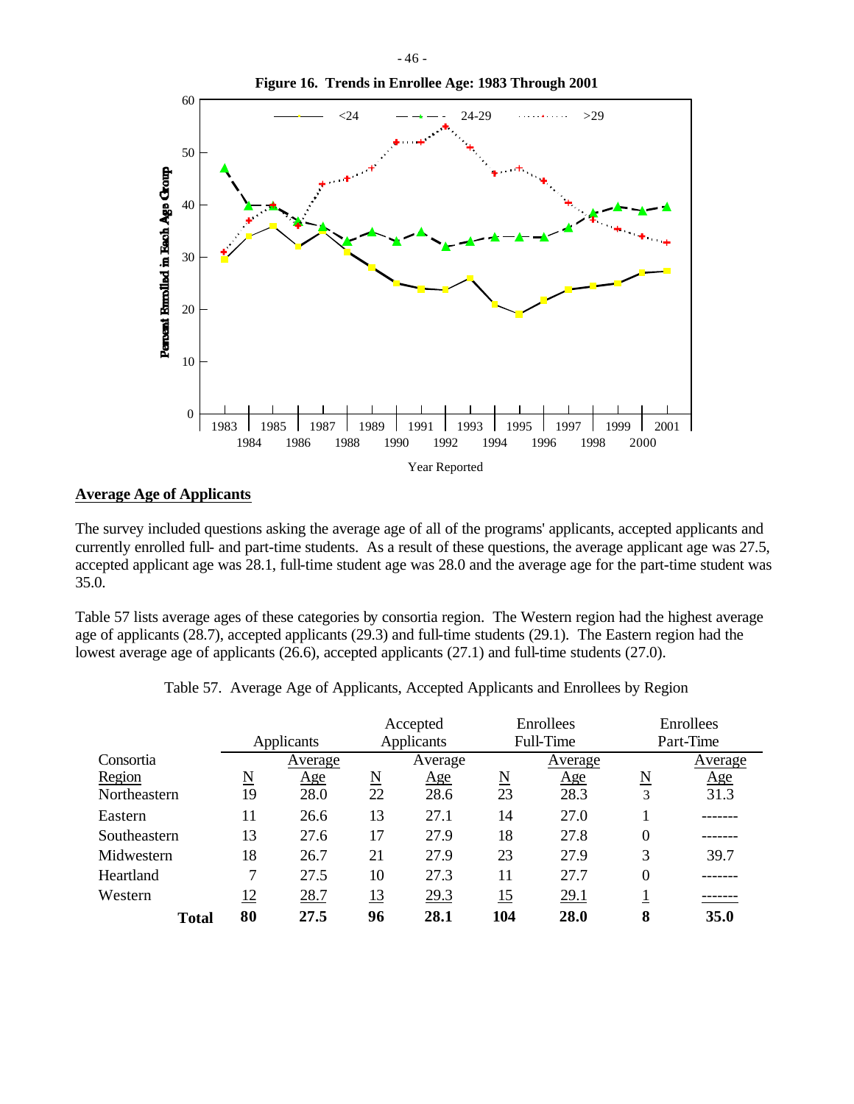

## **Average Age of Applicants**

The survey included questions asking the average age of all of the programs' applicants, accepted applicants and currently enrolled full- and part-time students. As a result of these questions, the average applicant age was 27.5, accepted applicant age was 28.1, full-time student age was 28.0 and the average age for the part-time student was 35.0.

Table 57 lists average ages of these categories by consortia region. The Western region had the highest average age of applicants (28.7), accepted applicants (29.3) and full-time students (29.1). The Eastern region had the lowest average age of applicants (26.6), accepted applicants (27.1) and full-time students (27.0).

|              |                        | Applicants | Accepted<br><b>Applicants</b> |            | Enrollees<br>Full-Time |         | Enrollees<br>Part-Time |         |
|--------------|------------------------|------------|-------------------------------|------------|------------------------|---------|------------------------|---------|
| Consortia    |                        | Average    |                               | Average    |                        | Average |                        | Average |
| Region       | $\underline{\text{N}}$ | <u>Age</u> | $\underline{\mathrm{N}}$      | <u>Age</u> | $\underline{\text{N}}$ | Age     | N                      | Age     |
| Northeastern | 19                     | 28.0       | 22                            | 28.6       | 23                     | 28.3    | 3                      | 31.3    |
| Eastern      | 11                     | 26.6       | 13                            | 27.1       | 14                     | 27.0    |                        |         |
| Southeastern | 13                     | 27.6       | 17                            | 27.9       | 18                     | 27.8    | $\theta$               |         |
| Midwestern   | 18                     | 26.7       | 21                            | 27.9       | 23                     | 27.9    | 3                      | 39.7    |
| Heartland    | 7                      | 27.5       | 10                            | 27.3       | 11                     | 27.7    | $\boldsymbol{0}$       |         |
| Western      | 12                     | 28.7       | 13                            | 29.3       | 15                     | 29.1    |                        |         |
| <b>Total</b> | 80                     | 27.5       | 96                            | 28.1       | 104                    | 28.0    | 8                      | 35.0    |

|  | Table 57. Average Age of Applicants, Accepted Applicants and Enrollees by Region |  |  |
|--|----------------------------------------------------------------------------------|--|--|
|  |                                                                                  |  |  |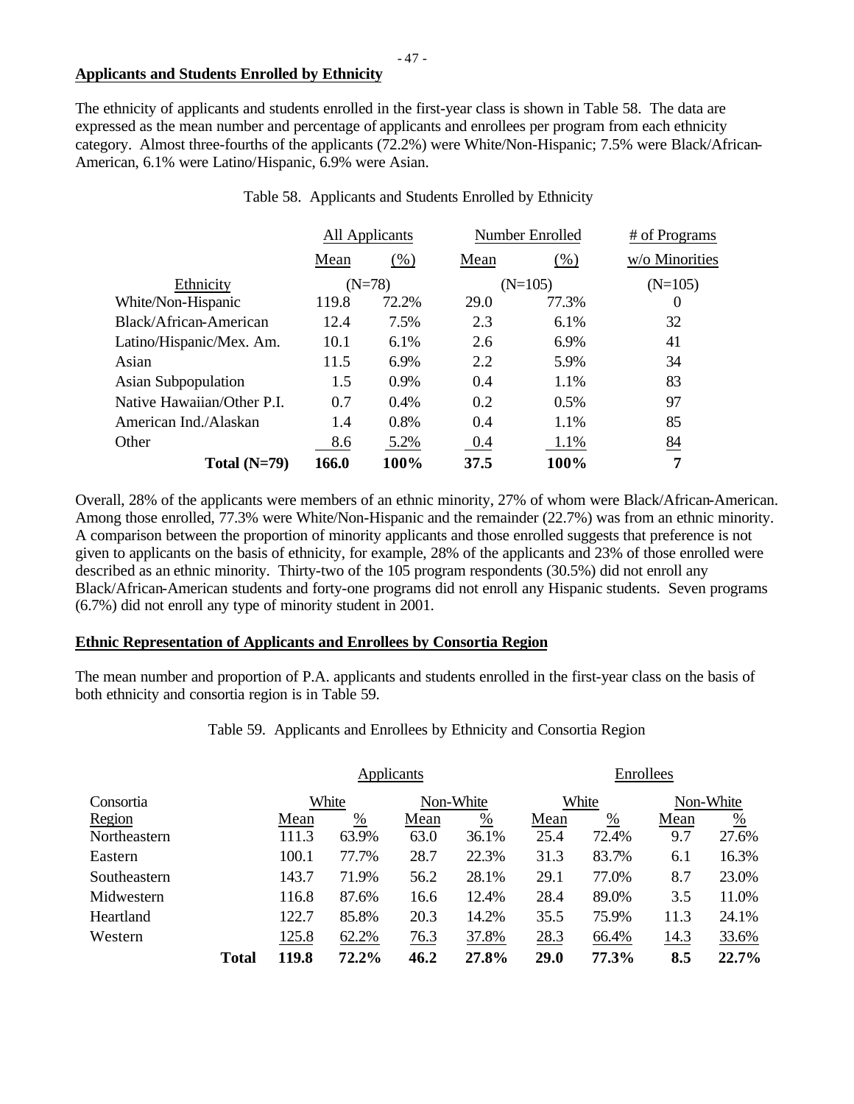# **Applicants and Students Enrolled by Ethnicity**

The ethnicity of applicants and students enrolled in the first-year class is shown in Table 58. The data are expressed as the mean number and percentage of applicants and enrollees per program from each ethnicity category. Almost three-fourths of the applicants (72.2%) were White/Non-Hispanic; 7.5% were Black/African-American, 6.1% were Latino/Hispanic, 6.9% were Asian.

|                            |       | All Applicants |      | Number Enrolled | # of Programs  |  |
|----------------------------|-------|----------------|------|-----------------|----------------|--|
|                            | Mean  | (% )           | Mean | (% )            | w/o Minorities |  |
| Ethnicity                  |       | $(N=78)$       |      | $(N=105)$       | $(N=105)$      |  |
| White/Non-Hispanic         | 119.8 | 72.2%          | 29.0 | 77.3%           | 0              |  |
| Black/African-American     | 12.4  | 7.5%           | 2.3  | 6.1%            | 32             |  |
| Latino/Hispanic/Mex. Am.   | 10.1  | 6.1%           | 2.6  | 6.9%            | 41             |  |
| Asian                      | 11.5  | 6.9%           | 2.2  | 5.9%            | 34             |  |
| <b>Asian Subpopulation</b> | 1.5   | 0.9%           | 0.4  | 1.1%            | 83             |  |
| Native Hawaiian/Other P.I. | 0.7   | 0.4%           | 0.2  | 0.5%            | 97             |  |
| American Ind./Alaskan      | 1.4   | 0.8%           | 0.4  | 1.1%            | 85             |  |
| Other                      | 8.6   | 5.2%           | 0.4  | 1.1%            | 84             |  |
| Total $(N=79)$             | 166.0 | 100%           | 37.5 | 100%            | 7              |  |

Table 58. Applicants and Students Enrolled by Ethnicity

Overall, 28% of the applicants were members of an ethnic minority, 27% of whom were Black/African-American. Among those enrolled, 77.3% were White/Non-Hispanic and the remainder (22.7%) was from an ethnic minority. A comparison between the proportion of minority applicants and those enrolled suggests that preference is not given to applicants on the basis of ethnicity, for example, 28% of the applicants and 23% of those enrolled were described as an ethnic minority. Thirty-two of the 105 program respondents (30.5%) did not enroll any Black/African-American students and forty-one programs did not enroll any Hispanic students. Seven programs (6.7%) did not enroll any type of minority student in 2001.

## **Ethnic Representation of Applicants and Enrollees by Consortia Region**

The mean number and proportion of P.A. applicants and students enrolled in the first-year class on the basis of both ethnicity and consortia region is in Table 59.

Table 59. Applicants and Enrollees by Ethnicity and Consortia Region

|              |              | Applicants |               |           |                 |       | Enrollees |             |               |  |
|--------------|--------------|------------|---------------|-----------|-----------------|-------|-----------|-------------|---------------|--|
| Consortia    |              | White      |               | Non-White |                 | White |           | Non-White   |               |  |
| Region       |              | Mean       | $\frac{0}{0}$ | Mean      | $\frac{\%}{\%}$ | Mean  | %         | Mean        | $\frac{0}{0}$ |  |
| Northeastern |              | 111.3      | 63.9%         | 63.0      | 36.1%           | 25.4  | 72.4%     | 9.7         | 27.6%         |  |
| Eastern      |              | 100.1      | 77.7%         | 28.7      | 22.3%           | 31.3  | 83.7%     | 6.1         | 16.3%         |  |
| Southeastern |              | 143.7      | 71.9%         | 56.2      | 28.1%           | 29.1  | 77.0%     | 8.7         | 23.0%         |  |
| Midwestern   |              | 116.8      | 87.6%         | 16.6      | 12.4%           | 28.4  | 89.0%     | 3.5         | 11.0%         |  |
| Heartland    |              | 122.7      | 85.8%         | 20.3      | 14.2%           | 35.5  | 75.9%     | 11.3        | 24.1%         |  |
| Western      |              | 125.8      | 62.2%         | 76.3      | 37.8%           | 28.3  | 66.4%     | <u>14.3</u> | 33.6%         |  |
|              | <b>Total</b> | 119.8      | 72.2%         | 46.2      | 27.8%           | 29.0  | 77.3%     | 8.5         | 22.7%         |  |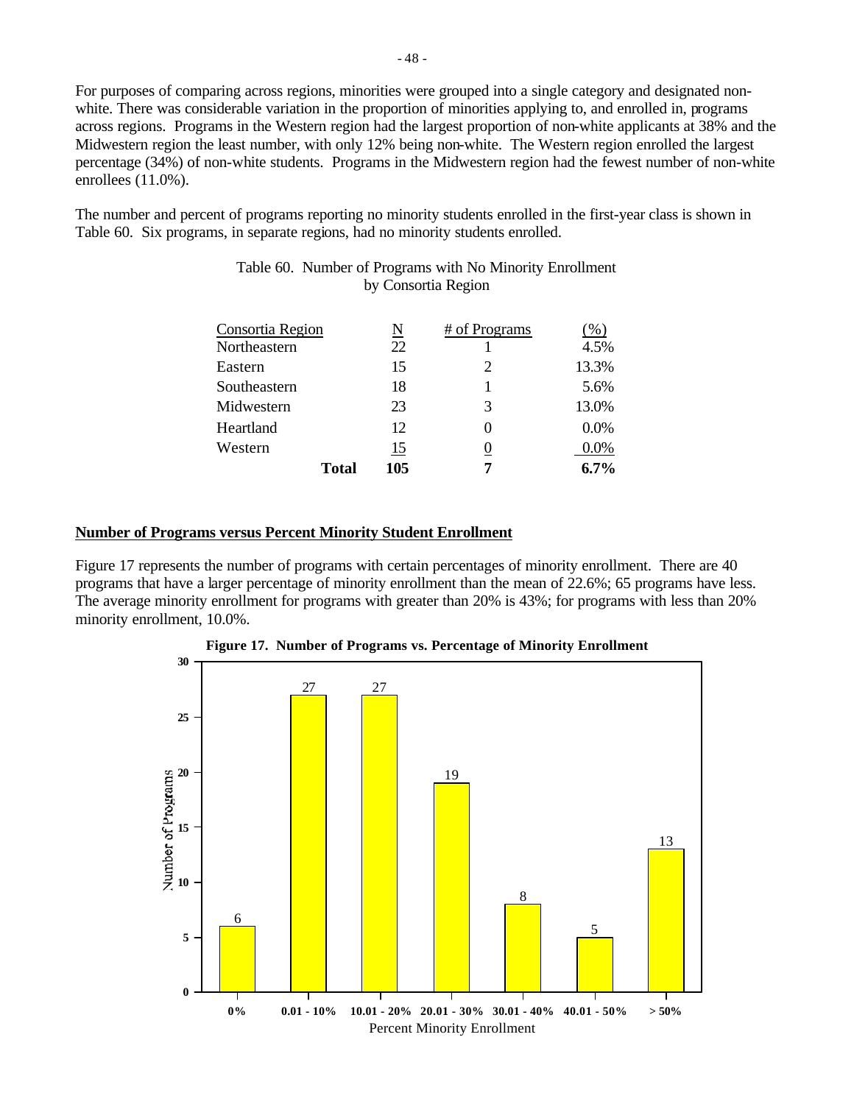For purposes of comparing across regions, minorities were grouped into a single category and designated nonwhite. There was considerable variation in the proportion of minorities applying to, and enrolled in, programs across regions. Programs in the Western region had the largest proportion of non-white applicants at 38% and the Midwestern region the least number, with only 12% being non-white. The Western region enrolled the largest percentage (34%) of non-white students. Programs in the Midwestern region had the fewest number of non-white enrollees (11.0%).

The number and percent of programs reporting no minority students enrolled in the first-year class is shown in Table 60. Six programs, in separate regions, had no minority students enrolled.

| Consortia Region |              | <u>N</u> | # of Programs         | $\%$    |
|------------------|--------------|----------|-----------------------|---------|
| Northeastern     |              | 22       |                       | 4.5%    |
| Eastern          |              | 15       | $\mathcal{D}_{\cdot}$ | 13.3%   |
| Southeastern     |              | 18       |                       | 5.6%    |
| Midwestern       |              | 23       | 3                     | 13.0%   |
| Heartland        |              | 12       |                       | $0.0\%$ |
| Western          |              | 15       |                       | 0.0%    |
|                  | <b>Total</b> | 105      | .,                    | $6.7\%$ |

# Table 60. Number of Programs with No Minority Enrollment by Consortia Region

## **Number of Programs versus Percent Minority Student Enrollment**

Figure 17 represents the number of programs with certain percentages of minority enrollment. There are 40 programs that have a larger percentage of minority enrollment than the mean of 22.6%; 65 programs have less. The average minority enrollment for programs with greater than 20% is 43%; for programs with less than 20% minority enrollment, 10.0%.



**Figure 17. Number of Programs vs. Percentage of Minority Enrollment**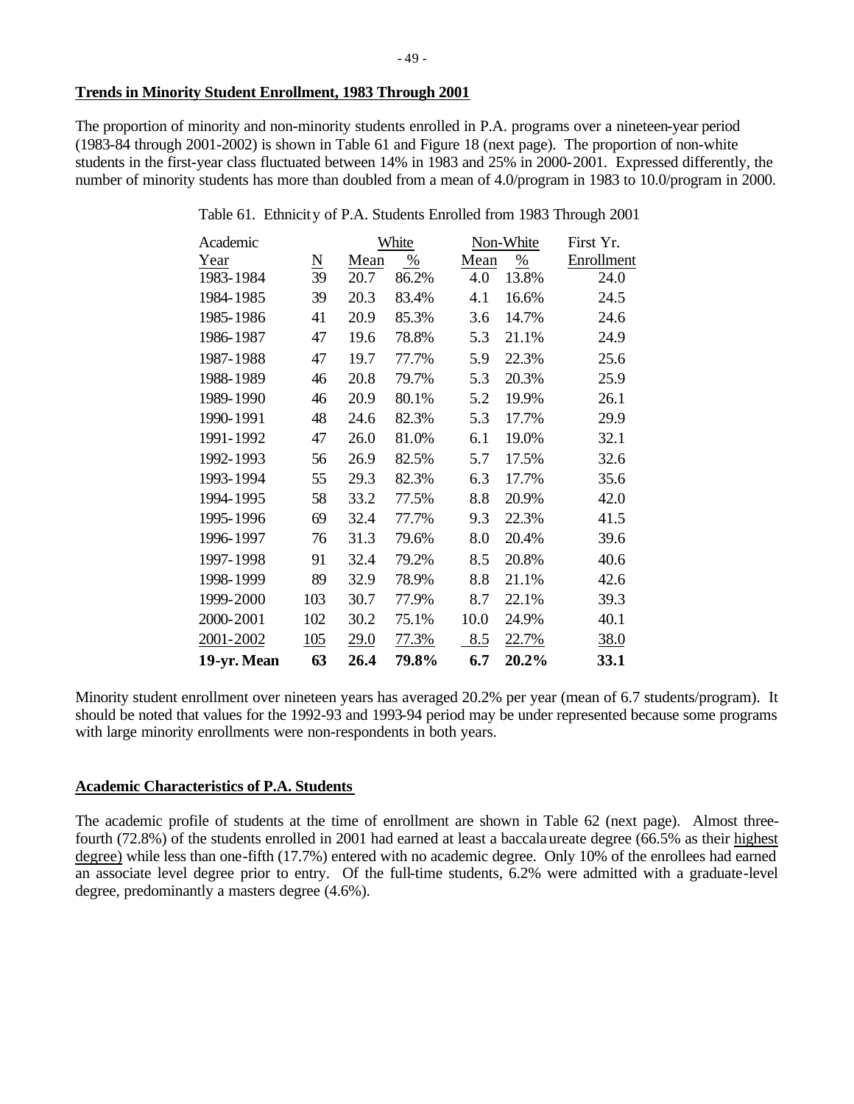## **Trends in Minority Student Enrollment, 1983 Through 2001**

The proportion of minority and non-minority students enrolled in P.A. programs over a nineteen-year period (1983-84 through 2001-2002) is shown in Table 61 and Figure 18 (next page). The proportion of non-white students in the first-year class fluctuated between 14% in 1983 and 25% in 2000-2001. Expressed differently, the number of minority students has more than doubled from a mean of 4.0/program in 1983 to 10.0/program in 2000.

| Table 61. Ethnicity of P.A. Students Enrolled from 1983 Through 2001 |  |  |  |  |
|----------------------------------------------------------------------|--|--|--|--|
|                                                                      |  |  |  |  |

| Academic    |                     |      | White |      | Non-White | First Yr.   |
|-------------|---------------------|------|-------|------|-----------|-------------|
| Year        | $\underline{\rm N}$ | Mean | %     | Mean | %         | Enrollment  |
| 1983-1984   | 39                  | 20.7 | 86.2% | 4.0  | 13.8%     | 24.0        |
| 1984-1985   | 39                  | 20.3 | 83.4% | 4.1  | 16.6%     | 24.5        |
| 1985-1986   | 41                  | 20.9 | 85.3% | 3.6  | 14.7%     | 24.6        |
| 1986-1987   | 47                  | 19.6 | 78.8% | 5.3  | 21.1%     | 24.9        |
| 1987-1988   | 47                  | 19.7 | 77.7% | 5.9  | 22.3%     | 25.6        |
| 1988-1989   | 46                  | 20.8 | 79.7% | 5.3  | 20.3%     | 25.9        |
| 1989-1990   | 46                  | 20.9 | 80.1% | 5.2  | 19.9%     | 26.1        |
| 1990-1991   | 48                  | 24.6 | 82.3% | 5.3  | 17.7%     | 29.9        |
| 1991-1992   | 47                  | 26.0 | 81.0% | 6.1  | 19.0%     | 32.1        |
| 1992-1993   | 56                  | 26.9 | 82.5% | 5.7  | 17.5%     | 32.6        |
| 1993-1994   | 55                  | 29.3 | 82.3% | 6.3  | 17.7%     | 35.6        |
| 1994-1995   | 58                  | 33.2 | 77.5% | 8.8  | 20.9%     | 42.0        |
| 1995-1996   | 69                  | 32.4 | 77.7% | 9.3  | 22.3%     | 41.5        |
| 1996-1997   | 76                  | 31.3 | 79.6% | 8.0  | 20.4%     | 39.6        |
| 1997-1998   | 91                  | 32.4 | 79.2% | 8.5  | 20.8%     | 40.6        |
| 1998-1999   | 89                  | 32.9 | 78.9% | 8.8  | 21.1%     | 42.6        |
| 1999-2000   | 103                 | 30.7 | 77.9% | 8.7  | 22.1%     | 39.3        |
| 2000-2001   | 102                 | 30.2 | 75.1% | 10.0 | 24.9%     | 40.1        |
| 2001-2002   | 105                 | 29.0 | 77.3% | 8.5  | 22.7%     | <u>38.0</u> |
| 19-yr. Mean | 63                  | 26.4 | 79.8% | 6.7  | 20.2%     | 33.1        |

Minority student enrollment over nineteen years has averaged 20.2% per year (mean of 6.7 students/program). It should be noted that values for the 1992-93 and 1993-94 period may be under represented because some programs with large minority enrollments were non-respondents in both years.

# **Academic Characteristics of P.A. Students**

The academic profile of students at the time of enrollment are shown in Table 62 (next page). Almost threefourth (72.8%) of the students enrolled in 2001 had earned at least a baccalaureate degree (66.5% as their highest degree) while less than one-fifth (17.7%) entered with no academic degree. Only 10% of the enrollees had earned an associate level degree prior to entry. Of the full-time students, 6.2% were admitted with a graduate-level degree, predominantly a masters degree (4.6%).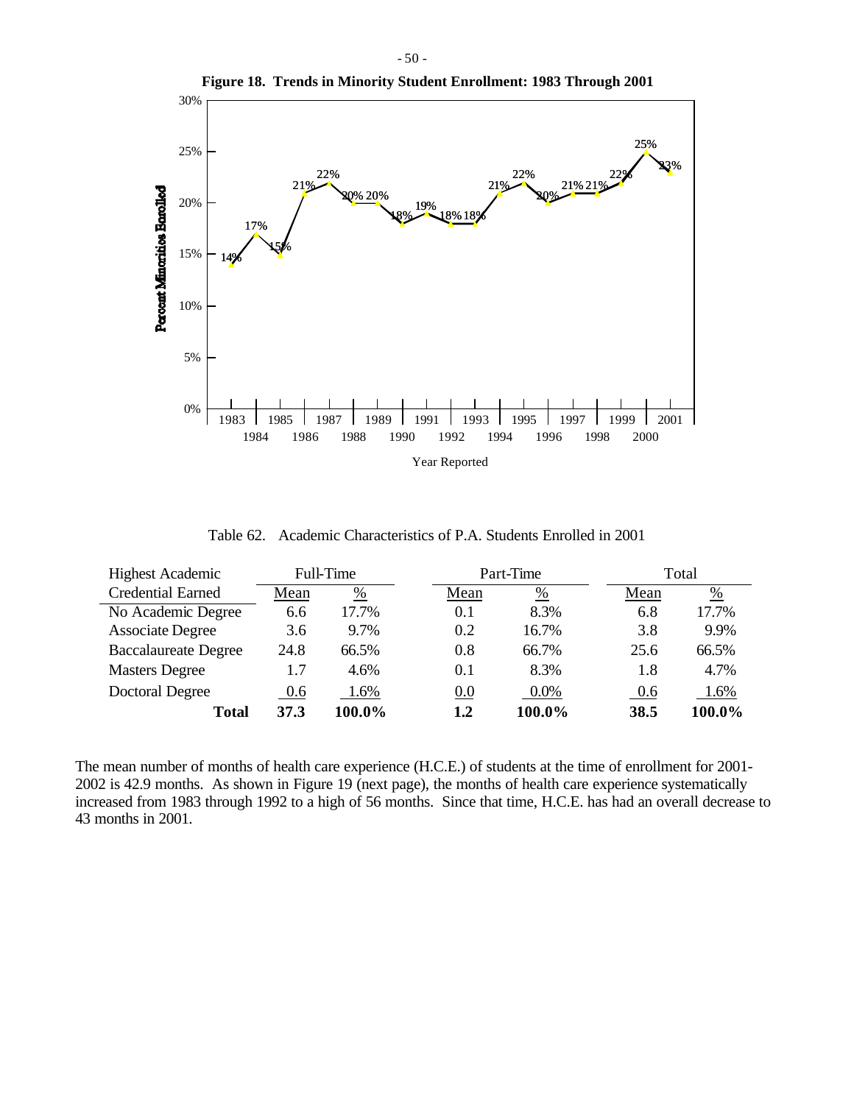

Table 62. Academic Characteristics of P.A. Students Enrolled in 2001

| <b>Highest Academic</b>     |      | Full-Time |  | Part-Time |         | Total |               |
|-----------------------------|------|-----------|--|-----------|---------|-------|---------------|
| <b>Credential Earned</b>    | Mean | %         |  | Mean      | %       | Mean  | $\frac{0}{0}$ |
| No Academic Degree          | 6.6  | 17.7%     |  | 0.1       | 8.3%    | 6.8   | 17.7%         |
| <b>Associate Degree</b>     | 3.6  | 9.7%      |  | 0.2       | 16.7%   | 3.8   | 9.9%          |
| <b>Baccalaureate Degree</b> | 24.8 | 66.5%     |  | 0.8       | 66.7%   | 25.6  | 66.5%         |
| <b>Masters Degree</b>       | 1.7  | 4.6%      |  | 0.1       | 8.3%    | 1.8   | 4.7%          |
| Doctoral Degree             | 0.6  | 1.6%      |  | 0.0       | $0.0\%$ | 0.6   | 1.6%          |
| Total                       | 37.3 | 100.0%    |  | 1.2       | 100.0%  | 38.5  | 100.0%        |

The mean number of months of health care experience (H.C.E.) of students at the time of enrollment for 2001- 2002 is 42.9 months. As shown in Figure 19 (next page), the months of health care experience systematically increased from 1983 through 1992 to a high of 56 months. Since that time, H.C.E. has had an overall decrease to 43 months in 2001.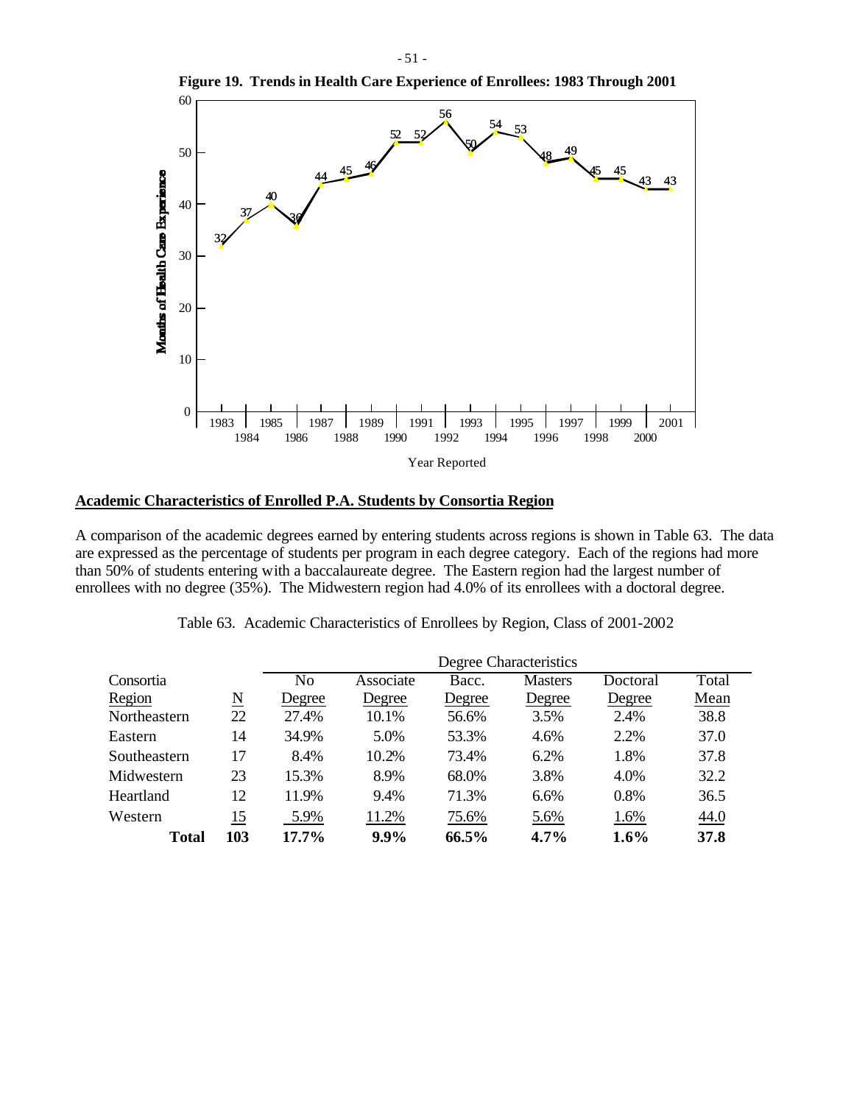

#### **Academic Characteristics of Enrolled P.A. Students by Consortia Region**

A comparison of the academic degrees earned by entering students across regions is shown in Table 63. The data are expressed as the percentage of students per program in each degree category. Each of the regions had more than 50% of students entering with a baccalaureate degree. The Eastern region had the largest number of enrollees with no degree (35%). The Midwestern region had 4.0% of its enrollees with a doctoral degree.

|              |                     |                | Degree Characteristics |        |                |          |       |  |  |  |  |  |
|--------------|---------------------|----------------|------------------------|--------|----------------|----------|-------|--|--|--|--|--|
| Consortia    |                     | N <sub>o</sub> | Associate              | Bacc.  | <b>Masters</b> | Doctoral | Total |  |  |  |  |  |
| Region       | $\underline{\rm N}$ | Degree         | Degree                 | Degree | Degree         | Degree   | Mean  |  |  |  |  |  |
| Northeastern | 22                  | 27.4%          | 10.1%                  | 56.6%  | 3.5%           | 2.4%     | 38.8  |  |  |  |  |  |
| Eastern      | 14                  | 34.9%          | 5.0%                   | 53.3%  | 4.6%           | 2.2%     | 37.0  |  |  |  |  |  |
| Southeastern | 17                  | 8.4%           | 10.2%                  | 73.4%  | 6.2%           | 1.8%     | 37.8  |  |  |  |  |  |
| Midwestern   | 23                  | 15.3%          | 8.9%                   | 68.0%  | 3.8%           | 4.0%     | 32.2  |  |  |  |  |  |
| Heartland    | 12                  | 11.9%          | 9.4%                   | 71.3%  | 6.6%           | 0.8%     | 36.5  |  |  |  |  |  |
| Western      | <u>15</u>           | 5.9%           | 11.2%                  | 75.6%  | 5.6%           | 1.6%     | 44.0  |  |  |  |  |  |
| <b>Total</b> | 103                 | $17.7\%$       | 9.9%                   | 66.5%  | $4.7\%$        | $1.6\%$  | 37.8  |  |  |  |  |  |

|  | Table 63. Academic Characteristics of Enrollees by Region, Class of 2001-2002 |  |  |  |
|--|-------------------------------------------------------------------------------|--|--|--|
|  |                                                                               |  |  |  |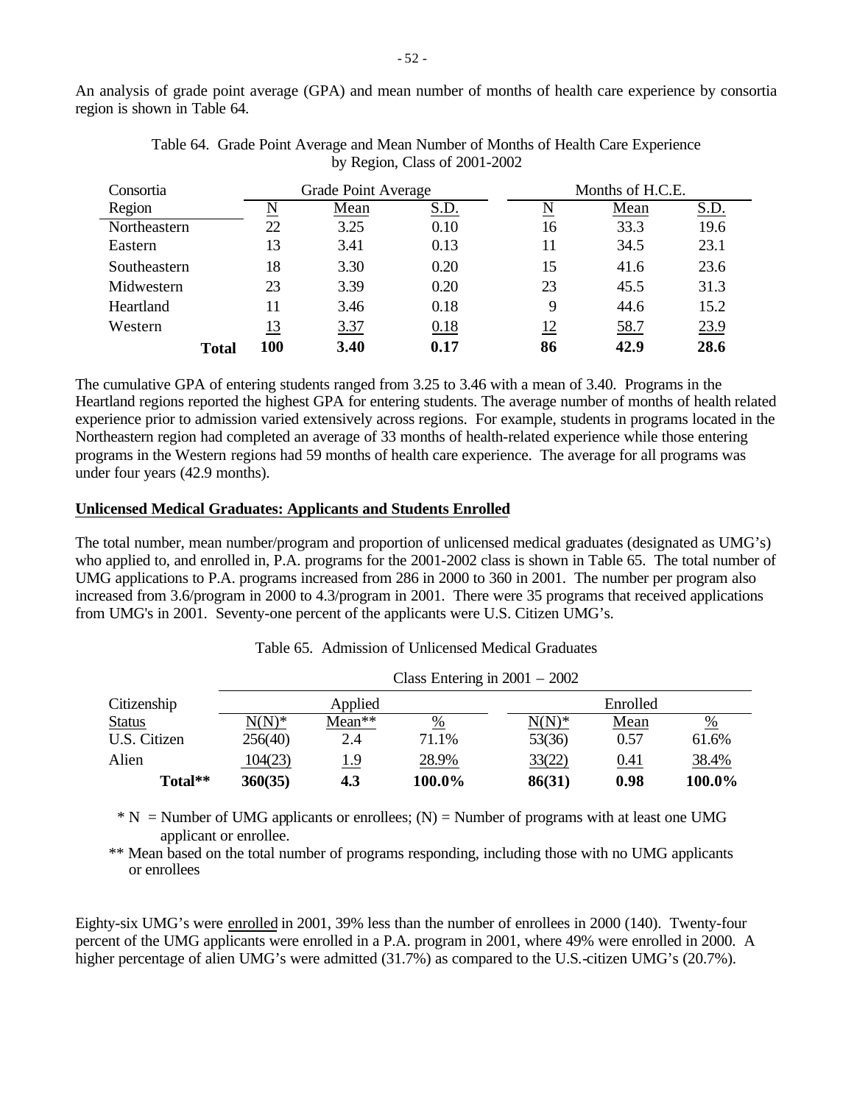An analysis of grade point average (GPA) and mean number of months of health care experience by consortia region is shown in Table 64.

| Consortia    |       |           | Grade Point Average |             | Months of H.C.E. |      |             |  |
|--------------|-------|-----------|---------------------|-------------|------------------|------|-------------|--|
| Region       |       |           | Mean                | <u>S.D.</u> | N                | Mean | <u>S.D.</u> |  |
| Northeastern |       | 22        | 3.25                | 0.10        | 16               | 33.3 | 19.6        |  |
| Eastern      |       | 13        | 3.41                | 0.13        | 11               | 34.5 | 23.1        |  |
| Southeastern |       | 18        | 3.30                | 0.20        | 15               | 41.6 | 23.6        |  |
| Midwestern   |       | 23        | 3.39                | 0.20        | 23               | 45.5 | 31.3        |  |
| Heartland    |       | 11        | 3.46                | 0.18        | 9                | 44.6 | 15.2        |  |
| Western      |       | <u>13</u> | <u>3.37</u>         | 0.18        | 12               | 58.7 | 23.9        |  |
|              | Total | 100       | 3.40                | 0.17        | 86               | 42.9 | 28.6        |  |

Table 64. Grade Point Average and Mean Number of Months of Health Care Experience by Region, Class of 2001-2002

The cumulative GPA of entering students ranged from 3.25 to 3.46 with a mean of 3.40. Programs in the Heartland regions reported the highest GPA for entering students. The average number of months of health related experience prior to admission varied extensively across regions. For example, students in programs located in the Northeastern region had completed an average of 33 months of health-related experience while those entering programs in the Western regions had 59 months of health care experience. The average for all programs was under four years (42.9 months).

#### **Unlicensed Medical Graduates: Applicants and Students Enrolled**

The total number, mean number/program and proportion of unlicensed medical graduates (designated as UMG's) who applied to, and enrolled in, P.A. programs for the 2001-2002 class is shown in Table 65. The total number of UMG applications to P.A. programs increased from 286 in 2000 to 360 in 2001. The number per program also increased from 3.6/program in 2000 to 4.3/program in 2001. There were 35 programs that received applications from UMG's in 2001. Seventy-one percent of the applicants were U.S. Citizen UMG's.

Table 65. Admission of Unlicensed Medical Graduates

 $E: \cdot \cdot 2001 = 2002$ 

|               |          |            | Class Entering in $2001 - 2002$ |          |      |               |  |
|---------------|----------|------------|---------------------------------|----------|------|---------------|--|
| Citizenship   |          | Applied    |                                 | Enrolled |      |               |  |
| <b>Status</b> | $N(N)^*$ | $Mean**$   | %                               | $N(N)^*$ | Mean | $\frac{0}{0}$ |  |
| U.S. Citizen  | 256(40)  | 2.4        | 71.1%                           | 53(36)   | 0.57 | 61.6%         |  |
| Alien         | 104(23)  | <u>1.9</u> | 28.9%                           | 33(22)   | 0.41 | 38.4%         |  |
| Total**       | 360(35)  | 4.3        | 100.0%                          | 86(31)   | 0.98 | 100.0%        |  |

 $* N =$  Number of UMG applicants or enrollees; (N) = Number of programs with at least one UMG applicant or enrollee.

\*\* Mean based on the total number of programs responding, including those with no UMG applicants or enrollees

Eighty-six UMG's were enrolled in 2001, 39% less than the number of enrollees in 2000 (140). Twenty-four percent of the UMG applicants were enrolled in a P.A. program in 2001, where 49% were enrolled in 2000. A higher percentage of alien UMG's were admitted (31.7%) as compared to the U.S.-citizen UMG's (20.7%).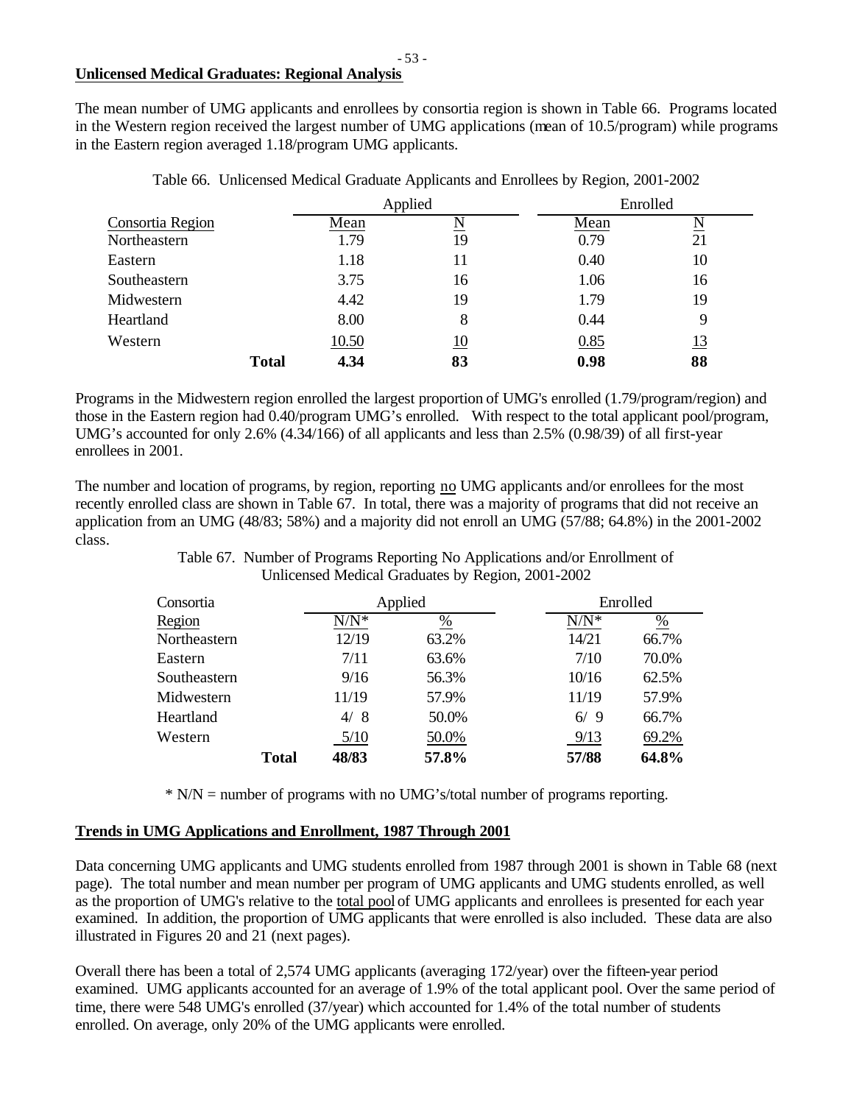# **Unlicensed Medical Graduates: Regional Analysis**

The mean number of UMG applicants and enrollees by consortia region is shown in Table 66. Programs located in the Western region received the largest number of UMG applications (mean of 10.5/program) while programs in the Eastern region averaged 1.18/program UMG applicants.

|                  |              |              | Applied |      | Enrolled            |  |  |
|------------------|--------------|--------------|---------|------|---------------------|--|--|
| Consortia Region |              | Mean         | N       | Mean | $\underline{\rm N}$ |  |  |
| Northeastern     |              | 1.79         | 19      | 0.79 | 21                  |  |  |
| Eastern          |              | 1.18         | 11      | 0.40 | 10                  |  |  |
| Southeastern     |              | 3.75         | 16      | 1.06 | 16                  |  |  |
| Midwestern       |              | 4.42         | 19      | 1.79 | 19                  |  |  |
| Heartland        |              | 8.00         | 8       | 0.44 | 9                   |  |  |
| Western          |              | <u>10.50</u> | 10      | 0.85 | <u>13</u>           |  |  |
|                  | <b>Total</b> | 4.34         | 83      | 0.98 | 88                  |  |  |

Table 66. Unlicensed Medical Graduate Applicants and Enrollees by Region, 2001-2002

Programs in the Midwestern region enrolled the largest proportion of UMG's enrolled (1.79/program/region) and those in the Eastern region had 0.40/program UMG's enrolled. With respect to the total applicant pool/program, UMG's accounted for only 2.6% (4.34/166) of all applicants and less than 2.5% (0.98/39) of all first-year enrollees in 2001.

The number and location of programs, by region, reporting no UMG applicants and/or enrollees for the most recently enrolled class are shown in Table 67. In total, there was a majority of programs that did not receive an application from an UMG (48/83; 58%) and a majority did not enroll an UMG (57/88; 64.8%) in the 2001-2002 class.

> Table 67. Number of Programs Reporting No Applications and/or Enrollment of Unlicensed Medical Graduates by Region, 2001-2002

| Consortia    |  |         | Applied |         | Enrolled        |  |  |
|--------------|--|---------|---------|---------|-----------------|--|--|
| Region       |  | $N/N^*$ | %       | $N/N^*$ | $\frac{\%}{\%}$ |  |  |
| Northeastern |  | 12/19   | 63.2%   | 14/21   | 66.7%           |  |  |
| Eastern      |  | 7/11    | 63.6%   | 7/10    | 70.0%           |  |  |
| Southeastern |  | 9/16    | 56.3%   | 10/16   | 62.5%           |  |  |
| Midwestern   |  | 11/19   | 57.9%   | 11/19   | 57.9%           |  |  |
| Heartland    |  | 4/8     | 50.0%   | 6/9     | 66.7%           |  |  |
| Western      |  | 5/10    | 50.0%   | 9/13    | 69.2%           |  |  |
| <b>Total</b> |  | 48/83   | 57.8%   | 57/88   | 64.8%           |  |  |

\* N/N = number of programs with no UMG's/total number of programs reporting.

# **Trends in UMG Applications and Enrollment, 1987 Through 2001**

Data concerning UMG applicants and UMG students enrolled from 1987 through 2001 is shown in Table 68 (next page). The total number and mean number per program of UMG applicants and UMG students enrolled, as well as the proportion of UMG's relative to the total pool of UMG applicants and enrollees is presented for each year examined. In addition, the proportion of UMG applicants that were enrolled is also included. These data are also illustrated in Figures 20 and 21 (next pages).

Overall there has been a total of 2,574 UMG applicants (averaging 172/year) over the fifteen-year period examined. UMG applicants accounted for an average of 1.9% of the total applicant pool. Over the same period of time, there were 548 UMG's enrolled (37/year) which accounted for 1.4% of the total number of students enrolled. On average, only 20% of the UMG applicants were enrolled.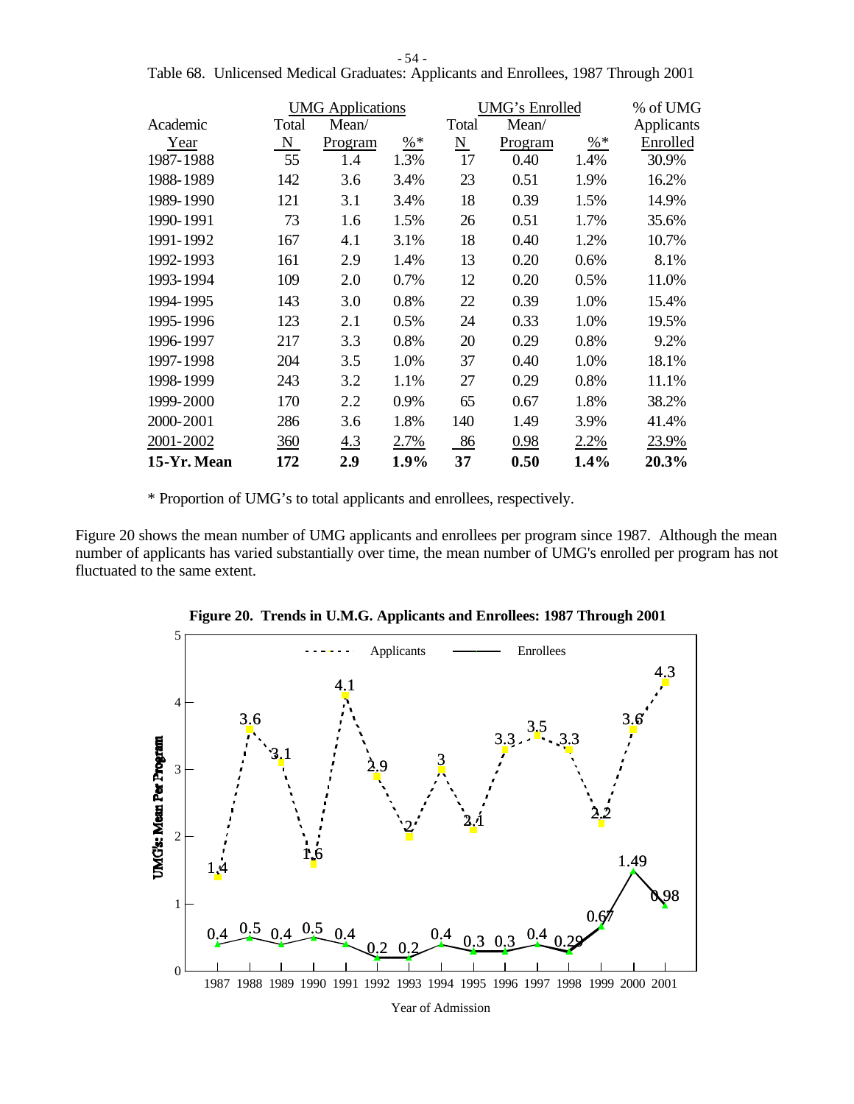- 54 -

|             |       | <b>UMG</b> Applications |        |       | UMG's Enrolled |        | % of UMG   |
|-------------|-------|-------------------------|--------|-------|----------------|--------|------------|
| Academic    | Total | Mean/                   |        | Total | Mean/          |        | Applicants |
| Year        | N     | Program                 | $\% *$ | N     | Program        | $\% *$ | Enrolled   |
| 1987-1988   | 55    | 1.4                     | 1.3%   | 17    | 0.40           | 1.4%   | 30.9%      |
| 1988-1989   | 142   | 3.6                     | 3.4%   | 23    | 0.51           | 1.9%   | 16.2%      |
| 1989-1990   | 121   | 3.1                     | 3.4%   | 18    | 0.39           | 1.5%   | 14.9%      |
| 1990-1991   | 73    | 1.6                     | 1.5%   | 26    | 0.51           | 1.7%   | 35.6%      |
| 1991-1992   | 167   | 4.1                     | 3.1%   | 18    | 0.40           | 1.2%   | 10.7%      |
| 1992-1993   | 161   | 2.9                     | 1.4%   | 13    | 0.20           | 0.6%   | 8.1%       |
| 1993-1994   | 109   | 2.0                     | 0.7%   | 12    | 0.20           | 0.5%   | 11.0%      |
| 1994-1995   | 143   | 3.0                     | 0.8%   | 22    | 0.39           | 1.0%   | 15.4%      |
| 1995-1996   | 123   | 2.1                     | 0.5%   | 24    | 0.33           | 1.0%   | 19.5%      |
| 1996-1997   | 217   | 3.3                     | 0.8%   | 20    | 0.29           | 0.8%   | 9.2%       |
| 1997-1998   | 204   | 3.5                     | 1.0%   | 37    | 0.40           | 1.0%   | 18.1%      |
| 1998-1999   | 243   | 3.2                     | 1.1%   | 27    | 0.29           | 0.8%   | 11.1%      |
| 1999-2000   | 170   | 2.2                     | 0.9%   | 65    | 0.67           | 1.8%   | 38.2%      |
| 2000-2001   | 286   | 3.6                     | 1.8%   | 140   | 1.49           | 3.9%   | 41.4%      |
| 2001-2002   | 360   | 4.3                     | 2.7%   | 86    | 0.98           | 2.2%   | 23.9%      |
| 15-Yr. Mean | 172   | 2.9                     | 1.9%   | 37    | 0.50           | 1.4%   | 20.3%      |

Table 68. Unlicensed Medical Graduates: Applicants and Enrollees, 1987 Through 2001

\* Proportion of UMG's to total applicants and enrollees, respectively.

Figure 20 shows the mean number of UMG applicants and enrollees per program since 1987. Although the mean number of applicants has varied substantially over time, the mean number of UMG's enrolled per program has not fluctuated to the same extent.



**Figure 20. Trends in U.M.G. Applicants and Enrollees: 1987 Through 2001**

Year of Admission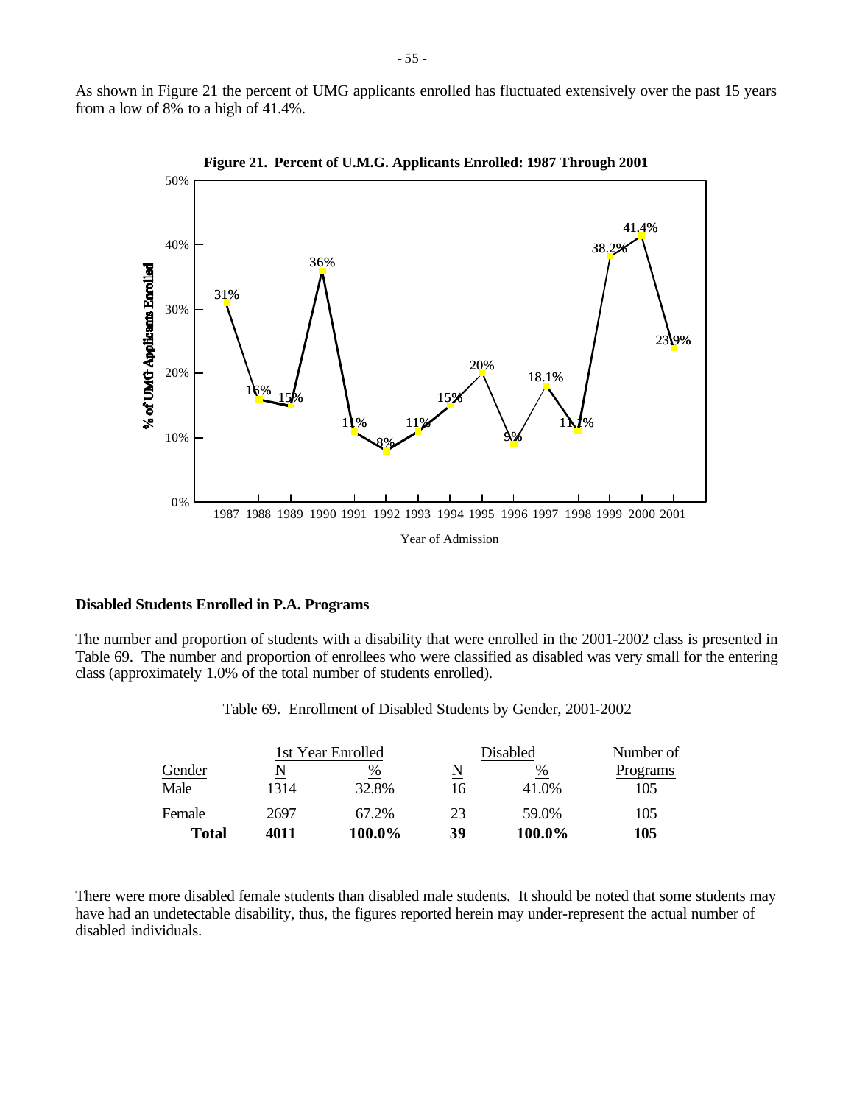As shown in Figure 21 the percent of UMG applicants enrolled has fluctuated extensively over the past 15 years from a low of 8% to a high of 41.4%.



**Figure 21. Percent of U.M.G. Applicants Enrolled: 1987 Through 2001**

#### **Disabled Students Enrolled in P.A. Programs**

The number and proportion of students with a disability that were enrolled in the 2001-2002 class is presented in Table 69. The number and proportion of enrollees who were classified as disabled was very small for the entering class (approximately 1.0% of the total number of students enrolled).

|              |      | 1st Year Enrolled |           | Disabled | Number of   |
|--------------|------|-------------------|-----------|----------|-------------|
| Gender       |      | %                 | N         | %        | Programs    |
| Male         | 1314 | 32.8%             | 16        | 41.0%    | 105         |
| Female       | 2697 | 67.2%             | <u>23</u> | 59.0%    | <u> 105</u> |
| <b>Total</b> | 4011 | 100.0%            | 39        | 100.0%   | 105         |

Table 69. Enrollment of Disabled Students by Gender, 2001-2002

There were more disabled female students than disabled male students. It should be noted that some students may have had an undetectable disability, thus, the figures reported herein may under-represent the actual number of disabled individuals.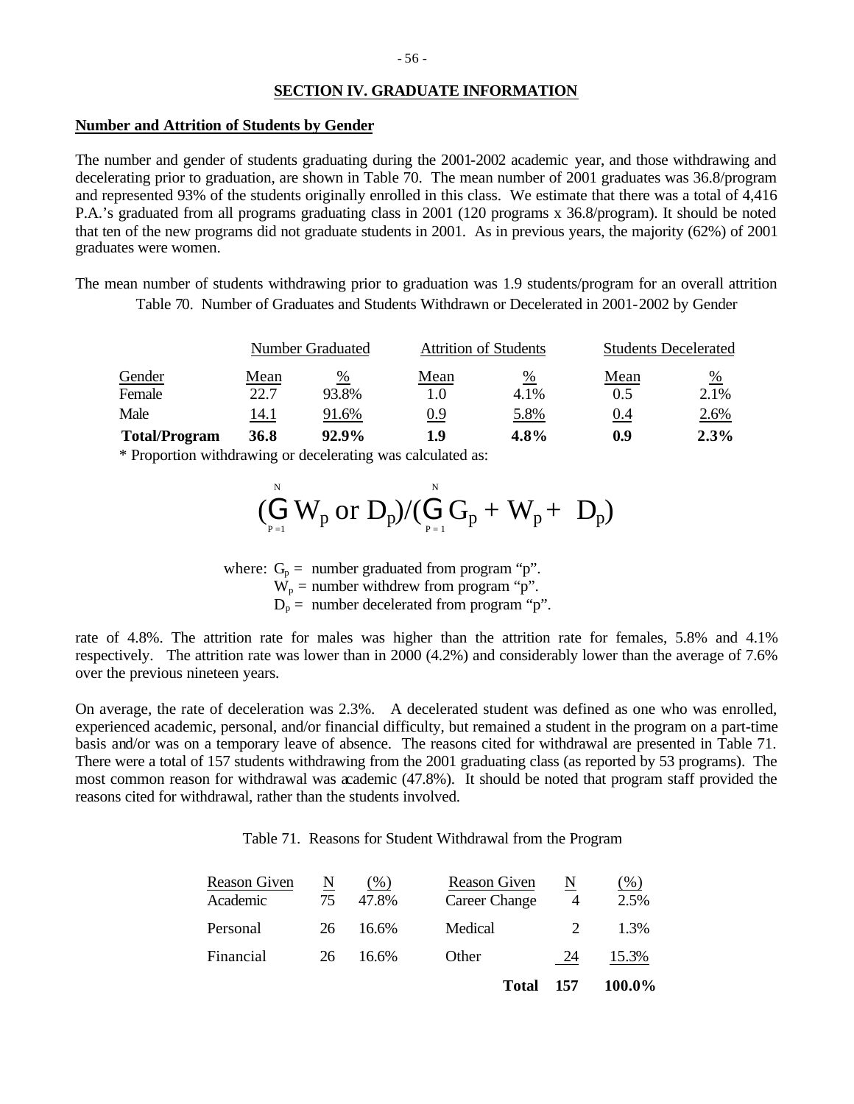# **SECTION IV. GRADUATE INFORMATION**

#### **Number and Attrition of Students by Gender**

The number and gender of students graduating during the 2001-2002 academic year, and those withdrawing and decelerating prior to graduation, are shown in Table 70. The mean number of 2001 graduates was 36.8/program and represented 93% of the students originally enrolled in this class. We estimate that there was a total of 4,416 P.A.'s graduated from all programs graduating class in 2001 (120 programs x 36.8/program). It should be noted that ten of the new programs did not graduate students in 2001. As in previous years, the majority (62%) of 2001 graduates were women.

The mean number of students withdrawing prior to graduation was 1.9 students/program for an overall attrition Table 70. Number of Graduates and Students Withdrawn or Decelerated in 2001-2002 by Gender

|                      | Number Graduated |       |      | <b>Attrition of Students</b> | <b>Students Decelerated</b> |               |  |
|----------------------|------------------|-------|------|------------------------------|-----------------------------|---------------|--|
| Gender               | Mean             | %     | Mean | $\frac{0}{0}$                | Mean                        | $\frac{0}{0}$ |  |
| Female               | 22.7             | 93.8% | 1.0  | 4.1%                         | 0.5                         | 2.1%          |  |
| Male                 | 14.1             | 91.6% | 0.9  | 5.8%                         | 0.4                         | 2.6%          |  |
| <b>Total/Program</b> | <b>36.8</b>      | 92.9% | 1.9  | 4.8%                         | 0.9                         | 2.3%          |  |

\* Proportion withdrawing or decelerating was calculated as:

$$
(\stackrel{\scriptscriptstyle{N}}{\underset{\scriptscriptstyle{P=1}}{\bigoplus}}W_p~\textrm{or}~D_p)/(\stackrel{\scriptscriptstyle{N}}{\underset{\scriptscriptstyle{P=1}}{\bigoplus}}G_p+W_p+\ D_p)
$$

where:  $G_p =$  number graduated from program "p".  $W_p$  = number withdrew from program "p".  $D_p$  = number decelerated from program "p".

rate of 4.8%. The attrition rate for males was higher than the attrition rate for females, 5.8% and 4.1% respectively. The attrition rate was lower than in 2000 (4.2%) and considerably lower than the average of 7.6% over the previous nineteen years.

On average, the rate of deceleration was 2.3%. A decelerated student was defined as one who was enrolled, experienced academic, personal, and/or financial difficulty, but remained a student in the program on a part-time basis and/or was on a temporary leave of absence. The reasons cited for withdrawal are presented in Table 71. There were a total of 157 students withdrawing from the 2001 graduating class (as reported by 53 programs). The most common reason for withdrawal was academic (47.8%). It should be noted that program staff provided the reasons cited for withdrawal, rather than the students involved.

Table 71. Reasons for Student Withdrawal from the Program

| Financial                | 26      | 16.6%                  | Other<br>Total                | 24<br>157 | 15.3%<br>100.0% |
|--------------------------|---------|------------------------|-------------------------------|-----------|-----------------|
| Personal                 | 26      | 16.6%                  | Medical                       |           | 1.3%            |
| Reason Given<br>Academic | N<br>75 | $\frac{9}{6}$<br>47.8% | Reason Given<br>Career Change | N<br>4    | (%)<br>2.5%     |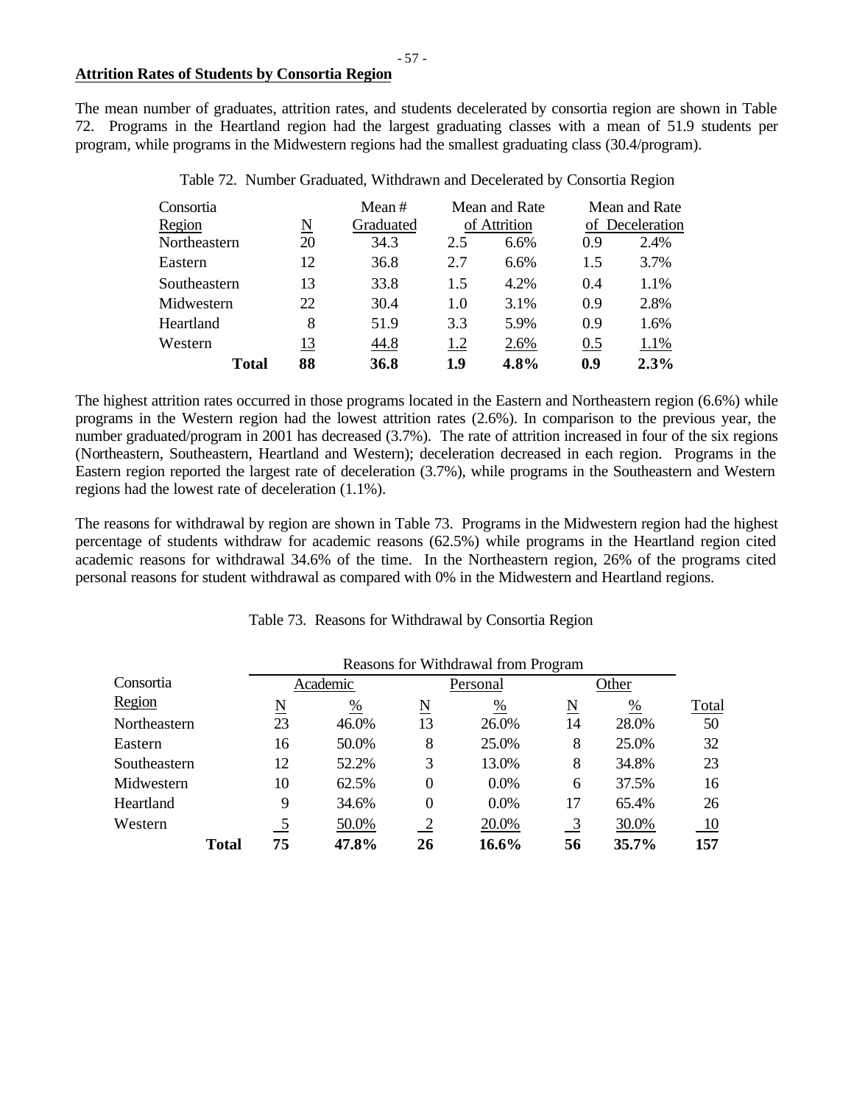#### **Attrition Rates of Students by Consortia Region**

The mean number of graduates, attrition rates, and students decelerated by consortia region are shown in Table 72. Programs in the Heartland region had the largest graduating classes with a mean of 51.9 students per program, while programs in the Midwestern regions had the smallest graduating class (30.4/program).

| Consortia    |    | Mean $#$<br>Graduated |              | Mean and Rate |     | Mean and Rate<br>of Deceleration |
|--------------|----|-----------------------|--------------|---------------|-----|----------------------------------|
| Region       | N  |                       | of Attrition |               |     |                                  |
| Northeastern | 20 | 34.3                  | 2.5          | 6.6%          | 0.9 | 2.4%                             |
| Eastern      | 12 | 36.8                  | 2.7          | 6.6%          | 1.5 | 3.7%                             |
| Southeastern | 13 | 33.8                  | 1.5          | 4.2%          | 0.4 | 1.1%                             |
| Midwestern   | 22 | 30.4                  | 1.0          | 3.1%          | 0.9 | 2.8%                             |
| Heartland    | 8  | 51.9                  | 3.3          | 5.9%          | 0.9 | 1.6%                             |
| Western      | 13 | 44.8                  | 1.2          | 2.6%          | 0.5 | 1.1%                             |
| Total        | 88 | 36.8                  | 1.9          | 4.8%          | 0.9 | 2.3%                             |

Table 72. Number Graduated, Withdrawn and Decelerated by Consortia Region

The highest attrition rates occurred in those programs located in the Eastern and Northeastern region (6.6%) while programs in the Western region had the lowest attrition rates (2.6%). In comparison to the previous year, the number graduated/program in 2001 has decreased (3.7%). The rate of attrition increased in four of the six regions (Northeastern, Southeastern, Heartland and Western); deceleration decreased in each region. Programs in the Eastern region reported the largest rate of deceleration (3.7%), while programs in the Southeastern and Western regions had the lowest rate of deceleration (1.1%).

The reasons for withdrawal by region are shown in Table 73. Programs in the Midwestern region had the highest percentage of students withdraw for academic reasons (62.5%) while programs in the Heartland region cited academic reasons for withdrawal 34.6% of the time. In the Northeastern region, 26% of the programs cited personal reasons for student withdrawal as compared with 0% in the Midwestern and Heartland regions.

|                     |              | Reasons for Withdrawal from Program |               |                     |          |                          |       |       |  |
|---------------------|--------------|-------------------------------------|---------------|---------------------|----------|--------------------------|-------|-------|--|
| Consortia<br>Region |              | Academic                            |               |                     | Personal | Other                    |       |       |  |
|                     |              | $\underline{\rm N}$                 | $\frac{0}{0}$ | $\underline{\rm N}$ | %        | $\underline{\mathrm{N}}$ | %     | Total |  |
| Northeastern        |              | 23                                  | 46.0%         | 13                  | 26.0%    | 14                       | 28.0% | 50    |  |
| Eastern             |              | 16                                  | 50.0%         | 8                   | 25.0%    | 8                        | 25.0% | 32    |  |
| Southeastern        |              | 12                                  | 52.2%         | 3                   | 13.0%    | 8                        | 34.8% | 23    |  |
| Midwestern          |              | 10                                  | 62.5%         | $\theta$            | 0.0%     | 6                        | 37.5% | 16    |  |
| Heartland           |              | 9                                   | 34.6%         | $\theta$            | 0.0%     | 17                       | 65.4% | 26    |  |
| Western             |              |                                     | 50.0%         |                     | 20.0%    | <u>_3</u>                | 30.0% | 10    |  |
|                     | <b>Total</b> | 75                                  | 47.8%         | 26                  | 16.6%    | 56                       | 35.7% | 157   |  |

#### Table 73. Reasons for Withdrawal by Consortia Region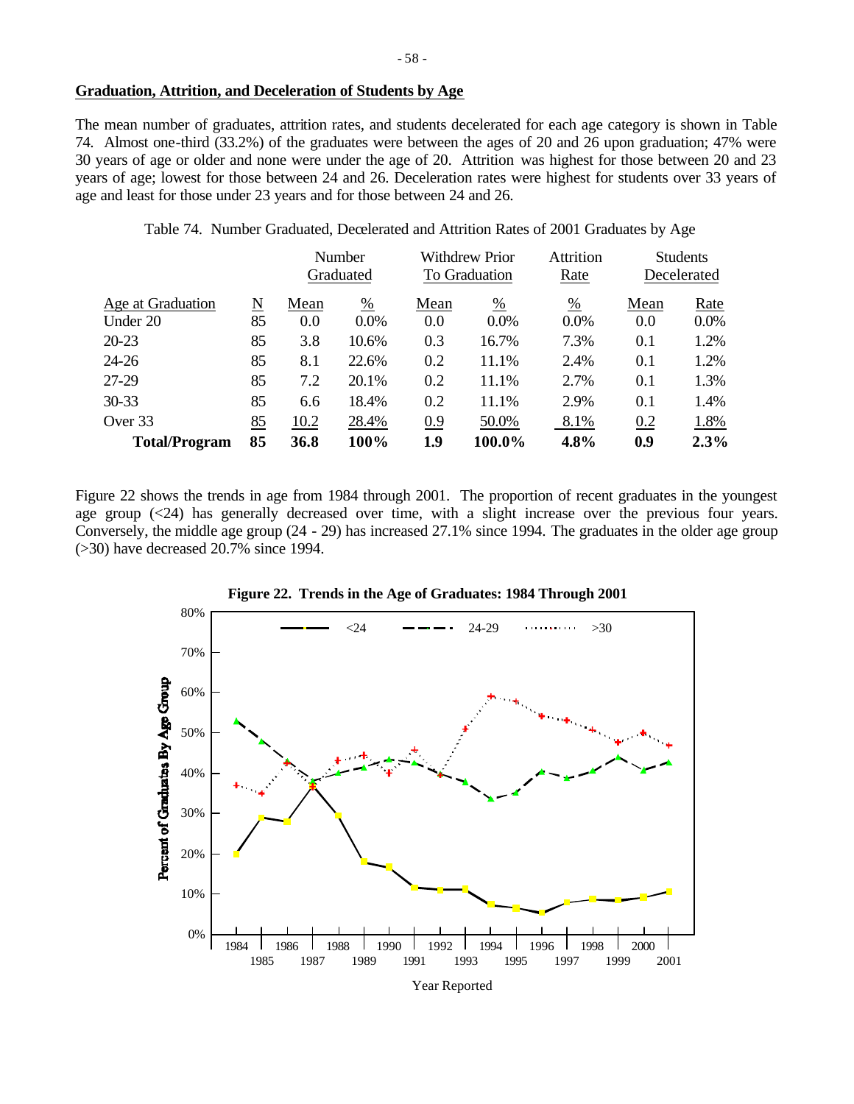# **Graduation, Attrition, and Deceleration of Students by Age**

The mean number of graduates, attrition rates, and students decelerated for each age category is shown in Table 74. Almost one-third (33.2%) of the graduates were between the ages of 20 and 26 upon graduation; 47% were 30 years of age or older and none were under the age of 20. Attrition was highest for those between 20 and 23 years of age; lowest for those between 24 and 26. Deceleration rates were highest for students over 33 years of age and least for those under 23 years and for those between 24 and 26.

Table 74. Number Graduated, Decelerated and Attrition Rates of 2001 Graduates by Age

|                      |    |           | Number        |      | <b>Withdrew Prior</b> |         |      | <b>Students</b> |
|----------------------|----|-----------|---------------|------|-----------------------|---------|------|-----------------|
|                      |    | Graduated |               |      | To Graduation         |         |      | Decelerated     |
| Age at Graduation    | N  | Mean      | $\frac{0}{0}$ | Mean | %                     | %       | Mean | Rate            |
| Under 20             | 85 | 0.0       | $0.0\%$       | 0.0  | $0.0\%$               | $0.0\%$ | 0.0  | $0.0\%$         |
| $20 - 23$            | 85 | 3.8       | 10.6%         | 0.3  | 16.7%                 | 7.3%    | 0.1  | 1.2%            |
| $24 - 26$            | 85 | 8.1       | 22.6%         | 0.2  | 11.1%                 | 2.4%    | 0.1  | 1.2%            |
| 27-29                | 85 | 7.2       | 20.1%         | 0.2  | 11.1%                 | 2.7%    | 0.1  | 1.3%            |
| $30 - 33$            | 85 | 6.6       | 18.4%         | 0.2  | 11.1%                 | 2.9%    | 0.1  | 1.4%            |
| Over 33              | 85 | 10.2      | 28.4%         | 0.9  | 50.0%                 | 8.1%    | 0.2  | 1.8%            |
| <b>Total/Program</b> | 85 | 36.8      | 100%          | 1.9  | 100.0%                | 4.8%    | 0.9  | 2.3%            |

Figure 22 shows the trends in age from 1984 through 2001. The proportion of recent graduates in the youngest age group (<24) has generally decreased over time, with a slight increase over the previous four years. Conversely, the middle age group (24 - 29) has increased 27.1% since 1994. The graduates in the older age group (>30) have decreased 20.7% since 1994.



**Figure 22. Trends in the Age of Graduates: 1984 Through 2001**

Year Reported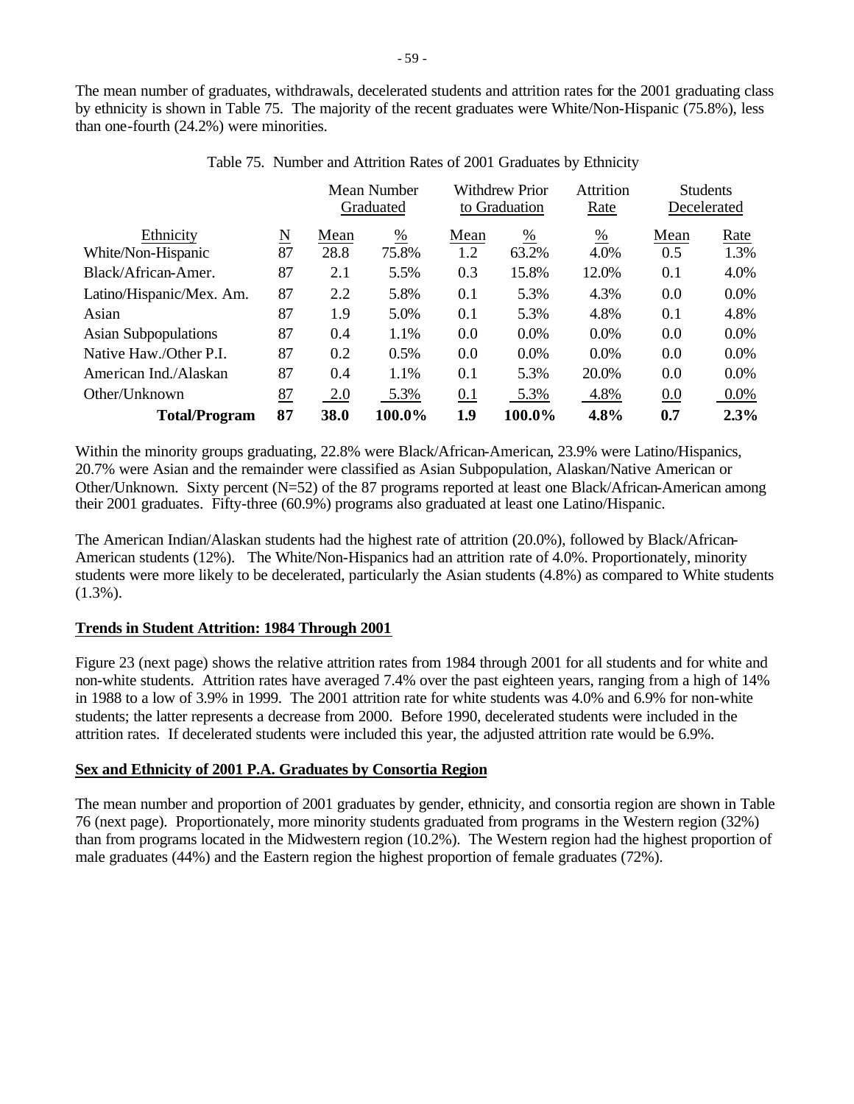The mean number of graduates, withdrawals, decelerated students and attrition rates for the 2001 graduating class by ethnicity is shown in Table 75. The majority of the recent graduates were White/Non-Hispanic (75.8%), less than one-fourth (24.2%) were minorities.

|                             |                                      |      | Mean Number<br>Graduated |      | <b>Withdrew Prior</b><br>to Graduation |               | <b>Students</b><br>Decelerated |         |
|-----------------------------|--------------------------------------|------|--------------------------|------|----------------------------------------|---------------|--------------------------------|---------|
| Ethnicity                   | $\underline{\underline{\mathrm{N}}}$ | Mean | $\frac{0}{0}$            | Mean | $\frac{0}{0}$                          | $\frac{0}{0}$ | Mean                           | Rate    |
| White/Non-Hispanic          | 87                                   | 28.8 | 75.8%                    | 1.2  | 63.2%                                  | 4.0%          | 0.5                            | 1.3%    |
| Black/African-Amer.         | 87                                   | 2.1  | 5.5%                     | 0.3  | 15.8%                                  | 12.0%         | 0.1                            | 4.0%    |
| Latino/Hispanic/Mex. Am.    | 87                                   | 2.2  | 5.8%                     | 0.1  | 5.3%                                   | 4.3%          | 0.0                            | $0.0\%$ |
| Asian                       | 87                                   | 1.9  | 5.0%                     | 0.1  | 5.3%                                   | 4.8%          | 0.1                            | 4.8%    |
| <b>Asian Subpopulations</b> | 87                                   | 0.4  | 1.1%                     | 0.0  | $0.0\%$                                | $0.0\%$       | 0.0                            | $0.0\%$ |
| Native Haw./Other P.I.      | 87                                   | 0.2  | 0.5%                     | 0.0  | $0.0\%$                                | $0.0\%$       | 0.0                            | $0.0\%$ |
| American Ind./Alaskan       | 87                                   | 0.4  | 1.1%                     | 0.1  | 5.3%                                   | 20.0%         | 0.0                            | 0.0%    |
| Other/Unknown               | 87                                   | 2.0  | 5.3%                     | 0.1  | 5.3%                                   | 4.8%          | 0.0                            | $0.0\%$ |
| <b>Total/Program</b>        | 87                                   | 38.0 | 100.0%                   | 1.9  | 100.0%                                 | 4.8%          | 0.7                            | 2.3%    |

|  | Table 75. Number and Attrition Rates of 2001 Graduates by Ethnicity |  |
|--|---------------------------------------------------------------------|--|
|  |                                                                     |  |

Within the minority groups graduating, 22.8% were Black/African-American, 23.9% were Latino/Hispanics, 20.7% were Asian and the remainder were classified as Asian Subpopulation, Alaskan/Native American or Other/Unknown. Sixty percent (N=52) of the 87 programs reported at least one Black/African-American among their 2001 graduates. Fifty-three (60.9%) programs also graduated at least one Latino/Hispanic.

The American Indian/Alaskan students had the highest rate of attrition (20.0%), followed by Black/African-American students (12%). The White/Non-Hispanics had an attrition rate of 4.0%. Proportionately, minority students were more likely to be decelerated, particularly the Asian students (4.8%) as compared to White students  $(1.3\%)$ .

# **Trends in Student Attrition: 1984 Through 2001**

Figure 23 (next page) shows the relative attrition rates from 1984 through 2001 for all students and for white and non-white students. Attrition rates have averaged 7.4% over the past eighteen years, ranging from a high of 14% in 1988 to a low of 3.9% in 1999. The 2001 attrition rate for white students was 4.0% and 6.9% for non-white students; the latter represents a decrease from 2000. Before 1990, decelerated students were included in the attrition rates. If decelerated students were included this year, the adjusted attrition rate would be 6.9%.

# **Sex and Ethnicity of 2001 P.A. Graduates by Consortia Region**

The mean number and proportion of 2001 graduates by gender, ethnicity, and consortia region are shown in Table 76 (next page). Proportionately, more minority students graduated from programs in the Western region (32%) than from programs located in the Midwestern region (10.2%). The Western region had the highest proportion of male graduates (44%) and the Eastern region the highest proportion of female graduates (72%).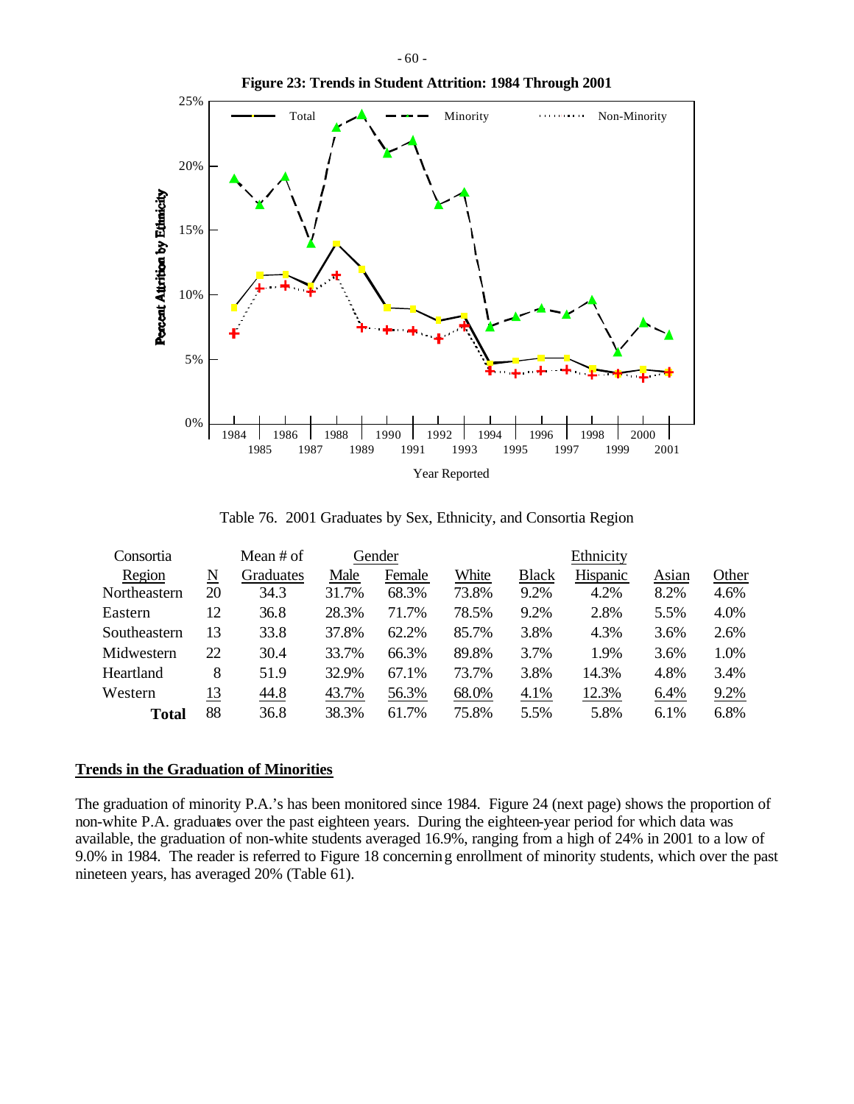

Table 76. 2001 Graduates by Sex, Ethnicity, and Consortia Region

| Consortia    |    | Mean # of |       | Gender |       |              | Ethnicity |       |       |
|--------------|----|-----------|-------|--------|-------|--------------|-----------|-------|-------|
| Region       | N  | Graduates | Male  | Female | White | <b>Black</b> | Hispanic  | Asian | Other |
| Northeastern | 20 | 34.3      | 31.7% | 68.3%  | 73.8% | 9.2%         | 4.2%      | 8.2%  | 4.6%  |
| Eastern      | 12 | 36.8      | 28.3% | 71.7%  | 78.5% | 9.2%         | 2.8%      | 5.5%  | 4.0%  |
| Southeastern | 13 | 33.8      | 37.8% | 62.2%  | 85.7% | 3.8%         | 4.3%      | 3.6%  | 2.6%  |
| Midwestern   | 22 | 30.4      | 33.7% | 66.3%  | 89.8% | 3.7%         | 1.9%      | 3.6%  | 1.0%  |
| Heartland    | 8  | 51.9      | 32.9% | 67.1%  | 73.7% | 3.8%         | 14.3%     | 4.8%  | 3.4%  |
| Western      | 13 | 44.8      | 43.7% | 56.3%  | 68.0% | 4.1%         | 12.3%     | 6.4%  | 9.2%  |
| Total        | 88 | 36.8      | 38.3% | 61.7%  | 75.8% | 5.5%         | 5.8%      | 6.1%  | 6.8%  |

#### **Trends in the Graduation of Minorities**

The graduation of minority P.A.'s has been monitored since 1984. Figure 24 (next page) shows the proportion of non-white P.A. graduates over the past eighteen years. During the eighteen-year period for which data was available, the graduation of non-white students averaged 16.9%, ranging from a high of 24% in 2001 to a low of 9.0% in 1984. The reader is referred to Figure 18 concerning enrollment of minority students, which over the past nineteen years, has averaged 20% (Table 61).

#### - 60 -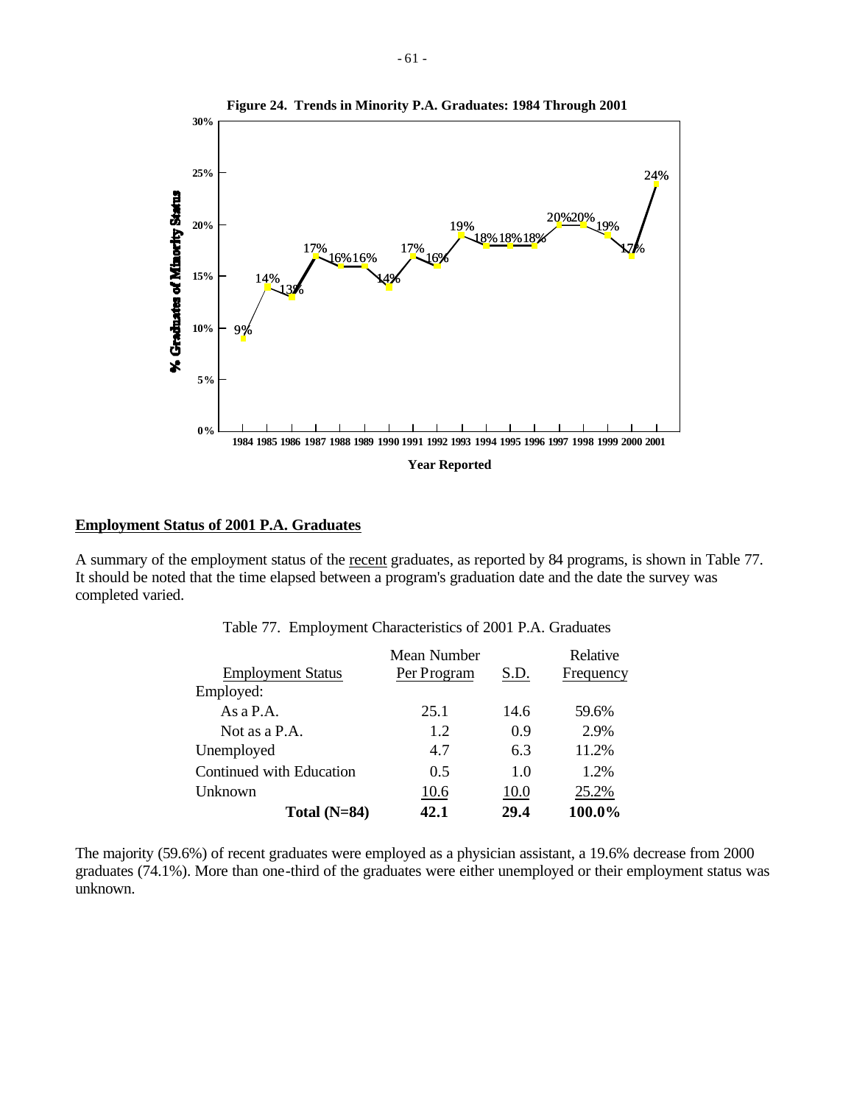

#### **Employment Status of 2001 P.A. Graduates**

A summary of the employment status of the recent graduates, as reported by 84 programs, is shown in Table 77. It should be noted that the time elapsed between a program's graduation date and the date the survey was completed varied.

|                          | Mean Number |      | Relative  |
|--------------------------|-------------|------|-----------|
| <b>Employment Status</b> | Per Program | S.D. | Frequency |
| Employed:                |             |      |           |
| As $a$ P.A.              | 25.1        | 14.6 | 59.6%     |
| Not as a P.A.            | 1.2         | 0.9  | 2.9%      |
| Unemployed               | 4.7         | 6.3  | 11.2%     |
| Continued with Education | 0.5         | 1.0  | 1.2%      |
| Unknown                  | 10.6        | 10.0 | 25.2%     |
| Total $(N=84)$           | 42.1        | 29.4 | 100.0%    |

Table 77. Employment Characteristics of 2001 P.A. Graduates

The majority (59.6%) of recent graduates were employed as a physician assistant, a 19.6% decrease from 2000 graduates (74.1%). More than one-third of the graduates were either unemployed or their employment status was unknown.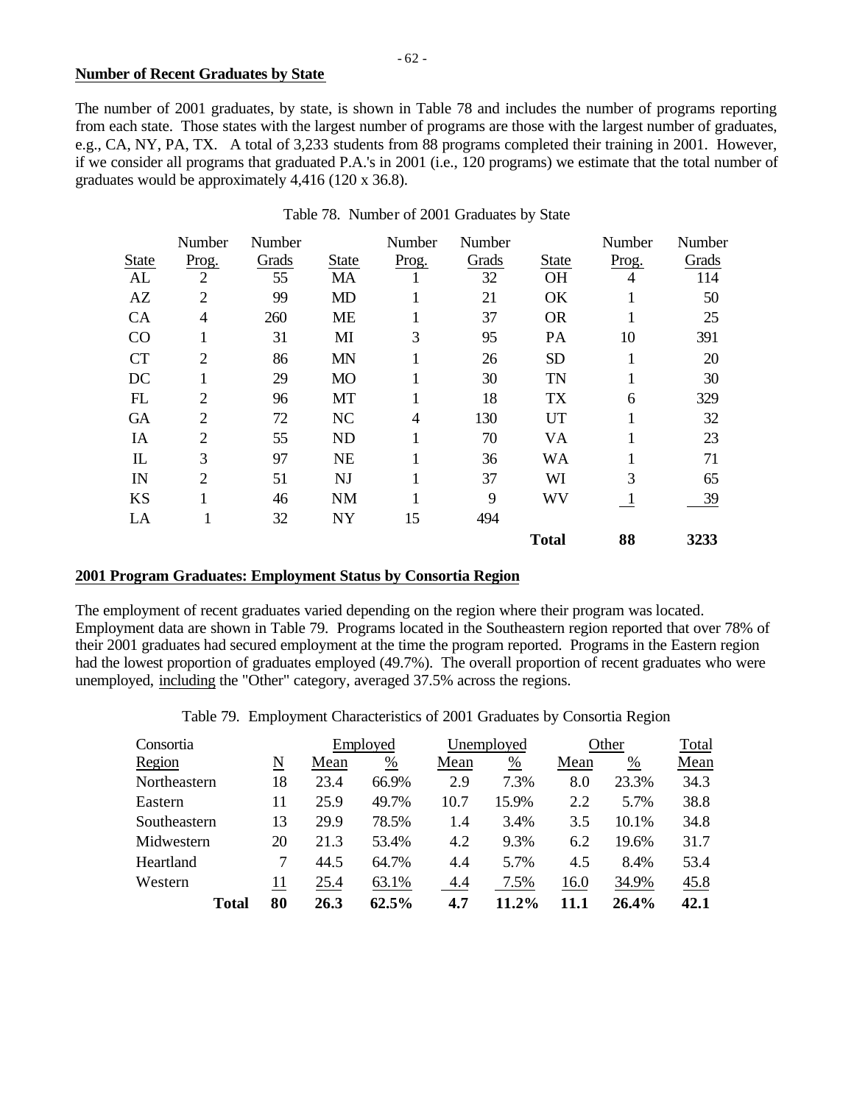#### **Number of Recent Graduates by State**

The number of 2001 graduates, by state, is shown in Table 78 and includes the number of programs reporting from each state. Those states with the largest number of programs are those with the largest number of graduates, e.g., CA, NY, PA, TX. A total of 3,233 students from 88 programs completed their training in 2001. However, if we consider all programs that graduated P.A.'s in 2001 (i.e., 120 programs) we estimate that the total number of graduates would be approximately 4,416 (120 x 36.8).

|              | Number                      | Number |              | Number | Number |              | Number       | Number |
|--------------|-----------------------------|--------|--------------|--------|--------|--------------|--------------|--------|
| <b>State</b> | Prog.                       | Grads  | <b>State</b> | Prog.  | Grads  | <b>State</b> | Prog.        | Grads  |
| AL           | $\overline{2}$              | 55     | MA           |        | 32     | <b>OH</b>    | 4            | 114    |
| AZ           | $\overline{2}$              | 99     | <b>MD</b>    |        | 21     | OK           |              | 50     |
| <b>CA</b>    | 4                           | 260    | <b>ME</b>    | 1      | 37     | <b>OR</b>    |              | 25     |
| CO           |                             | 31     | MI           | 3      | 95     | PA           | 10           | 391    |
| <b>CT</b>    | $\overline{2}$              | 86     | <b>MN</b>    | 1      | 26     | <b>SD</b>    | 1            | 20     |
| DC           |                             | 29     | <b>MO</b>    |        | 30     | <b>TN</b>    |              | 30     |
| FL           | $\overline{2}$              | 96     | MT           |        | 18     | TX           | 6            | 329    |
| <b>GA</b>    | $\overline{2}$              | 72     | NC           | 4      | 130    | UT           |              | 32     |
| IA           | $\mathcal{D}_{\mathcal{L}}$ | 55     | <b>ND</b>    |        | 70     | VA           |              | 23     |
| $\mathbf{L}$ | 3                           | 97     | <b>NE</b>    |        | 36     | WA           |              | 71     |
| IN           | $\overline{2}$              | 51     | <b>NJ</b>    |        | 37     | WI           | 3            | 65     |
| <b>KS</b>    |                             | 46     | <b>NM</b>    |        | 9      | WV           | $\mathbf{I}$ | 39     |
| LA           |                             | 32     | <b>NY</b>    | 15     | 494    |              |              |        |
|              |                             |        |              |        |        | <b>Total</b> | 88           | 3233   |

# Table 78. Number of 2001 Graduates by State

#### **2001 Program Graduates: Employment Status by Consortia Region**

The employment of recent graduates varied depending on the region where their program was located. Employment data are shown in Table 79. Programs located in the Southeastern region reported that over 78% of their 2001 graduates had secured employment at the time the program reported. Programs in the Eastern region had the lowest proportion of graduates employed (49.7%). The overall proportion of recent graduates who were unemployed, including the "Other" category, averaged 37.5% across the regions.

Table 79. Employment Characteristics of 2001 Graduates by Consortia Region

| Consortia    |    | Employed |                 |      | Unemployed |      | Other |      |
|--------------|----|----------|-----------------|------|------------|------|-------|------|
| Region       | N  | Mean     | $\frac{\%}{\%}$ | Mean | %          | Mean | %     | Mean |
| Northeastern | 18 | 23.4     | 66.9%           | 2.9  | 7.3%       | 8.0  | 23.3% | 34.3 |
| Eastern      | 11 | 25.9     | 49.7%           | 10.7 | 15.9%      | 2.2  | 5.7%  | 38.8 |
| Southeastern | 13 | 29.9     | 78.5%           | 1.4  | 3.4%       | 3.5  | 10.1% | 34.8 |
| Midwestern   | 20 | 21.3     | 53.4%           | 4.2  | 9.3%       | 6.2  | 19.6% | 31.7 |
| Heartland    |    | 44.5     | 64.7%           | 4.4  | 5.7%       | 4.5  | 8.4%  | 53.4 |
| Western      | 11 | 25.4     | 63.1%           | 4.4  | 7.5%       | 16.0 | 34.9% | 45.8 |
| Total        | 80 | 26.3     | 62.5%           | 4.7  | 11.2%      | 11.1 | 26.4% | 42.1 |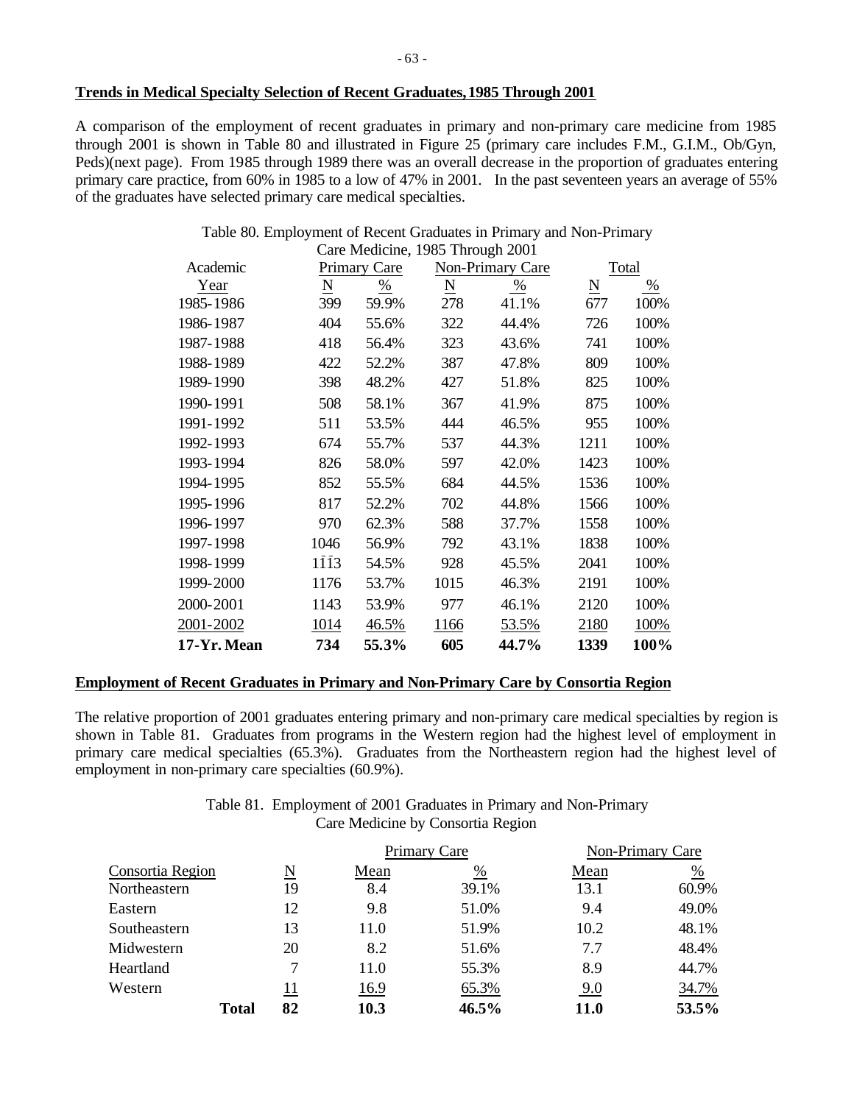#### **Trends in Medical Specialty Selection of Recent Graduates, 1985 Through 2001**

A comparison of the employment of recent graduates in primary and non-primary care medicine from 1985 through 2001 is shown in Table 80 and illustrated in Figure 25 (primary care includes F.M., G.I.M., Ob/Gyn, Peds)(next page). From 1985 through 1989 there was an overall decrease in the proportion of graduates entering primary care practice, from 60% in 1985 to a low of 47% in 2001. In the past seventeen years an average of 55% of the graduates have selected primary care medical specialties.

#### Table 80. Employment of Recent Graduates in Primary and Non-Primary Care Medicine, 1985 Through 2001

|             |                          | $\alpha$ - $\alpha$ - $\alpha$ - $\alpha$ - $\alpha$ - $\alpha$ - $\alpha$ - $\alpha$ - $\alpha$ - $\alpha$ - $\alpha$ - $\alpha$ - $\alpha$ - $\alpha$ - $\alpha$ - $\alpha$ - $\alpha$ - $\alpha$ - $\alpha$ - $\alpha$ - $\alpha$ - $\alpha$ - $\alpha$ - $\alpha$ - $\alpha$ - $\alpha$ - $\alpha$ - $\alpha$ - $\alpha$ - $\alpha$ - $\alpha$ - $\alpha$ |                 |                  |                     |               |
|-------------|--------------------------|---------------------------------------------------------------------------------------------------------------------------------------------------------------------------------------------------------------------------------------------------------------------------------------------------------------------------------------------------------------|-----------------|------------------|---------------------|---------------|
| Academic    |                          | Primary Care                                                                                                                                                                                                                                                                                                                                                  |                 | Non-Primary Care |                     | Total         |
| Year        | $\underline{\mathbf{N}}$ | $\frac{0}{0}$                                                                                                                                                                                                                                                                                                                                                 | $\underline{N}$ | $\frac{0}{0}$    | $\underline{\rm N}$ | $\frac{0}{0}$ |
| 1985-1986   | 399                      | 59.9%                                                                                                                                                                                                                                                                                                                                                         | 278             | 41.1%            | 677                 | 100%          |
| 1986-1987   | 404                      | 55.6%                                                                                                                                                                                                                                                                                                                                                         | 322             | 44.4%            | 726                 | 100%          |
| 1987-1988   | 418                      | 56.4%                                                                                                                                                                                                                                                                                                                                                         | 323             | 43.6%            | 741                 | 100%          |
| 1988-1989   | 422                      | 52.2%                                                                                                                                                                                                                                                                                                                                                         | 387             | 47.8%            | 809                 | 100%          |
| 1989-1990   | 398                      | 48.2%                                                                                                                                                                                                                                                                                                                                                         | 427             | 51.8%            | 825                 | 100%          |
| 1990-1991   | 508                      | 58.1%                                                                                                                                                                                                                                                                                                                                                         | 367             | 41.9%            | 875                 | 100%          |
| 1991-1992   | 511                      | 53.5%                                                                                                                                                                                                                                                                                                                                                         | 444             | 46.5%            | 955                 | 100%          |
| 1992-1993   | 674                      | 55.7%                                                                                                                                                                                                                                                                                                                                                         | 537             | 44.3%            | 1211                | 100%          |
| 1993-1994   | 826                      | 58.0%                                                                                                                                                                                                                                                                                                                                                         | 597             | 42.0%            | 1423                | 100%          |
| 1994-1995   | 852                      | 55.5%                                                                                                                                                                                                                                                                                                                                                         | 684             | 44.5%            | 1536                | 100%          |
| 1995-1996   | 817                      | 52.2%                                                                                                                                                                                                                                                                                                                                                         | 702             | 44.8%            | 1566                | 100%          |
| 1996-1997   | 970                      | 62.3%                                                                                                                                                                                                                                                                                                                                                         | 588             | 37.7%            | 1558                | 100%          |
| 1997-1998   | 1046                     | 56.9%                                                                                                                                                                                                                                                                                                                                                         | 792             | 43.1%            | 1838                | 100%          |
| 1998-1999   | 1113                     | 54.5%                                                                                                                                                                                                                                                                                                                                                         | 928             | 45.5%            | 2041                | 100%          |
| 1999-2000   | 1176                     | 53.7%                                                                                                                                                                                                                                                                                                                                                         | 1015            | 46.3%            | 2191                | 100%          |
| 2000-2001   | 1143                     | 53.9%                                                                                                                                                                                                                                                                                                                                                         | 977             | 46.1%            | 2120                | 100%          |
| 2001-2002   | 1014                     | 46.5%                                                                                                                                                                                                                                                                                                                                                         | 1166            | 53.5%            | 2180                | 100%          |
| 17-Yr. Mean | 734                      | 55.3%                                                                                                                                                                                                                                                                                                                                                         | 605             | 44.7%            | 1339                | 100%          |

## **Employment of Recent Graduates in Primary and Non-Primary Care by Consortia Region**

The relative proportion of 2001 graduates entering primary and non-primary care medical specialties by region is shown in Table 81. Graduates from programs in the Western region had the highest level of employment in primary care medical specialties (65.3%). Graduates from the Northeastern region had the highest level of employment in non-primary care specialties (60.9%).

> Table 81. Employment of 2001 Graduates in Primary and Non-Primary Care Medicine by Consortia Region

|                  |              |    |      | Primary Care |             | Non-Primary Care |  |
|------------------|--------------|----|------|--------------|-------------|------------------|--|
| Consortia Region |              | N  | Mean | %            | Mean        | %                |  |
| Northeastern     |              | 19 | 8.4  | 39.1%        | 13.1        | 60.9%            |  |
| Eastern          |              | 12 | 9.8  | 51.0%        | 9.4         | 49.0%            |  |
| Southeastern     |              | 13 | 11.0 | 51.9%        | 10.2        | 48.1%            |  |
| Midwestern       |              | 20 | 8.2  | 51.6%        | 7.7         | 48.4%            |  |
| Heartland        |              | 7  | 11.0 | 55.3%        | 8.9         | 44.7%            |  |
| Western          |              | 11 | 16.9 | 65.3%        | 9.0         | 34.7%            |  |
|                  | <b>Total</b> | 82 | 10.3 | 46.5%        | <b>11.0</b> | 53.5%            |  |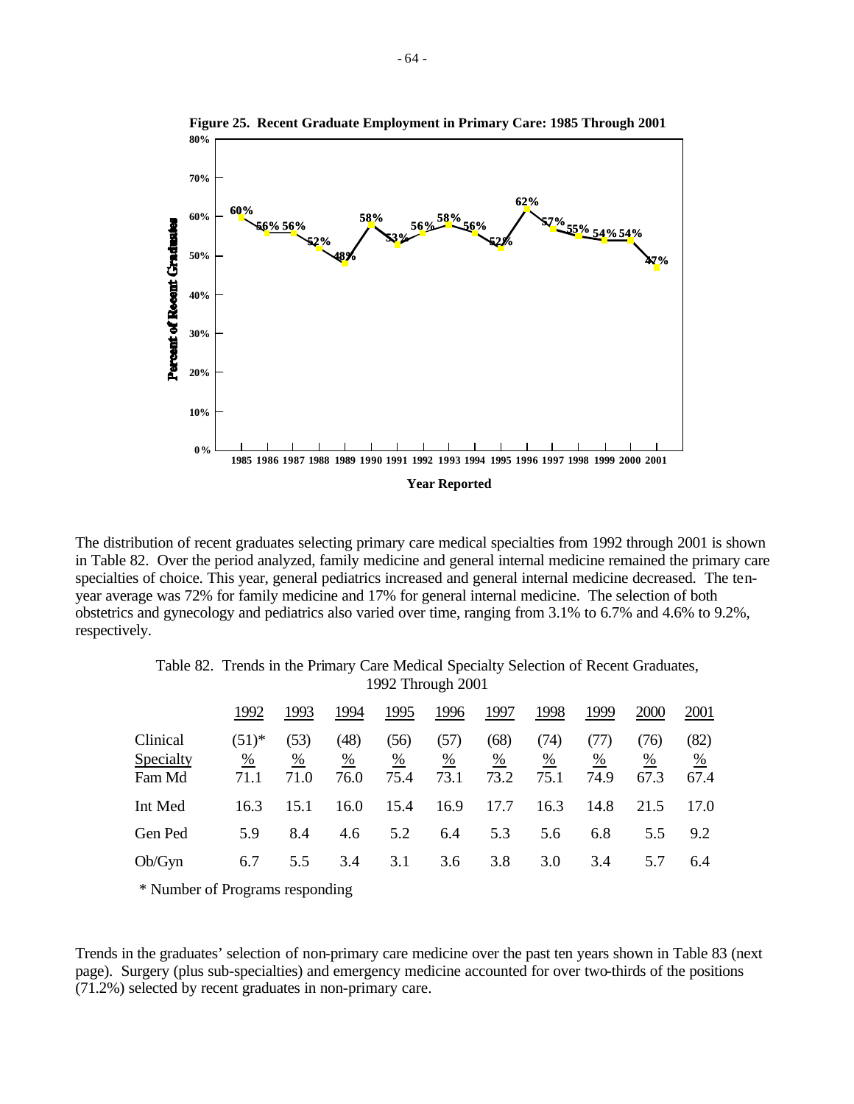

The distribution of recent graduates selecting primary care medical specialties from 1992 through 2001 is shown in Table 82. Over the period analyzed, family medicine and general internal medicine remained the primary care specialties of choice. This year, general pediatrics increased and general internal medicine decreased. The tenyear average was 72% for family medicine and 17% for general internal medicine. The selection of both obstetrics and gynecology and pediatrics also varied over time, ranging from 3.1% to 6.7% and 4.6% to 9.2%, respectively.

|                                 | 1992                    | 1993              | 1994              | 1995              | 1996              | 1997              | 1998              | 1999              | 2000              | 2001              |
|---------------------------------|-------------------------|-------------------|-------------------|-------------------|-------------------|-------------------|-------------------|-------------------|-------------------|-------------------|
| Clinical<br>Specialty<br>Fam Md | $(51)^{*}$<br>%<br>71.1 | (53)<br>%<br>71.0 | (48)<br>%<br>76.0 | (56)<br>%<br>75.4 | (57)<br>%<br>73.1 | (68)<br>%<br>73.2 | (74)<br>%<br>75.1 | (TI)<br>%<br>74.9 | (76)<br>%<br>67.3 | (82)<br>%<br>67.4 |
| Int Med                         | 16.3                    | 15.1              | 16.0              | 15.4              | 16.9              | 17.7              | 16.3              | 14.8              | 21.5              | 17.0              |
| Gen Ped                         | 5.9                     | 8.4               | 4.6               | 5.2               | 6.4               | 5.3               | 5.6               | 6.8               | 5.5               | 9.2               |
| Ob/Gyn                          | 6.7                     | 5.5               | 3.4               | 3.1               | 3.6               | 3.8               | 3.0               | 3.4               | 5.7               | 6.4               |

Table 82. Trends in the Primary Care Medical Specialty Selection of Recent Graduates, 1992 Through 2001

\* Number of Programs responding

Trends in the graduates' selection of non-primary care medicine over the past ten years shown in Table 83 (next page). Surgery (plus sub-specialties) and emergency medicine accounted for over two-thirds of the positions (71.2%) selected by recent graduates in non-primary care.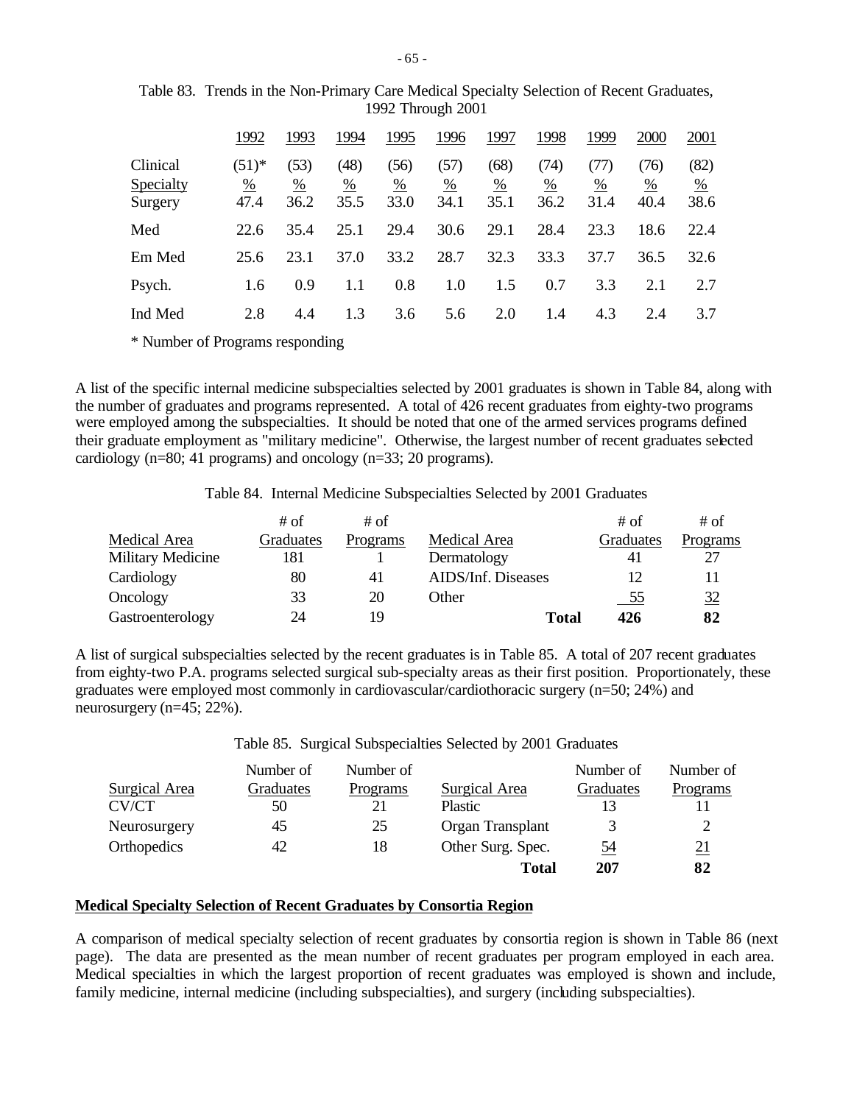|                                  | 1992                    | 1993              | 1994                          | 1995                          | 1996              | 1997                            | 1998              | 1999              | 2000                          | 2001                            |
|----------------------------------|-------------------------|-------------------|-------------------------------|-------------------------------|-------------------|---------------------------------|-------------------|-------------------|-------------------------------|---------------------------------|
| Clinical<br>Specialty<br>Surgery | $(51)^{*}$<br>%<br>47.4 | (53)<br>%<br>36.2 | (48)<br>$\frac{0}{0}$<br>35.5 | (56)<br>$\frac{0}{0}$<br>33.0 | (57)<br>%<br>34.1 | (68)<br>$\frac{\%}{\%}$<br>35.1 | (74)<br>%<br>36.2 | (TI)<br>%<br>31.4 | (76)<br>$\frac{0}{0}$<br>40.4 | (82)<br>$\frac{\%}{\ }$<br>38.6 |
| Med                              | 22.6                    | 35.4              | 25.1                          | 29.4                          | 30.6              | 29.1                            | 28.4              | 23.3              | 18.6                          | 22.4                            |
| Em Med                           | 25.6                    | 23.1              | 37.0                          | 33.2                          | 28.7              | 32.3                            | 33.3              | 37.7              | 36.5                          | 32.6                            |
| Psych.                           | 1.6                     | 0.9               |                               | 0.8                           | 1.0               | 1.5                             | 0.7               | 3.3               | 2.1                           | 2.7                             |
| Ind Med                          | 2.8                     | 4.4               | 1.3                           | 3.6                           | 5.6               | 2.0                             | 1.4               | 4.3               | 2.4                           | 3.7                             |

Table 83. Trends in the Non-Primary Care Medical Specialty Selection of Recent Graduates, 1992 Through 2001

\* Number of Programs responding

A list of the specific internal medicine subspecialties selected by 2001 graduates is shown in Table 84, along with the number of graduates and programs represented. A total of 426 recent graduates from eighty-two programs were employed among the subspecialties. It should be noted that one of the armed services programs defined their graduate employment as "military medicine". Otherwise, the largest number of recent graduates selected cardiology (n=80; 41 programs) and oncology (n=33; 20 programs).

Table 84. Internal Medicine Subspecialties Selected by 2001 Graduates

|                   | # of      | # of     |                    | # of       | # of           |
|-------------------|-----------|----------|--------------------|------------|----------------|
| Medical Area      | Graduates | Programs | Medical Area       | Graduates  | Programs       |
| Military Medicine | 181       |          | Dermatology        | 41         |                |
| Cardiology        | 80        | 41       | AIDS/Inf. Diseases | 12         |                |
| Oncology          | 33        | 20       | Other              | <u>_55</u> | $\frac{32}{5}$ |
| Gastroenterology  | 24        | 19       | <b>Total</b>       | 426        | 82             |

A list of surgical subspecialties selected by the recent graduates is in Table 85. A total of 207 recent graduates from eighty-two P.A. programs selected surgical sub-specialty areas as their first position. Proportionately, these graduates were employed most commonly in cardiovascular/cardiothoracic surgery (n=50; 24%) and neurosurgery (n=45; 22%).

Table 85. Surgical Subspecialties Selected by 2001 Graduates

|               | Number of | Number of |                   | Number of | Number of  |
|---------------|-----------|-----------|-------------------|-----------|------------|
| Surgical Area | Graduates | Programs  | Surgical Area     | Graduates | Programs   |
| CV/CT         | 50        | 21        | <b>Plastic</b>    |           |            |
| Neurosurgery  | 45        | 25        | Organ Transplant  | 3         |            |
| Orthopedics   | 42        | 18        | Other Surg. Spec. | <u>54</u> | <u> 21</u> |
|               |           |           | <b>Total</b>      | 207       | 82         |

# **Medical Specialty Selection of Recent Graduates by Consortia Region**

A comparison of medical specialty selection of recent graduates by consortia region is shown in Table 86 (next page). The data are presented as the mean number of recent graduates per program employed in each area. Medical specialties in which the largest proportion of recent graduates was employed is shown and include, family medicine, internal medicine (including subspecialties), and surgery (including subspecialties).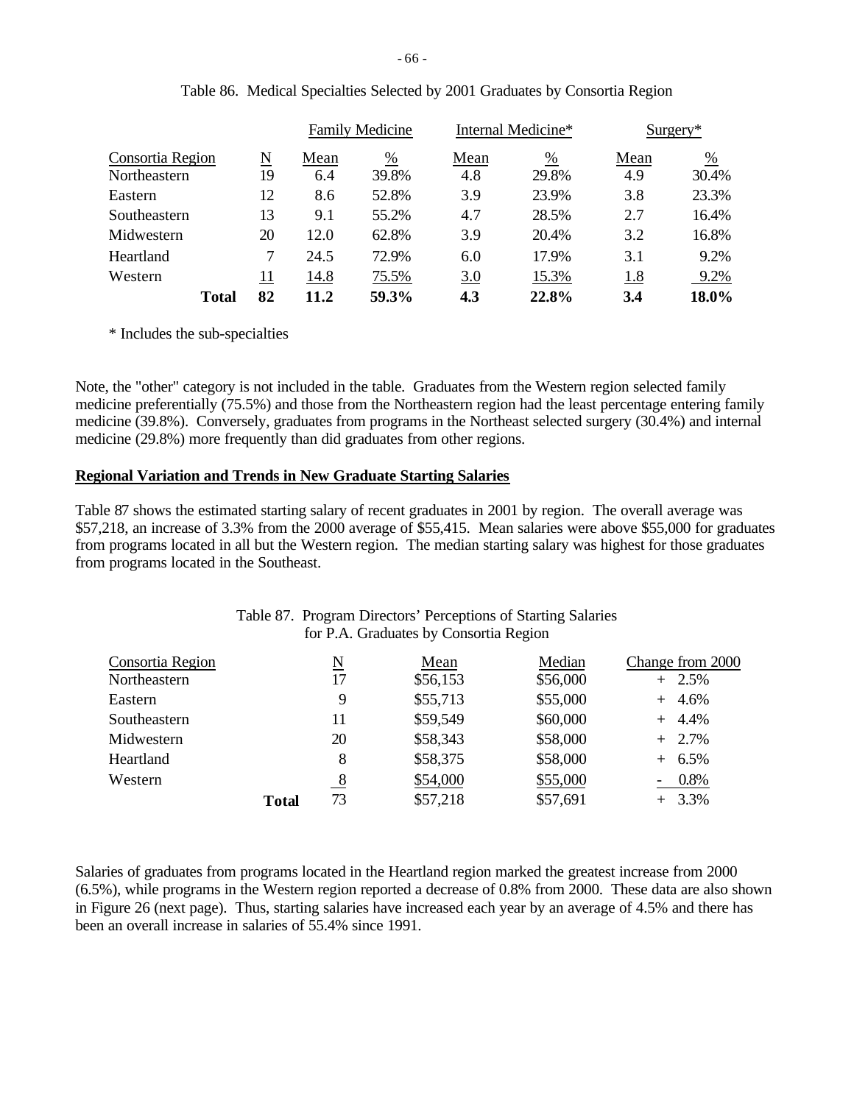|                  |              |    |      | <b>Family Medicine</b> | Internal Medicine* |       | $Surgery*$ |               |
|------------------|--------------|----|------|------------------------|--------------------|-------|------------|---------------|
| Consortia Region |              | N  | Mean | %                      | Mean               | %     | Mean       | $\frac{0}{0}$ |
| Northeastern     |              | 19 | 6.4  | 39.8%                  | 4.8                | 29.8% | 4.9        | 30.4%         |
| Eastern          |              | 12 | 8.6  | 52.8%                  | 3.9                | 23.9% | 3.8        | 23.3%         |
| Southeastern     |              | 13 | 9.1  | 55.2%                  | 4.7                | 28.5% | 2.7        | 16.4%         |
| Midwestern       |              | 20 | 12.0 | 62.8%                  | 3.9                | 20.4% | 3.2        | 16.8%         |
| Heartland        |              |    | 24.5 | 72.9%                  | 6.0                | 17.9% | 3.1        | 9.2%          |
| Western          |              | 11 | 14.8 | 75.5%                  | 3.0                | 15.3% | 1.8        | 9.2%          |
|                  | <b>Total</b> | 82 | 11.2 | 59.3%                  | 4.3                | 22.8% | 3.4        | 18.0%         |

|  |  |  |  | Table 86. Medical Specialties Selected by 2001 Graduates by Consortia Region |
|--|--|--|--|------------------------------------------------------------------------------|
|--|--|--|--|------------------------------------------------------------------------------|

\* Includes the sub-specialties

Note, the "other" category is not included in the table. Graduates from the Western region selected family medicine preferentially (75.5%) and those from the Northeastern region had the least percentage entering family medicine (39.8%). Conversely, graduates from programs in the Northeast selected surgery (30.4%) and internal medicine (29.8%) more frequently than did graduates from other regions.

## **Regional Variation and Trends in New Graduate Starting Salaries**

Table 87 shows the estimated starting salary of recent graduates in 2001 by region. The overall average was \$57,218, an increase of 3.3% from the 2000 average of \$55,415. Mean salaries were above \$55,000 for graduates from programs located in all but the Western region. The median starting salary was highest for those graduates from programs located in the Southeast.

|                                  |              |               | Table 07. Trogram Directors Teleconolis of Building Balaries<br>for P.A. Graduates by Consortia Region |                    |                              |
|----------------------------------|--------------|---------------|--------------------------------------------------------------------------------------------------------|--------------------|------------------------------|
| Consortia Region<br>Northeastern |              | N<br>17       | Mean<br>\$56,153                                                                                       | Median<br>\$56,000 | Change from 2000<br>$+$ 2.5% |
| Eastern                          |              | 9             | \$55,713                                                                                               | \$55,000           | $+ 4.6\%$                    |
| Southeastern                     |              | 11            | \$59,549                                                                                               | \$60,000           | $+ 4.4\%$                    |
| Midwestern                       |              | 20            | \$58,343                                                                                               | \$58,000           | $+2.7\%$                     |
| Heartland                        |              | 8             | \$58,375                                                                                               | \$58,000           | $+ 6.5\%$                    |
| Western                          |              | $\frac{8}{1}$ | \$54,000                                                                                               | \$55,000           | $0.8\%$                      |
|                                  | <b>Total</b> | 73            | \$57,218                                                                                               | \$57,691           | $+ 3.3\%$                    |

# Table 87. Program Directors' Perceptions of Starting Salaries

Salaries of graduates from programs located in the Heartland region marked the greatest increase from 2000 (6.5%), while programs in the Western region reported a decrease of 0.8% from 2000. These data are also shown in Figure 26 (next page). Thus, starting salaries have increased each year by an average of 4.5% and there has been an overall increase in salaries of 55.4% since 1991.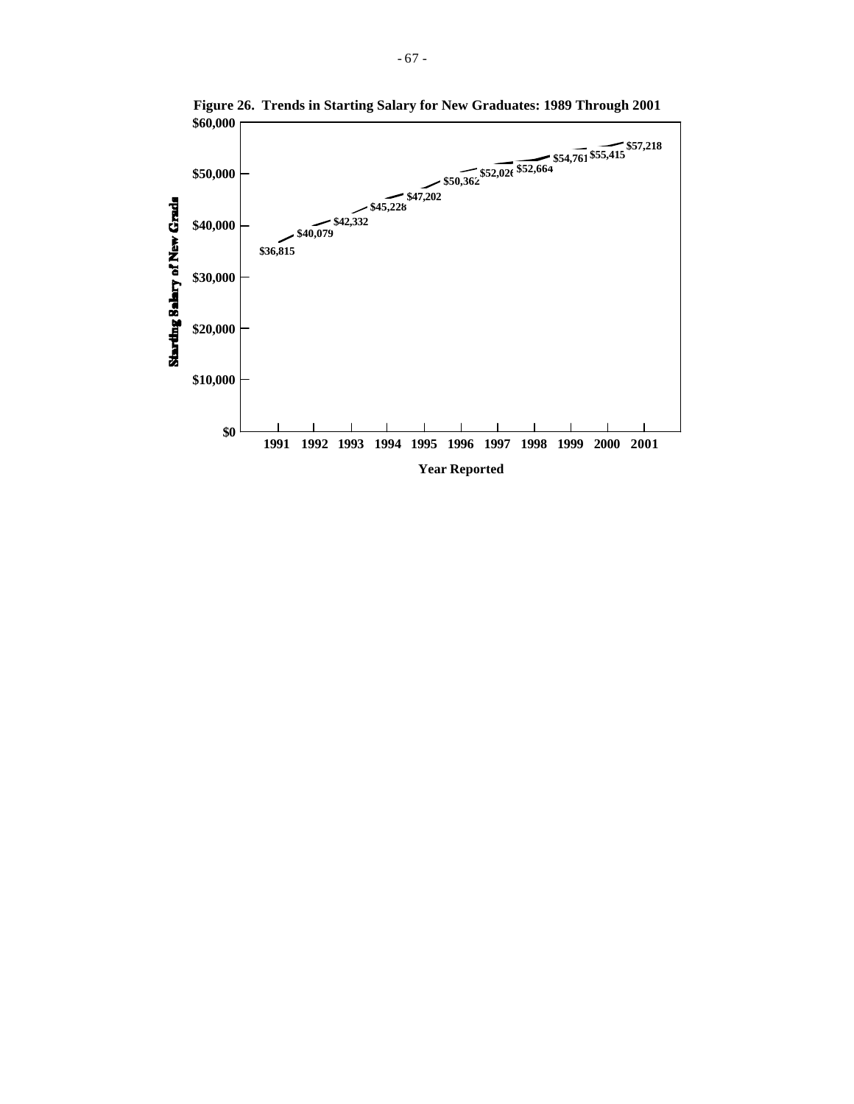

**Figure 26. Trends in Starting Salary for New Graduates: 1989 Through 2001**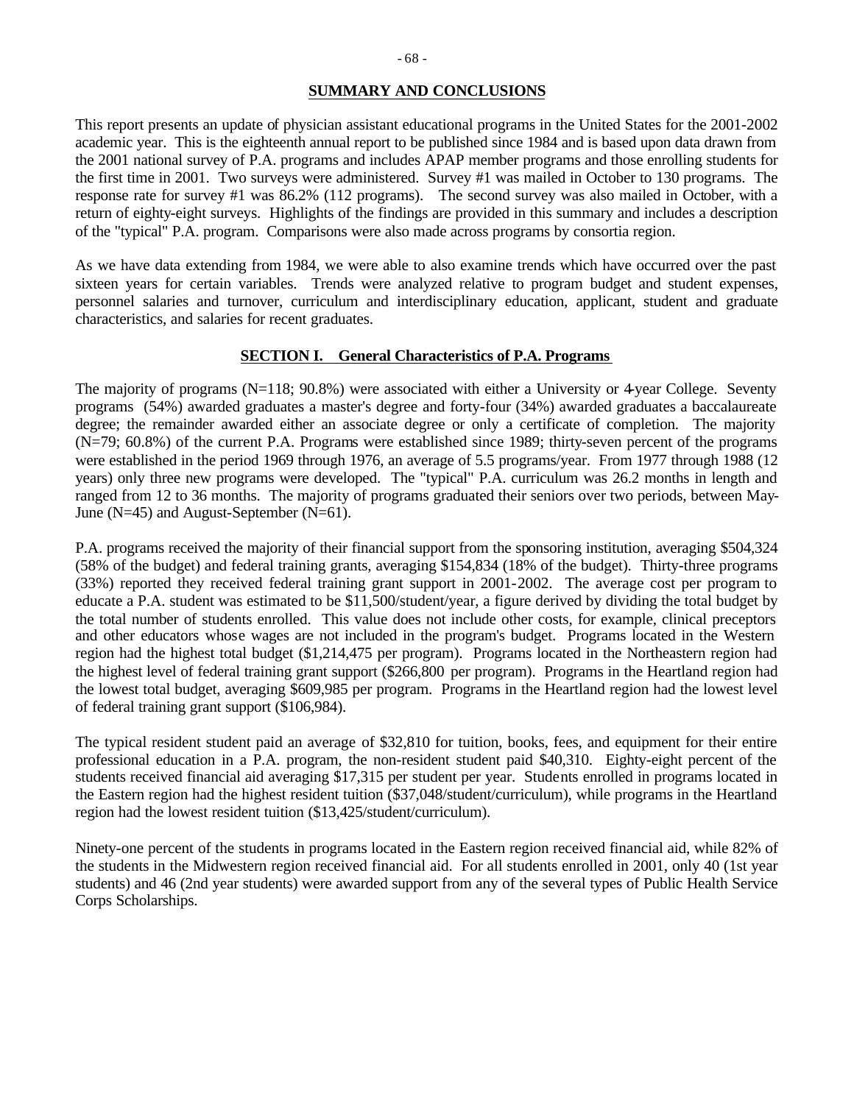## **SUMMARY AND CONCLUSIONS**

This report presents an update of physician assistant educational programs in the United States for the 2001-2002 academic year. This is the eighteenth annual report to be published since 1984 and is based upon data drawn from the 2001 national survey of P.A. programs and includes APAP member programs and those enrolling students for the first time in 2001. Two surveys were administered. Survey #1 was mailed in October to 130 programs. The response rate for survey #1 was 86.2% (112 programs). The second survey was also mailed in October, with a return of eighty-eight surveys. Highlights of the findings are provided in this summary and includes a description of the "typical" P.A. program. Comparisons were also made across programs by consortia region.

As we have data extending from 1984, we were able to also examine trends which have occurred over the past sixteen years for certain variables. Trends were analyzed relative to program budget and student expenses, personnel salaries and turnover, curriculum and interdisciplinary education, applicant, student and graduate characteristics, and salaries for recent graduates.

# **SECTION I. General Characteristics of P.A. Programs**

The majority of programs (N=118; 90.8%) were associated with either a University or 4-year College. Seventy programs (54%) awarded graduates a master's degree and forty-four (34%) awarded graduates a baccalaureate degree; the remainder awarded either an associate degree or only a certificate of completion. The majority (N=79; 60.8%) of the current P.A. Programs were established since 1989; thirty-seven percent of the programs were established in the period 1969 through 1976, an average of 5.5 programs/year. From 1977 through 1988 (12 years) only three new programs were developed. The "typical" P.A. curriculum was 26.2 months in length and ranged from 12 to 36 months. The majority of programs graduated their seniors over two periods, between May-June (N=45) and August-September (N=61).

P.A. programs received the majority of their financial support from the sponsoring institution, averaging \$504,324 (58% of the budget) and federal training grants, averaging \$154,834 (18% of the budget). Thirty-three programs (33%) reported they received federal training grant support in 2001-2002. The average cost per program to educate a P.A. student was estimated to be \$11,500/student/year, a figure derived by dividing the total budget by the total number of students enrolled. This value does not include other costs, for example, clinical preceptors and other educators whose wages are not included in the program's budget. Programs located in the Western region had the highest total budget (\$1,214,475 per program). Programs located in the Northeastern region had the highest level of federal training grant support (\$266,800 per program). Programs in the Heartland region had the lowest total budget, averaging \$609,985 per program. Programs in the Heartland region had the lowest level of federal training grant support (\$106,984).

The typical resident student paid an average of \$32,810 for tuition, books, fees, and equipment for their entire professional education in a P.A. program, the non-resident student paid \$40,310. Eighty-eight percent of the students received financial aid averaging \$17,315 per student per year. Students enrolled in programs located in the Eastern region had the highest resident tuition (\$37,048/student/curriculum), while programs in the Heartland region had the lowest resident tuition (\$13,425/student/curriculum).

Ninety-one percent of the students in programs located in the Eastern region received financial aid, while 82% of the students in the Midwestern region received financial aid. For all students enrolled in 2001, only 40 (1st year students) and 46 (2nd year students) were awarded support from any of the several types of Public Health Service Corps Scholarships.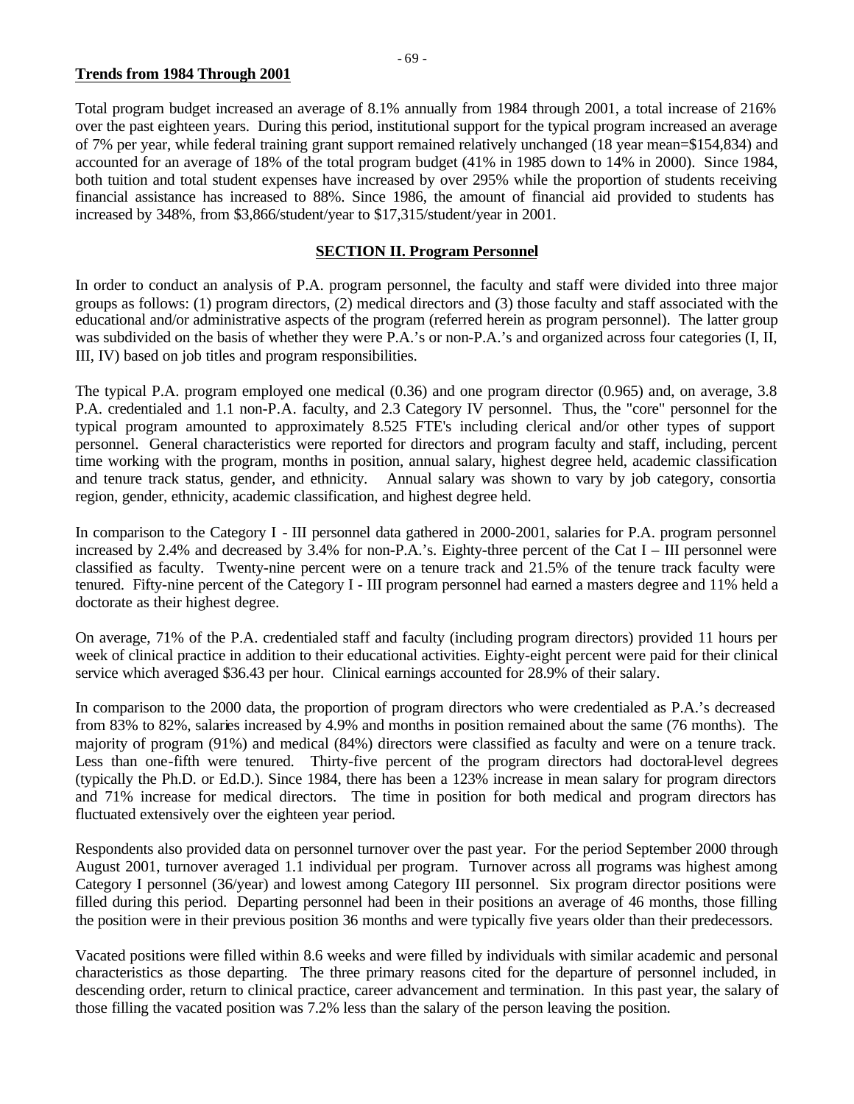# **Trends from 1984 Through 2001**

Total program budget increased an average of 8.1% annually from 1984 through 2001, a total increase of 216% over the past eighteen years. During this period, institutional support for the typical program increased an average of 7% per year, while federal training grant support remained relatively unchanged (18 year mean=\$154,834) and accounted for an average of 18% of the total program budget (41% in 1985 down to 14% in 2000). Since 1984, both tuition and total student expenses have increased by over 295% while the proportion of students receiving financial assistance has increased to 88%. Since 1986, the amount of financial aid provided to students has increased by 348%, from \$3,866/student/year to \$17,315/student/year in 2001.

# **SECTION II. Program Personnel**

In order to conduct an analysis of P.A. program personnel, the faculty and staff were divided into three major groups as follows: (1) program directors, (2) medical directors and (3) those faculty and staff associated with the educational and/or administrative aspects of the program (referred herein as program personnel). The latter group was subdivided on the basis of whether they were P.A.'s or non-P.A.'s and organized across four categories (I, II, III, IV) based on job titles and program responsibilities.

The typical P.A. program employed one medical (0.36) and one program director (0.965) and, on average, 3.8 P.A. credentialed and 1.1 non-P.A. faculty, and 2.3 Category IV personnel. Thus, the "core" personnel for the typical program amounted to approximately 8.525 FTE's including clerical and/or other types of support personnel. General characteristics were reported for directors and program faculty and staff, including, percent time working with the program, months in position, annual salary, highest degree held, academic classification and tenure track status, gender, and ethnicity. Annual salary was shown to vary by job category, consortia region, gender, ethnicity, academic classification, and highest degree held.

In comparison to the Category I - III personnel data gathered in 2000-2001, salaries for P.A. program personnel increased by 2.4% and decreased by 3.4% for non-P.A.'s. Eighty-three percent of the Cat I – III personnel were classified as faculty. Twenty-nine percent were on a tenure track and 21.5% of the tenure track faculty were tenured. Fifty-nine percent of the Category I - III program personnel had earned a masters degree and 11% held a doctorate as their highest degree.

On average, 71% of the P.A. credentialed staff and faculty (including program directors) provided 11 hours per week of clinical practice in addition to their educational activities. Eighty-eight percent were paid for their clinical service which averaged \$36.43 per hour. Clinical earnings accounted for 28.9% of their salary.

In comparison to the 2000 data, the proportion of program directors who were credentialed as P.A.'s decreased from 83% to 82%, salaries increased by 4.9% and months in position remained about the same (76 months). The majority of program (91%) and medical (84%) directors were classified as faculty and were on a tenure track. Less than one-fifth were tenured. Thirty-five percent of the program directors had doctoral-level degrees (typically the Ph.D. or Ed.D.). Since 1984, there has been a 123% increase in mean salary for program directors and 71% increase for medical directors. The time in position for both medical and program directors has fluctuated extensively over the eighteen year period.

Respondents also provided data on personnel turnover over the past year. For the period September 2000 through August 2001, turnover averaged 1.1 individual per program. Turnover across all programs was highest among Category I personnel (36/year) and lowest among Category III personnel. Six program director positions were filled during this period. Departing personnel had been in their positions an average of 46 months, those filling the position were in their previous position 36 months and were typically five years older than their predecessors.

Vacated positions were filled within 8.6 weeks and were filled by individuals with similar academic and personal characteristics as those departing. The three primary reasons cited for the departure of personnel included, in descending order, return to clinical practice, career advancement and termination. In this past year, the salary of those filling the vacated position was 7.2% less than the salary of the person leaving the position.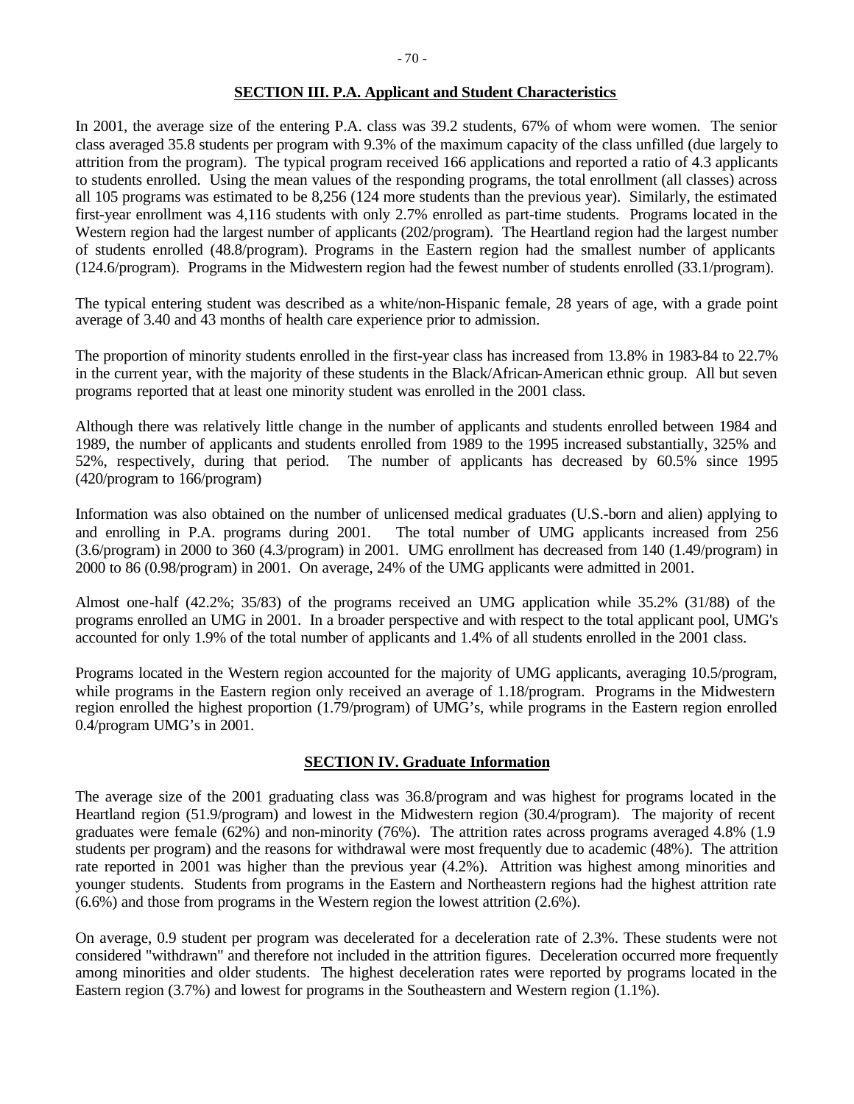# **SECTION III. P.A. Applicant and Student Characteristics**

In 2001, the average size of the entering P.A. class was 39.2 students, 67% of whom were women. The senior class averaged 35.8 students per program with 9.3% of the maximum capacity of the class unfilled (due largely to attrition from the program). The typical program received 166 applications and reported a ratio of 4.3 applicants to students enrolled. Using the mean values of the responding programs, the total enrollment (all classes) across all 105 programs was estimated to be 8,256 (124 more students than the previous year). Similarly, the estimated first-year enrollment was 4,116 students with only 2.7% enrolled as part-time students. Programs located in the Western region had the largest number of applicants (202/program). The Heartland region had the largest number of students enrolled (48.8/program). Programs in the Eastern region had the smallest number of applicants (124.6/program). Programs in the Midwestern region had the fewest number of students enrolled (33.1/program).

The typical entering student was described as a white/non-Hispanic female, 28 years of age, with a grade point average of 3.40 and 43 months of health care experience prior to admission.

The proportion of minority students enrolled in the first-year class has increased from 13.8% in 1983-84 to 22.7% in the current year, with the majority of these students in the Black/African-American ethnic group. All but seven programs reported that at least one minority student was enrolled in the 2001 class.

Although there was relatively little change in the number of applicants and students enrolled between 1984 and 1989, the number of applicants and students enrolled from 1989 to the 1995 increased substantially, 325% and 52%, respectively, during that period. The number of applicants has decreased by 60.5% since 1995 (420/program to 166/program)

Information was also obtained on the number of unlicensed medical graduates (U.S.-born and alien) applying to and enrolling in P.A. programs during 2001. The total number of UMG applicants increased from 256 (3.6/program) in 2000 to 360 (4.3/program) in 2001. UMG enrollment has decreased from 140 (1.49/program) in 2000 to 86 (0.98/program) in 2001. On average, 24% of the UMG applicants were admitted in 2001.

Almost one-half (42.2%; 35/83) of the programs received an UMG application while 35.2% (31/88) of the programs enrolled an UMG in 2001. In a broader perspective and with respect to the total applicant pool, UMG's accounted for only 1.9% of the total number of applicants and 1.4% of all students enrolled in the 2001 class.

Programs located in the Western region accounted for the majority of UMG applicants, averaging 10.5/program, while programs in the Eastern region only received an average of 1.18/program. Programs in the Midwestern region enrolled the highest proportion (1.79/program) of UMG's, while programs in the Eastern region enrolled 0.4/program UMG's in 2001.

#### **SECTION IV. Graduate Information**

The average size of the 2001 graduating class was 36.8/program and was highest for programs located in the Heartland region (51.9/program) and lowest in the Midwestern region (30.4/program). The majority of recent graduates were female (62%) and non-minority (76%). The attrition rates across programs averaged 4.8% (1.9 students per program) and the reasons for withdrawal were most frequently due to academic (48%). The attrition rate reported in 2001 was higher than the previous year (4.2%). Attrition was highest among minorities and younger students. Students from programs in the Eastern and Northeastern regions had the highest attrition rate (6.6%) and those from programs in the Western region the lowest attrition (2.6%).

On average, 0.9 student per program was decelerated for a deceleration rate of 2.3%. These students were not considered "withdrawn" and therefore not included in the attrition figures. Deceleration occurred more frequently among minorities and older students. The highest deceleration rates were reported by programs located in the Eastern region (3.7%) and lowest for programs in the Southeastern and Western region (1.1%).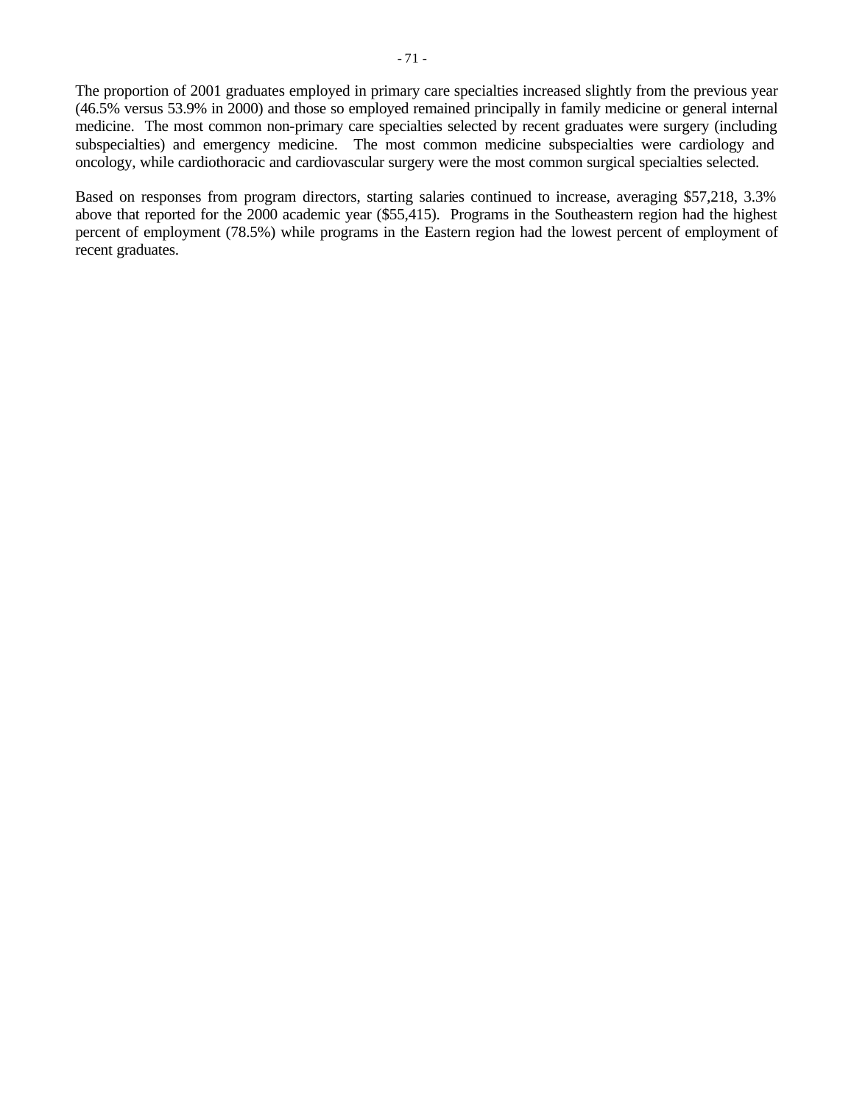The proportion of 2001 graduates employed in primary care specialties increased slightly from the previous year (46.5% versus 53.9% in 2000) and those so employed remained principally in family medicine or general internal medicine. The most common non-primary care specialties selected by recent graduates were surgery (including subspecialties) and emergency medicine. The most common medicine subspecialties were cardiology and oncology, while cardiothoracic and cardiovascular surgery were the most common surgical specialties selected.

Based on responses from program directors, starting salaries continued to increase, averaging \$57,218, 3.3% above that reported for the 2000 academic year (\$55,415). Programs in the Southeastern region had the highest percent of employment (78.5%) while programs in the Eastern region had the lowest percent of employment of recent graduates.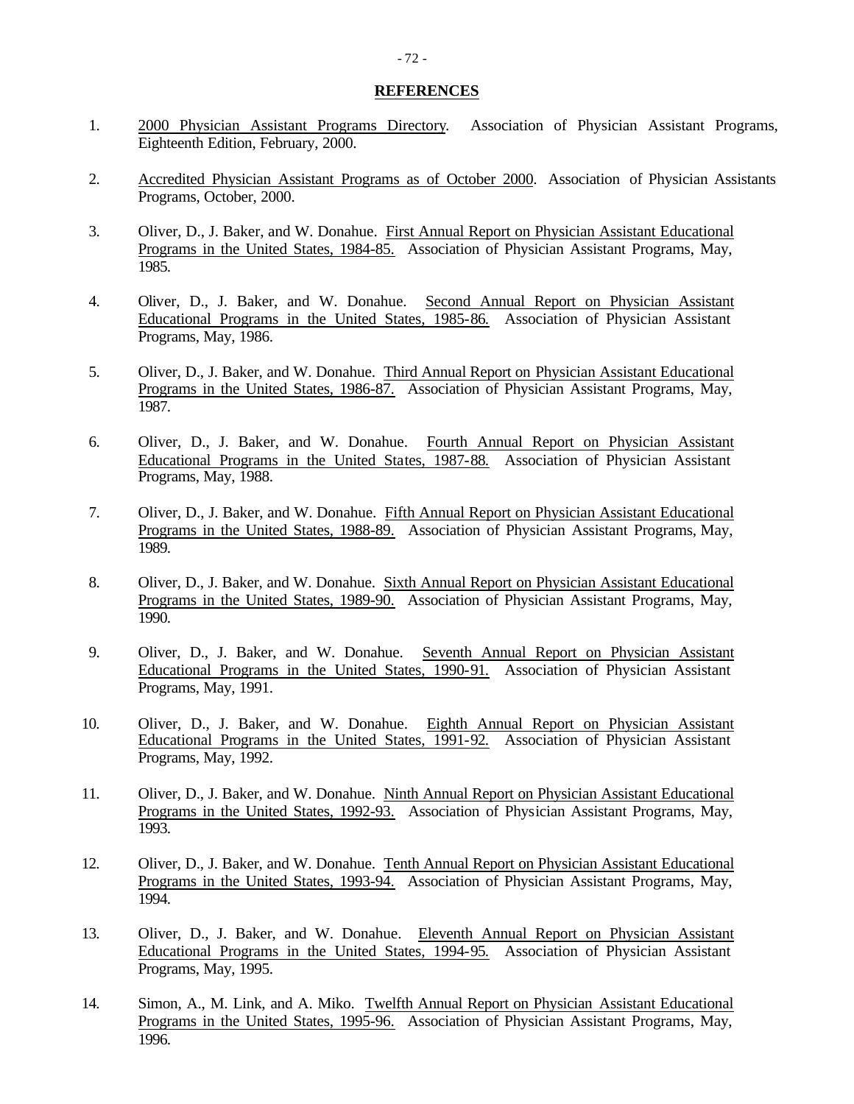#### **REFERENCES**

- 1. 2000 Physician Assistant Programs Directory. Association of Physician Assistant Programs, Eighteenth Edition, February, 2000.
- 2. Accredited Physician Assistant Programs as of October 2000. Association of Physician Assistants Programs, October, 2000.
- 3. Oliver, D., J. Baker, and W. Donahue. First Annual Report on Physician Assistant Educational Programs in the United States, 1984-85. Association of Physician Assistant Programs, May, 1985.
- 4. Oliver, D., J. Baker, and W. Donahue. Second Annual Report on Physician Assistant Educational Programs in the United States, 1985-86. Association of Physician Assistant Programs, May, 1986.
- 5. Oliver, D., J. Baker, and W. Donahue. Third Annual Report on Physician Assistant Educational Programs in the United States, 1986-87. Association of Physician Assistant Programs, May, 1987.
- 6. Oliver, D., J. Baker, and W. Donahue. Fourth Annual Report on Physician Assistant Educational Programs in the United States, 1987-88. Association of Physician Assistant Programs, May, 1988.
- 7. Oliver, D., J. Baker, and W. Donahue. Fifth Annual Report on Physician Assistant Educational Programs in the United States, 1988-89. Association of Physician Assistant Programs, May, 1989.
- 8. Oliver, D., J. Baker, and W. Donahue. Sixth Annual Report on Physician Assistant Educational Programs in the United States, 1989-90. Association of Physician Assistant Programs, May, 1990.
- 9. Oliver, D., J. Baker, and W. Donahue. Seventh Annual Report on Physician Assistant Educational Programs in the United States, 1990-91. Association of Physician Assistant Programs, May, 1991.
- 10. Oliver, D., J. Baker, and W. Donahue. Eighth Annual Report on Physician Assistant Educational Programs in the United States, 1991-92. Association of Physician Assistant Programs, May, 1992.
- 11. Oliver, D., J. Baker, and W. Donahue. Ninth Annual Report on Physician Assistant Educational Programs in the United States, 1992-93. Association of Physician Assistant Programs, May, 1993.
- 12. Oliver, D., J. Baker, and W. Donahue. Tenth Annual Report on Physician Assistant Educational Programs in the United States, 1993-94. Association of Physician Assistant Programs, May, 1994.
- 13. Oliver, D., J. Baker, and W. Donahue. Eleventh Annual Report on Physician Assistant Educational Programs in the United States, 1994-95. Association of Physician Assistant Programs, May, 1995.
- 14. Simon, A., M. Link, and A. Miko. Twelfth Annual Report on Physician Assistant Educational Programs in the United States, 1995-96. Association of Physician Assistant Programs, May, 1996.